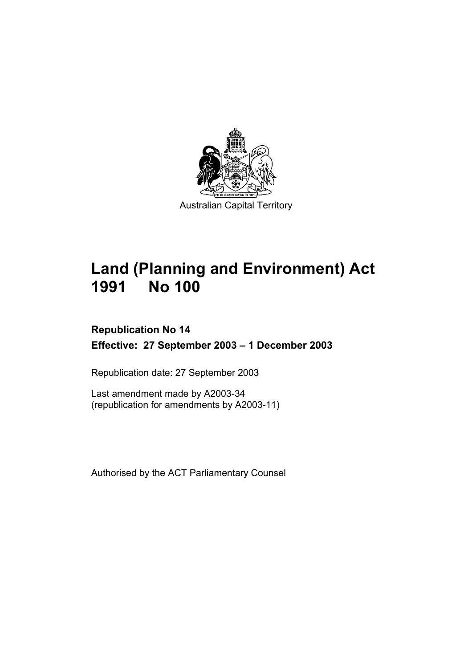

# **Land (Planning and Environment) Act 1991 No 100**

# **Republication No 14 Effective: 27 September 2003 – 1 December 2003**

Republication date: 27 September 2003

Last amendment made by A2003-34 (republication for amendments by A2003-11)

Authorised by the ACT Parliamentary Counsel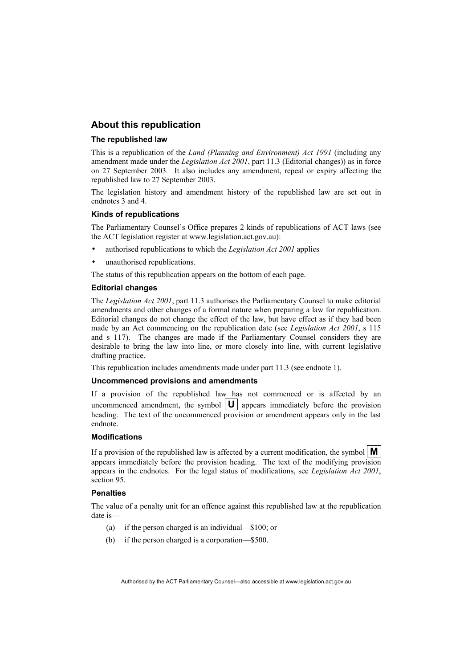#### **About this republication**

#### **The republished law**

This is a republication of the *Land (Planning and Environment) Act 1991* (including any amendment made under the *Legislation Act 2001*, part 11.3 (Editorial changes)) as in force on 27 September 2003*.* It also includes any amendment, repeal or expiry affecting the republished law to 27 September 2003.

The legislation history and amendment history of the republished law are set out in endnotes 3 and 4.

#### **Kinds of republications**

The Parliamentary Counsel's Office prepares 2 kinds of republications of ACT laws (see the ACT legislation register at www.legislation.act.gov.au):

- authorised republications to which the *Legislation Act 2001* applies
- unauthorised republications.

The status of this republication appears on the bottom of each page.

#### **Editorial changes**

The *Legislation Act 2001*, part 11.3 authorises the Parliamentary Counsel to make editorial amendments and other changes of a formal nature when preparing a law for republication. Editorial changes do not change the effect of the law, but have effect as if they had been made by an Act commencing on the republication date (see *Legislation Act 2001*, s 115 and s 117). The changes are made if the Parliamentary Counsel considers they are desirable to bring the law into line, or more closely into line, with current legislative drafting practice.

This republication includes amendments made under part 11.3 (see endnote 1).

#### **Uncommenced provisions and amendments**

If a provision of the republished law has not commenced or is affected by an uncommenced amendment, the symbol  $\|\mathbf{U}\|$  appears immediately before the provision heading. The text of the uncommenced provision or amendment appears only in the last endnote.

#### **Modifications**

If a provision of the republished law is affected by a current modification, the symbol  $\mathbf{M}$ appears immediately before the provision heading. The text of the modifying provision appears in the endnotes. For the legal status of modifications, see *Legislation Act 2001*, section 95.

#### **Penalties**

The value of a penalty unit for an offence against this republished law at the republication date is—

- (a) if the person charged is an individual—\$100; or
- (b) if the person charged is a corporation—\$500.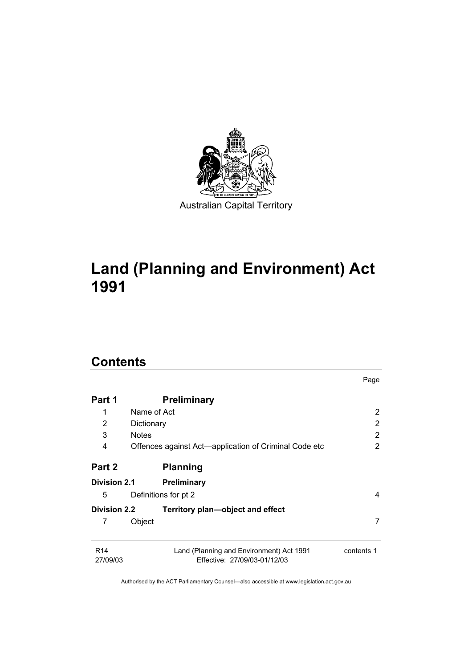

# **Land (Planning and Environment) Act 1991**

# **Contents**

|                             |                                                                          | Page           |
|-----------------------------|--------------------------------------------------------------------------|----------------|
| Part 1                      | <b>Preliminary</b>                                                       |                |
| 1                           | Name of Act                                                              | 2              |
| 2                           | Dictionary                                                               | 2              |
| 3                           | <b>Notes</b>                                                             | $\overline{2}$ |
| 4                           | Offences against Act—application of Criminal Code etc                    | $\overline{2}$ |
| Part 2                      | <b>Planning</b>                                                          |                |
| <b>Division 2.1</b>         | <b>Preliminary</b>                                                       |                |
| 5                           | Definitions for pt 2                                                     | 4              |
| <b>Division 2.2</b>         | Territory plan—object and effect                                         |                |
| 7                           | Object                                                                   | 7              |
| R <sub>14</sub><br>27/09/03 | Land (Planning and Environment) Act 1991<br>Effective: 27/09/03-01/12/03 | contents 1     |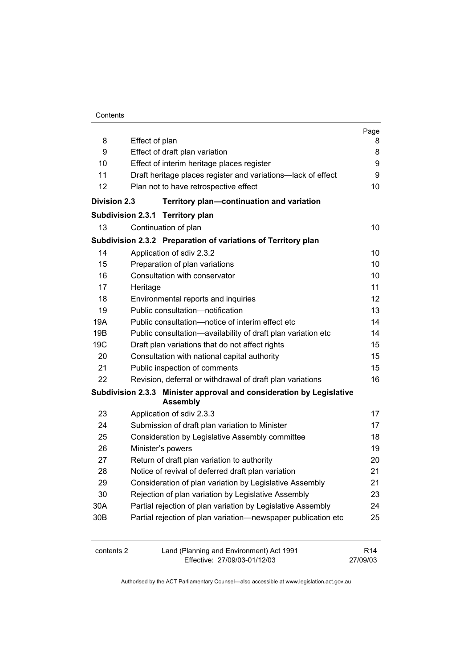| Contents |
|----------|
|----------|

|                     |                                            |                                                                                         | Page            |
|---------------------|--------------------------------------------|-----------------------------------------------------------------------------------------|-----------------|
| 8                   | Effect of plan                             |                                                                                         | 8               |
| 9                   |                                            | Effect of draft plan variation                                                          | 8               |
| 10                  | Effect of interim heritage places register |                                                                                         |                 |
| 11                  |                                            | Draft heritage places register and variations-lack of effect                            | 9               |
| 12                  |                                            | Plan not to have retrospective effect                                                   | 10              |
| <b>Division 2.3</b> |                                            | Territory plan-continuation and variation                                               |                 |
|                     |                                            | Subdivision 2.3.1 Territory plan                                                        |                 |
| 13                  |                                            | Continuation of plan                                                                    | 10              |
|                     |                                            | Subdivision 2.3.2 Preparation of variations of Territory plan                           |                 |
| 14                  |                                            | Application of sdiv 2.3.2                                                               | 10              |
| 15                  |                                            | Preparation of plan variations                                                          | 10              |
| 16                  |                                            | Consultation with conservator                                                           | 10              |
| 17                  | Heritage                                   |                                                                                         | 11              |
| 18                  |                                            | Environmental reports and inquiries                                                     | 12 <sub>2</sub> |
| 19                  |                                            | Public consultation-notification                                                        | 13              |
| 19A                 |                                            | Public consultation-notice of interim effect etc                                        | 14              |
| 19B                 |                                            | Public consultation-availability of draft plan variation etc                            | 14              |
| 19C                 |                                            | Draft plan variations that do not affect rights                                         | 15              |
| 20                  |                                            | Consultation with national capital authority                                            | 15              |
| 21                  |                                            | Public inspection of comments                                                           | 15              |
| 22                  |                                            | Revision, deferral or withdrawal of draft plan variations                               | 16              |
|                     |                                            | Subdivision 2.3.3 Minister approval and consideration by Legislative<br><b>Assembly</b> |                 |
| 23                  |                                            | Application of sdiv 2.3.3                                                               | 17              |
| 24                  |                                            | Submission of draft plan variation to Minister                                          | 17              |
| 25                  |                                            | Consideration by Legislative Assembly committee                                         | 18              |
| 26                  |                                            | Minister's powers                                                                       | 19              |
| 27                  |                                            | Return of draft plan variation to authority                                             | 20              |
| 28                  |                                            | Notice of revival of deferred draft plan variation                                      | 21              |
| 29                  |                                            | Consideration of plan variation by Legislative Assembly                                 | 21              |
| 30                  |                                            | Rejection of plan variation by Legislative Assembly                                     | 23              |
| 30A                 |                                            | Partial rejection of plan variation by Legislative Assembly                             | 24              |
| 30 <sub>B</sub>     |                                            | Partial rejection of plan variation-newspaper publication etc                           | 25              |
| contents 2          |                                            | Land (Planning and Environment) Act 1991                                                | R <sub>14</sub> |
|                     |                                            | Effective: 27/09/03-01/12/03                                                            | 27/09/03        |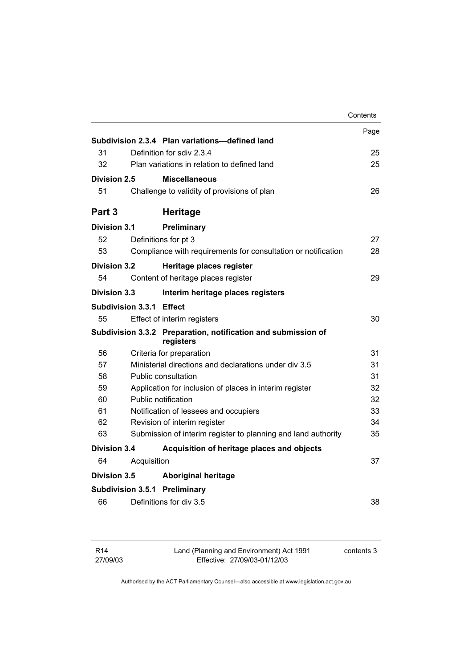|                     |                          |                                                                            | Contents |
|---------------------|--------------------------|----------------------------------------------------------------------------|----------|
|                     |                          |                                                                            | Page     |
|                     |                          | Subdivision 2.3.4 Plan variations-defined land                             |          |
| 31                  |                          | Definition for sdiv 2.3.4                                                  | 25       |
| 32                  |                          | Plan variations in relation to defined land                                | 25       |
| Division 2.5        |                          | <b>Miscellaneous</b>                                                       |          |
| 51                  |                          | Challenge to validity of provisions of plan                                | 26       |
| Part <sub>3</sub>   |                          | <b>Heritage</b>                                                            |          |
| <b>Division 3.1</b> |                          | Preliminary                                                                |          |
| 52                  |                          | Definitions for pt 3                                                       | 27       |
| 53                  |                          | Compliance with requirements for consultation or notification              | 28       |
| Division 3.2        |                          | Heritage places register                                                   |          |
| 54                  |                          | Content of heritage places register                                        | 29       |
| <b>Division 3.3</b> |                          | Interim heritage places registers                                          |          |
|                     | Subdivision 3.3.1 Effect |                                                                            |          |
| 55                  |                          | Effect of interim registers                                                | 30       |
|                     |                          | Subdivision 3.3.2 Preparation, notification and submission of<br>registers |          |
| 56                  |                          | Criteria for preparation                                                   | 31       |
| 57                  |                          | Ministerial directions and declarations under div 3.5                      | 31       |
| 58                  |                          | Public consultation                                                        | 31       |
| 59                  |                          | Application for inclusion of places in interim register                    | 32       |
| 60                  |                          | Public notification                                                        | 32       |
| 61                  |                          | Notification of lessees and occupiers                                      | 33       |
| 62                  |                          | Revision of interim register                                               | 34       |
| 63                  |                          | Submission of interim register to planning and land authority              | 35       |
| <b>Division 3.4</b> |                          | Acquisition of heritage places and objects                                 |          |
| 64                  | Acquisition              |                                                                            | 37       |
| <b>Division 3.5</b> |                          | <b>Aboriginal heritage</b>                                                 |          |
|                     |                          | Subdivision 3.5.1 Preliminary                                              |          |
| 66                  |                          | Definitions for div 3.5                                                    | 38       |
|                     |                          |                                                                            |          |

| R14      |
|----------|
| 27/09/03 |

Land (Planning and Environment) Act 1991 Effective: 27/09/03-01/12/03

contents 3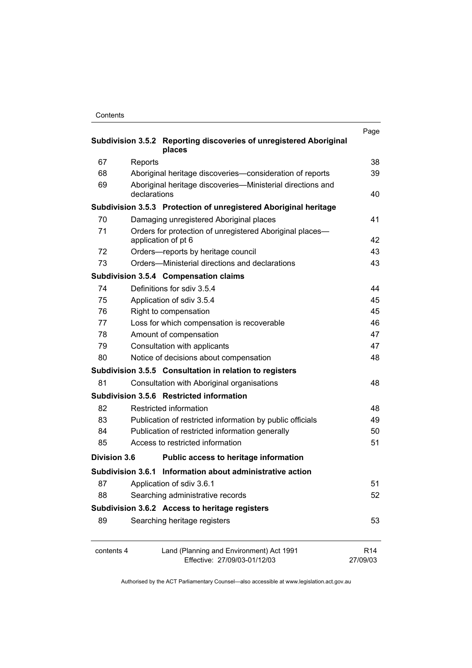| Contents |
|----------|
|----------|

| Subdivision 3.5.2 Reporting discoveries of unregistered Aboriginal |                                                                                                                        |                             |  |
|--------------------------------------------------------------------|------------------------------------------------------------------------------------------------------------------------|-----------------------------|--|
| 67                                                                 | places                                                                                                                 | 38                          |  |
| 68                                                                 | Reports                                                                                                                | 39                          |  |
| 69                                                                 | Aboriginal heritage discoveries-consideration of reports<br>Aboriginal heritage discoveries—Ministerial directions and |                             |  |
|                                                                    | declarations                                                                                                           | 40                          |  |
|                                                                    | Subdivision 3.5.3 Protection of unregistered Aboriginal heritage                                                       |                             |  |
| 70                                                                 | Damaging unregistered Aboriginal places                                                                                | 41                          |  |
| 71                                                                 | Orders for protection of unregistered Aboriginal places-<br>application of pt 6                                        | 42                          |  |
| 72                                                                 | Orders—reports by heritage council                                                                                     | 43                          |  |
| 73                                                                 | Orders-Ministerial directions and declarations                                                                         | 43                          |  |
|                                                                    | <b>Subdivision 3.5.4 Compensation claims</b>                                                                           |                             |  |
| 74                                                                 | Definitions for sdiv 3.5.4                                                                                             | 44                          |  |
| 75                                                                 | Application of sdiv 3.5.4                                                                                              | 45                          |  |
| 76                                                                 | Right to compensation                                                                                                  | 45                          |  |
| 77                                                                 | Loss for which compensation is recoverable                                                                             | 46                          |  |
| 78                                                                 | Amount of compensation                                                                                                 | 47                          |  |
| 79                                                                 | Consultation with applicants                                                                                           | 47                          |  |
| 80                                                                 | Notice of decisions about compensation                                                                                 | 48                          |  |
|                                                                    | Subdivision 3.5.5 Consultation in relation to registers                                                                |                             |  |
| 81                                                                 | Consultation with Aboriginal organisations                                                                             | 48                          |  |
|                                                                    | Subdivision 3.5.6 Restricted information                                                                               |                             |  |
| 82                                                                 | Restricted information                                                                                                 | 48                          |  |
| 83                                                                 | Publication of restricted information by public officials                                                              | 49                          |  |
| 84                                                                 | Publication of restricted information generally                                                                        | 50                          |  |
| 85                                                                 | Access to restricted information                                                                                       | 51                          |  |
| <b>Division 3.6</b>                                                | Public access to heritage information                                                                                  |                             |  |
|                                                                    | Subdivision 3.6.1 Information about administrative action                                                              |                             |  |
| 87                                                                 | Application of sdiv 3.6.1                                                                                              | 51                          |  |
| 88                                                                 | Searching administrative records                                                                                       | 52                          |  |
| Subdivision 3.6.2 Access to heritage registers                     |                                                                                                                        |                             |  |
| 89                                                                 | Searching heritage registers                                                                                           | 53                          |  |
| contents 4                                                         | Land (Planning and Environment) Act 1991<br>Effective: 27/09/03-01/12/03                                               | R <sub>14</sub><br>27/09/03 |  |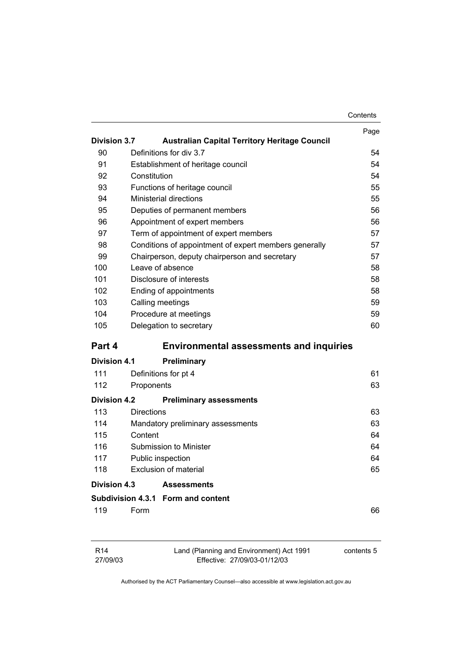|                     |                                                       | Contents |
|---------------------|-------------------------------------------------------|----------|
|                     |                                                       | Page     |
| <b>Division 3.7</b> | <b>Australian Capital Territory Heritage Council</b>  |          |
| 90                  | Definitions for div 3.7                               | 54       |
| 91                  | Establishment of heritage council                     | 54       |
| 92                  | Constitution                                          | 54       |
| 93                  | Functions of heritage council                         | 55       |
| 94                  | <b>Ministerial directions</b>                         | 55       |
| 95                  | Deputies of permanent members                         | 56       |
| 96                  | Appointment of expert members                         | 56       |
| 97                  | Term of appointment of expert members                 | 57       |
| 98                  | Conditions of appointment of expert members generally | 57       |
| 99                  | Chairperson, deputy chairperson and secretary         | 57       |
| 100                 | Leave of absence                                      | 58       |
| 101                 | Disclosure of interests                               | 58       |
| 102                 | Ending of appointments                                | 58       |
| 103                 | Calling meetings                                      | 59       |
| 104                 | Procedure at meetings                                 | 59       |
| 105                 | Delegation to secretary                               | 60       |
| Part 4              | <b>Environmental assessments and inquiries</b>        |          |
| Division 4.1        | <b>Preliminary</b>                                    |          |
| 111                 | Definitions for pt 4                                  | 61       |
| 112                 | Proponents                                            | 63       |
| <b>Division 4.2</b> | <b>Preliminary assessments</b>                        |          |
| 113                 | <b>Directions</b>                                     | 63       |
| 114                 | Mandatory preliminary assessments                     | 63       |
| 115                 | Content                                               | 64       |
| 116                 | Submission to Minister                                | 64       |
| 117                 | Public inspection                                     | 64       |
| 118                 | <b>Exclusion of material</b>                          | 65       |
| Division 4.3        | <b>Assessments</b>                                    |          |
|                     | Subdivision 4.3.1 Form and content                    |          |
| 119                 | Form                                                  | 66       |
|                     |                                                       |          |
|                     |                                                       |          |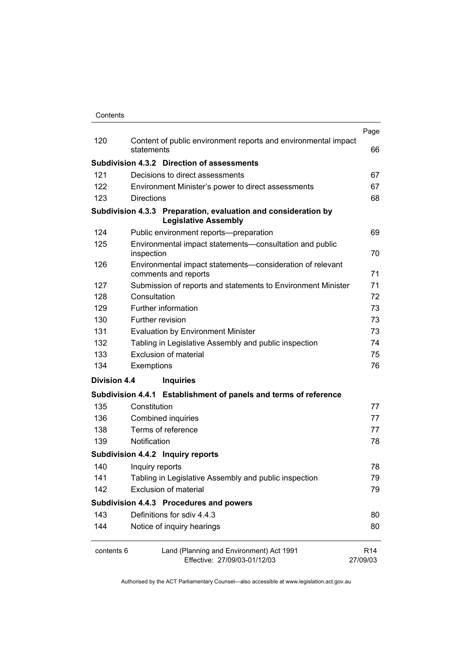|              |                                                                                               | Page                        |
|--------------|-----------------------------------------------------------------------------------------------|-----------------------------|
| 120          | Content of public environment reports and environmental impact<br>statements                  | 66                          |
|              | Subdivision 4.3.2 Direction of assessments                                                    |                             |
| 121          | Decisions to direct assessments                                                               | 67                          |
| 122          | Environment Minister's power to direct assessments                                            | 67                          |
| 123          | <b>Directions</b>                                                                             | 68                          |
|              | Subdivision 4.3.3 Preparation, evaluation and consideration by<br><b>Legislative Assembly</b> |                             |
| 124          | Public environment reports-preparation                                                        | 69                          |
| 125          | Environmental impact statements-consultation and public<br>inspection                         | 70                          |
| 126          | Environmental impact statements-consideration of relevant<br>comments and reports             | 71                          |
| 127          | Submission of reports and statements to Environment Minister                                  | 71                          |
| 128          | Consultation                                                                                  | 72                          |
| 129          | Further information                                                                           | 73                          |
| 130          | Further revision                                                                              | 73                          |
| 131          | <b>Evaluation by Environment Minister</b>                                                     | 73                          |
| 132          | Tabling in Legislative Assembly and public inspection                                         | 74                          |
| 133          | <b>Exclusion of material</b>                                                                  |                             |
| 134          | Exemptions                                                                                    | 76                          |
| Division 4.4 | <b>Inquiries</b>                                                                              |                             |
|              | Subdivision 4.4.1 Establishment of panels and terms of reference                              |                             |
| 135          | Constitution                                                                                  | 77                          |
| 136          | Combined inquiries                                                                            | 77                          |
| 138          | Terms of reference                                                                            | 77                          |
| 139          | Notification                                                                                  | 78                          |
|              | Subdivision 4.4.2 Inquiry reports                                                             |                             |
| 140          | Inquiry reports                                                                               | 78                          |
| 141          | Tabling in Legislative Assembly and public inspection                                         | 79                          |
| 142          | <b>Exclusion of material</b>                                                                  | 79                          |
|              | Subdivision 4.4.3 Procedures and powers                                                       |                             |
| 143          | Definitions for sdiv 4.4.3                                                                    | 80                          |
| 144          | Notice of inquiry hearings                                                                    | 80                          |
| contents 6   | Land (Planning and Environment) Act 1991<br>Effective: 27/09/03-01/12/03                      | R <sub>14</sub><br>27/09/03 |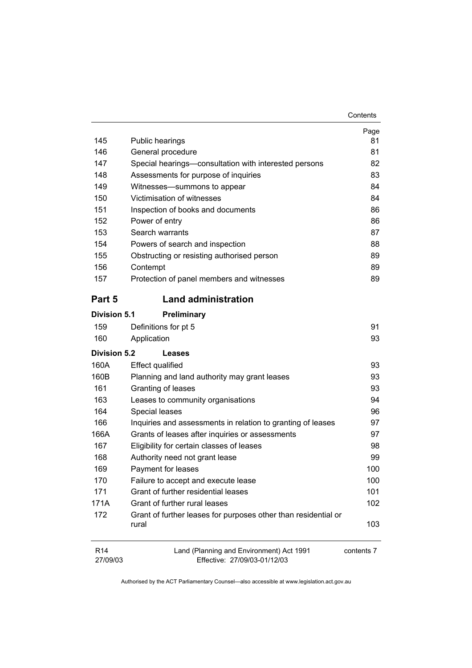| Contents |
|----------|
|----------|

| 145                         | Public hearings                                                          | Page<br>81 |
|-----------------------------|--------------------------------------------------------------------------|------------|
| 146                         | General procedure                                                        | 81         |
| 147                         | Special hearings-consultation with interested persons                    | 82         |
| 148                         | Assessments for purpose of inquiries                                     | 83         |
| 149                         | Witnesses-summons to appear                                              | 84         |
| 150                         | Victimisation of witnesses                                               | 84         |
| 151                         | Inspection of books and documents                                        | 86         |
| 152                         | Power of entry                                                           | 86         |
| 153                         | Search warrants                                                          | 87         |
| 154                         | Powers of search and inspection                                          | 88         |
| 155                         | Obstructing or resisting authorised person                               | 89         |
| 156                         | Contempt                                                                 | 89         |
| 157                         | Protection of panel members and witnesses                                | 89         |
| Part 5                      | <b>Land administration</b>                                               |            |
| <b>Division 5.1</b>         | Preliminary                                                              |            |
| 159                         | Definitions for pt 5                                                     | 91         |
| 160                         | Application                                                              | 93         |
| Division 5.2                | Leases                                                                   |            |
| 160A                        | <b>Effect qualified</b>                                                  | 93         |
| 160B                        | Planning and land authority may grant leases                             | 93         |
| 161                         | Granting of leases                                                       | 93         |
| 163                         | Leases to community organisations                                        | 94         |
| 164                         | Special leases                                                           | 96         |
| 166                         | Inquiries and assessments in relation to granting of leases              | 97         |
| 166A                        | Grants of leases after inquiries or assessments                          | 97         |
| 167                         | Eligibility for certain classes of leases                                | 98         |
| 168                         | Authority need not grant lease                                           | 99         |
| 169                         | Payment for leases                                                       | 100        |
| 170                         | Failure to accept and execute lease                                      | 100        |
| 171                         | Grant of further residential leases                                      | 101        |
| 171A                        | Grant of further rural leases                                            | 102        |
| 172                         | Grant of further leases for purposes other than residential or<br>rural  | 103        |
| R <sub>14</sub><br>27/09/03 | Land (Planning and Environment) Act 1991<br>Effective: 27/09/03-01/12/03 | contents 7 |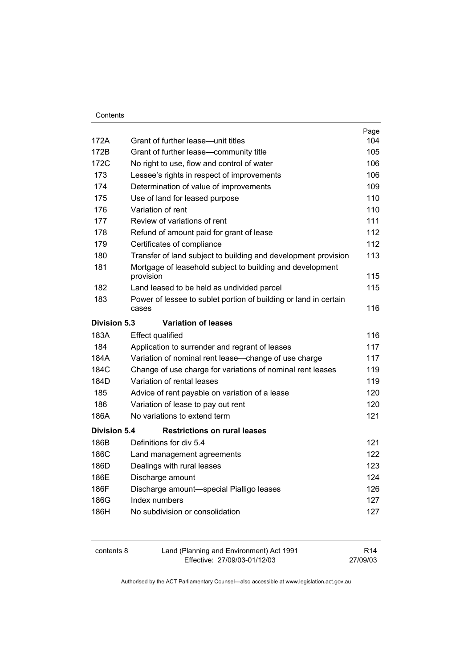|                     |                                                                           | Page |
|---------------------|---------------------------------------------------------------------------|------|
| 172A                | Grant of further lease-unit titles                                        | 104  |
| 172B                | Grant of further lease-community title                                    | 105  |
| 172C                | No right to use, flow and control of water                                | 106  |
| 173                 | Lessee's rights in respect of improvements                                | 106  |
| 174                 | Determination of value of improvements                                    | 109  |
| 175                 | Use of land for leased purpose                                            | 110  |
| 176                 | Variation of rent                                                         | 110  |
| 177                 | Review of variations of rent                                              | 111  |
| 178                 | Refund of amount paid for grant of lease                                  | 112  |
| 179                 | Certificates of compliance                                                | 112  |
| 180                 | Transfer of land subject to building and development provision            | 113  |
| 181                 | Mortgage of leasehold subject to building and development                 |      |
|                     | provision                                                                 | 115  |
| 182                 | Land leased to be held as undivided parcel                                | 115  |
| 183                 | Power of lessee to sublet portion of building or land in certain<br>cases | 116  |
| Division 5.3        | <b>Variation of leases</b>                                                |      |
| 183A                | <b>Effect qualified</b>                                                   | 116  |
| 184                 | Application to surrender and regrant of leases                            | 117  |
| 184A                | Variation of nominal rent lease-change of use charge                      | 117  |
| 184C                | Change of use charge for variations of nominal rent leases                | 119  |
| 184D                | Variation of rental leases                                                | 119  |
| 185                 | Advice of rent payable on variation of a lease                            | 120  |
| 186                 | Variation of lease to pay out rent                                        | 120  |
| 186A                | No variations to extend term                                              | 121  |
| <b>Division 5.4</b> | <b>Restrictions on rural leases</b>                                       |      |
| 186B                | Definitions for div 5.4                                                   | 121  |
| 186C                | Land management agreements                                                | 122  |
| 186D                | Dealings with rural leases                                                | 123  |
| 186E                | Discharge amount                                                          | 124  |
| 186F                | Discharge amount-special Pialligo leases                                  | 126  |
| 186G                | Index numbers                                                             | 127  |
| 186H                | No subdivision or consolidation                                           | 127  |
|                     |                                                                           |      |

| contents 8 | Land (Planning and Environment) Act 1991 | R <sub>14</sub> |
|------------|------------------------------------------|-----------------|
|            | Effective: 27/09/03-01/12/03             | 27/09/03        |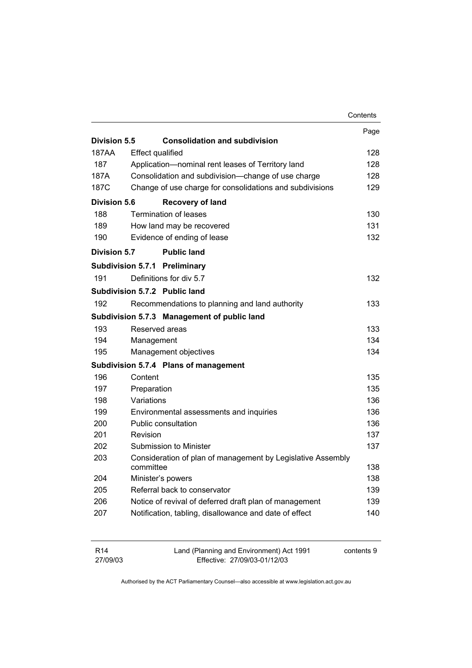|                     |                         |                                                             | Contents |
|---------------------|-------------------------|-------------------------------------------------------------|----------|
|                     |                         |                                                             | Page     |
| Division 5.5        |                         | <b>Consolidation and subdivision</b>                        |          |
| 187AA               | <b>Effect qualified</b> |                                                             | 128      |
| 187                 |                         | Application-nominal rent leases of Territory land           | 128      |
| 187A                |                         | Consolidation and subdivision-change of use charge          | 128      |
| 187C                |                         | Change of use charge for consolidations and subdivisions    | 129      |
| <b>Division 5.6</b> |                         | <b>Recovery of land</b>                                     |          |
| 188                 |                         | <b>Termination of leases</b>                                | 130      |
| 189                 |                         | How land may be recovered                                   | 131      |
| 190                 |                         | Evidence of ending of lease                                 | 132      |
| <b>Division 5.7</b> |                         | <b>Public land</b>                                          |          |
|                     |                         | Subdivision 5.7.1 Preliminary                               |          |
| 191                 |                         | Definitions for div 5.7                                     | 132      |
|                     |                         | Subdivision 5.7.2 Public land                               |          |
| 192                 |                         | Recommendations to planning and land authority              | 133      |
|                     |                         | Subdivision 5.7.3 Management of public land                 |          |
| 193                 | Reserved areas          |                                                             | 133      |
| 194                 | Management              |                                                             | 134      |
| 195                 |                         | Management objectives                                       | 134      |
|                     |                         | Subdivision 5.7.4 Plans of management                       |          |
| 196                 | Content                 |                                                             | 135      |
| 197                 | Preparation             |                                                             | 135      |
| 198                 | Variations              |                                                             | 136      |
| 199                 |                         | Environmental assessments and inquiries                     | 136      |
| 200                 |                         | Public consultation                                         | 136      |
| 201                 | Revision                |                                                             | 137      |
| 202                 |                         | Submission to Minister                                      | 137      |
| 203                 | committee               | Consideration of plan of management by Legislative Assembly | 138      |
| 204                 |                         | Minister's powers                                           | 138      |
| 205                 |                         | Referral back to conservator                                | 139      |
| 206                 |                         | Notice of revival of deferred draft plan of management      | 139      |
| 207                 |                         | Notification, tabling, disallowance and date of effect      | 140      |
|                     |                         |                                                             |          |

| R14      | Land (Planning and Environment) Act 1991 | contents 9 |
|----------|------------------------------------------|------------|
| 27/09/03 | Effective: 27/09/03-01/12/03             |            |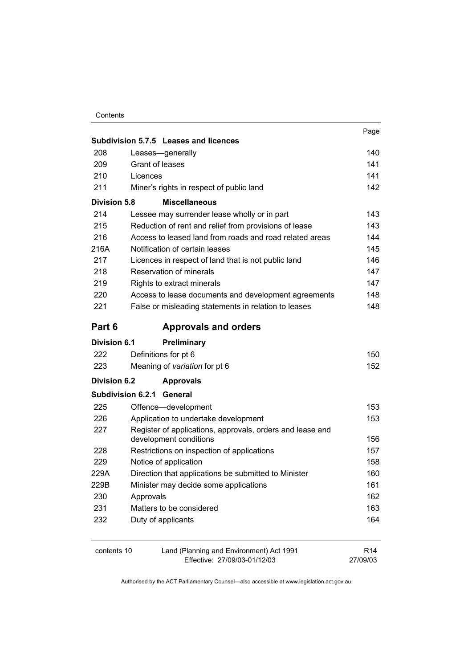|                     | Subdivision 5.7.5 Leases and licences                                               | Page            |
|---------------------|-------------------------------------------------------------------------------------|-----------------|
| 208                 | Leases-generally                                                                    | 140             |
| 209                 | Grant of leases                                                                     | 141             |
| 210                 | Licences                                                                            | 141             |
| 211                 | Miner's rights in respect of public land                                            | 142             |
| <b>Division 5.8</b> | <b>Miscellaneous</b>                                                                |                 |
| 214                 | Lessee may surrender lease wholly or in part                                        | 143             |
| 215                 | Reduction of rent and relief from provisions of lease                               | 143             |
| 216                 | Access to leased land from roads and road related areas                             | 144             |
| 216A                | Notification of certain leases                                                      | 145             |
| 217                 | Licences in respect of land that is not public land                                 | 146             |
| 218                 | Reservation of minerals                                                             | 147             |
| 219                 | Rights to extract minerals                                                          | 147             |
| 220                 | Access to lease documents and development agreements                                | 148             |
| 221                 | False or misleading statements in relation to leases                                | 148             |
| Part 6              | <b>Approvals and orders</b>                                                         |                 |
| Division 6.1        | <b>Preliminary</b>                                                                  |                 |
| 222                 | Definitions for pt 6                                                                | 150             |
| 223                 | Meaning of variation for pt 6                                                       | 152             |
| <b>Division 6.2</b> | <b>Approvals</b>                                                                    |                 |
|                     | <b>Subdivision 6.2.1 General</b>                                                    |                 |
| 225                 | Offence-development                                                                 | 153             |
| 226                 | Application to undertake development                                                | 153             |
| 227                 | Register of applications, approvals, orders and lease and<br>development conditions | 156             |
| 228                 | Restrictions on inspection of applications                                          | 157             |
| 229                 | Notice of application                                                               | 158             |
| 229A                | Direction that applications be submitted to Minister                                | 160             |
| 229B                | Minister may decide some applications                                               | 161             |
| 230                 | Approvals                                                                           | 162             |
| 231                 | Matters to be considered                                                            | 163             |
| 232                 | Duty of applicants                                                                  | 164             |
|                     |                                                                                     |                 |
| contents 10         | Land (Planning and Environment) Act 1991                                            | R <sub>14</sub> |

27/09/03

Effective: 27/09/03-01/12/03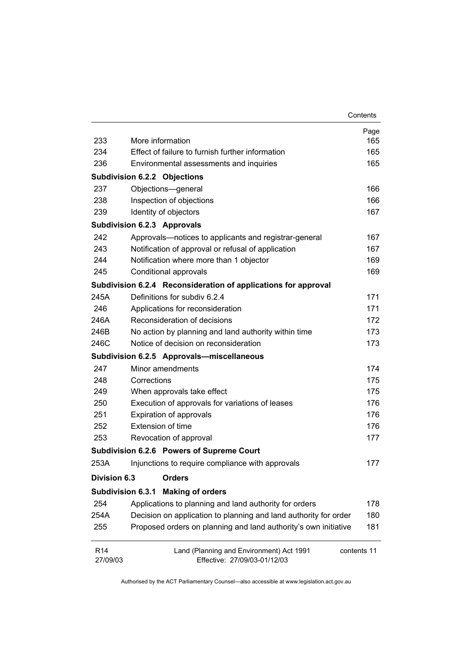|                             |                                                                          | Contents    |
|-----------------------------|--------------------------------------------------------------------------|-------------|
|                             |                                                                          | Page        |
| 233                         | More information                                                         | 165         |
| 234                         | Effect of failure to furnish further information                         | 165         |
| 236                         | Environmental assessments and inquiries                                  | 165         |
|                             | <b>Subdivision 6.2.2 Objections</b>                                      |             |
| 237                         | Objections-general                                                       | 166         |
| 238                         | Inspection of objections                                                 | 166         |
| 239                         | Identity of objectors                                                    | 167         |
|                             | <b>Subdivision 6.2.3 Approvals</b>                                       |             |
| 242                         | Approvals-notices to applicants and registrar-general                    | 167         |
| 243                         | Notification of approval or refusal of application                       | 167         |
| 244                         | Notification where more than 1 objector                                  | 169         |
| 245                         | Conditional approvals                                                    | 169         |
|                             | Subdivision 6.2.4 Reconsideration of applications for approval           |             |
| 245A                        | Definitions for subdiv 6.2.4                                             | 171         |
| 246                         | Applications for reconsideration                                         | 171         |
| 246A                        | Reconsideration of decisions                                             | 172         |
| 246B                        | No action by planning and land authority within time                     | 173         |
| 246C                        | Notice of decision on reconsideration                                    | 173         |
|                             | Subdivision 6.2.5 Approvals-miscellaneous                                |             |
| 247                         | Minor amendments                                                         | 174         |
| 248                         | Corrections                                                              | 175         |
| 249                         | When approvals take effect                                               | 175         |
| 250                         | Execution of approvals for variations of leases                          | 176         |
| 251                         | Expiration of approvals                                                  | 176         |
| 252                         | Extension of time                                                        | 176         |
| 253                         | Revocation of approval                                                   | 177         |
|                             | Subdivision 6.2.6 Powers of Supreme Court                                |             |
| 253A                        | Injunctions to require compliance with approvals                         | 177         |
| <b>Division 6.3</b>         | <b>Orders</b>                                                            |             |
| <b>Subdivision 6.3.1</b>    | <b>Making of orders</b>                                                  |             |
| 254                         | Applications to planning and land authority for orders                   | 178         |
| 254A                        | Decision on application to planning and land authority for order         | 180         |
| 255                         | Proposed orders on planning and land authority's own initiative          | 181         |
| R <sub>14</sub><br>27/09/03 | Land (Planning and Environment) Act 1991<br>Effective: 27/09/03-01/12/03 | contents 11 |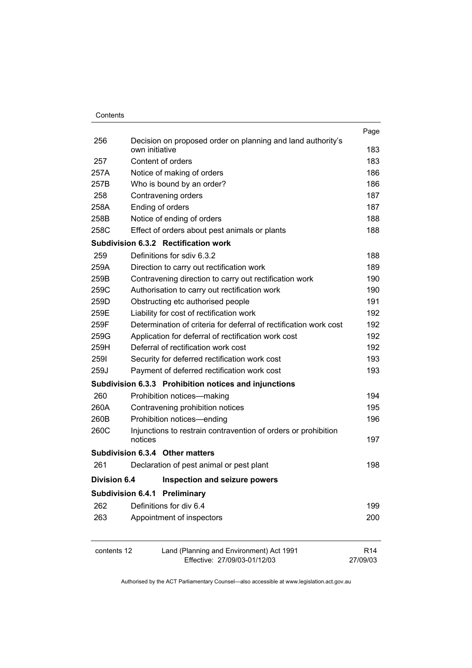| Contents |
|----------|
|          |

|                     |                                                                   | Page            |
|---------------------|-------------------------------------------------------------------|-----------------|
| 256                 | Decision on proposed order on planning and land authority's       |                 |
|                     | own initiative                                                    | 183             |
| 257                 | Content of orders                                                 | 183             |
| 257A                | Notice of making of orders                                        | 186             |
| 257B                | Who is bound by an order?                                         | 186             |
| 258                 | Contravening orders                                               | 187             |
| 258A                | Ending of orders                                                  | 187             |
| 258B                | Notice of ending of orders                                        | 188             |
| 258C                | Effect of orders about pest animals or plants                     | 188             |
|                     | Subdivision 6.3.2 Rectification work                              |                 |
| 259                 | Definitions for sdiv 6.3.2                                        | 188             |
| 259A                | Direction to carry out rectification work                         | 189             |
| 259B                | Contravening direction to carry out rectification work            | 190             |
| 259C                | Authorisation to carry out rectification work                     | 190             |
| 259D                | Obstructing etc authorised people                                 | 191             |
| 259E                | Liability for cost of rectification work                          | 192             |
| 259F                | Determination of criteria for deferral of rectification work cost | 192             |
| 259G                | Application for deferral of rectification work cost               | 192             |
| 259H                | Deferral of rectification work cost                               | 192             |
| 2591                | Security for deferred rectification work cost                     | 193             |
| 259J                | Payment of deferred rectification work cost                       | 193             |
|                     | Subdivision 6.3.3 Prohibition notices and injunctions             |                 |
| 260                 | Prohibition notices-making                                        | 194             |
| 260A                | Contravening prohibition notices                                  | 195             |
| 260B                | Prohibition notices-ending                                        | 196             |
| 260C                | Injunctions to restrain contravention of orders or prohibition    |                 |
|                     | notices                                                           | 197             |
|                     | Subdivision 6.3.4 Other matters                                   |                 |
| 261                 | Declaration of pest animal or pest plant                          | 198             |
| <b>Division 6.4</b> | <b>Inspection and seizure powers</b>                              |                 |
|                     | <b>Subdivision 6.4.1 Preliminary</b>                              |                 |
| 262                 | Definitions for div 6.4                                           | 199             |
| 263                 | Appointment of inspectors                                         | 200             |
| contents 12         | Land (Planning and Environment) Act 1991                          | R <sub>14</sub> |
|                     | Effective: 27/09/03-01/12/03                                      | 27/09/03        |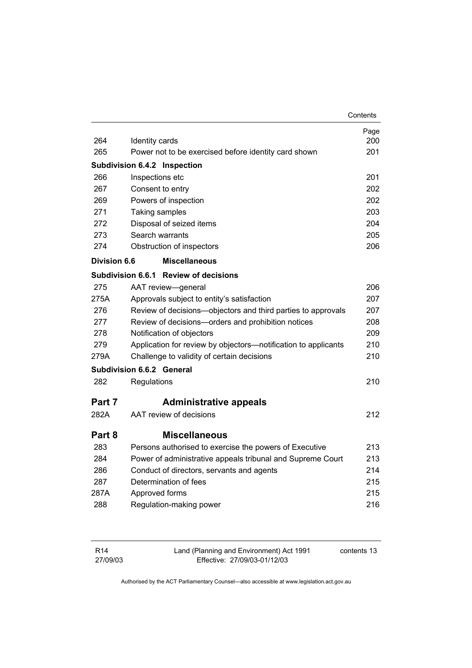|                     |                                                                | Contents |
|---------------------|----------------------------------------------------------------|----------|
|                     |                                                                | Page     |
| 264                 | Identity cards                                                 | 200      |
| 265                 | Power not to be exercised before identity card shown           | 201      |
|                     | <b>Subdivision 6.4.2 Inspection</b>                            |          |
| 266                 | Inspections etc                                                | 201      |
| 267                 | Consent to entry                                               | 202      |
| 269                 | Powers of inspection                                           | 202      |
| 271                 | Taking samples                                                 | 203      |
| 272                 | Disposal of seized items                                       | 204      |
| 273                 | Search warrants                                                | 205      |
| 274                 | Obstruction of inspectors                                      | 206      |
| <b>Division 6.6</b> | <b>Miscellaneous</b>                                           |          |
|                     | Subdivision 6.6.1 Review of decisions                          |          |
| 275                 | AAT review-general                                             | 206      |
| 275A                | Approvals subject to entity's satisfaction                     | 207      |
| 276                 | Review of decisions-objectors and third parties to approvals   | 207      |
| 277                 | Review of decisions-orders and prohibition notices             | 208      |
| 278                 | Notification of objectors                                      | 209      |
| 279                 | Application for review by objectors-notification to applicants | 210      |
| 279A                | Challenge to validity of certain decisions                     | 210      |
|                     | Subdivision 6.6.2 General                                      |          |
| 282                 | Regulations                                                    | 210      |
| Part 7              | <b>Administrative appeals</b>                                  |          |
| 282A                | AAT review of decisions                                        | 212      |
| Part 8              | <b>Miscellaneous</b>                                           |          |
| 283                 | Persons authorised to exercise the powers of Executive         | 213      |
| 284                 | Power of administrative appeals tribunal and Supreme Court     | 213      |
| 286                 | Conduct of directors, servants and agents                      | 214      |
| 287                 | Determination of fees                                          | 215      |
| 287A                | Approved forms                                                 | 215      |
| 288                 | Regulation-making power                                        | 216      |
|                     |                                                                |          |

| R <sub>14</sub> | Land (Planning and Environment) Act 1991 | contents 13 |
|-----------------|------------------------------------------|-------------|
| 27/09/03        | Effective: 27/09/03-01/12/03             |             |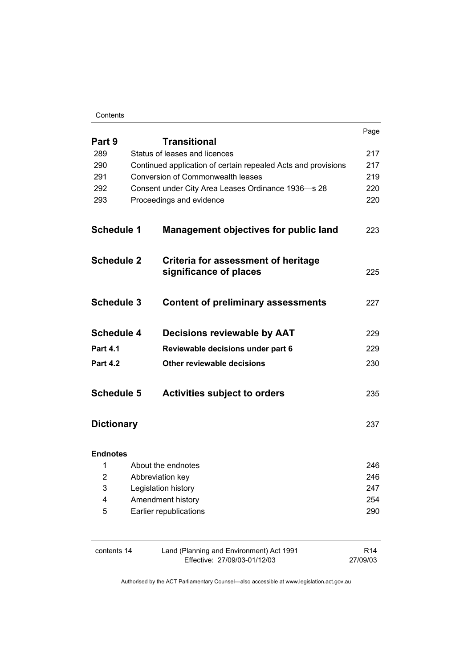#### **Contents**

|                                    |  |                                                                          | Page                        |
|------------------------------------|--|--------------------------------------------------------------------------|-----------------------------|
| Part 9                             |  | <b>Transitional</b>                                                      |                             |
| 289                                |  | Status of leases and licences                                            | 217                         |
| 290                                |  | Continued application of certain repealed Acts and provisions            |                             |
| 291                                |  | <b>Conversion of Commonwealth leases</b>                                 | 219                         |
| 292                                |  | Consent under City Area Leases Ordinance 1936-s 28                       | 220                         |
| 293                                |  | Proceedings and evidence                                                 | 220                         |
| <b>Schedule 1</b>                  |  | <b>Management objectives for public land</b>                             | 223                         |
| <b>Schedule 2</b>                  |  | Criteria for assessment of heritage<br>significance of places            | 225                         |
| <b>Schedule 3</b>                  |  | <b>Content of preliminary assessments</b>                                | 227                         |
| <b>Schedule 4</b>                  |  | Decisions reviewable by AAT                                              | 229                         |
| <b>Part 4.1</b><br><b>Part 4.2</b> |  | Reviewable decisions under part 6<br>Other reviewable decisions          | 229<br>230                  |
|                                    |  |                                                                          |                             |
| <b>Dictionary</b>                  |  |                                                                          | 237                         |
| <b>Endnotes</b>                    |  |                                                                          |                             |
| 1                                  |  | About the endnotes                                                       | 246                         |
| 2                                  |  | Abbreviation key                                                         | 246                         |
| 3                                  |  | Legislation history<br>Amendment history                                 | 247                         |
| 4                                  |  |                                                                          | 254                         |
| 5                                  |  | Earlier republications                                                   | 290                         |
| contents 14                        |  | Land (Planning and Environment) Act 1991<br>Effective: 27/09/03-01/12/03 | R <sub>14</sub><br>27/09/03 |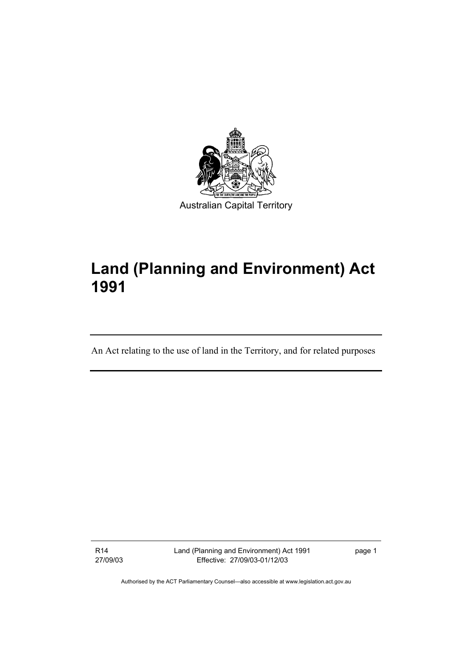

# **Land (Planning and Environment) Act 1991**

An Act relating to the use of land in the Territory, and for related purposes

R14 27/09/03 Land (Planning and Environment) Act 1991 Effective: 27/09/03-01/12/03

page 1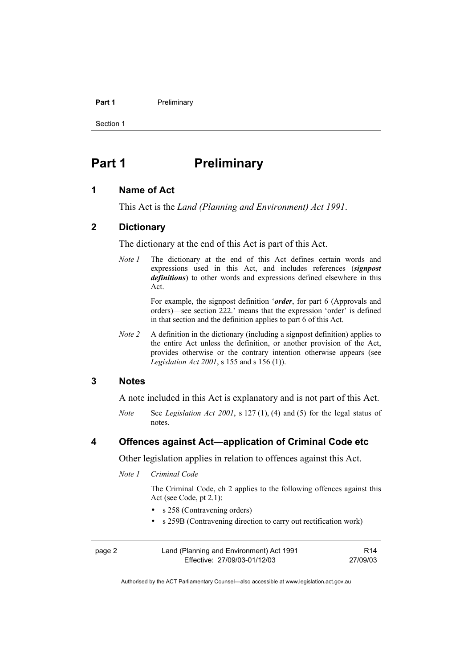#### Part 1 **Preliminary**

Section 1

# **Part 1** Preliminary

#### **1 Name of Act**

This Act is the *Land (Planning and Environment) Act 1991*.

#### **2 Dictionary**

The dictionary at the end of this Act is part of this Act.

*Note 1* The dictionary at the end of this Act defines certain words and expressions used in this Act, and includes references (*signpost definitions*) to other words and expressions defined elsewhere in this Act.

> For example, the signpost definition '*order*, for part 6 (Approvals and orders)—see section 222.' means that the expression 'order' is defined in that section and the definition applies to part 6 of this Act.

*Note 2* A definition in the dictionary (including a signpost definition) applies to the entire Act unless the definition, or another provision of the Act, provides otherwise or the contrary intention otherwise appears (see *Legislation Act 2001*, s 155 and s 156 (1)).

#### **3 Notes**

A note included in this Act is explanatory and is not part of this Act.

*Note* See *Legislation Act 2001*, s 127 (1), (4) and (5) for the legal status of notes.

#### **4 Offences against Act—application of Criminal Code etc**

Other legislation applies in relation to offences against this Act.

*Note 1 Criminal Code* 

 The Criminal Code, ch 2 applies to the following offences against this Act (see Code, pt 2.1):

- s 258 (Contravening orders)
- s 259B (Contravening direction to carry out rectification work)

| page 2 | Land (Planning and Environment) Act 1991 | R <sub>14</sub> |
|--------|------------------------------------------|-----------------|
|        | Effective: 27/09/03-01/12/03             | 27/09/03        |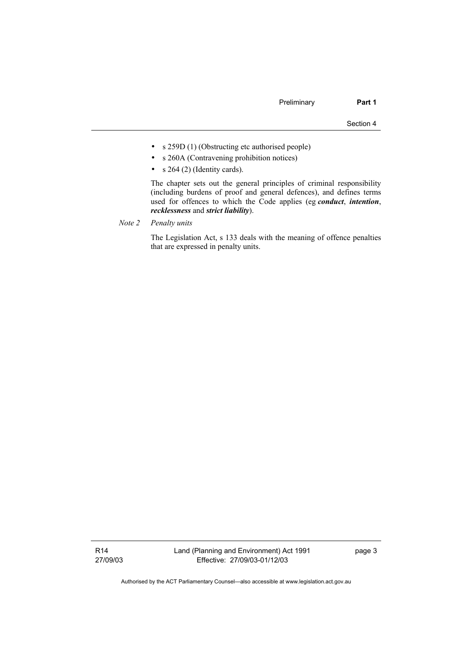- s 259D (1) (Obstructing etc authorised people)
- s 260A (Contravening prohibition notices)
- $s$  264 (2) (Identity cards).

 The chapter sets out the general principles of criminal responsibility (including burdens of proof and general defences), and defines terms used for offences to which the Code applies (eg *conduct*, *intention*, *recklessness* and *strict liability*).

*Note 2 Penalty units*

 The Legislation Act, s 133 deals with the meaning of offence penalties that are expressed in penalty units.

R14 27/09/03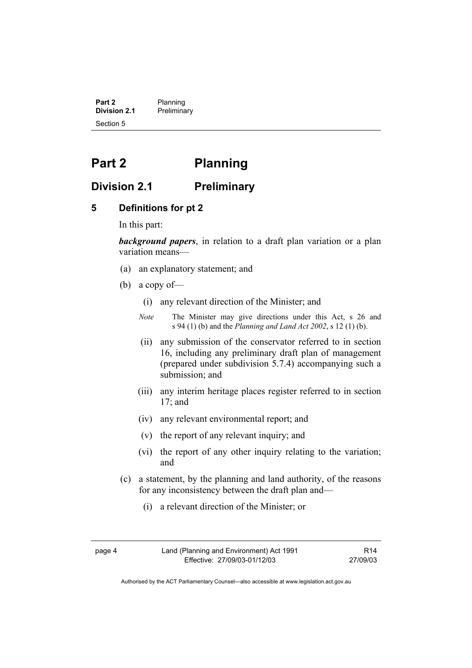**Part 2** Planning<br>**Division 2.1** Prelimina **Division 2.1** Preliminary Section 5

# **Part 2 Planning**

### **Division 2.1 Preliminary**

#### **5 Definitions for pt 2**

In this part:

*background papers*, in relation to a draft plan variation or a plan variation means—

- (a) an explanatory statement; and
- (b) a copy of—
	- (i) any relevant direction of the Minister; and
	- *Note* The Minister may give directions under this Act, s 26 and s 94 (1) (b) and the *Planning and Land Act 2002*, s 12 (1) (b).
	- (ii) any submission of the conservator referred to in section 16, including any preliminary draft plan of management (prepared under subdivision 5.7.4) accompanying such a submission; and
	- (iii) any interim heritage places register referred to in section 17; and
	- (iv) any relevant environmental report; and
	- (v) the report of any relevant inquiry; and
	- (vi) the report of any other inquiry relating to the variation; and
- (c) a statement, by the planning and land authority, of the reasons for any inconsistency between the draft plan and—
	- (i) a relevant direction of the Minister; or
- 

R14 27/09/03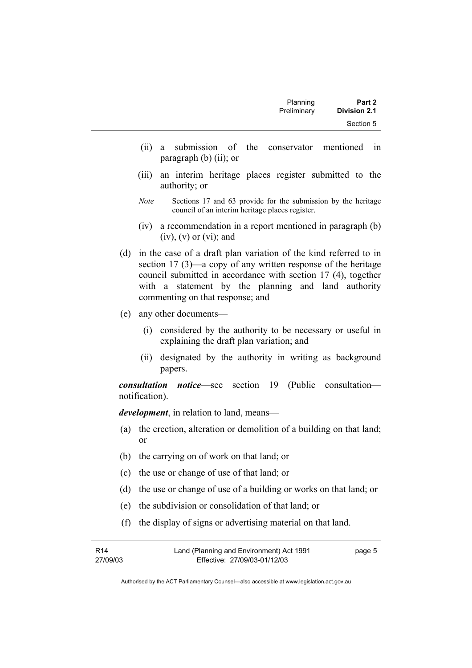- (ii) a submission of the conservator mentioned in paragraph (b) (ii); or
- (iii) an interim heritage places register submitted to the authority; or
- *Note* Sections 17 and 63 provide for the submission by the heritage council of an interim heritage places register.
- (iv) a recommendation in a report mentioned in paragraph (b)  $(iv)$ ,  $(v)$  or  $(vi)$ ; and
- (d) in the case of a draft plan variation of the kind referred to in section 17 (3)—a copy of any written response of the heritage council submitted in accordance with section 17 (4), together with a statement by the planning and land authority commenting on that response; and
- (e) any other documents—
	- (i) considered by the authority to be necessary or useful in explaining the draft plan variation; and
	- (ii) designated by the authority in writing as background papers.

*consultation notice*—see section 19 (Public consultation notification).

*development*, in relation to land, means—

- (a) the erection, alteration or demolition of a building on that land; or
- (b) the carrying on of work on that land; or
- (c) the use or change of use of that land; or
- (d) the use or change of use of a building or works on that land; or
- (e) the subdivision or consolidation of that land; or
- (f) the display of signs or advertising material on that land.

| R14      | Land (Planning and Environment) Act 1991 | page 5 |
|----------|------------------------------------------|--------|
| 27/09/03 | Effective: 27/09/03-01/12/03             |        |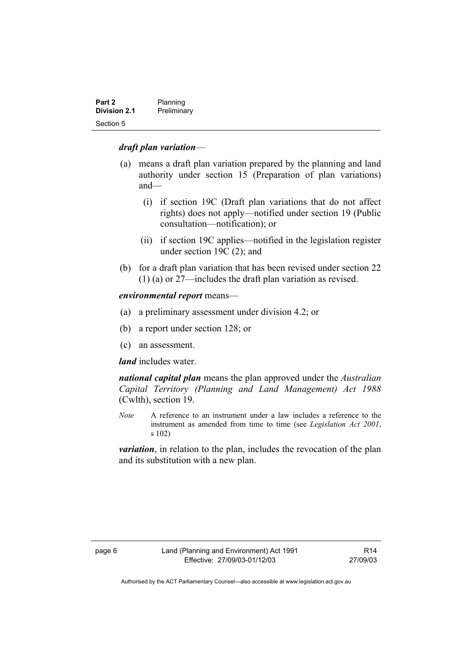| Part 2              | Planning    |
|---------------------|-------------|
| <b>Division 2.1</b> | Preliminary |
| Section 5           |             |

#### *draft plan variation*—

- (a) means a draft plan variation prepared by the planning and land authority under section 15 (Preparation of plan variations) and—
	- (i) if section 19C (Draft plan variations that do not affect rights) does not apply—notified under section 19 (Public consultation—notification); or
	- (ii) if section 19C applies—notified in the legislation register under section 19C (2); and
- (b) for a draft plan variation that has been revised under section 22 (1) (a) or 27—includes the draft plan variation as revised.

#### *environmental report* means—

- (a) a preliminary assessment under division 4.2; or
- (b) a report under section 128; or
- (c) an assessment.

#### *land* includes water.

*national capital plan* means the plan approved under the *Australian Capital Territory (Planning and Land Management) Act 1988* (Cwlth), section 19.

*Note* A reference to an instrument under a law includes a reference to the instrument as amended from time to time (see *Legislation Act 2001*, s 102)

*variation*, in relation to the plan, includes the revocation of the plan and its substitution with a new plan.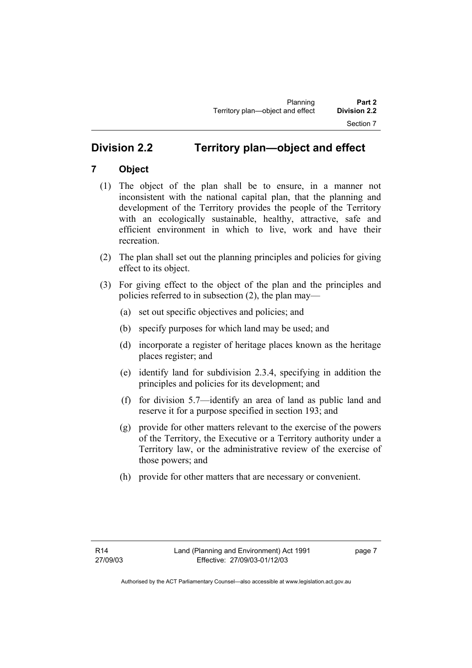# **Division 2.2 Territory plan—object and effect**

## **7 Object**

- (1) The object of the plan shall be to ensure, in a manner not inconsistent with the national capital plan, that the planning and development of the Territory provides the people of the Territory with an ecologically sustainable, healthy, attractive, safe and efficient environment in which to live, work and have their recreation.
- (2) The plan shall set out the planning principles and policies for giving effect to its object.
- (3) For giving effect to the object of the plan and the principles and policies referred to in subsection (2), the plan may—
	- (a) set out specific objectives and policies; and
	- (b) specify purposes for which land may be used; and
	- (d) incorporate a register of heritage places known as the heritage places register; and
	- (e) identify land for subdivision 2.3.4, specifying in addition the principles and policies for its development; and
	- (f) for division 5.7—identify an area of land as public land and reserve it for a purpose specified in section 193; and
	- (g) provide for other matters relevant to the exercise of the powers of the Territory, the Executive or a Territory authority under a Territory law, or the administrative review of the exercise of those powers; and
	- (h) provide for other matters that are necessary or convenient.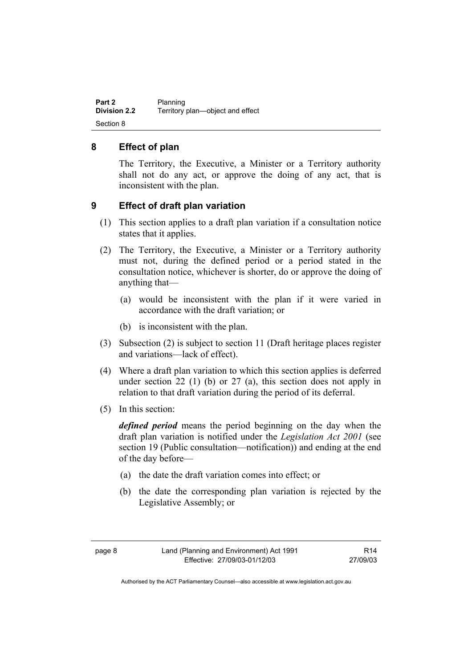**Part 2** Planning<br>**Division 2.2** Territory **Division 2.2** Territory plan—object and effect Section 8

#### **8 Effect of plan**

The Territory, the Executive, a Minister or a Territory authority shall not do any act, or approve the doing of any act, that is inconsistent with the plan.

#### **9 Effect of draft plan variation**

- (1) This section applies to a draft plan variation if a consultation notice states that it applies.
- (2) The Territory, the Executive, a Minister or a Territory authority must not, during the defined period or a period stated in the consultation notice, whichever is shorter, do or approve the doing of anything that—
	- (a) would be inconsistent with the plan if it were varied in accordance with the draft variation; or
	- (b) is inconsistent with the plan.
- (3) Subsection (2) is subject to section 11 (Draft heritage places register and variations—lack of effect).
- (4) Where a draft plan variation to which this section applies is deferred under section 22 (1) (b) or 27 (a), this section does not apply in relation to that draft variation during the period of its deferral.
- (5) In this section:

*defined period* means the period beginning on the day when the draft plan variation is notified under the *Legislation Act 2001* (see section 19 (Public consultation—notification)) and ending at the end of the day before—

- (a) the date the draft variation comes into effect; or
- (b) the date the corresponding plan variation is rejected by the Legislative Assembly; or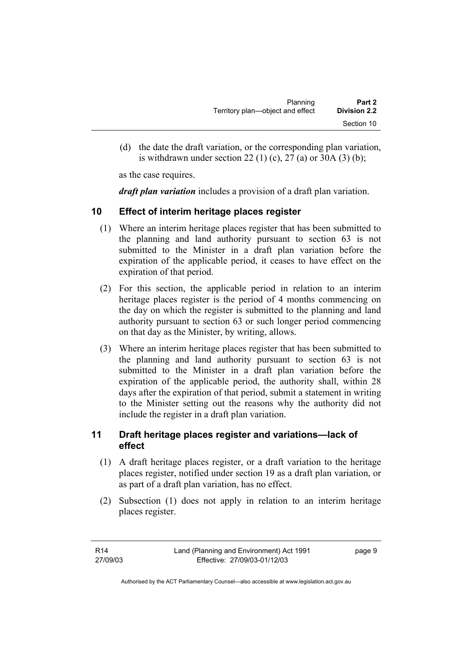| Planning                         | Part 2              |
|----------------------------------|---------------------|
| Territory plan—object and effect | <b>Division 2.2</b> |
|                                  | Section 10          |

 (d) the date the draft variation, or the corresponding plan variation, is withdrawn under section 22 (1) (c), 27 (a) or 30A (3) (b);

as the case requires.

*draft plan variation* includes a provision of a draft plan variation.

#### **10 Effect of interim heritage places register**

- (1) Where an interim heritage places register that has been submitted to the planning and land authority pursuant to section 63 is not submitted to the Minister in a draft plan variation before the expiration of the applicable period, it ceases to have effect on the expiration of that period.
- (2) For this section, the applicable period in relation to an interim heritage places register is the period of 4 months commencing on the day on which the register is submitted to the planning and land authority pursuant to section 63 or such longer period commencing on that day as the Minister, by writing, allows.
- (3) Where an interim heritage places register that has been submitted to the planning and land authority pursuant to section 63 is not submitted to the Minister in a draft plan variation before the expiration of the applicable period, the authority shall, within 28 days after the expiration of that period, submit a statement in writing to the Minister setting out the reasons why the authority did not include the register in a draft plan variation.

## **11 Draft heritage places register and variations—lack of effect**

- (1) A draft heritage places register, or a draft variation to the heritage places register, notified under section 19 as a draft plan variation, or as part of a draft plan variation, has no effect.
- (2) Subsection (1) does not apply in relation to an interim heritage places register.

| R14      | Land (Planning and Environment) Act 1991 | page 9 |
|----------|------------------------------------------|--------|
| 27/09/03 | Effective: 27/09/03-01/12/03             |        |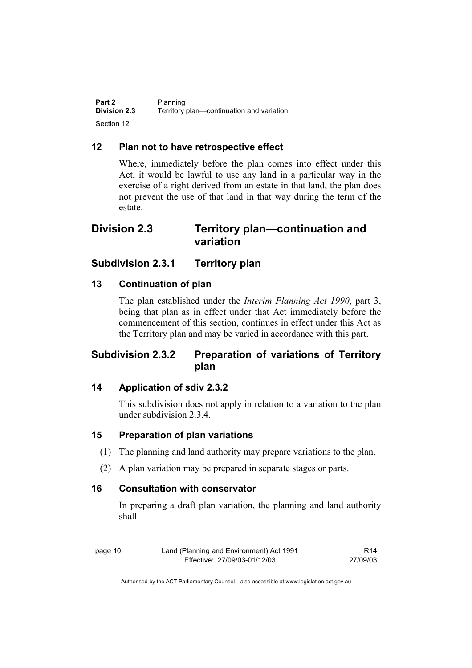| Part 2              | Planning                                  |
|---------------------|-------------------------------------------|
| <b>Division 2.3</b> | Territory plan-continuation and variation |
| Section 12          |                                           |

### **12 Plan not to have retrospective effect**

Where, immediately before the plan comes into effect under this Act, it would be lawful to use any land in a particular way in the exercise of a right derived from an estate in that land, the plan does not prevent the use of that land in that way during the term of the estate.

# **Division 2.3 Territory plan—continuation and variation**

## **Subdivision 2.3.1 Territory plan**

#### **13 Continuation of plan**

The plan established under the *Interim Planning Act 1990*, part 3, being that plan as in effect under that Act immediately before the commencement of this section, continues in effect under this Act as the Territory plan and may be varied in accordance with this part.

# **Subdivision 2.3.2 Preparation of variations of Territory plan**

### **14 Application of sdiv 2.3.2**

This subdivision does not apply in relation to a variation to the plan under subdivision 2.3.4.

#### **15 Preparation of plan variations**

- (1) The planning and land authority may prepare variations to the plan.
- (2) A plan variation may be prepared in separate stages or parts.

#### **16 Consultation with conservator**

In preparing a draft plan variation, the planning and land authority shall—

R14 27/09/03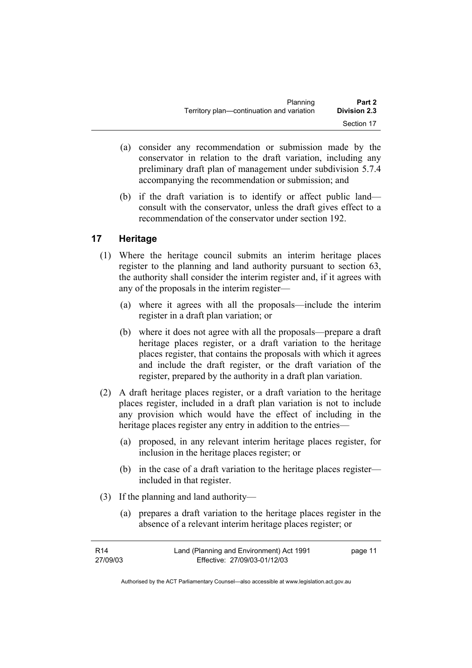| Planning                                  | Part 2              |
|-------------------------------------------|---------------------|
| Territory plan—continuation and variation | <b>Division 2.3</b> |
|                                           | Section 17          |

- (a) consider any recommendation or submission made by the conservator in relation to the draft variation, including any preliminary draft plan of management under subdivision 5.7.4 accompanying the recommendation or submission; and
- (b) if the draft variation is to identify or affect public land consult with the conservator, unless the draft gives effect to a recommendation of the conservator under section 192.

## **17 Heritage**

- (1) Where the heritage council submits an interim heritage places register to the planning and land authority pursuant to section 63, the authority shall consider the interim register and, if it agrees with any of the proposals in the interim register—
	- (a) where it agrees with all the proposals—include the interim register in a draft plan variation; or
	- (b) where it does not agree with all the proposals—prepare a draft heritage places register, or a draft variation to the heritage places register, that contains the proposals with which it agrees and include the draft register, or the draft variation of the register, prepared by the authority in a draft plan variation.
- (2) A draft heritage places register, or a draft variation to the heritage places register, included in a draft plan variation is not to include any provision which would have the effect of including in the heritage places register any entry in addition to the entries—
	- (a) proposed, in any relevant interim heritage places register, for inclusion in the heritage places register; or
	- (b) in the case of a draft variation to the heritage places register included in that register.
- (3) If the planning and land authority—
	- (a) prepares a draft variation to the heritage places register in the absence of a relevant interim heritage places register; or

| R14      | Land (Planning and Environment) Act 1991 | page 11 |
|----------|------------------------------------------|---------|
| 27/09/03 | Effective: 27/09/03-01/12/03             |         |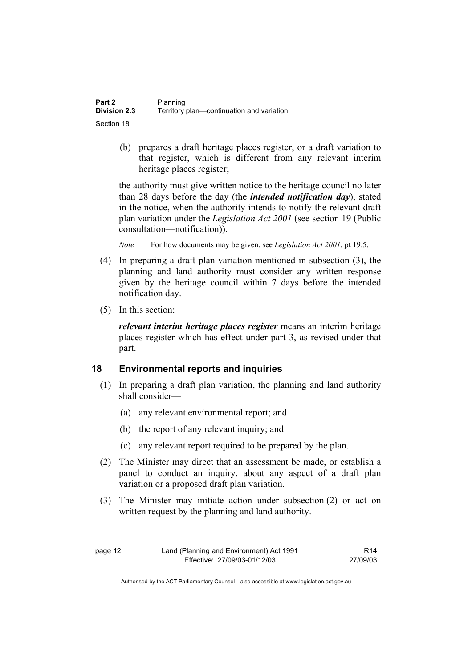| Part 2              | Planning                                  |
|---------------------|-------------------------------------------|
| <b>Division 2.3</b> | Territory plan—continuation and variation |
| Section 18          |                                           |

 (b) prepares a draft heritage places register, or a draft variation to that register, which is different from any relevant interim heritage places register;

the authority must give written notice to the heritage council no later than 28 days before the day (the *intended notification day*), stated in the notice, when the authority intends to notify the relevant draft plan variation under the *Legislation Act 2001* (see section 19 (Public consultation—notification)).

*Note* For how documents may be given, see *Legislation Act 2001*, pt 19.5.

- (4) In preparing a draft plan variation mentioned in subsection (3), the planning and land authority must consider any written response given by the heritage council within 7 days before the intended notification day.
- (5) In this section:

*relevant interim heritage places register* means an interim heritage places register which has effect under part 3, as revised under that part.

## **18 Environmental reports and inquiries**

- (1) In preparing a draft plan variation, the planning and land authority shall consider—
	- (a) any relevant environmental report; and
	- (b) the report of any relevant inquiry; and
	- (c) any relevant report required to be prepared by the plan.
- (2) The Minister may direct that an assessment be made, or establish a panel to conduct an inquiry, about any aspect of a draft plan variation or a proposed draft plan variation.
- (3) The Minister may initiate action under subsection (2) or act on written request by the planning and land authority.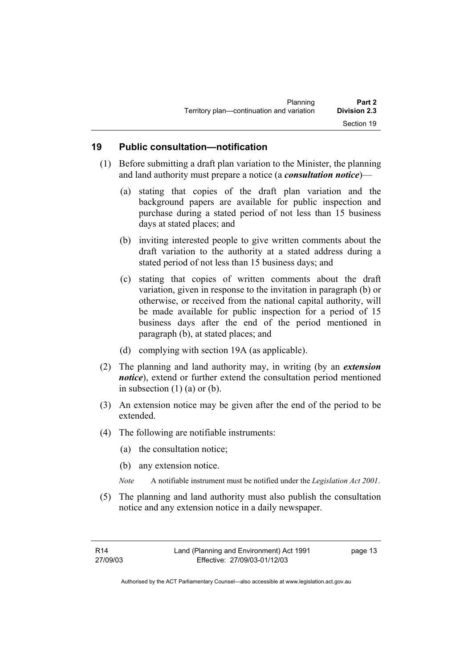| Planning                                  | Part 2              |
|-------------------------------------------|---------------------|
| Territory plan-continuation and variation | <b>Division 2.3</b> |
|                                           | Section 19          |

#### **19 Public consultation—notification**

- (1) Before submitting a draft plan variation to the Minister, the planning and land authority must prepare a notice (a *consultation notice*)—
	- (a) stating that copies of the draft plan variation and the background papers are available for public inspection and purchase during a stated period of not less than 15 business days at stated places; and
	- (b) inviting interested people to give written comments about the draft variation to the authority at a stated address during a stated period of not less than 15 business days; and
	- (c) stating that copies of written comments about the draft variation, given in response to the invitation in paragraph (b) or otherwise, or received from the national capital authority, will be made available for public inspection for a period of 15 business days after the end of the period mentioned in paragraph (b), at stated places; and
	- (d) complying with section 19A (as applicable).
- (2) The planning and land authority may, in writing (by an *extension notice*), extend or further extend the consultation period mentioned in subsection  $(1)$  (a) or (b).
- (3) An extension notice may be given after the end of the period to be extended.
- (4) The following are notifiable instruments:
	- (a) the consultation notice;
	- (b) any extension notice.
	- *Note* A notifiable instrument must be notified under the *Legislation Act 2001*.
- (5) The planning and land authority must also publish the consultation notice and any extension notice in a daily newspaper.

page 13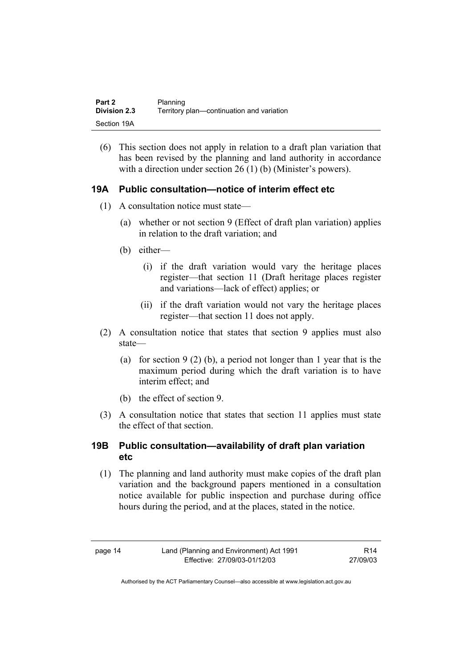| Part 2              | Planning                                  |
|---------------------|-------------------------------------------|
| <b>Division 2.3</b> | Territory plan-continuation and variation |
| Section 19A         |                                           |

(6) This section does not apply in relation to a draft plan variation that has been revised by the planning and land authority in accordance with a direction under section 26 (1) (b) (Minister's powers).

#### **19A Public consultation—notice of interim effect etc**

- (1) A consultation notice must state—
	- (a) whether or not section 9 (Effect of draft plan variation) applies in relation to the draft variation; and
	- (b) either—
		- (i) if the draft variation would vary the heritage places register—that section 11 (Draft heritage places register and variations—lack of effect) applies; or
		- (ii) if the draft variation would not vary the heritage places register—that section 11 does not apply.
- (2) A consultation notice that states that section 9 applies must also state—
	- (a) for section 9 (2) (b), a period not longer than 1 year that is the maximum period during which the draft variation is to have interim effect; and
	- (b) the effect of section 9.
- (3) A consultation notice that states that section 11 applies must state the effect of that section.

#### **19B Public consultation—availability of draft plan variation etc**

(1) The planning and land authority must make copies of the draft plan variation and the background papers mentioned in a consultation notice available for public inspection and purchase during office hours during the period, and at the places, stated in the notice.

R14 27/09/03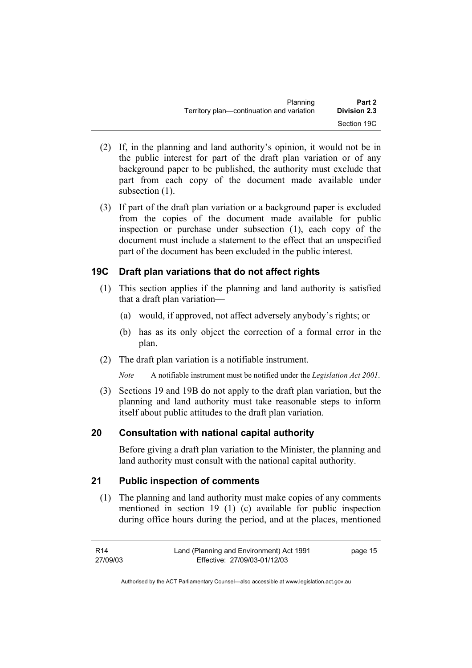| Planning                                  | Part 2              |
|-------------------------------------------|---------------------|
| Territory plan—continuation and variation | <b>Division 2.3</b> |
|                                           | Section 19C         |

- (2) If, in the planning and land authority's opinion, it would not be in the public interest for part of the draft plan variation or of any background paper to be published, the authority must exclude that part from each copy of the document made available under subsection  $(1)$ .
- (3) If part of the draft plan variation or a background paper is excluded from the copies of the document made available for public inspection or purchase under subsection (1), each copy of the document must include a statement to the effect that an unspecified part of the document has been excluded in the public interest.

#### **19C Draft plan variations that do not affect rights**

- (1) This section applies if the planning and land authority is satisfied that a draft plan variation—
	- (a) would, if approved, not affect adversely anybody's rights; or
	- (b) has as its only object the correction of a formal error in the plan.
- (2) The draft plan variation is a notifiable instrument.
	- *Note* A notifiable instrument must be notified under the *Legislation Act 2001*.
- (3) Sections 19 and 19B do not apply to the draft plan variation, but the planning and land authority must take reasonable steps to inform itself about public attitudes to the draft plan variation.

#### **20 Consultation with national capital authority**

Before giving a draft plan variation to the Minister, the planning and land authority must consult with the national capital authority.

#### **21 Public inspection of comments**

 (1) The planning and land authority must make copies of any comments mentioned in section 19 (1) (c) available for public inspection during office hours during the period, and at the places, mentioned

| R14      | Land (Planning and Environment) Act 1991 | page 15 |
|----------|------------------------------------------|---------|
| 27/09/03 | Effective: 27/09/03-01/12/03             |         |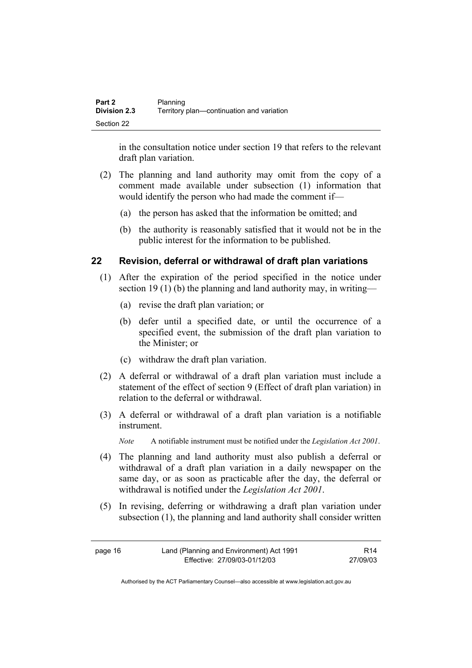| <b>Part 2</b> | Planning                                  |
|---------------|-------------------------------------------|
| Division 2.3  | Territory plan—continuation and variation |
| Section 22    |                                           |

in the consultation notice under section 19 that refers to the relevant draft plan variation.

- (2) The planning and land authority may omit from the copy of a comment made available under subsection (1) information that would identify the person who had made the comment if—
	- (a) the person has asked that the information be omitted; and
	- (b) the authority is reasonably satisfied that it would not be in the public interest for the information to be published.

#### **22 Revision, deferral or withdrawal of draft plan variations**

- (1) After the expiration of the period specified in the notice under section 19 (1) (b) the planning and land authority may, in writing—
	- (a) revise the draft plan variation; or
	- (b) defer until a specified date, or until the occurrence of a specified event, the submission of the draft plan variation to the Minister; or
	- (c) withdraw the draft plan variation.
- (2) A deferral or withdrawal of a draft plan variation must include a statement of the effect of section 9 (Effect of draft plan variation) in relation to the deferral or withdrawal.
- (3) A deferral or withdrawal of a draft plan variation is a notifiable instrument.

*Note* A notifiable instrument must be notified under the *Legislation Act 2001*.

- (4) The planning and land authority must also publish a deferral or withdrawal of a draft plan variation in a daily newspaper on the same day, or as soon as practicable after the day, the deferral or withdrawal is notified under the *Legislation Act 2001*.
- (5) In revising, deferring or withdrawing a draft plan variation under subsection (1), the planning and land authority shall consider written

| page 16 | Land (Planning and Environment) Act 1991 | R14      |
|---------|------------------------------------------|----------|
|         | Effective: 27/09/03-01/12/03             | 27/09/03 |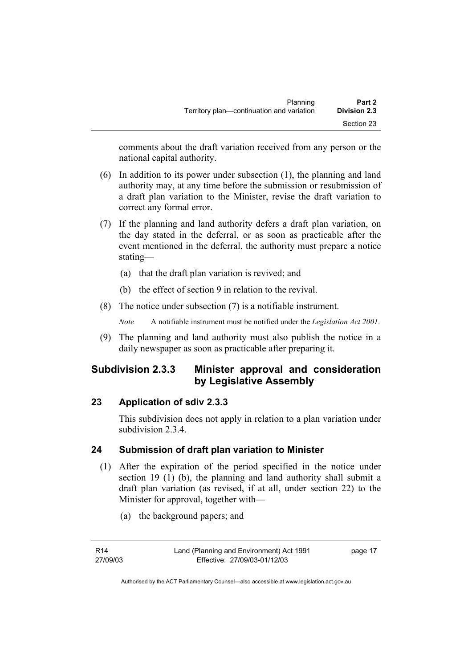comments about the draft variation received from any person or the national capital authority.

- (6) In addition to its power under subsection (1), the planning and land authority may, at any time before the submission or resubmission of a draft plan variation to the Minister, revise the draft variation to correct any formal error.
- (7) If the planning and land authority defers a draft plan variation, on the day stated in the deferral, or as soon as practicable after the event mentioned in the deferral, the authority must prepare a notice stating—
	- (a) that the draft plan variation is revived; and
	- (b) the effect of section 9 in relation to the revival.
- (8) The notice under subsection (7) is a notifiable instrument.

*Note* A notifiable instrument must be notified under the *Legislation Act 2001*.

(9) The planning and land authority must also publish the notice in a daily newspaper as soon as practicable after preparing it.

# **Subdivision 2.3.3 Minister approval and consideration by Legislative Assembly**

## **23 Application of sdiv 2.3.3**

This subdivision does not apply in relation to a plan variation under subdivision 2.3.4

## **24 Submission of draft plan variation to Minister**

- (1) After the expiration of the period specified in the notice under section 19 (1) (b), the planning and land authority shall submit a draft plan variation (as revised, if at all, under section 22) to the Minister for approval, together with—
	- (a) the background papers; and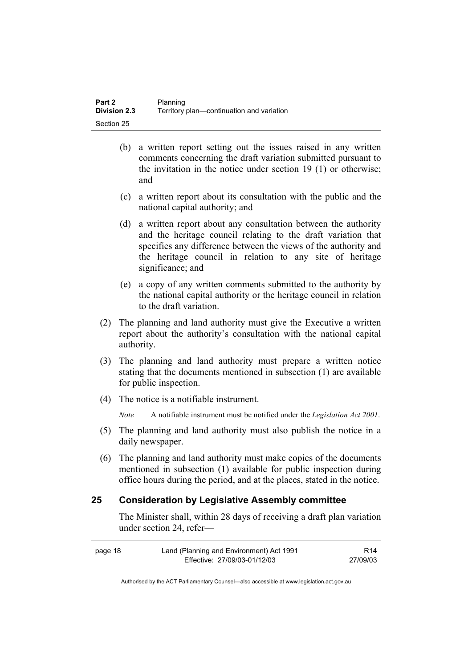- (b) a written report setting out the issues raised in any written comments concerning the draft variation submitted pursuant to the invitation in the notice under section 19 (1) or otherwise; and
- (c) a written report about its consultation with the public and the national capital authority; and
- (d) a written report about any consultation between the authority and the heritage council relating to the draft variation that specifies any difference between the views of the authority and the heritage council in relation to any site of heritage significance; and
- (e) a copy of any written comments submitted to the authority by the national capital authority or the heritage council in relation to the draft variation.
- (2) The planning and land authority must give the Executive a written report about the authority's consultation with the national capital authority.
- (3) The planning and land authority must prepare a written notice stating that the documents mentioned in subsection (1) are available for public inspection.
- (4) The notice is a notifiable instrument.

*Note* A notifiable instrument must be notified under the *Legislation Act 2001*.

- (5) The planning and land authority must also publish the notice in a daily newspaper.
- (6) The planning and land authority must make copies of the documents mentioned in subsection (1) available for public inspection during office hours during the period, and at the places, stated in the notice.

#### **25 Consideration by Legislative Assembly committee**

The Minister shall, within 28 days of receiving a draft plan variation under section 24, refer—

| page 18 | Land (Planning and Environment) Act 1991 | R <sub>14</sub> |
|---------|------------------------------------------|-----------------|
|         | Effective: 27/09/03-01/12/03             | 27/09/03        |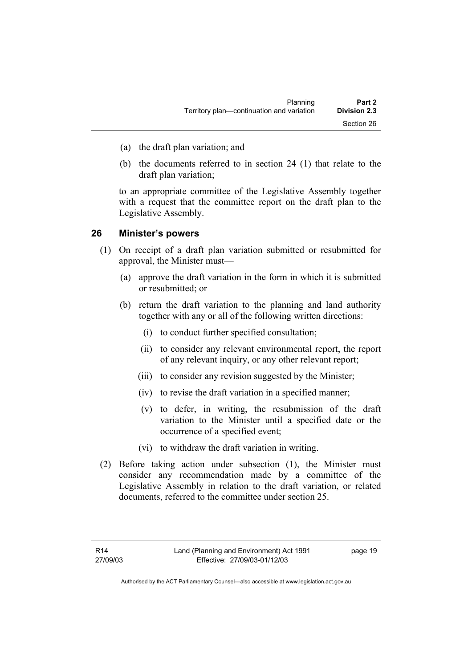- (a) the draft plan variation; and
- (b) the documents referred to in section 24 (1) that relate to the draft plan variation;

to an appropriate committee of the Legislative Assembly together with a request that the committee report on the draft plan to the Legislative Assembly.

#### **26 Minister's powers**

- (1) On receipt of a draft plan variation submitted or resubmitted for approval, the Minister must—
	- (a) approve the draft variation in the form in which it is submitted or resubmitted; or
	- (b) return the draft variation to the planning and land authority together with any or all of the following written directions:
		- (i) to conduct further specified consultation;
		- (ii) to consider any relevant environmental report, the report of any relevant inquiry, or any other relevant report;
		- (iii) to consider any revision suggested by the Minister;
		- (iv) to revise the draft variation in a specified manner;
		- (v) to defer, in writing, the resubmission of the draft variation to the Minister until a specified date or the occurrence of a specified event;
		- (vi) to withdraw the draft variation in writing.
- (2) Before taking action under subsection (1), the Minister must consider any recommendation made by a committee of the Legislative Assembly in relation to the draft variation, or related documents, referred to the committee under section 25.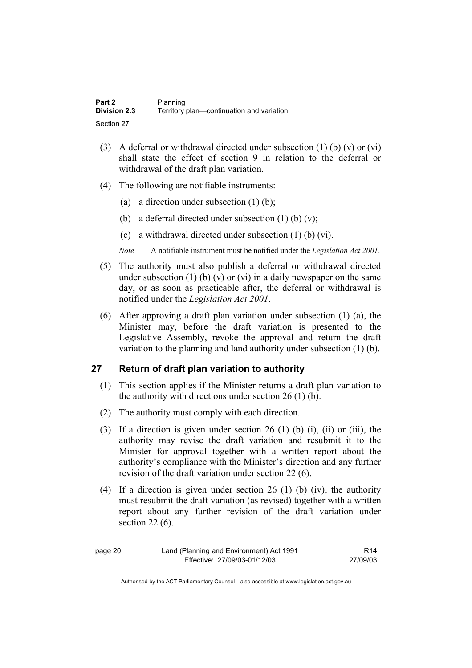| Part 2              | Planning                                  |
|---------------------|-------------------------------------------|
| <b>Division 2.3</b> | Territory plan—continuation and variation |
| Section 27          |                                           |

- (3) A deferral or withdrawal directed under subsection  $(1)$  (b)  $(v)$  or  $(vi)$ shall state the effect of section 9 in relation to the deferral or withdrawal of the draft plan variation.
- (4) The following are notifiable instruments:
	- (a) a direction under subsection  $(1)$  (b);
	- (b) a deferral directed under subsection  $(1)$  (b)  $(v)$ ;
	- (c) a withdrawal directed under subsection (1) (b) (vi).
	- *Note* A notifiable instrument must be notified under the *Legislation Act 2001*.
- (5) The authority must also publish a deferral or withdrawal directed under subsection (1) (b) (v) or (vi) in a daily newspaper on the same day, or as soon as practicable after, the deferral or withdrawal is notified under the *Legislation Act 2001*.
- (6) After approving a draft plan variation under subsection (1) (a), the Minister may, before the draft variation is presented to the Legislative Assembly, revoke the approval and return the draft variation to the planning and land authority under subsection (1) (b).

#### **27 Return of draft plan variation to authority**

- (1) This section applies if the Minister returns a draft plan variation to the authority with directions under section 26 (1) (b).
- (2) The authority must comply with each direction.
- (3) If a direction is given under section 26 (1) (b) (i), (ii) or (iii), the authority may revise the draft variation and resubmit it to the Minister for approval together with a written report about the authority's compliance with the Minister's direction and any further revision of the draft variation under section 22 (6).
- (4) If a direction is given under section 26 (1) (b) (iv), the authority must resubmit the draft variation (as revised) together with a written report about any further revision of the draft variation under section 22 (6).

| page 20 | Land (Planning and Environment) Act 1991 | R14      |
|---------|------------------------------------------|----------|
|         | Effective: 27/09/03-01/12/03             | 27/09/03 |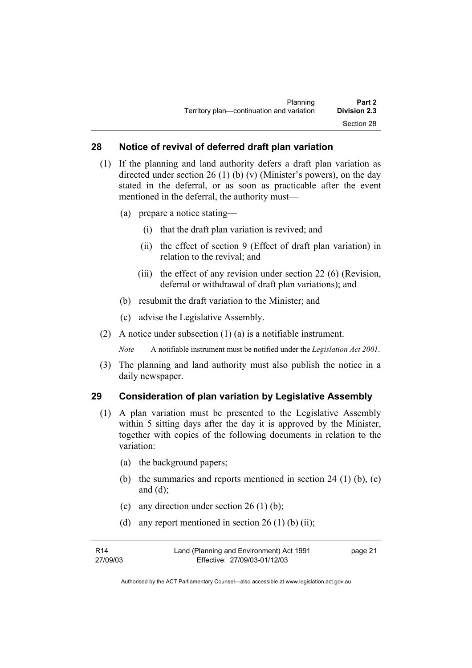#### **28 Notice of revival of deferred draft plan variation**

- (1) If the planning and land authority defers a draft plan variation as directed under section 26 (1) (b) (v) (Minister's powers), on the day stated in the deferral, or as soon as practicable after the event mentioned in the deferral, the authority must—
	- (a) prepare a notice stating—
		- (i) that the draft plan variation is revived; and
		- (ii) the effect of section 9 (Effect of draft plan variation) in relation to the revival; and
		- (iii) the effect of any revision under section 22 (6) (Revision, deferral or withdrawal of draft plan variations); and
	- (b) resubmit the draft variation to the Minister; and
	- (c) advise the Legislative Assembly.
- (2) A notice under subsection (1) (a) is a notifiable instrument.

*Note* A notifiable instrument must be notified under the *Legislation Act 2001*.

(3) The planning and land authority must also publish the notice in a daily newspaper.

#### **29 Consideration of plan variation by Legislative Assembly**

- (1) A plan variation must be presented to the Legislative Assembly within 5 sitting days after the day it is approved by the Minister, together with copies of the following documents in relation to the variation:
	- (a) the background papers;
	- (b) the summaries and reports mentioned in section 24 (1) (b), (c) and  $(d)$ ;
	- (c) any direction under section  $26(1)$  (b);
	- (d) any report mentioned in section  $26(1)$  (b) (ii);

| R14      | Land (Planning and Environment) Act 1991 | page 21 |
|----------|------------------------------------------|---------|
| 27/09/03 | Effective: 27/09/03-01/12/03             |         |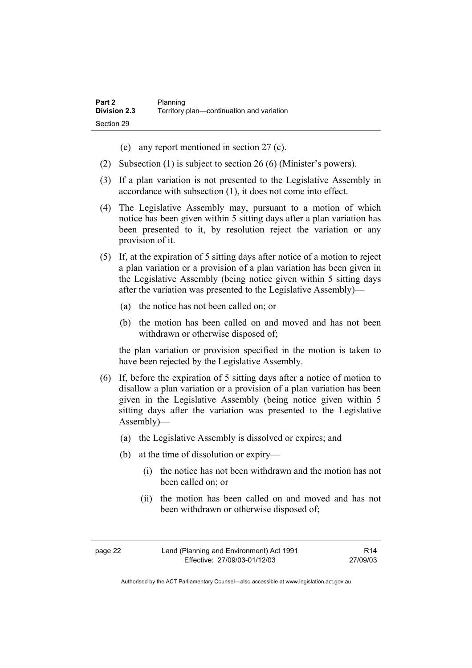- (e) any report mentioned in section 27 (c).
- (2) Subsection (1) is subject to section 26 (6) (Minister's powers).
- (3) If a plan variation is not presented to the Legislative Assembly in accordance with subsection (1), it does not come into effect.
- (4) The Legislative Assembly may, pursuant to a motion of which notice has been given within 5 sitting days after a plan variation has been presented to it, by resolution reject the variation or any provision of it.
- (5) If, at the expiration of 5 sitting days after notice of a motion to reject a plan variation or a provision of a plan variation has been given in the Legislative Assembly (being notice given within 5 sitting days after the variation was presented to the Legislative Assembly)—
	- (a) the notice has not been called on; or
	- (b) the motion has been called on and moved and has not been withdrawn or otherwise disposed of;

the plan variation or provision specified in the motion is taken to have been rejected by the Legislative Assembly.

- (6) If, before the expiration of 5 sitting days after a notice of motion to disallow a plan variation or a provision of a plan variation has been given in the Legislative Assembly (being notice given within 5 sitting days after the variation was presented to the Legislative Assembly)—
	- (a) the Legislative Assembly is dissolved or expires; and
	- (b) at the time of dissolution or expiry—
		- (i) the notice has not been withdrawn and the motion has not been called on; or
		- (ii) the motion has been called on and moved and has not been withdrawn or otherwise disposed of;

| page 22 | Land (Planning and Environment) Act 1991 | R <sub>14</sub> |
|---------|------------------------------------------|-----------------|
|         | Effective: 27/09/03-01/12/03             | 27/09/03        |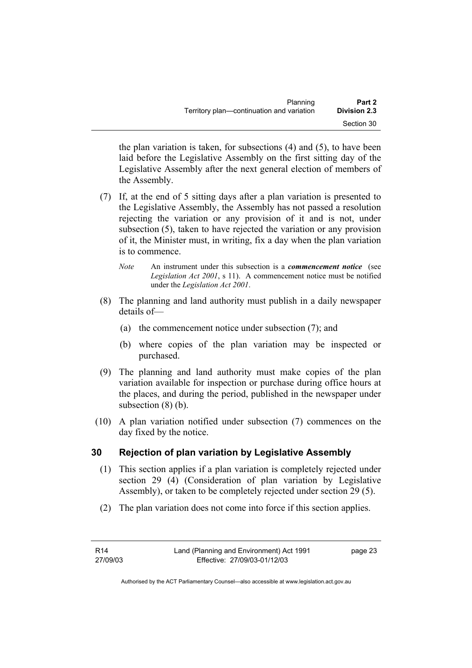| Planning                                  | Part 2              |
|-------------------------------------------|---------------------|
| Territory plan—continuation and variation | <b>Division 2.3</b> |
|                                           | Section 30          |

the plan variation is taken, for subsections (4) and (5), to have been laid before the Legislative Assembly on the first sitting day of the Legislative Assembly after the next general election of members of the Assembly.

- (7) If, at the end of 5 sitting days after a plan variation is presented to the Legislative Assembly, the Assembly has not passed a resolution rejecting the variation or any provision of it and is not, under subsection (5), taken to have rejected the variation or any provision of it, the Minister must, in writing, fix a day when the plan variation is to commence.
	- *Note* An instrument under this subsection is a *commencement notice* (see *Legislation Act 2001*, s 11). A commencement notice must be notified under the *Legislation Act 2001*.
- (8) The planning and land authority must publish in a daily newspaper details of—
	- (a) the commencement notice under subsection (7); and
	- (b) where copies of the plan variation may be inspected or purchased.
- (9) The planning and land authority must make copies of the plan variation available for inspection or purchase during office hours at the places, and during the period, published in the newspaper under subsection (8) (b).
- (10) A plan variation notified under subsection (7) commences on the day fixed by the notice.

# **30 Rejection of plan variation by Legislative Assembly**

- (1) This section applies if a plan variation is completely rejected under section 29 (4) (Consideration of plan variation by Legislative Assembly), or taken to be completely rejected under section 29 (5).
- (2) The plan variation does not come into force if this section applies.

| R14      | Land (Planning and Environment) Act 1991 | page 23 |
|----------|------------------------------------------|---------|
| 27/09/03 | Effective: 27/09/03-01/12/03             |         |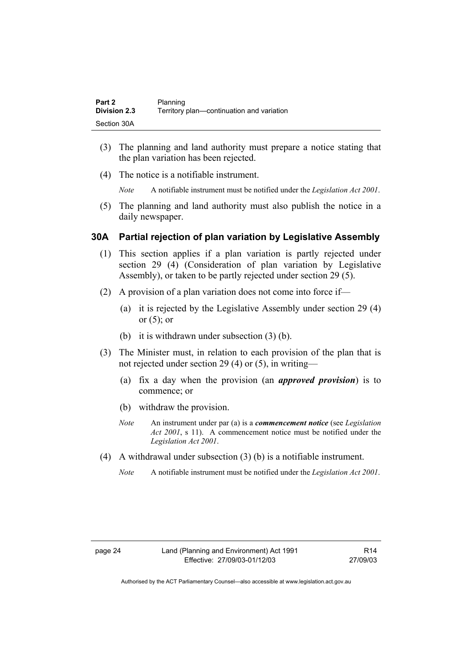| Part 2              | Planning                                  |
|---------------------|-------------------------------------------|
| <b>Division 2.3</b> | Territory plan-continuation and variation |
| Section 30A         |                                           |

- (3) The planning and land authority must prepare a notice stating that the plan variation has been rejected.
- (4) The notice is a notifiable instrument.

*Note* A notifiable instrument must be notified under the *Legislation Act 2001*.

(5) The planning and land authority must also publish the notice in a daily newspaper.

#### **30A Partial rejection of plan variation by Legislative Assembly**

- (1) This section applies if a plan variation is partly rejected under section 29 (4) (Consideration of plan variation by Legislative Assembly), or taken to be partly rejected under section 29 (5).
- (2) A provision of a plan variation does not come into force if—
	- (a) it is rejected by the Legislative Assembly under section 29 (4) or  $(5)$ ; or
	- (b) it is withdrawn under subsection (3) (b).
- (3) The Minister must, in relation to each provision of the plan that is not rejected under section 29 (4) or (5), in writing—
	- (a) fix a day when the provision (an *approved provision*) is to commence; or
	- (b) withdraw the provision.
	- *Note* An instrument under par (a) is a *commencement notice* (see *Legislation Act 2001*, s 11). A commencement notice must be notified under the *Legislation Act 2001*.
- (4) A withdrawal under subsection (3) (b) is a notifiable instrument.
	- *Note* A notifiable instrument must be notified under the *Legislation Act 2001*.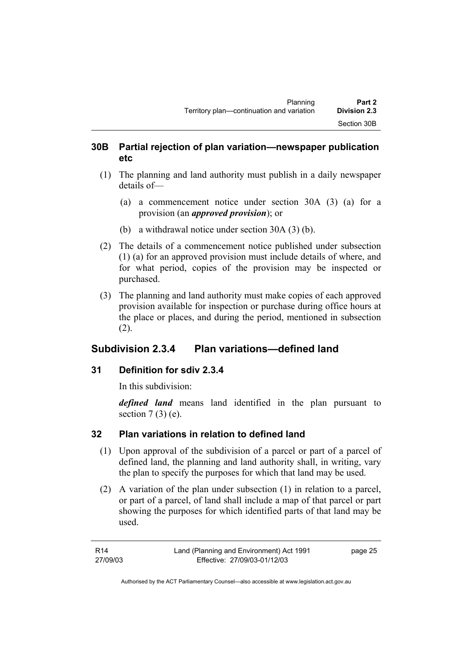### **30B Partial rejection of plan variation—newspaper publication etc**

- (1) The planning and land authority must publish in a daily newspaper details of—
	- (a) a commencement notice under section 30A (3) (a) for a provision (an *approved provision*); or
	- (b) a withdrawal notice under section 30A (3) (b).
- (2) The details of a commencement notice published under subsection (1) (a) for an approved provision must include details of where, and for what period, copies of the provision may be inspected or purchased.
- (3) The planning and land authority must make copies of each approved provision available for inspection or purchase during office hours at the place or places, and during the period, mentioned in subsection (2).

# **Subdivision 2.3.4 Plan variations—defined land**

# **31 Definition for sdiv 2.3.4**

In this subdivision:

*defined land* means land identified in the plan pursuant to section  $7(3)$  (e).

# **32 Plan variations in relation to defined land**

- (1) Upon approval of the subdivision of a parcel or part of a parcel of defined land, the planning and land authority shall, in writing, vary the plan to specify the purposes for which that land may be used.
- (2) A variation of the plan under subsection (1) in relation to a parcel, or part of a parcel, of land shall include a map of that parcel or part showing the purposes for which identified parts of that land may be used.

| R14      | Land (Planning and Environment) Act 1991 | page 25 |
|----------|------------------------------------------|---------|
| 27/09/03 | Effective: 27/09/03-01/12/03             |         |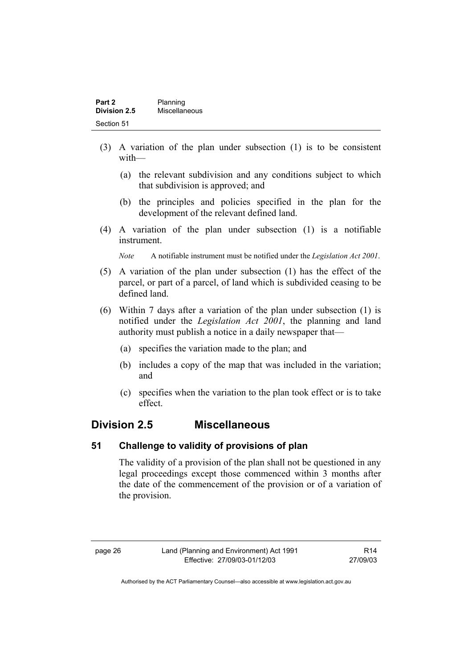| Part 2       | Planning      |
|--------------|---------------|
| Division 2.5 | Miscellaneous |
| Section 51   |               |

- (3) A variation of the plan under subsection (1) is to be consistent with—
	- (a) the relevant subdivision and any conditions subject to which that subdivision is approved; and
	- (b) the principles and policies specified in the plan for the development of the relevant defined land.
- (4) A variation of the plan under subsection (1) is a notifiable instrument.

*Note* A notifiable instrument must be notified under the *Legislation Act 2001*.

- (5) A variation of the plan under subsection (1) has the effect of the parcel, or part of a parcel, of land which is subdivided ceasing to be defined land.
- (6) Within 7 days after a variation of the plan under subsection (1) is notified under the *Legislation Act 2001*, the planning and land authority must publish a notice in a daily newspaper that—
	- (a) specifies the variation made to the plan; and
	- (b) includes a copy of the map that was included in the variation; and
	- (c) specifies when the variation to the plan took effect or is to take effect.

# **Division 2.5 Miscellaneous**

#### **51 Challenge to validity of provisions of plan**

The validity of a provision of the plan shall not be questioned in any legal proceedings except those commenced within 3 months after the date of the commencement of the provision or of a variation of the provision.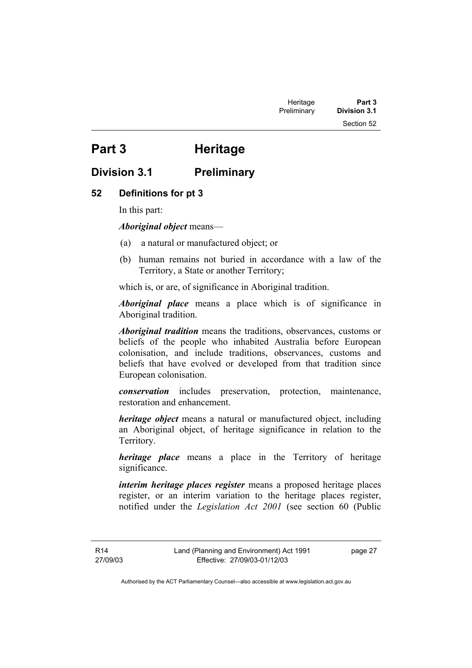# **Part 3 Heritage**

# **Division 3.1 Preliminary**

### **52 Definitions for pt 3**

In this part:

*Aboriginal object* means—

- (a) a natural or manufactured object; or
- (b) human remains not buried in accordance with a law of the Territory, a State or another Territory;

which is, or are, of significance in Aboriginal tradition.

*Aboriginal place* means a place which is of significance in Aboriginal tradition.

*Aboriginal tradition* means the traditions, observances, customs or beliefs of the people who inhabited Australia before European colonisation, and include traditions, observances, customs and beliefs that have evolved or developed from that tradition since European colonisation.

*conservation* includes preservation, protection, maintenance, restoration and enhancement.

*heritage object* means a natural or manufactured object, including an Aboriginal object, of heritage significance in relation to the Territory.

*heritage place* means a place in the Territory of heritage significance.

*interim heritage places register* means a proposed heritage places register, or an interim variation to the heritage places register, notified under the *Legislation Act 2001* (see section 60 (Public

R14 27/09/03 page 27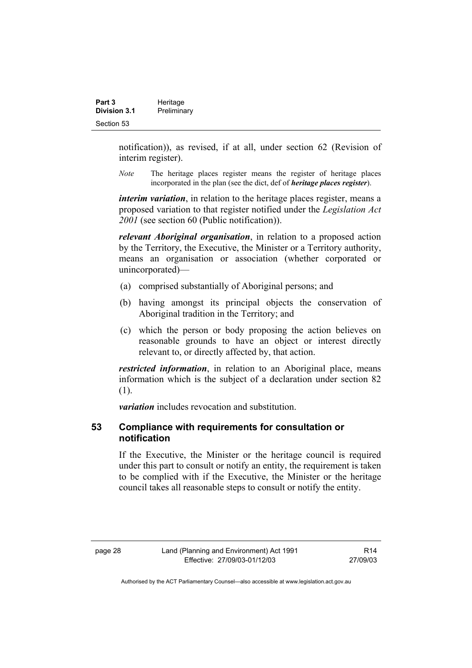| Part 3              | Heritage    |
|---------------------|-------------|
| <b>Division 3.1</b> | Preliminary |
| Section 53          |             |

notification)), as revised, if at all, under section 62 (Revision of interim register).

*Note* The heritage places register means the register of heritage places incorporated in the plan (see the dict, def of *heritage places register*).

*interim variation*, in relation to the heritage places register, means a proposed variation to that register notified under the *Legislation Act 2001* (see section 60 (Public notification)).

*relevant Aboriginal organisation*, in relation to a proposed action by the Territory, the Executive, the Minister or a Territory authority, means an organisation or association (whether corporated or unincorporated)—

- (a) comprised substantially of Aboriginal persons; and
- (b) having amongst its principal objects the conservation of Aboriginal tradition in the Territory; and
- (c) which the person or body proposing the action believes on reasonable grounds to have an object or interest directly relevant to, or directly affected by, that action.

*restricted information*, in relation to an Aboriginal place, means information which is the subject of a declaration under section 82 (1).

*variation* includes revocation and substitution.

#### **53 Compliance with requirements for consultation or notification**

If the Executive, the Minister or the heritage council is required under this part to consult or notify an entity, the requirement is taken to be complied with if the Executive, the Minister or the heritage council takes all reasonable steps to consult or notify the entity.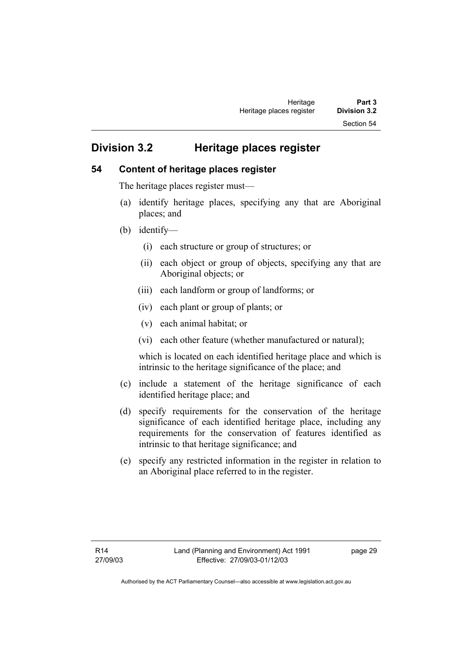# **Division 3.2 Heritage places register**

#### **54 Content of heritage places register**

The heritage places register must—

- (a) identify heritage places, specifying any that are Aboriginal places; and
- (b) identify—
	- (i) each structure or group of structures; or
	- (ii) each object or group of objects, specifying any that are Aboriginal objects; or
	- (iii) each landform or group of landforms; or
	- (iv) each plant or group of plants; or
	- (v) each animal habitat; or
	- (vi) each other feature (whether manufactured or natural);

which is located on each identified heritage place and which is intrinsic to the heritage significance of the place; and

- (c) include a statement of the heritage significance of each identified heritage place; and
- (d) specify requirements for the conservation of the heritage significance of each identified heritage place, including any requirements for the conservation of features identified as intrinsic to that heritage significance; and
- (e) specify any restricted information in the register in relation to an Aboriginal place referred to in the register.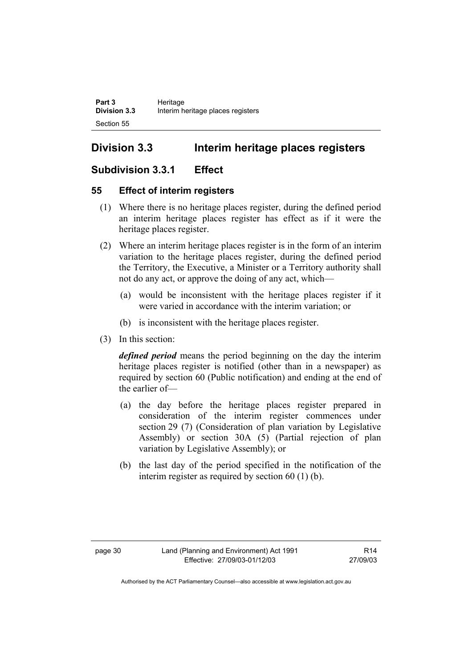# **Division 3.3 Interim heritage places registers**

# **Subdivision 3.3.1 Effect**

# **55 Effect of interim registers**

- (1) Where there is no heritage places register, during the defined period an interim heritage places register has effect as if it were the heritage places register.
- (2) Where an interim heritage places register is in the form of an interim variation to the heritage places register, during the defined period the Territory, the Executive, a Minister or a Territory authority shall not do any act, or approve the doing of any act, which—
	- (a) would be inconsistent with the heritage places register if it were varied in accordance with the interim variation; or
	- (b) is inconsistent with the heritage places register.
- (3) In this section:

*defined period* means the period beginning on the day the interim heritage places register is notified (other than in a newspaper) as required by section 60 (Public notification) and ending at the end of the earlier of—

- (a) the day before the heritage places register prepared in consideration of the interim register commences under section 29 (7) (Consideration of plan variation by Legislative Assembly) or section 30A (5) (Partial rejection of plan variation by Legislative Assembly); or
- (b) the last day of the period specified in the notification of the interim register as required by section 60 (1) (b).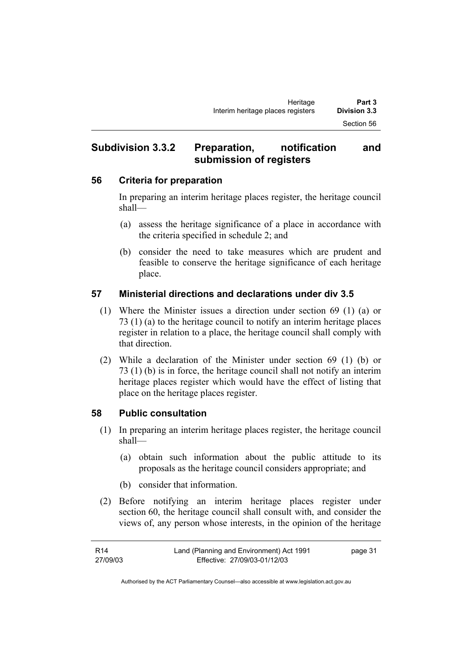# **Subdivision 3.3.2 Preparation, notification and submission of registers**

### **56 Criteria for preparation**

In preparing an interim heritage places register, the heritage council shall—

- (a) assess the heritage significance of a place in accordance with the criteria specified in schedule 2; and
- (b) consider the need to take measures which are prudent and feasible to conserve the heritage significance of each heritage place.

# **57 Ministerial directions and declarations under div 3.5**

- (1) Where the Minister issues a direction under section 69 (1) (a) or 73 (1) (a) to the heritage council to notify an interim heritage places register in relation to a place, the heritage council shall comply with that direction.
- (2) While a declaration of the Minister under section 69 (1) (b) or 73 (1) (b) is in force, the heritage council shall not notify an interim heritage places register which would have the effect of listing that place on the heritage places register.

# **58 Public consultation**

- (1) In preparing an interim heritage places register, the heritage council shall—
	- (a) obtain such information about the public attitude to its proposals as the heritage council considers appropriate; and
	- (b) consider that information.
- (2) Before notifying an interim heritage places register under section 60, the heritage council shall consult with, and consider the views of, any person whose interests, in the opinion of the heritage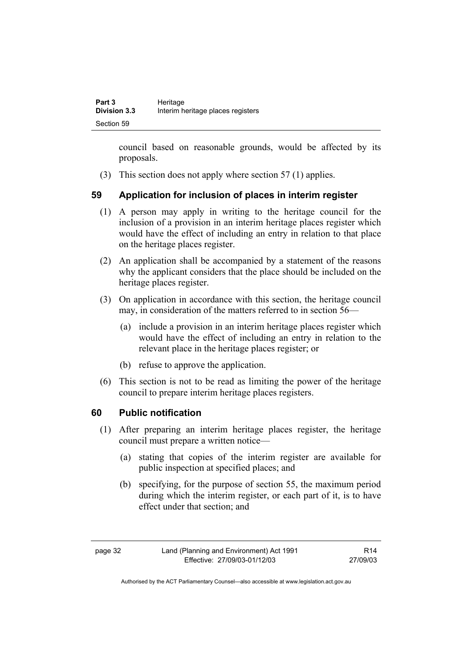council based on reasonable grounds, would be affected by its proposals.

(3) This section does not apply where section 57 (1) applies.

# **59 Application for inclusion of places in interim register**

- (1) A person may apply in writing to the heritage council for the inclusion of a provision in an interim heritage places register which would have the effect of including an entry in relation to that place on the heritage places register.
- (2) An application shall be accompanied by a statement of the reasons why the applicant considers that the place should be included on the heritage places register.
- (3) On application in accordance with this section, the heritage council may, in consideration of the matters referred to in section 56—
	- (a) include a provision in an interim heritage places register which would have the effect of including an entry in relation to the relevant place in the heritage places register; or
	- (b) refuse to approve the application.
- (6) This section is not to be read as limiting the power of the heritage council to prepare interim heritage places registers.

# **60 Public notification**

- (1) After preparing an interim heritage places register, the heritage council must prepare a written notice—
	- (a) stating that copies of the interim register are available for public inspection at specified places; and
	- (b) specifying, for the purpose of section 55, the maximum period during which the interim register, or each part of it, is to have effect under that section; and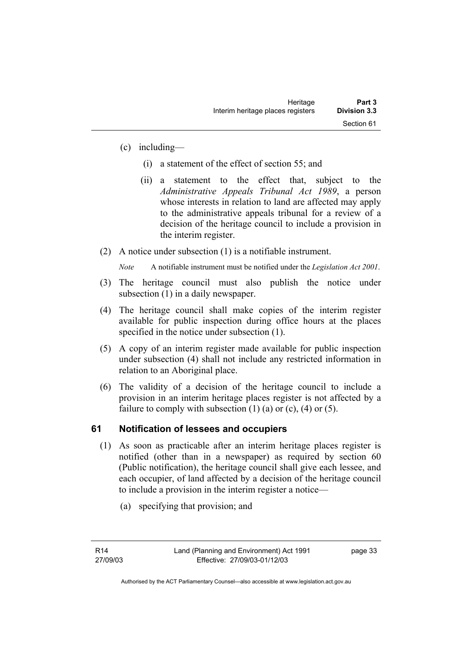- (c) including—
	- (i) a statement of the effect of section 55; and
	- (ii) a statement to the effect that, subject to the *Administrative Appeals Tribunal Act 1989*, a person whose interests in relation to land are affected may apply to the administrative appeals tribunal for a review of a decision of the heritage council to include a provision in the interim register.
- (2) A notice under subsection (1) is a notifiable instrument.

*Note* A notifiable instrument must be notified under the *Legislation Act 2001*.

- (3) The heritage council must also publish the notice under subsection (1) in a daily newspaper.
- (4) The heritage council shall make copies of the interim register available for public inspection during office hours at the places specified in the notice under subsection (1).
- (5) A copy of an interim register made available for public inspection under subsection (4) shall not include any restricted information in relation to an Aboriginal place.
- (6) The validity of a decision of the heritage council to include a provision in an interim heritage places register is not affected by a failure to comply with subsection  $(1)$   $(a)$  or  $(c)$ ,  $(4)$  or  $(5)$ .

# **61 Notification of lessees and occupiers**

- (1) As soon as practicable after an interim heritage places register is notified (other than in a newspaper) as required by section 60 (Public notification), the heritage council shall give each lessee, and each occupier, of land affected by a decision of the heritage council to include a provision in the interim register a notice—
	- (a) specifying that provision; and

page 33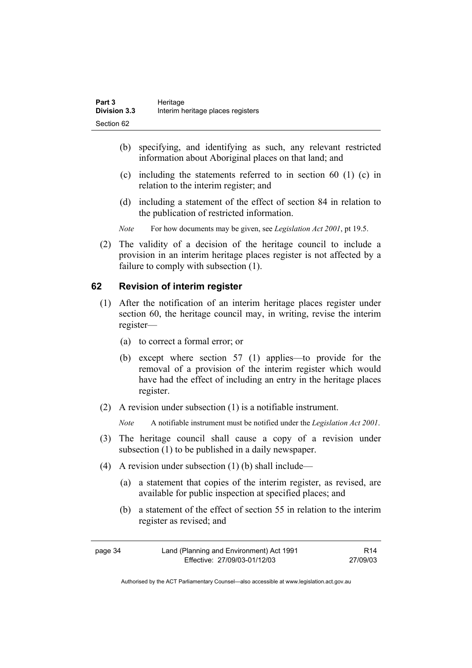- (b) specifying, and identifying as such, any relevant restricted information about Aboriginal places on that land; and
- (c) including the statements referred to in section 60 (1) (c) in relation to the interim register; and
- (d) including a statement of the effect of section 84 in relation to the publication of restricted information.
- *Note* For how documents may be given, see *Legislation Act 2001*, pt 19.5.
- (2) The validity of a decision of the heritage council to include a provision in an interim heritage places register is not affected by a failure to comply with subsection (1).

#### **62 Revision of interim register**

- (1) After the notification of an interim heritage places register under section 60, the heritage council may, in writing, revise the interim register—
	- (a) to correct a formal error; or
	- (b) except where section 57 (1) applies—to provide for the removal of a provision of the interim register which would have had the effect of including an entry in the heritage places register.
- (2) A revision under subsection (1) is a notifiable instrument.

*Note* A notifiable instrument must be notified under the *Legislation Act 2001*.

- (3) The heritage council shall cause a copy of a revision under subsection (1) to be published in a daily newspaper.
- (4) A revision under subsection (1) (b) shall include—
	- (a) a statement that copies of the interim register, as revised, are available for public inspection at specified places; and
	- (b) a statement of the effect of section 55 in relation to the interim register as revised; and

| page 34 | Land (Planning and Environment) Act 1991 | R <sub>14</sub> |
|---------|------------------------------------------|-----------------|
|         | Effective: 27/09/03-01/12/03             | 27/09/03        |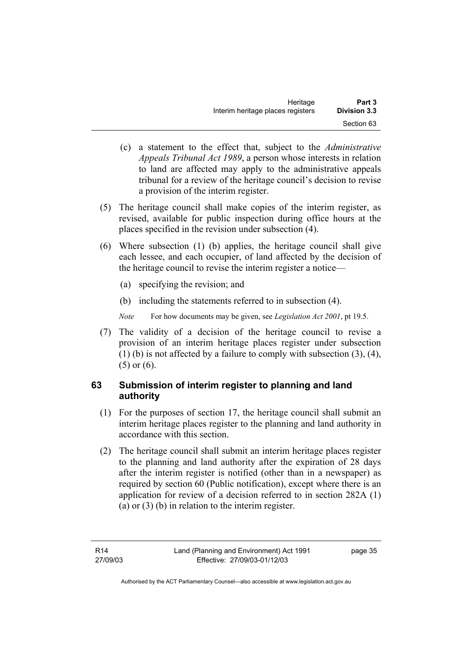| Heritage                          | Part 3              |
|-----------------------------------|---------------------|
| Interim heritage places registers | <b>Division 3.3</b> |
|                                   | Section 63          |

- (c) a statement to the effect that, subject to the *Administrative Appeals Tribunal Act 1989*, a person whose interests in relation to land are affected may apply to the administrative appeals tribunal for a review of the heritage council's decision to revise a provision of the interim register.
- (5) The heritage council shall make copies of the interim register, as revised, available for public inspection during office hours at the places specified in the revision under subsection (4).
- (6) Where subsection (1) (b) applies, the heritage council shall give each lessee, and each occupier, of land affected by the decision of the heritage council to revise the interim register a notice—
	- (a) specifying the revision; and
	- (b) including the statements referred to in subsection (4).
	- *Note* For how documents may be given, see *Legislation Act 2001*, pt 19.5.
- (7) The validity of a decision of the heritage council to revise a provision of an interim heritage places register under subsection (1) (b) is not affected by a failure to comply with subsection (3), (4), (5) or (6).

# **63 Submission of interim register to planning and land authority**

- (1) For the purposes of section 17, the heritage council shall submit an interim heritage places register to the planning and land authority in accordance with this section.
- (2) The heritage council shall submit an interim heritage places register to the planning and land authority after the expiration of 28 days after the interim register is notified (other than in a newspaper) as required by section 60 (Public notification), except where there is an application for review of a decision referred to in section 282A (1) (a) or (3) (b) in relation to the interim register.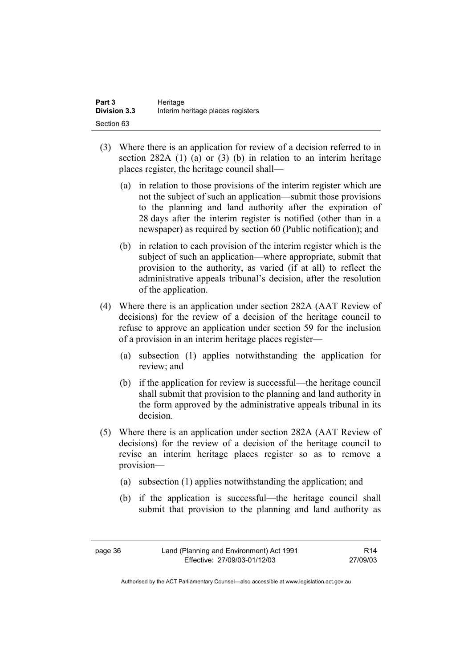| Part 3              | Heritage                          |
|---------------------|-----------------------------------|
| <b>Division 3.3</b> | Interim heritage places registers |
| Section 63          |                                   |

- (3) Where there is an application for review of a decision referred to in section 282A (1) (a) or (3) (b) in relation to an interim heritage places register, the heritage council shall—
	- (a) in relation to those provisions of the interim register which are not the subject of such an application—submit those provisions to the planning and land authority after the expiration of 28 days after the interim register is notified (other than in a newspaper) as required by section 60 (Public notification); and
	- (b) in relation to each provision of the interim register which is the subject of such an application—where appropriate, submit that provision to the authority, as varied (if at all) to reflect the administrative appeals tribunal's decision, after the resolution of the application.
- (4) Where there is an application under section 282A (AAT Review of decisions) for the review of a decision of the heritage council to refuse to approve an application under section 59 for the inclusion of a provision in an interim heritage places register—
	- (a) subsection (1) applies notwithstanding the application for review; and
	- (b) if the application for review is successful—the heritage council shall submit that provision to the planning and land authority in the form approved by the administrative appeals tribunal in its decision.
- (5) Where there is an application under section 282A (AAT Review of decisions) for the review of a decision of the heritage council to revise an interim heritage places register so as to remove a provision—
	- (a) subsection (1) applies notwithstanding the application; and
	- (b) if the application is successful—the heritage council shall submit that provision to the planning and land authority as

R14 27/09/03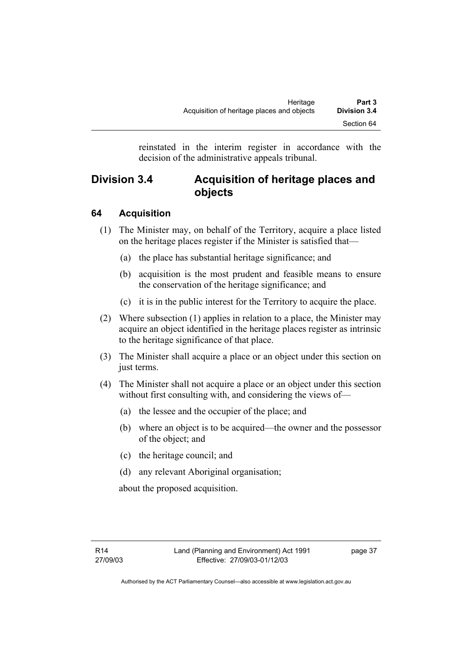reinstated in the interim register in accordance with the decision of the administrative appeals tribunal.

# **Division 3.4 Acquisition of heritage places and objects**

# **64 Acquisition**

- (1) The Minister may, on behalf of the Territory, acquire a place listed on the heritage places register if the Minister is satisfied that—
	- (a) the place has substantial heritage significance; and
	- (b) acquisition is the most prudent and feasible means to ensure the conservation of the heritage significance; and
	- (c) it is in the public interest for the Territory to acquire the place.
- (2) Where subsection (1) applies in relation to a place, the Minister may acquire an object identified in the heritage places register as intrinsic to the heritage significance of that place.
- (3) The Minister shall acquire a place or an object under this section on just terms.
- (4) The Minister shall not acquire a place or an object under this section without first consulting with, and considering the views of-
	- (a) the lessee and the occupier of the place; and
	- (b) where an object is to be acquired—the owner and the possessor of the object; and
	- (c) the heritage council; and
	- (d) any relevant Aboriginal organisation;

about the proposed acquisition.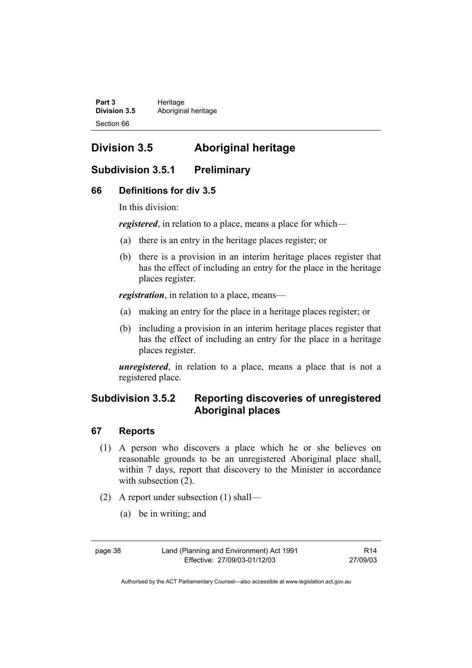Part 3 **Heritage Division 3.5** Aboriginal heritage Section 66

# **Division 3.5 Aboriginal heritage**

# **Subdivision 3.5.1 Preliminary**

# **66 Definitions for div 3.5**

In this division:

*registered*, in relation to a place, means a place for which—

- (a) there is an entry in the heritage places register; or
- (b) there is a provision in an interim heritage places register that has the effect of including an entry for the place in the heritage places register.

*registration*, in relation to a place, means—

- (a) making an entry for the place in a heritage places register; or
- (b) including a provision in an interim heritage places register that has the effect of including an entry for the place in a heritage places register.

*unregistered*, in relation to a place, means a place that is not a registered place.

# **Subdivision 3.5.2 Reporting discoveries of unregistered Aboriginal places**

# **67 Reports**

- (1) A person who discovers a place which he or she believes on reasonable grounds to be an unregistered Aboriginal place shall, within 7 days, report that discovery to the Minister in accordance with subsection  $(2)$ .
- (2) A report under subsection (1) shall—
	- (a) be in writing; and

R14 27/09/03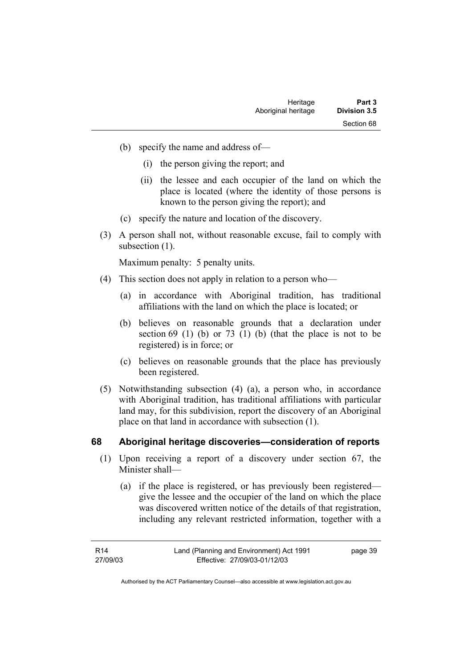- (b) specify the name and address of—
	- (i) the person giving the report; and
	- (ii) the lessee and each occupier of the land on which the place is located (where the identity of those persons is known to the person giving the report); and
- (c) specify the nature and location of the discovery.
- (3) A person shall not, without reasonable excuse, fail to comply with subsection  $(1)$ .

Maximum penalty: 5 penalty units.

- (4) This section does not apply in relation to a person who—
	- (a) in accordance with Aboriginal tradition, has traditional affiliations with the land on which the place is located; or
	- (b) believes on reasonable grounds that a declaration under section  $69$  (1) (b) or  $73$  (1) (b) (that the place is not to be registered) is in force; or
	- (c) believes on reasonable grounds that the place has previously been registered.
- (5) Notwithstanding subsection (4) (a), a person who, in accordance with Aboriginal tradition, has traditional affiliations with particular land may, for this subdivision, report the discovery of an Aboriginal place on that land in accordance with subsection (1).

#### **68 Aboriginal heritage discoveries—consideration of reports**

- (1) Upon receiving a report of a discovery under section 67, the Minister shall—
	- (a) if the place is registered, or has previously been registered give the lessee and the occupier of the land on which the place was discovered written notice of the details of that registration, including any relevant restricted information, together with a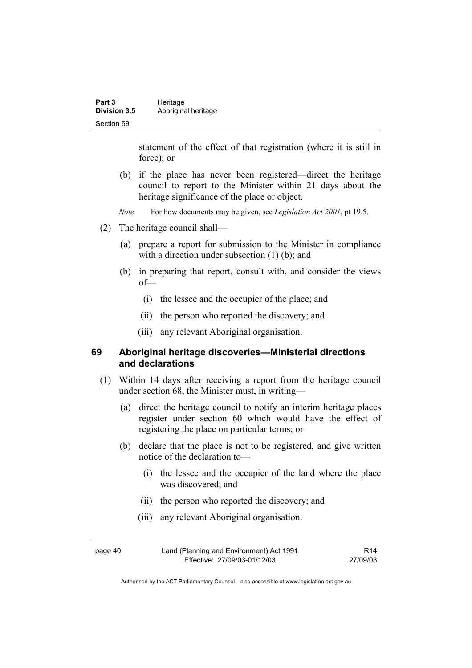| Part 3              | Heritage            |
|---------------------|---------------------|
| <b>Division 3.5</b> | Aboriginal heritage |
| Section 69          |                     |

statement of the effect of that registration (where it is still in force); or

- (b) if the place has never been registered—direct the heritage council to report to the Minister within 21 days about the heritage significance of the place or object.
- *Note* For how documents may be given, see *Legislation Act 2001*, pt 19.5.
- (2) The heritage council shall—
	- (a) prepare a report for submission to the Minister in compliance with a direction under subsection (1) (b); and
	- (b) in preparing that report, consult with, and consider the views of—
		- (i) the lessee and the occupier of the place; and
		- (ii) the person who reported the discovery; and
		- (iii) any relevant Aboriginal organisation.

#### **69 Aboriginal heritage discoveries—Ministerial directions and declarations**

- (1) Within 14 days after receiving a report from the heritage council under section 68, the Minister must, in writing—
	- (a) direct the heritage council to notify an interim heritage places register under section 60 which would have the effect of registering the place on particular terms; or
	- (b) declare that the place is not to be registered, and give written notice of the declaration to—
		- (i) the lessee and the occupier of the land where the place was discovered; and
		- (ii) the person who reported the discovery; and
		- (iii) any relevant Aboriginal organisation.

| page 40 | Land (Planning and Environment) Act 1991 | R <sub>14</sub> |
|---------|------------------------------------------|-----------------|
|         | Effective: 27/09/03-01/12/03             | 27/09/03        |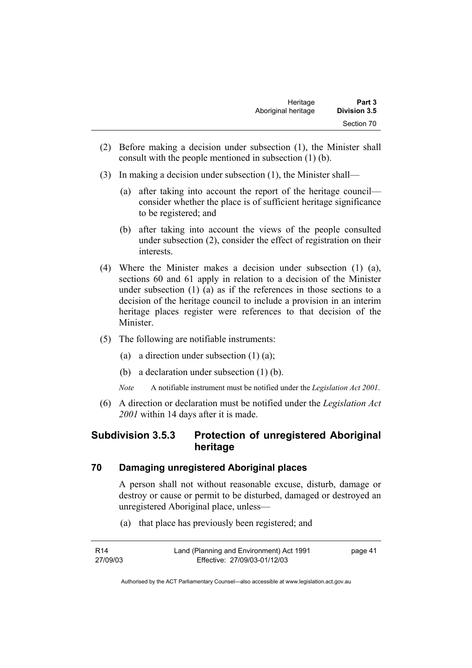| Heritage            | Part 3              |
|---------------------|---------------------|
| Aboriginal heritage | <b>Division 3.5</b> |
|                     | Section 70          |

- (2) Before making a decision under subsection (1), the Minister shall consult with the people mentioned in subsection (1) (b).
- (3) In making a decision under subsection (1), the Minister shall—
	- (a) after taking into account the report of the heritage council consider whether the place is of sufficient heritage significance to be registered; and
	- (b) after taking into account the views of the people consulted under subsection (2), consider the effect of registration on their interests.
- (4) Where the Minister makes a decision under subsection (1) (a), sections 60 and 61 apply in relation to a decision of the Minister under subsection (1) (a) as if the references in those sections to a decision of the heritage council to include a provision in an interim heritage places register were references to that decision of the Minister.
- (5) The following are notifiable instruments:
	- (a) a direction under subsection  $(1)$   $(a)$ ;
	- (b) a declaration under subsection (1) (b).
	- *Note* A notifiable instrument must be notified under the *Legislation Act 2001*.
- (6) A direction or declaration must be notified under the *Legislation Act 2001* within 14 days after it is made.

# **Subdivision 3.5.3 Protection of unregistered Aboriginal heritage**

#### **70 Damaging unregistered Aboriginal places**

A person shall not without reasonable excuse, disturb, damage or destroy or cause or permit to be disturbed, damaged or destroyed an unregistered Aboriginal place, unless—

(a) that place has previously been registered; and

| R14      | Land (Planning and Environment) Act 1991 | page 41 |
|----------|------------------------------------------|---------|
| 27/09/03 | Effective: 27/09/03-01/12/03             |         |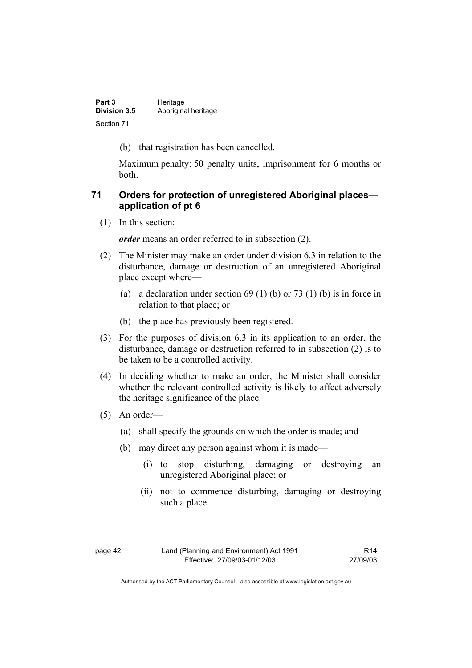| Part 3              | Heritage            |
|---------------------|---------------------|
| <b>Division 3.5</b> | Aboriginal heritage |
| Section 71          |                     |

(b) that registration has been cancelled.

Maximum penalty: 50 penalty units, imprisonment for 6 months or both.

### **71 Orders for protection of unregistered Aboriginal places application of pt 6**

(1) In this section:

*order* means an order referred to in subsection (2).

- (2) The Minister may make an order under division 6.3 in relation to the disturbance, damage or destruction of an unregistered Aboriginal place except where—
	- (a) a declaration under section  $69 (1) (b)$  or  $73 (1) (b)$  is in force in relation to that place; or
	- (b) the place has previously been registered.
- (3) For the purposes of division 6.3 in its application to an order, the disturbance, damage or destruction referred to in subsection (2) is to be taken to be a controlled activity.
- (4) In deciding whether to make an order, the Minister shall consider whether the relevant controlled activity is likely to affect adversely the heritage significance of the place.
- (5) An order—
	- (a) shall specify the grounds on which the order is made; and
	- (b) may direct any person against whom it is made—
		- (i) to stop disturbing, damaging or destroying an unregistered Aboriginal place; or
		- (ii) not to commence disturbing, damaging or destroying such a place.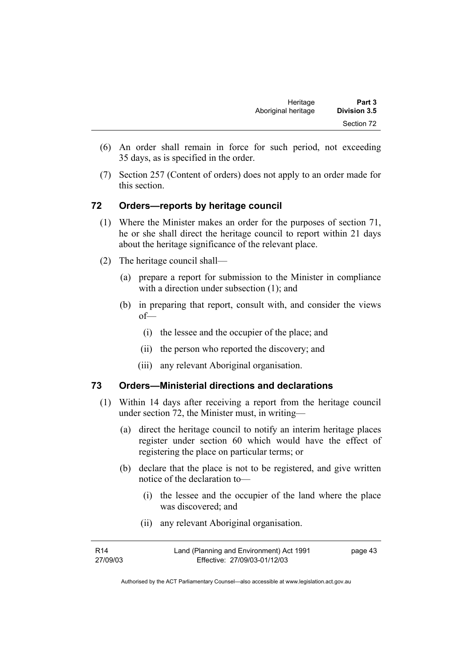- (6) An order shall remain in force for such period, not exceeding 35 days, as is specified in the order.
- (7) Section 257 (Content of orders) does not apply to an order made for this section.

### **72 Orders—reports by heritage council**

- (1) Where the Minister makes an order for the purposes of section 71, he or she shall direct the heritage council to report within 21 days about the heritage significance of the relevant place.
- (2) The heritage council shall—
	- (a) prepare a report for submission to the Minister in compliance with a direction under subsection (1); and
	- (b) in preparing that report, consult with, and consider the views of—
		- (i) the lessee and the occupier of the place; and
		- (ii) the person who reported the discovery; and
		- (iii) any relevant Aboriginal organisation.

#### **73 Orders—Ministerial directions and declarations**

- (1) Within 14 days after receiving a report from the heritage council under section 72, the Minister must, in writing—
	- (a) direct the heritage council to notify an interim heritage places register under section 60 which would have the effect of registering the place on particular terms; or
	- (b) declare that the place is not to be registered, and give written notice of the declaration to—
		- (i) the lessee and the occupier of the land where the place was discovered; and
		- (ii) any relevant Aboriginal organisation.

| R14      | Land (Planning and Environment) Act 1991 | page 43 |
|----------|------------------------------------------|---------|
| 27/09/03 | Effective: 27/09/03-01/12/03             |         |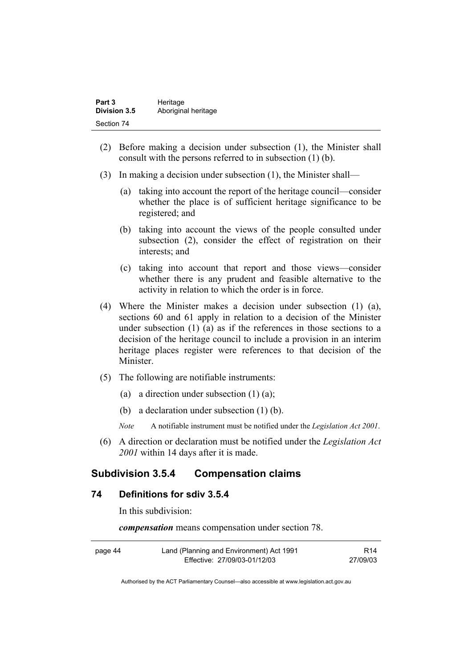| Part 3              | Heritage            |
|---------------------|---------------------|
| <b>Division 3.5</b> | Aboriginal heritage |
| Section 74          |                     |

- (2) Before making a decision under subsection (1), the Minister shall consult with the persons referred to in subsection (1) (b).
- (3) In making a decision under subsection (1), the Minister shall—
	- (a) taking into account the report of the heritage council—consider whether the place is of sufficient heritage significance to be registered; and
	- (b) taking into account the views of the people consulted under subsection (2), consider the effect of registration on their interests; and
	- (c) taking into account that report and those views—consider whether there is any prudent and feasible alternative to the activity in relation to which the order is in force.
- (4) Where the Minister makes a decision under subsection (1) (a), sections 60 and 61 apply in relation to a decision of the Minister under subsection (1) (a) as if the references in those sections to a decision of the heritage council to include a provision in an interim heritage places register were references to that decision of the Minister.
- (5) The following are notifiable instruments:
	- (a) a direction under subsection  $(1)$   $(a)$ ;
	- (b) a declaration under subsection (1) (b).
	- *Note* A notifiable instrument must be notified under the *Legislation Act 2001*.
- (6) A direction or declaration must be notified under the *Legislation Act 2001* within 14 days after it is made.

### **Subdivision 3.5.4 Compensation claims**

### **74 Definitions for sdiv 3.5.4**

In this subdivision:

*compensation* means compensation under section 78.

| page 44 | Land (Planning and Environment) Act 1991 | R <sub>14</sub> |
|---------|------------------------------------------|-----------------|
|         | Effective: 27/09/03-01/12/03             | 27/09/03        |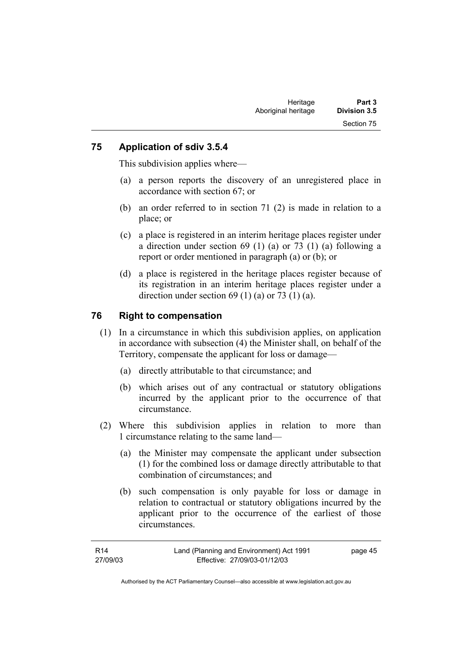#### **75 Application of sdiv 3.5.4**

This subdivision applies where—

- (a) a person reports the discovery of an unregistered place in accordance with section 67; or
- (b) an order referred to in section 71 (2) is made in relation to a place; or
- (c) a place is registered in an interim heritage places register under a direction under section 69 (1) (a) or 73 (1) (a) following a report or order mentioned in paragraph (a) or (b); or
- (d) a place is registered in the heritage places register because of its registration in an interim heritage places register under a direction under section  $69$  (1) (a) or  $73$  (1) (a).

### **76 Right to compensation**

- (1) In a circumstance in which this subdivision applies, on application in accordance with subsection (4) the Minister shall, on behalf of the Territory, compensate the applicant for loss or damage—
	- (a) directly attributable to that circumstance; and
	- (b) which arises out of any contractual or statutory obligations incurred by the applicant prior to the occurrence of that circumstance.
- (2) Where this subdivision applies in relation to more than 1 circumstance relating to the same land—
	- (a) the Minister may compensate the applicant under subsection (1) for the combined loss or damage directly attributable to that combination of circumstances; and
	- (b) such compensation is only payable for loss or damage in relation to contractual or statutory obligations incurred by the applicant prior to the occurrence of the earliest of those circumstances.

| R14      | Land (Planning and Environment) Act 1991 | page 45 |
|----------|------------------------------------------|---------|
| 27/09/03 | Effective: 27/09/03-01/12/03             |         |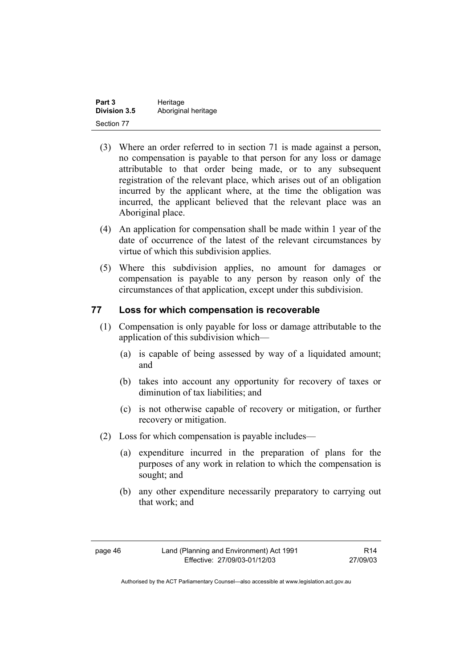| Part 3              | Heritage            |
|---------------------|---------------------|
| <b>Division 3.5</b> | Aboriginal heritage |
| Section 77          |                     |

- (3) Where an order referred to in section 71 is made against a person, no compensation is payable to that person for any loss or damage attributable to that order being made, or to any subsequent registration of the relevant place, which arises out of an obligation incurred by the applicant where, at the time the obligation was incurred, the applicant believed that the relevant place was an Aboriginal place.
- (4) An application for compensation shall be made within 1 year of the date of occurrence of the latest of the relevant circumstances by virtue of which this subdivision applies.
- (5) Where this subdivision applies, no amount for damages or compensation is payable to any person by reason only of the circumstances of that application, except under this subdivision.

#### **77 Loss for which compensation is recoverable**

- (1) Compensation is only payable for loss or damage attributable to the application of this subdivision which—
	- (a) is capable of being assessed by way of a liquidated amount; and
	- (b) takes into account any opportunity for recovery of taxes or diminution of tax liabilities; and
	- (c) is not otherwise capable of recovery or mitigation, or further recovery or mitigation.
- (2) Loss for which compensation is payable includes—
	- (a) expenditure incurred in the preparation of plans for the purposes of any work in relation to which the compensation is sought; and
	- (b) any other expenditure necessarily preparatory to carrying out that work; and

R14 27/09/03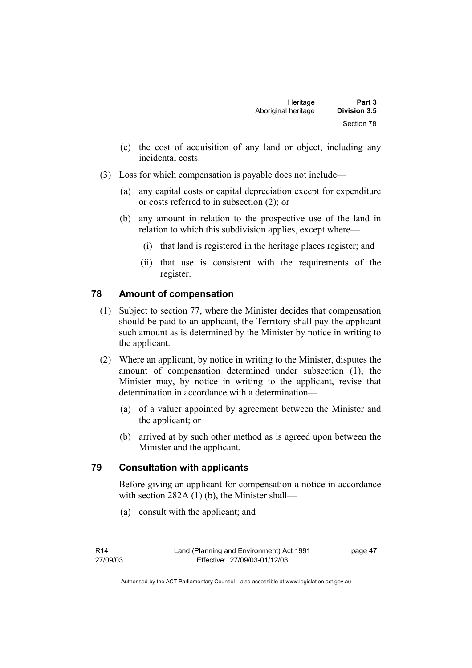- (c) the cost of acquisition of any land or object, including any incidental costs.
- (3) Loss for which compensation is payable does not include—
	- (a) any capital costs or capital depreciation except for expenditure or costs referred to in subsection (2); or
	- (b) any amount in relation to the prospective use of the land in relation to which this subdivision applies, except where—
		- (i) that land is registered in the heritage places register; and
		- (ii) that use is consistent with the requirements of the register.

# **78 Amount of compensation**

- (1) Subject to section 77, where the Minister decides that compensation should be paid to an applicant, the Territory shall pay the applicant such amount as is determined by the Minister by notice in writing to the applicant.
- (2) Where an applicant, by notice in writing to the Minister, disputes the amount of compensation determined under subsection (1), the Minister may, by notice in writing to the applicant, revise that determination in accordance with a determination—
	- (a) of a valuer appointed by agreement between the Minister and the applicant; or
	- (b) arrived at by such other method as is agreed upon between the Minister and the applicant.

# **79 Consultation with applicants**

Before giving an applicant for compensation a notice in accordance with section 282A (1) (b), the Minister shall—

(a) consult with the applicant; and

page 47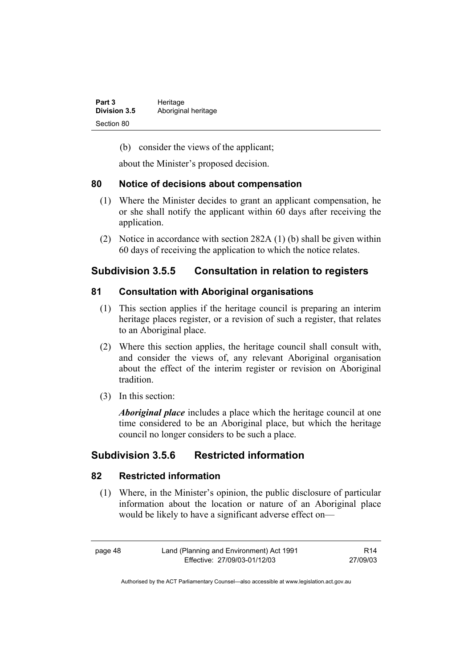| Part 3              | Heritage            |
|---------------------|---------------------|
| <b>Division 3.5</b> | Aboriginal heritage |
| Section 80          |                     |

(b) consider the views of the applicant;

about the Minister's proposed decision.

#### **80 Notice of decisions about compensation**

- (1) Where the Minister decides to grant an applicant compensation, he or she shall notify the applicant within 60 days after receiving the application.
- (2) Notice in accordance with section 282A (1) (b) shall be given within 60 days of receiving the application to which the notice relates.

# **Subdivision 3.5.5 Consultation in relation to registers**

#### **81 Consultation with Aboriginal organisations**

- (1) This section applies if the heritage council is preparing an interim heritage places register, or a revision of such a register, that relates to an Aboriginal place.
- (2) Where this section applies, the heritage council shall consult with, and consider the views of, any relevant Aboriginal organisation about the effect of the interim register or revision on Aboriginal tradition.
- (3) In this section:

*Aboriginal place* includes a place which the heritage council at one time considered to be an Aboriginal place, but which the heritage council no longer considers to be such a place.

# **Subdivision 3.5.6 Restricted information**

#### **82 Restricted information**

 (1) Where, in the Minister's opinion, the public disclosure of particular information about the location or nature of an Aboriginal place would be likely to have a significant adverse effect on—

page 48 Land (Planning and Environment) Act 1991 Effective: 27/09/03-01/12/03

R14 27/09/03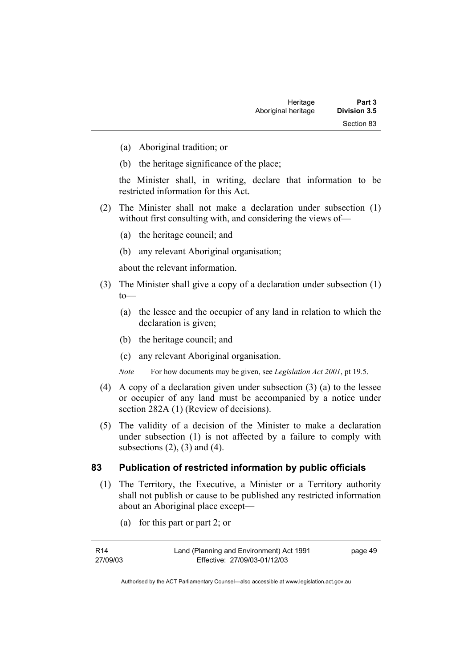- (a) Aboriginal tradition; or
- (b) the heritage significance of the place;

the Minister shall, in writing, declare that information to be restricted information for this Act.

- (2) The Minister shall not make a declaration under subsection (1) without first consulting with, and considering the views of-
	- (a) the heritage council; and
	- (b) any relevant Aboriginal organisation;

about the relevant information.

- (3) The Minister shall give a copy of a declaration under subsection (1)  $to$ —
	- (a) the lessee and the occupier of any land in relation to which the declaration is given;
	- (b) the heritage council; and
	- (c) any relevant Aboriginal organisation.

*Note* For how documents may be given, see *Legislation Act 2001*, pt 19.5.

- (4) A copy of a declaration given under subsection (3) (a) to the lessee or occupier of any land must be accompanied by a notice under section 282A (1) (Review of decisions).
- (5) The validity of a decision of the Minister to make a declaration under subsection (1) is not affected by a failure to comply with subsections  $(2)$ ,  $(3)$  and  $(4)$ .

#### **83 Publication of restricted information by public officials**

- (1) The Territory, the Executive, a Minister or a Territory authority shall not publish or cause to be published any restricted information about an Aboriginal place except—
	- (a) for this part or part 2; or

| R14      | Land (Planning and Environment) Act 1991 | page 49 |
|----------|------------------------------------------|---------|
| 27/09/03 | Effective: 27/09/03-01/12/03             |         |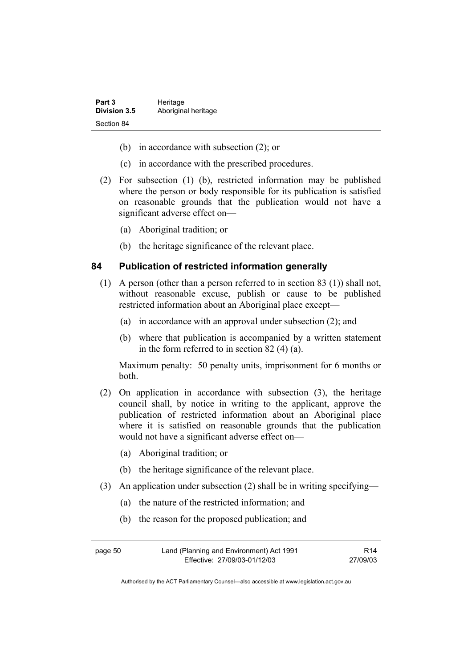| Part 3              | Heritage            |
|---------------------|---------------------|
| <b>Division 3.5</b> | Aboriginal heritage |
| Section 84          |                     |

- (b) in accordance with subsection (2); or
- (c) in accordance with the prescribed procedures.
- (2) For subsection (1) (b), restricted information may be published where the person or body responsible for its publication is satisfied on reasonable grounds that the publication would not have a significant adverse effect on—
	- (a) Aboriginal tradition; or
	- (b) the heritage significance of the relevant place.

#### **84 Publication of restricted information generally**

- (1) A person (other than a person referred to in section 83 (1)) shall not, without reasonable excuse, publish or cause to be published restricted information about an Aboriginal place except—
	- (a) in accordance with an approval under subsection (2); and
	- (b) where that publication is accompanied by a written statement in the form referred to in section 82 (4) (a).

Maximum penalty: 50 penalty units, imprisonment for 6 months or both.

- (2) On application in accordance with subsection (3), the heritage council shall, by notice in writing to the applicant, approve the publication of restricted information about an Aboriginal place where it is satisfied on reasonable grounds that the publication would not have a significant adverse effect on—
	- (a) Aboriginal tradition; or
	- (b) the heritage significance of the relevant place.
- (3) An application under subsection (2) shall be in writing specifying—
	- (a) the nature of the restricted information; and
	- (b) the reason for the proposed publication; and

| page 50 | Land (Planning and Environment) Act 1991 | R <sub>14</sub> |
|---------|------------------------------------------|-----------------|
|         | Effective: 27/09/03-01/12/03             | 27/09/03        |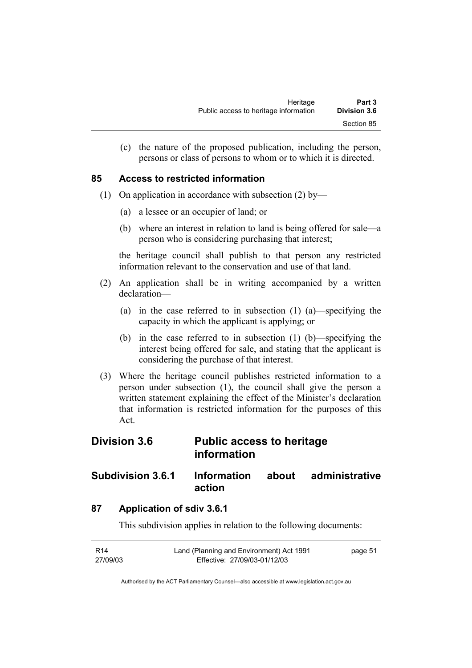(c) the nature of the proposed publication, including the person, persons or class of persons to whom or to which it is directed.

#### **85 Access to restricted information**

- (1) On application in accordance with subsection (2) by—
	- (a) a lessee or an occupier of land; or
	- (b) where an interest in relation to land is being offered for sale—a person who is considering purchasing that interest;

the heritage council shall publish to that person any restricted information relevant to the conservation and use of that land.

- (2) An application shall be in writing accompanied by a written declaration—
	- (a) in the case referred to in subsection (1) (a)—specifying the capacity in which the applicant is applying; or
	- (b) in the case referred to in subsection (1) (b)—specifying the interest being offered for sale, and stating that the applicant is considering the purchase of that interest.
- (3) Where the heritage council publishes restricted information to a person under subsection (1), the council shall give the person a written statement explaining the effect of the Minister's declaration that information is restricted information for the purposes of this Act.

# **Division 3.6 Public access to heritage information**

# **Subdivision 3.6.1 Information about administrative action**

### **87 Application of sdiv 3.6.1**

This subdivision applies in relation to the following documents:

| R14      | Land (Planning and Environment) Act 1991 | page 51 |
|----------|------------------------------------------|---------|
| 27/09/03 | Effective: 27/09/03-01/12/03             |         |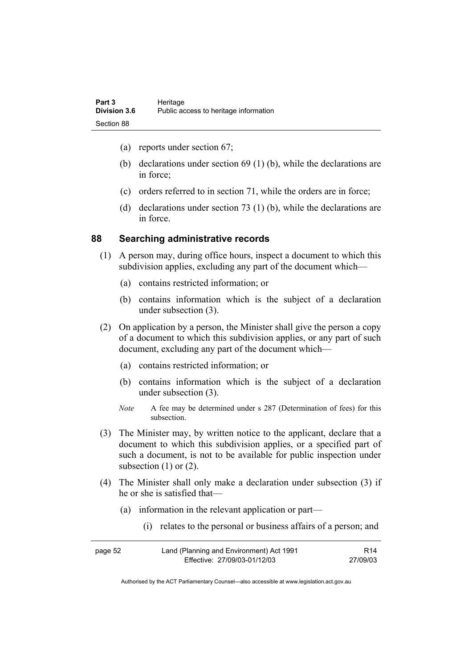- (a) reports under section 67;
- (b) declarations under section 69 (1) (b), while the declarations are in force;
- (c) orders referred to in section 71, while the orders are in force;
- (d) declarations under section 73 (1) (b), while the declarations are in force.

#### **88 Searching administrative records**

- (1) A person may, during office hours, inspect a document to which this subdivision applies, excluding any part of the document which—
	- (a) contains restricted information; or
	- (b) contains information which is the subject of a declaration under subsection (3).
- (2) On application by a person, the Minister shall give the person a copy of a document to which this subdivision applies, or any part of such document, excluding any part of the document which—
	- (a) contains restricted information; or
	- (b) contains information which is the subject of a declaration under subsection (3).
	- *Note* A fee may be determined under s 287 (Determination of fees) for this subsection.
- (3) The Minister may, by written notice to the applicant, declare that a document to which this subdivision applies, or a specified part of such a document, is not to be available for public inspection under subsection  $(1)$  or  $(2)$ .
- (4) The Minister shall only make a declaration under subsection (3) if he or she is satisfied that—
	- (a) information in the relevant application or part—
		- (i) relates to the personal or business affairs of a person; and

| page 52 | Land (Planning and Environment) Act 1991 | R <sub>14</sub> |
|---------|------------------------------------------|-----------------|
|         | Effective: 27/09/03-01/12/03             | 27/09/03        |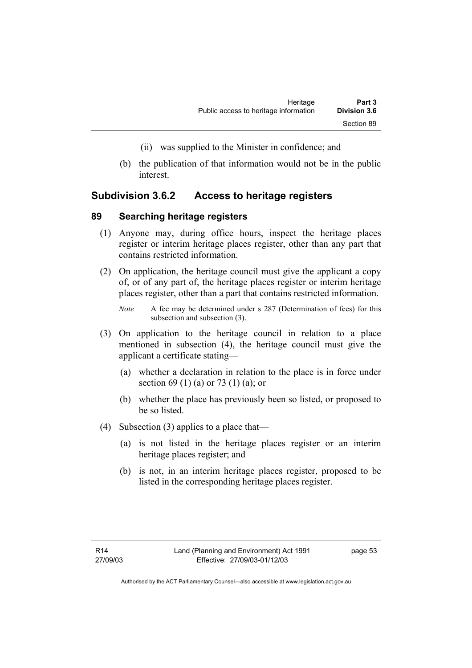- (ii) was supplied to the Minister in confidence; and
- (b) the publication of that information would not be in the public interest.

### **Subdivision 3.6.2 Access to heritage registers**

#### **89 Searching heritage registers**

- (1) Anyone may, during office hours, inspect the heritage places register or interim heritage places register, other than any part that contains restricted information.
- (2) On application, the heritage council must give the applicant a copy of, or of any part of, the heritage places register or interim heritage places register, other than a part that contains restricted information.
	- *Note* A fee may be determined under s 287 (Determination of fees) for this subsection and subsection (3).
- (3) On application to the heritage council in relation to a place mentioned in subsection (4), the heritage council must give the applicant a certificate stating—
	- (a) whether a declaration in relation to the place is in force under section 69 (1) (a) or 73 (1) (a); or
	- (b) whether the place has previously been so listed, or proposed to be so listed.
- (4) Subsection (3) applies to a place that—
	- (a) is not listed in the heritage places register or an interim heritage places register; and
	- (b) is not, in an interim heritage places register, proposed to be listed in the corresponding heritage places register.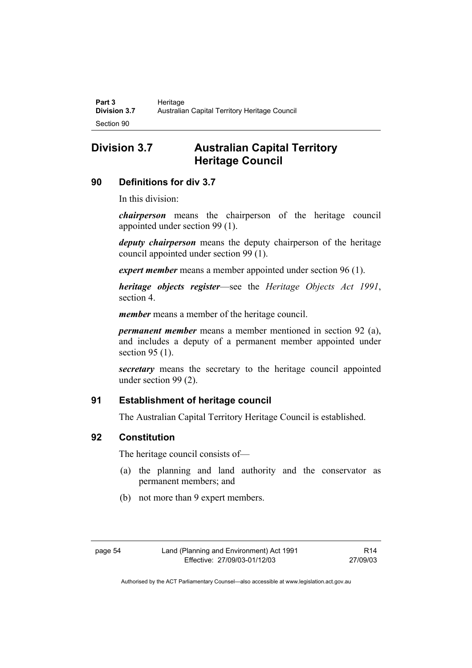# **Division 3.7 Australian Capital Territory Heritage Council**

# **90 Definitions for div 3.7**

In this division:

*chairperson* means the chairperson of the heritage council appointed under section 99 (1).

*deputy chairperson* means the deputy chairperson of the heritage council appointed under section 99 (1).

*expert member* means a member appointed under section 96 (1).

*heritage objects register*—see the *Heritage Objects Act 1991*, section 4.

*member* means a member of the heritage council.

*permanent member* means a member mentioned in section 92 (a), and includes a deputy of a permanent member appointed under section 95 (1).

*secretary* means the secretary to the heritage council appointed under section 99 (2).

# **91 Establishment of heritage council**

The Australian Capital Territory Heritage Council is established.

# **92 Constitution**

The heritage council consists of—

- (a) the planning and land authority and the conservator as permanent members; and
- (b) not more than 9 expert members.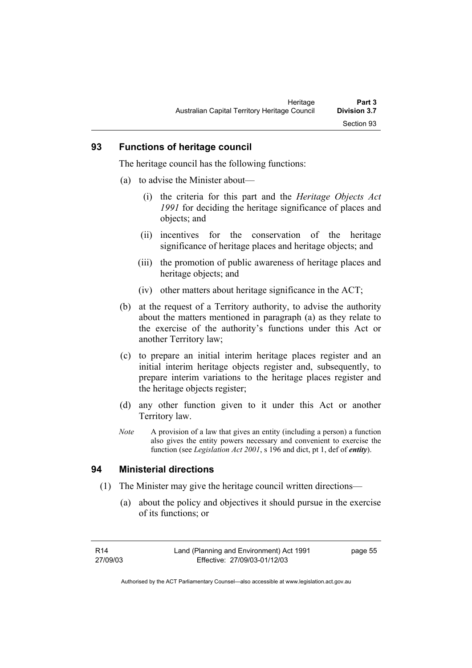#### **93 Functions of heritage council**

The heritage council has the following functions:

- (a) to advise the Minister about—
	- (i) the criteria for this part and the *Heritage Objects Act 1991* for deciding the heritage significance of places and objects; and
	- (ii) incentives for the conservation of the heritage significance of heritage places and heritage objects; and
	- (iii) the promotion of public awareness of heritage places and heritage objects; and
	- (iv) other matters about heritage significance in the ACT;
- (b) at the request of a Territory authority, to advise the authority about the matters mentioned in paragraph (a) as they relate to the exercise of the authority's functions under this Act or another Territory law;
- (c) to prepare an initial interim heritage places register and an initial interim heritage objects register and, subsequently, to prepare interim variations to the heritage places register and the heritage objects register;
- (d) any other function given to it under this Act or another Territory law.
- *Note* A provision of a law that gives an entity (including a person) a function also gives the entity powers necessary and convenient to exercise the function (see *Legislation Act 2001*, s 196 and dict, pt 1, def of *entity*).

# **94 Ministerial directions**

- (1) The Minister may give the heritage council written directions—
	- (a) about the policy and objectives it should pursue in the exercise of its functions; or

page 55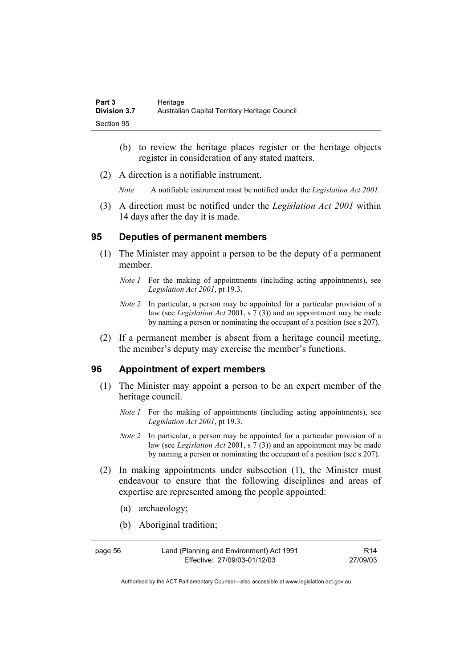| Part 3              | Heritage                                      |
|---------------------|-----------------------------------------------|
| <b>Division 3.7</b> | Australian Capital Territory Heritage Council |
| Section 95          |                                               |

- (b) to review the heritage places register or the heritage objects register in consideration of any stated matters.
- (2) A direction is a notifiable instrument.

*Note* A notifiable instrument must be notified under the *Legislation Act 2001*.

 (3) A direction must be notified under the *Legislation Act 2001* within 14 days after the day it is made.

#### **95 Deputies of permanent members**

- (1) The Minister may appoint a person to be the deputy of a permanent member.
	- *Note 1* For the making of appointments (including acting appointments), see *Legislation Act 2001*, pt 19.3.
	- *Note 2* In particular, a person may be appointed for a particular provision of a law (see *Legislation Act* 2001, s 7 (3)) and an appointment may be made by naming a person or nominating the occupant of a position (see s 207).
- (2) If a permanent member is absent from a heritage council meeting, the member's deputy may exercise the member's functions.

#### **96 Appointment of expert members**

- (1) The Minister may appoint a person to be an expert member of the heritage council.
	- *Note 1* For the making of appointments (including acting appointments), see *Legislation Act 2001*, pt 19.3.
	- *Note 2* In particular, a person may be appointed for a particular provision of a law (see *Legislation Act* 2001, s 7 (3)) and an appointment may be made by naming a person or nominating the occupant of a position (see s 207).
- (2) In making appointments under subsection (1), the Minister must endeavour to ensure that the following disciplines and areas of expertise are represented among the people appointed:
	- (a) archaeology;
	- (b) Aboriginal tradition;

page 56 Land (Planning and Environment) Act 1991 Effective: 27/09/03-01/12/03 R14 27/09/03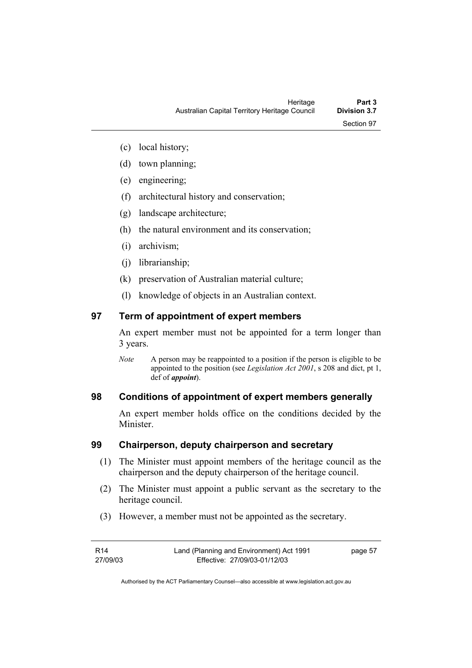- (c) local history;
- (d) town planning;
- (e) engineering;
- (f) architectural history and conservation;
- (g) landscape architecture;
- (h) the natural environment and its conservation;
- (i) archivism;
- (j) librarianship;
- (k) preservation of Australian material culture;
- (l) knowledge of objects in an Australian context.

### **97 Term of appointment of expert members**

An expert member must not be appointed for a term longer than 3 years.

*Note* A person may be reappointed to a position if the person is eligible to be appointed to the position (see *Legislation Act 2001*, s 208 and dict, pt 1, def of *appoint*).

### **98 Conditions of appointment of expert members generally**

An expert member holds office on the conditions decided by the **Minister** 

#### **99 Chairperson, deputy chairperson and secretary**

- (1) The Minister must appoint members of the heritage council as the chairperson and the deputy chairperson of the heritage council.
- (2) The Minister must appoint a public servant as the secretary to the heritage council.
- (3) However, a member must not be appointed as the secretary.

| R14      | Land (Planning and Environment) Act 1991 | page 57 |
|----------|------------------------------------------|---------|
| 27/09/03 | Effective: 27/09/03-01/12/03             |         |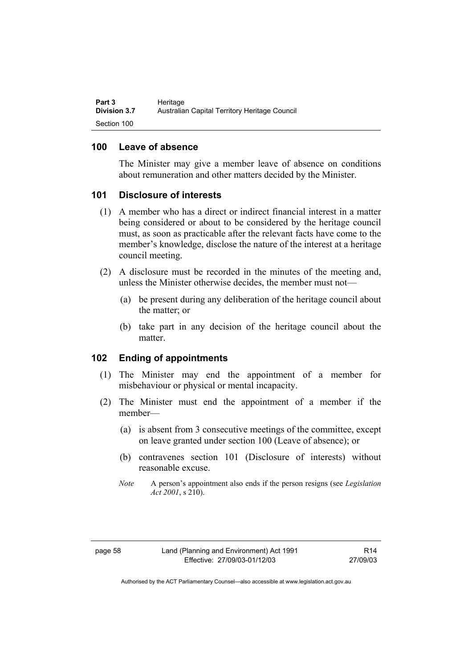#### **100 Leave of absence**

The Minister may give a member leave of absence on conditions about remuneration and other matters decided by the Minister.

#### **101 Disclosure of interests**

- (1) A member who has a direct or indirect financial interest in a matter being considered or about to be considered by the heritage council must, as soon as practicable after the relevant facts have come to the member's knowledge, disclose the nature of the interest at a heritage council meeting.
- (2) A disclosure must be recorded in the minutes of the meeting and, unless the Minister otherwise decides, the member must not—
	- (a) be present during any deliberation of the heritage council about the matter; or
	- (b) take part in any decision of the heritage council about the matter.

### **102 Ending of appointments**

- (1) The Minister may end the appointment of a member for misbehaviour or physical or mental incapacity.
- (2) The Minister must end the appointment of a member if the member—
	- (a) is absent from 3 consecutive meetings of the committee, except on leave granted under section 100 (Leave of absence); or
	- (b) contravenes section 101 (Disclosure of interests) without reasonable excuse.
	- *Note* A person's appointment also ends if the person resigns (see *Legislation Act 2001*, s 210).

R14 27/09/03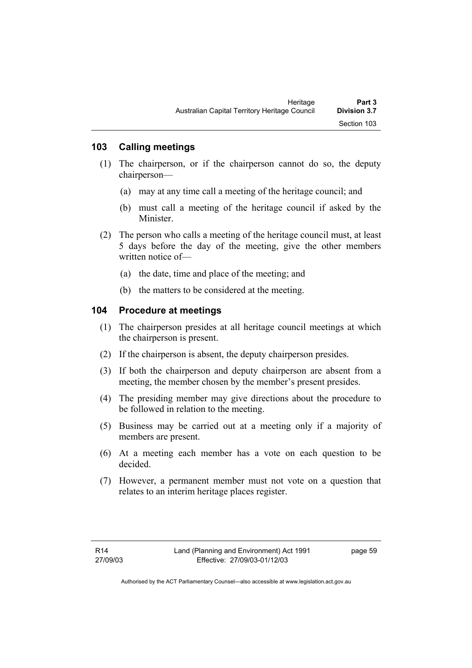### **103 Calling meetings**

- (1) The chairperson, or if the chairperson cannot do so, the deputy chairperson—
	- (a) may at any time call a meeting of the heritage council; and
	- (b) must call a meeting of the heritage council if asked by the Minister.
- (2) The person who calls a meeting of the heritage council must, at least 5 days before the day of the meeting, give the other members written notice of—
	- (a) the date, time and place of the meeting; and
	- (b) the matters to be considered at the meeting.

#### **104 Procedure at meetings**

- (1) The chairperson presides at all heritage council meetings at which the chairperson is present.
- (2) If the chairperson is absent, the deputy chairperson presides.
- (3) If both the chairperson and deputy chairperson are absent from a meeting, the member chosen by the member's present presides.
- (4) The presiding member may give directions about the procedure to be followed in relation to the meeting.
- (5) Business may be carried out at a meeting only if a majority of members are present.
- (6) At a meeting each member has a vote on each question to be decided.
- (7) However, a permanent member must not vote on a question that relates to an interim heritage places register.

page 59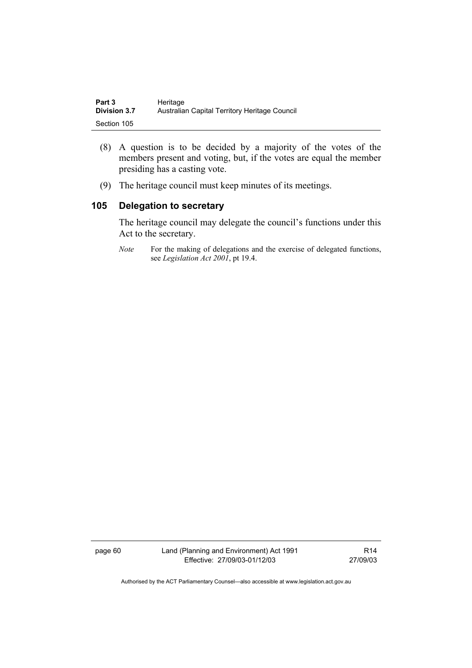| Part 3              | Heritage                                      |
|---------------------|-----------------------------------------------|
| <b>Division 3.7</b> | Australian Capital Territory Heritage Council |
| Section 105         |                                               |

- (8) A question is to be decided by a majority of the votes of the members present and voting, but, if the votes are equal the member presiding has a casting vote.
- (9) The heritage council must keep minutes of its meetings.

### **105 Delegation to secretary**

The heritage council may delegate the council's functions under this Act to the secretary.

*Note* For the making of delegations and the exercise of delegated functions, see *Legislation Act 2001*, pt 19.4.

page 60 Land (Planning and Environment) Act 1991 Effective: 27/09/03-01/12/03

R14 27/09/03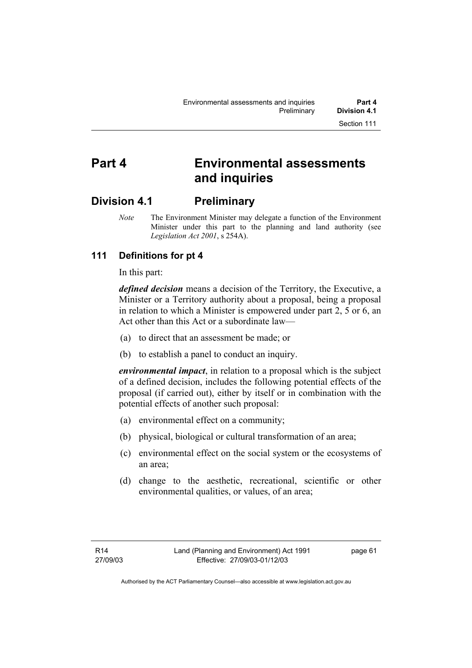# **Part 4 Environmental assessments and inquiries**

## **Division 4.1 Preliminary**

*Note* The Environment Minister may delegate a function of the Environment Minister under this part to the planning and land authority (see *Legislation Act 2001*, s 254A).

## **111 Definitions for pt 4**

In this part:

*defined decision* means a decision of the Territory, the Executive, a Minister or a Territory authority about a proposal, being a proposal in relation to which a Minister is empowered under part 2, 5 or 6, an Act other than this Act or a subordinate law—

- (a) to direct that an assessment be made; or
- (b) to establish a panel to conduct an inquiry.

*environmental impact*, in relation to a proposal which is the subject of a defined decision, includes the following potential effects of the proposal (if carried out), either by itself or in combination with the potential effects of another such proposal:

- (a) environmental effect on a community;
- (b) physical, biological or cultural transformation of an area;
- (c) environmental effect on the social system or the ecosystems of an area;
- (d) change to the aesthetic, recreational, scientific or other environmental qualities, or values, of an area;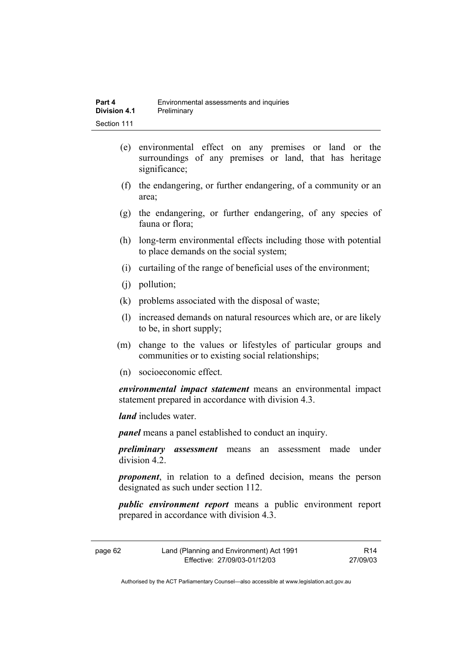- (e) environmental effect on any premises or land or the surroundings of any premises or land, that has heritage significance;
- (f) the endangering, or further endangering, of a community or an area;
- (g) the endangering, or further endangering, of any species of fauna or flora;
- (h) long-term environmental effects including those with potential to place demands on the social system;
- (i) curtailing of the range of beneficial uses of the environment;
- (j) pollution;
- (k) problems associated with the disposal of waste;
- (l) increased demands on natural resources which are, or are likely to be, in short supply;
- (m) change to the values or lifestyles of particular groups and communities or to existing social relationships;
- (n) socioeconomic effect.

*environmental impact statement* means an environmental impact statement prepared in accordance with division 4.3.

*land* includes water.

*panel* means a panel established to conduct an inquiry.

*preliminary assessment* means an assessment made under division 4.2.

*proponent*, in relation to a defined decision, means the person designated as such under section 112.

*public environment report* means a public environment report prepared in accordance with division 4.3.

| page 62 | Land (Planning and Environment) Act 1991 | R14      |
|---------|------------------------------------------|----------|
|         | Effective: 27/09/03-01/12/03             | 27/09/03 |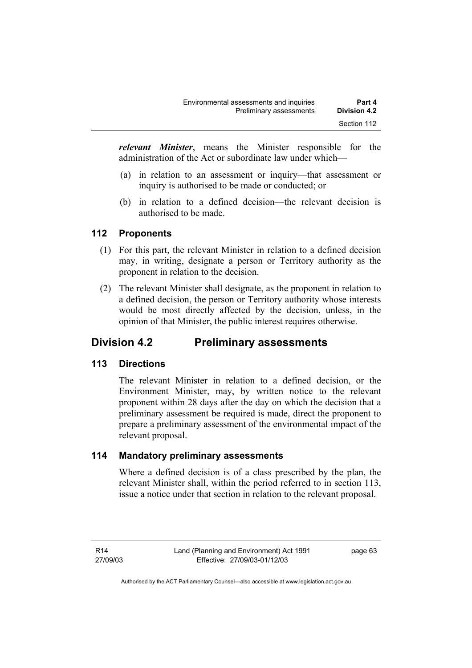*relevant Minister*, means the Minister responsible for the administration of the Act or subordinate law under which—

- (a) in relation to an assessment or inquiry—that assessment or inquiry is authorised to be made or conducted; or
- (b) in relation to a defined decision—the relevant decision is authorised to be made.

### **112 Proponents**

- (1) For this part, the relevant Minister in relation to a defined decision may, in writing, designate a person or Territory authority as the proponent in relation to the decision.
- (2) The relevant Minister shall designate, as the proponent in relation to a defined decision, the person or Territory authority whose interests would be most directly affected by the decision, unless, in the opinion of that Minister, the public interest requires otherwise.

## **Division 4.2 Preliminary assessments**

### **113 Directions**

The relevant Minister in relation to a defined decision, or the Environment Minister, may, by written notice to the relevant proponent within 28 days after the day on which the decision that a preliminary assessment be required is made, direct the proponent to prepare a preliminary assessment of the environmental impact of the relevant proposal.

### **114 Mandatory preliminary assessments**

Where a defined decision is of a class prescribed by the plan, the relevant Minister shall, within the period referred to in section 113, issue a notice under that section in relation to the relevant proposal.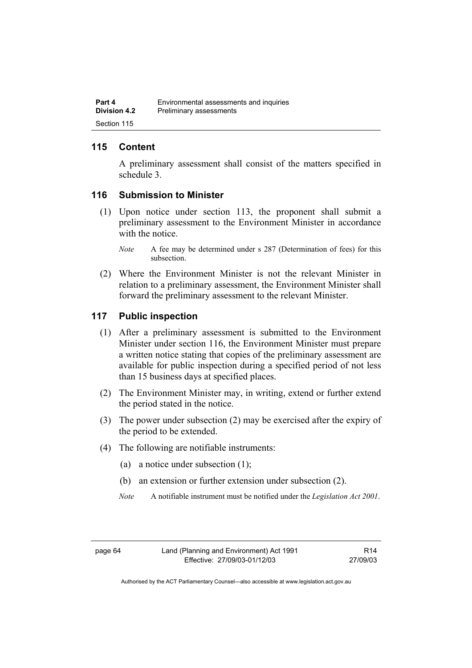### **115 Content**

A preliminary assessment shall consist of the matters specified in schedule 3.

### **116 Submission to Minister**

- (1) Upon notice under section 113, the proponent shall submit a preliminary assessment to the Environment Minister in accordance with the notice
	- *Note* A fee may be determined under s 287 (Determination of fees) for this subsection.
- (2) Where the Environment Minister is not the relevant Minister in relation to a preliminary assessment, the Environment Minister shall forward the preliminary assessment to the relevant Minister.

#### **117 Public inspection**

- (1) After a preliminary assessment is submitted to the Environment Minister under section 116, the Environment Minister must prepare a written notice stating that copies of the preliminary assessment are available for public inspection during a specified period of not less than 15 business days at specified places.
- (2) The Environment Minister may, in writing, extend or further extend the period stated in the notice.
- (3) The power under subsection (2) may be exercised after the expiry of the period to be extended.
- (4) The following are notifiable instruments:
	- (a) a notice under subsection (1);
	- (b) an extension or further extension under subsection (2).
	- *Note* A notifiable instrument must be notified under the *Legislation Act 2001*.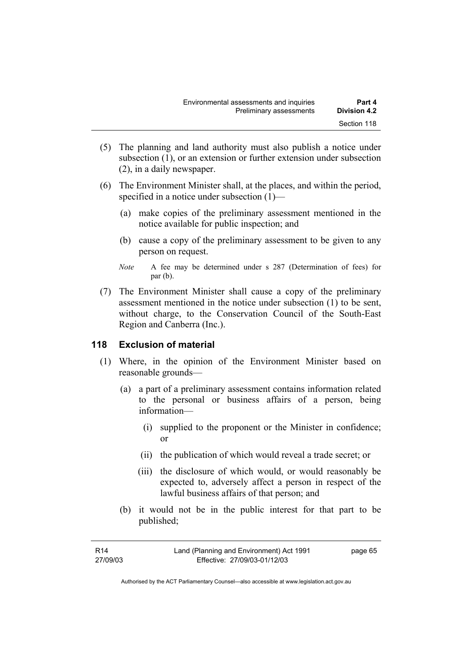- (5) The planning and land authority must also publish a notice under subsection (1), or an extension or further extension under subsection (2), in a daily newspaper.
- (6) The Environment Minister shall, at the places, and within the period, specified in a notice under subsection (1)—
	- (a) make copies of the preliminary assessment mentioned in the notice available for public inspection; and
	- (b) cause a copy of the preliminary assessment to be given to any person on request.
	- *Note* A fee may be determined under s 287 (Determination of fees) for par (b).
- (7) The Environment Minister shall cause a copy of the preliminary assessment mentioned in the notice under subsection (1) to be sent, without charge, to the Conservation Council of the South-East Region and Canberra (Inc.).

### **118 Exclusion of material**

- (1) Where, in the opinion of the Environment Minister based on reasonable grounds—
	- (a) a part of a preliminary assessment contains information related to the personal or business affairs of a person, being information—
		- (i) supplied to the proponent or the Minister in confidence; or
		- (ii) the publication of which would reveal a trade secret; or
		- (iii) the disclosure of which would, or would reasonably be expected to, adversely affect a person in respect of the lawful business affairs of that person; and
	- (b) it would not be in the public interest for that part to be published;

| R14      | Land (Planning and Environment) Act 1991 | page 65 |
|----------|------------------------------------------|---------|
| 27/09/03 | Effective: 27/09/03-01/12/03             |         |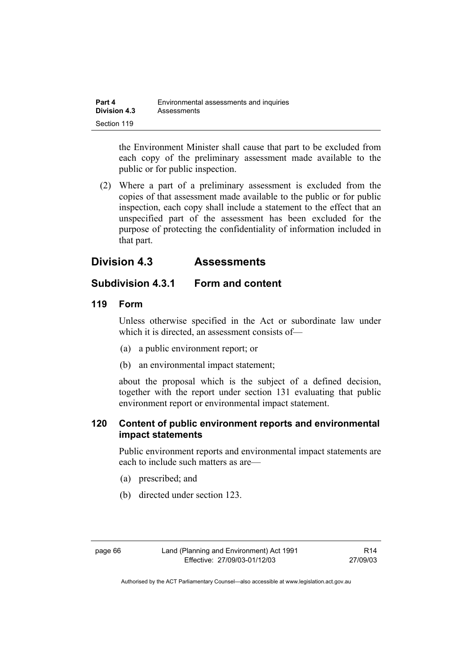| Part 4              | Environmental assessments and inquiries |
|---------------------|-----------------------------------------|
| <b>Division 4.3</b> | Assessments                             |
| Section 119         |                                         |

the Environment Minister shall cause that part to be excluded from each copy of the preliminary assessment made available to the public or for public inspection.

 (2) Where a part of a preliminary assessment is excluded from the copies of that assessment made available to the public or for public inspection, each copy shall include a statement to the effect that an unspecified part of the assessment has been excluded for the purpose of protecting the confidentiality of information included in that part.

## **Division 4.3 Assessments**

## **Subdivision 4.3.1 Form and content**

### **119 Form**

Unless otherwise specified in the Act or subordinate law under which it is directed, an assessment consists of—

- (a) a public environment report; or
- (b) an environmental impact statement;

about the proposal which is the subject of a defined decision, together with the report under section 131 evaluating that public environment report or environmental impact statement.

### **120 Content of public environment reports and environmental impact statements**

Public environment reports and environmental impact statements are each to include such matters as are—

- (a) prescribed; and
- (b) directed under section 123.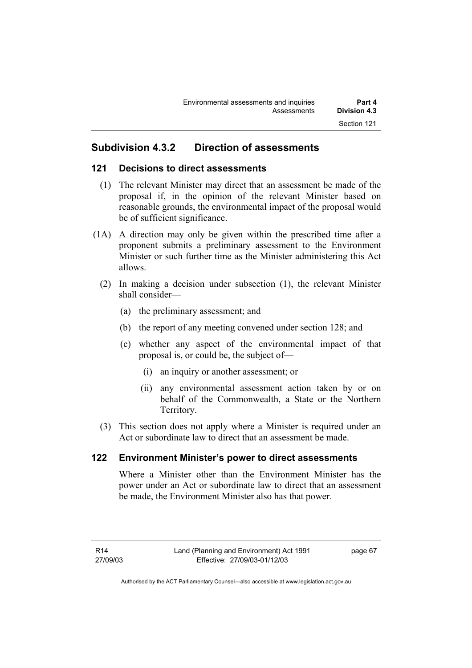## **Subdivision 4.3.2 Direction of assessments**

### **121 Decisions to direct assessments**

- (1) The relevant Minister may direct that an assessment be made of the proposal if, in the opinion of the relevant Minister based on reasonable grounds, the environmental impact of the proposal would be of sufficient significance.
- (1A) A direction may only be given within the prescribed time after a proponent submits a preliminary assessment to the Environment Minister or such further time as the Minister administering this Act allows.
	- (2) In making a decision under subsection (1), the relevant Minister shall consider—
		- (a) the preliminary assessment; and
		- (b) the report of any meeting convened under section 128; and
		- (c) whether any aspect of the environmental impact of that proposal is, or could be, the subject of—
			- (i) an inquiry or another assessment; or
			- (ii) any environmental assessment action taken by or on behalf of the Commonwealth, a State or the Northern Territory.
	- (3) This section does not apply where a Minister is required under an Act or subordinate law to direct that an assessment be made.

### **122 Environment Minister's power to direct assessments**

Where a Minister other than the Environment Minister has the power under an Act or subordinate law to direct that an assessment be made, the Environment Minister also has that power.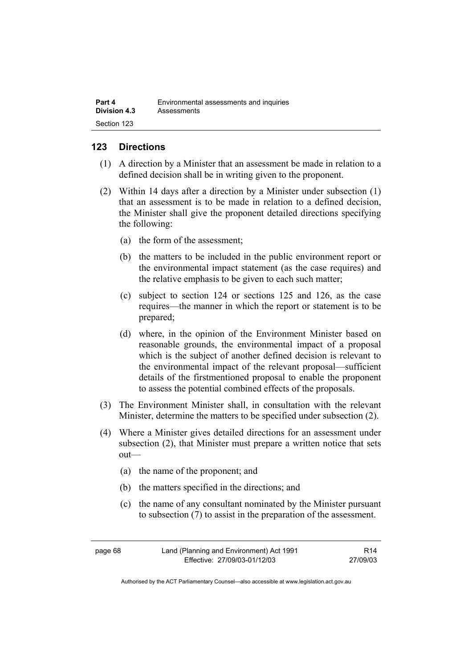| Part 4              | Environmental assessments and inquiries |
|---------------------|-----------------------------------------|
| <b>Division 4.3</b> | Assessments                             |
| Section 123         |                                         |

### **123 Directions**

- (1) A direction by a Minister that an assessment be made in relation to a defined decision shall be in writing given to the proponent.
- (2) Within 14 days after a direction by a Minister under subsection (1) that an assessment is to be made in relation to a defined decision, the Minister shall give the proponent detailed directions specifying the following:
	- (a) the form of the assessment;
	- (b) the matters to be included in the public environment report or the environmental impact statement (as the case requires) and the relative emphasis to be given to each such matter;
	- (c) subject to section 124 or sections 125 and 126, as the case requires—the manner in which the report or statement is to be prepared;
	- (d) where, in the opinion of the Environment Minister based on reasonable grounds, the environmental impact of a proposal which is the subject of another defined decision is relevant to the environmental impact of the relevant proposal—sufficient details of the firstmentioned proposal to enable the proponent to assess the potential combined effects of the proposals.
- (3) The Environment Minister shall, in consultation with the relevant Minister, determine the matters to be specified under subsection (2).
- (4) Where a Minister gives detailed directions for an assessment under subsection (2), that Minister must prepare a written notice that sets out—
	- (a) the name of the proponent; and
	- (b) the matters specified in the directions; and
	- (c) the name of any consultant nominated by the Minister pursuant to subsection (7) to assist in the preparation of the assessment.

| page 68 | Land (Planning and Environment) Act 1991 | R <sub>14</sub> |
|---------|------------------------------------------|-----------------|
|         | Effective: 27/09/03-01/12/03             | 27/09/03        |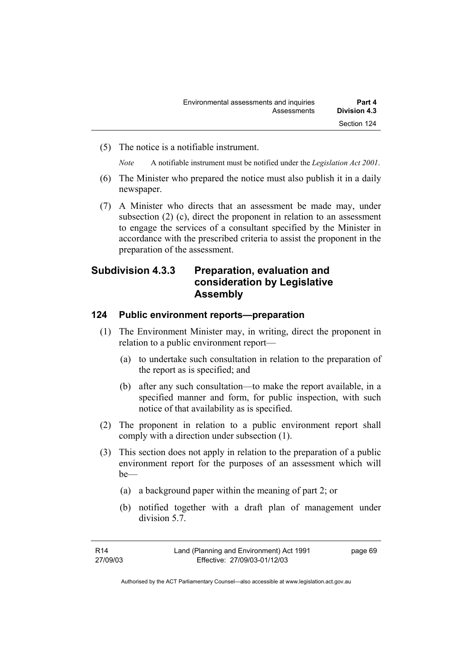(5) The notice is a notifiable instrument.

*Note* A notifiable instrument must be notified under the *Legislation Act 2001*.

- (6) The Minister who prepared the notice must also publish it in a daily newspaper.
- (7) A Minister who directs that an assessment be made may, under subsection (2) (c), direct the proponent in relation to an assessment to engage the services of a consultant specified by the Minister in accordance with the prescribed criteria to assist the proponent in the preparation of the assessment.

## **Subdivision 4.3.3 Preparation, evaluation and consideration by Legislative Assembly**

### **124 Public environment reports—preparation**

- (1) The Environment Minister may, in writing, direct the proponent in relation to a public environment report—
	- (a) to undertake such consultation in relation to the preparation of the report as is specified; and
	- (b) after any such consultation—to make the report available, in a specified manner and form, for public inspection, with such notice of that availability as is specified.
- (2) The proponent in relation to a public environment report shall comply with a direction under subsection (1).
- (3) This section does not apply in relation to the preparation of a public environment report for the purposes of an assessment which will be—
	- (a) a background paper within the meaning of part 2; or
	- (b) notified together with a draft plan of management under division 5.7.

| R14      | Land (Planning and Environment) Act 1991 | page 69 |
|----------|------------------------------------------|---------|
| 27/09/03 | Effective: 27/09/03-01/12/03             |         |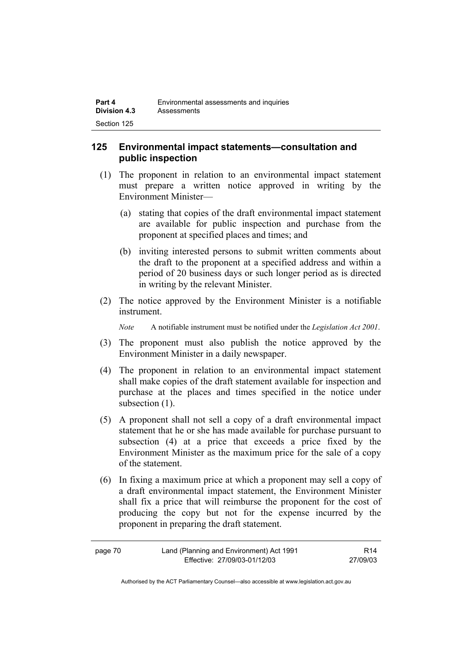### **125 Environmental impact statements—consultation and public inspection**

- (1) The proponent in relation to an environmental impact statement must prepare a written notice approved in writing by the Environment Minister—
	- (a) stating that copies of the draft environmental impact statement are available for public inspection and purchase from the proponent at specified places and times; and
	- (b) inviting interested persons to submit written comments about the draft to the proponent at a specified address and within a period of 20 business days or such longer period as is directed in writing by the relevant Minister.
- (2) The notice approved by the Environment Minister is a notifiable instrument.

*Note* A notifiable instrument must be notified under the *Legislation Act 2001*.

- (3) The proponent must also publish the notice approved by the Environment Minister in a daily newspaper.
- (4) The proponent in relation to an environmental impact statement shall make copies of the draft statement available for inspection and purchase at the places and times specified in the notice under subsection  $(1)$ .
- (5) A proponent shall not sell a copy of a draft environmental impact statement that he or she has made available for purchase pursuant to subsection (4) at a price that exceeds a price fixed by the Environment Minister as the maximum price for the sale of a copy of the statement.
- (6) In fixing a maximum price at which a proponent may sell a copy of a draft environmental impact statement, the Environment Minister shall fix a price that will reimburse the proponent for the cost of producing the copy but not for the expense incurred by the proponent in preparing the draft statement.

| page 70 | Land (Planning and Environment) Act 1991 | R <sub>14</sub> |
|---------|------------------------------------------|-----------------|
|         | Effective: 27/09/03-01/12/03             | 27/09/03        |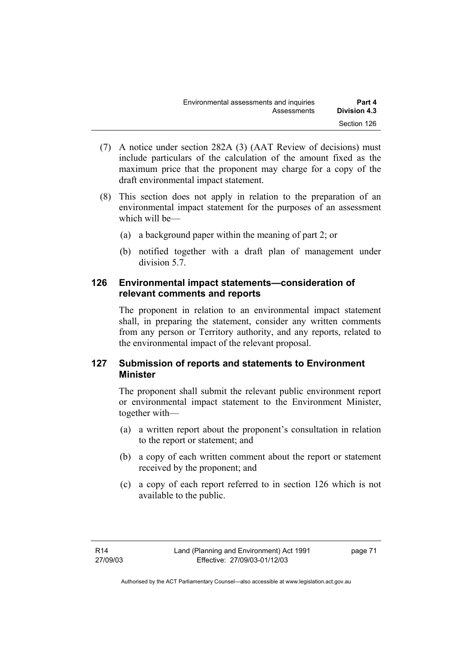| Environmental assessments and inquiries | Part 4       |
|-----------------------------------------|--------------|
| Assessments                             | Division 4.3 |
|                                         | Section 126  |

- (7) A notice under section 282A (3) (AAT Review of decisions) must include particulars of the calculation of the amount fixed as the maximum price that the proponent may charge for a copy of the draft environmental impact statement.
- (8) This section does not apply in relation to the preparation of an environmental impact statement for the purposes of an assessment which will be—
	- (a) a background paper within the meaning of part 2; or
	- (b) notified together with a draft plan of management under division 5.7.

### **126 Environmental impact statements—consideration of relevant comments and reports**

The proponent in relation to an environmental impact statement shall, in preparing the statement, consider any written comments from any person or Territory authority, and any reports, related to the environmental impact of the relevant proposal.

### **127 Submission of reports and statements to Environment Minister**

The proponent shall submit the relevant public environment report or environmental impact statement to the Environment Minister, together with—

- (a) a written report about the proponent's consultation in relation to the report or statement; and
- (b) a copy of each written comment about the report or statement received by the proponent; and
- (c) a copy of each report referred to in section 126 which is not available to the public.

page 71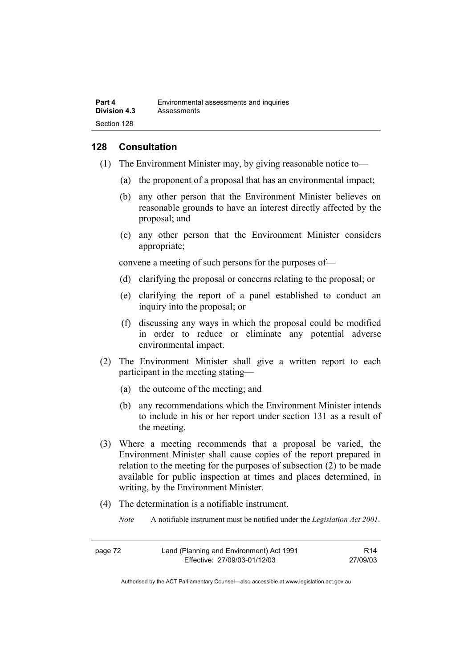### **128 Consultation**

- (1) The Environment Minister may, by giving reasonable notice to—
	- (a) the proponent of a proposal that has an environmental impact;
	- (b) any other person that the Environment Minister believes on reasonable grounds to have an interest directly affected by the proposal; and
	- (c) any other person that the Environment Minister considers appropriate;

convene a meeting of such persons for the purposes of—

- (d) clarifying the proposal or concerns relating to the proposal; or
- (e) clarifying the report of a panel established to conduct an inquiry into the proposal; or
- (f) discussing any ways in which the proposal could be modified in order to reduce or eliminate any potential adverse environmental impact.
- (2) The Environment Minister shall give a written report to each participant in the meeting stating—
	- (a) the outcome of the meeting; and
	- (b) any recommendations which the Environment Minister intends to include in his or her report under section 131 as a result of the meeting.
- (3) Where a meeting recommends that a proposal be varied, the Environment Minister shall cause copies of the report prepared in relation to the meeting for the purposes of subsection (2) to be made available for public inspection at times and places determined, in writing, by the Environment Minister.
- (4) The determination is a notifiable instrument.
	- *Note* A notifiable instrument must be notified under the *Legislation Act 2001*.

| page 72 | Land (Planning and Environment) Act 1991 | R14      |
|---------|------------------------------------------|----------|
|         | Effective: 27/09/03-01/12/03             | 27/09/03 |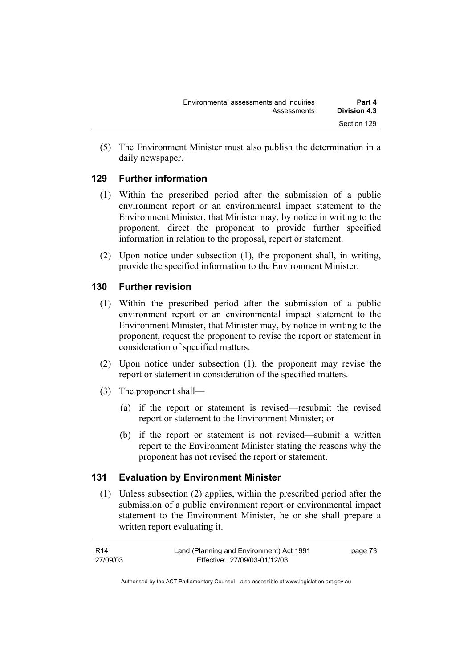(5) The Environment Minister must also publish the determination in a daily newspaper.

### **129 Further information**

- (1) Within the prescribed period after the submission of a public environment report or an environmental impact statement to the Environment Minister, that Minister may, by notice in writing to the proponent, direct the proponent to provide further specified information in relation to the proposal, report or statement.
- (2) Upon notice under subsection (1), the proponent shall, in writing, provide the specified information to the Environment Minister.

## **130 Further revision**

- (1) Within the prescribed period after the submission of a public environment report or an environmental impact statement to the Environment Minister, that Minister may, by notice in writing to the proponent, request the proponent to revise the report or statement in consideration of specified matters.
- (2) Upon notice under subsection (1), the proponent may revise the report or statement in consideration of the specified matters.
- (3) The proponent shall—
	- (a) if the report or statement is revised—resubmit the revised report or statement to the Environment Minister; or
	- (b) if the report or statement is not revised—submit a written report to the Environment Minister stating the reasons why the proponent has not revised the report or statement.

## **131 Evaluation by Environment Minister**

 (1) Unless subsection (2) applies, within the prescribed period after the submission of a public environment report or environmental impact statement to the Environment Minister, he or she shall prepare a written report evaluating it.

| R14      | Land (Planning and Environment) Act 1991 | page 73 |
|----------|------------------------------------------|---------|
| 27/09/03 | Effective: 27/09/03-01/12/03             |         |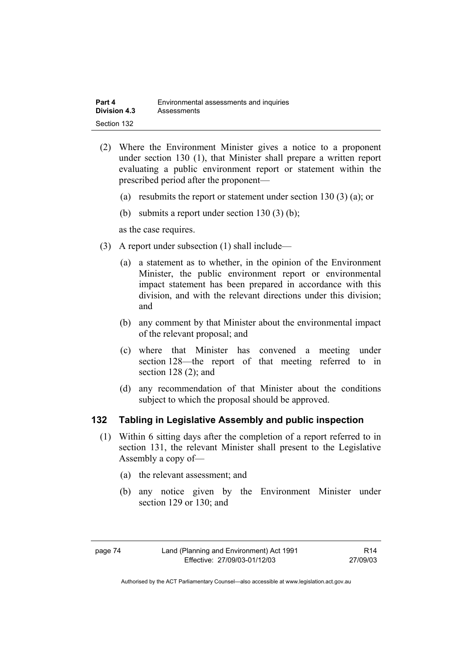| Part 4              | Environmental assessments and inquiries |
|---------------------|-----------------------------------------|
| <b>Division 4.3</b> | Assessments                             |
| Section 132         |                                         |

- (2) Where the Environment Minister gives a notice to a proponent under section 130 (1), that Minister shall prepare a written report evaluating a public environment report or statement within the prescribed period after the proponent—
	- (a) resubmits the report or statement under section 130 (3) (a); or
	- (b) submits a report under section 130 (3) (b);

as the case requires.

- (3) A report under subsection (1) shall include—
	- (a) a statement as to whether, in the opinion of the Environment Minister, the public environment report or environmental impact statement has been prepared in accordance with this division, and with the relevant directions under this division; and
	- (b) any comment by that Minister about the environmental impact of the relevant proposal; and
	- (c) where that Minister has convened a meeting under section 128—the report of that meeting referred to in section 128 (2); and
	- (d) any recommendation of that Minister about the conditions subject to which the proposal should be approved.

#### **132 Tabling in Legislative Assembly and public inspection**

- (1) Within 6 sitting days after the completion of a report referred to in section 131, the relevant Minister shall present to the Legislative Assembly a copy of—
	- (a) the relevant assessment; and
	- (b) any notice given by the Environment Minister under section 129 or 130; and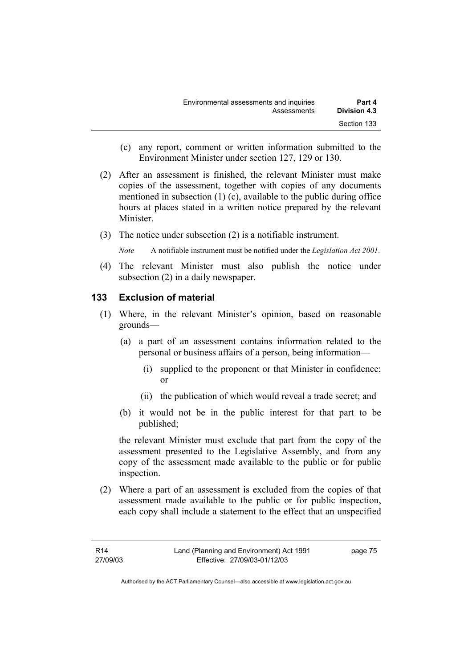- (c) any report, comment or written information submitted to the Environment Minister under section 127, 129 or 130.
- (2) After an assessment is finished, the relevant Minister must make copies of the assessment, together with copies of any documents mentioned in subsection (1) (c), available to the public during office hours at places stated in a written notice prepared by the relevant **Minister**
- (3) The notice under subsection (2) is a notifiable instrument.

*Note* A notifiable instrument must be notified under the *Legislation Act 2001*.

(4) The relevant Minister must also publish the notice under subsection (2) in a daily newspaper.

### **133 Exclusion of material**

- (1) Where, in the relevant Minister's opinion, based on reasonable grounds—
	- (a) a part of an assessment contains information related to the personal or business affairs of a person, being information—
		- (i) supplied to the proponent or that Minister in confidence; or
		- (ii) the publication of which would reveal a trade secret; and
	- (b) it would not be in the public interest for that part to be published;

the relevant Minister must exclude that part from the copy of the assessment presented to the Legislative Assembly, and from any copy of the assessment made available to the public or for public inspection.

 (2) Where a part of an assessment is excluded from the copies of that assessment made available to the public or for public inspection, each copy shall include a statement to the effect that an unspecified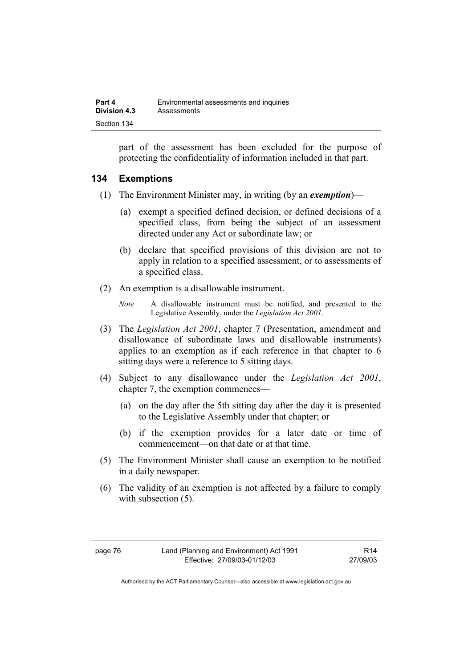part of the assessment has been excluded for the purpose of protecting the confidentiality of information included in that part.

### **134 Exemptions**

- (1) The Environment Minister may, in writing (by an *exemption*)—
	- (a) exempt a specified defined decision, or defined decisions of a specified class, from being the subject of an assessment directed under any Act or subordinate law; or
	- (b) declare that specified provisions of this division are not to apply in relation to a specified assessment, or to assessments of a specified class.
- (2) An exemption is a disallowable instrument.
	- *Note* A disallowable instrument must be notified, and presented to the Legislative Assembly, under the *Legislation Act 2001*.
- (3) The *Legislation Act 2001*, chapter 7 (Presentation, amendment and disallowance of subordinate laws and disallowable instruments) applies to an exemption as if each reference in that chapter to 6 sitting days were a reference to 5 sitting days.
- (4) Subject to any disallowance under the *Legislation Act 2001*, chapter 7, the exemption commences—
	- (a) on the day after the 5th sitting day after the day it is presented to the Legislative Assembly under that chapter; or
	- (b) if the exemption provides for a later date or time of commencement—on that date or at that time.
- (5) The Environment Minister shall cause an exemption to be notified in a daily newspaper.
- (6) The validity of an exemption is not affected by a failure to comply with subsection  $(5)$ .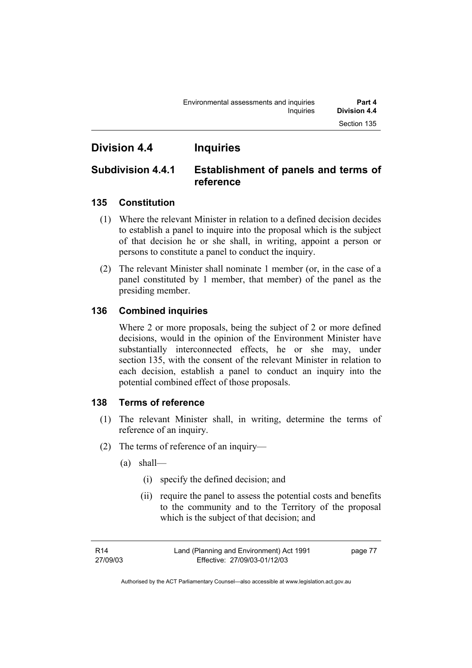## **Division 4.4 Inquiries**

## **Subdivision 4.4.1 Establishment of panels and terms of reference**

## **135 Constitution**

- (1) Where the relevant Minister in relation to a defined decision decides to establish a panel to inquire into the proposal which is the subject of that decision he or she shall, in writing, appoint a person or persons to constitute a panel to conduct the inquiry.
- (2) The relevant Minister shall nominate 1 member (or, in the case of a panel constituted by 1 member, that member) of the panel as the presiding member.

## **136 Combined inquiries**

Where 2 or more proposals, being the subject of 2 or more defined decisions, would in the opinion of the Environment Minister have substantially interconnected effects, he or she may, under section 135, with the consent of the relevant Minister in relation to each decision, establish a panel to conduct an inquiry into the potential combined effect of those proposals.

### **138 Terms of reference**

- (1) The relevant Minister shall, in writing, determine the terms of reference of an inquiry.
- (2) The terms of reference of an inquiry—
	- (a) shall—
		- (i) specify the defined decision; and
		- (ii) require the panel to assess the potential costs and benefits to the community and to the Territory of the proposal which is the subject of that decision; and

page 77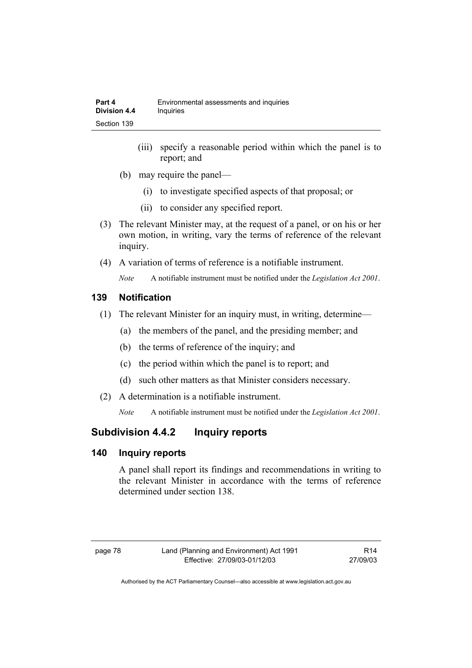- (iii) specify a reasonable period within which the panel is to report; and
- (b) may require the panel—
	- (i) to investigate specified aspects of that proposal; or
	- (ii) to consider any specified report.
- (3) The relevant Minister may, at the request of a panel, or on his or her own motion, in writing, vary the terms of reference of the relevant inquiry.
- (4) A variation of terms of reference is a notifiable instrument.

*Note* A notifiable instrument must be notified under the *Legislation Act 2001*.

### **139 Notification**

- (1) The relevant Minister for an inquiry must, in writing, determine—
	- (a) the members of the panel, and the presiding member; and
	- (b) the terms of reference of the inquiry; and
	- (c) the period within which the panel is to report; and
	- (d) such other matters as that Minister considers necessary.
- (2) A determination is a notifiable instrument.

*Note* A notifiable instrument must be notified under the *Legislation Act 2001*.

## **Subdivision 4.4.2 Inquiry reports**

### **140 Inquiry reports**

A panel shall report its findings and recommendations in writing to the relevant Minister in accordance with the terms of reference determined under section 138.

| œ.<br>г<br>٧<br>× |  |
|-------------------|--|
|-------------------|--|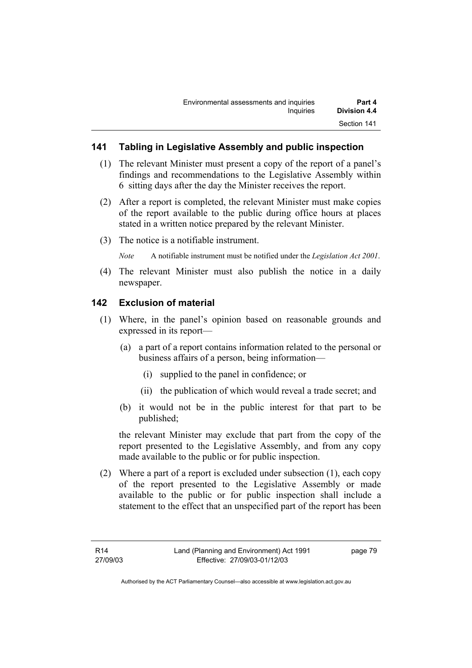### **141 Tabling in Legislative Assembly and public inspection**

- (1) The relevant Minister must present a copy of the report of a panel's findings and recommendations to the Legislative Assembly within 6 sitting days after the day the Minister receives the report.
- (2) After a report is completed, the relevant Minister must make copies of the report available to the public during office hours at places stated in a written notice prepared by the relevant Minister.
- (3) The notice is a notifiable instrument.

*Note* A notifiable instrument must be notified under the *Legislation Act 2001*.

(4) The relevant Minister must also publish the notice in a daily newspaper.

### **142 Exclusion of material**

- (1) Where, in the panel's opinion based on reasonable grounds and expressed in its report—
	- (a) a part of a report contains information related to the personal or business affairs of a person, being information—
		- (i) supplied to the panel in confidence; or
		- (ii) the publication of which would reveal a trade secret; and
	- (b) it would not be in the public interest for that part to be published;

the relevant Minister may exclude that part from the copy of the report presented to the Legislative Assembly, and from any copy made available to the public or for public inspection.

 (2) Where a part of a report is excluded under subsection (1), each copy of the report presented to the Legislative Assembly or made available to the public or for public inspection shall include a statement to the effect that an unspecified part of the report has been

page 79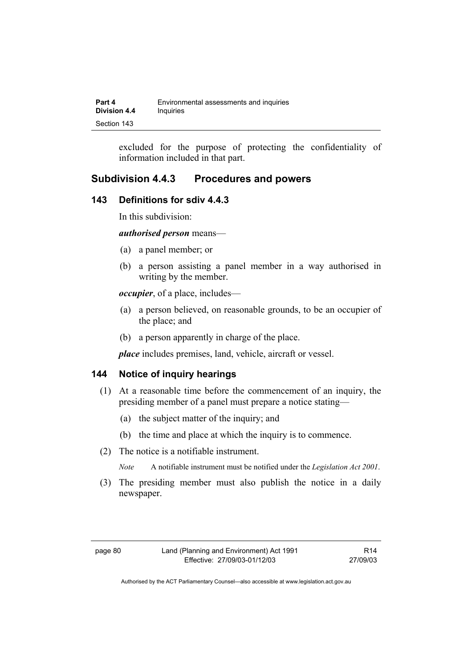| Part 4              | Environmental assessments and inquiries |
|---------------------|-----------------------------------------|
| <b>Division 4.4</b> | Inquiries                               |
| Section 143         |                                         |

excluded for the purpose of protecting the confidentiality of information included in that part.

## **Subdivision 4.4.3 Procedures and powers**

### **143 Definitions for sdiv 4.4.3**

In this subdivision:

*authorised person* means—

- (a) a panel member; or
- (b) a person assisting a panel member in a way authorised in writing by the member.

*occupier*, of a place, includes—

- (a) a person believed, on reasonable grounds, to be an occupier of the place; and
- (b) a person apparently in charge of the place.

*place* includes premises, land, vehicle, aircraft or vessel.

#### **144 Notice of inquiry hearings**

- (1) At a reasonable time before the commencement of an inquiry, the presiding member of a panel must prepare a notice stating—
	- (a) the subject matter of the inquiry; and
	- (b) the time and place at which the inquiry is to commence.
- (2) The notice is a notifiable instrument.

*Note* A notifiable instrument must be notified under the *Legislation Act 2001*.

(3) The presiding member must also publish the notice in a daily newspaper.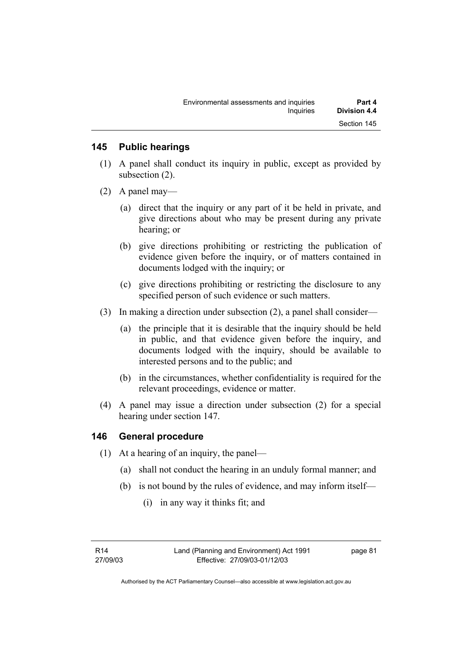### **145 Public hearings**

- (1) A panel shall conduct its inquiry in public, except as provided by subsection (2).
- (2) A panel may—
	- (a) direct that the inquiry or any part of it be held in private, and give directions about who may be present during any private hearing; or
	- (b) give directions prohibiting or restricting the publication of evidence given before the inquiry, or of matters contained in documents lodged with the inquiry; or
	- (c) give directions prohibiting or restricting the disclosure to any specified person of such evidence or such matters.
- (3) In making a direction under subsection (2), a panel shall consider—
	- (a) the principle that it is desirable that the inquiry should be held in public, and that evidence given before the inquiry, and documents lodged with the inquiry, should be available to interested persons and to the public; and
	- (b) in the circumstances, whether confidentiality is required for the relevant proceedings, evidence or matter.
- (4) A panel may issue a direction under subsection (2) for a special hearing under section 147.

### **146 General procedure**

- (1) At a hearing of an inquiry, the panel—
	- (a) shall not conduct the hearing in an unduly formal manner; and
	- (b) is not bound by the rules of evidence, and may inform itself—
		- (i) in any way it thinks fit; and

R14 27/09/03 page 81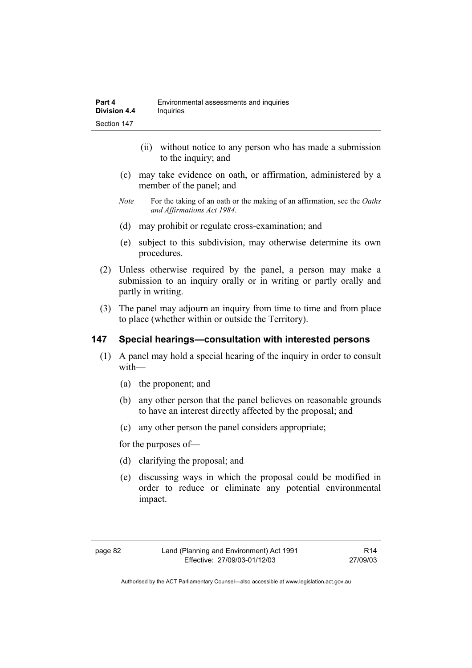- (ii) without notice to any person who has made a submission to the inquiry; and
- (c) may take evidence on oath, or affirmation, administered by a member of the panel; and
- *Note* For the taking of an oath or the making of an affirmation, see the *Oaths and Affirmations Act 1984.*
- (d) may prohibit or regulate cross-examination; and
- (e) subject to this subdivision, may otherwise determine its own procedures.
- (2) Unless otherwise required by the panel, a person may make a submission to an inquiry orally or in writing or partly orally and partly in writing.
- (3) The panel may adjourn an inquiry from time to time and from place to place (whether within or outside the Territory).

### **147 Special hearings—consultation with interested persons**

- (1) A panel may hold a special hearing of the inquiry in order to consult with—
	- (a) the proponent; and
	- (b) any other person that the panel believes on reasonable grounds to have an interest directly affected by the proposal; and
	- (c) any other person the panel considers appropriate;

for the purposes of—

- (d) clarifying the proposal; and
- (e) discussing ways in which the proposal could be modified in order to reduce or eliminate any potential environmental impact.

R14 27/09/03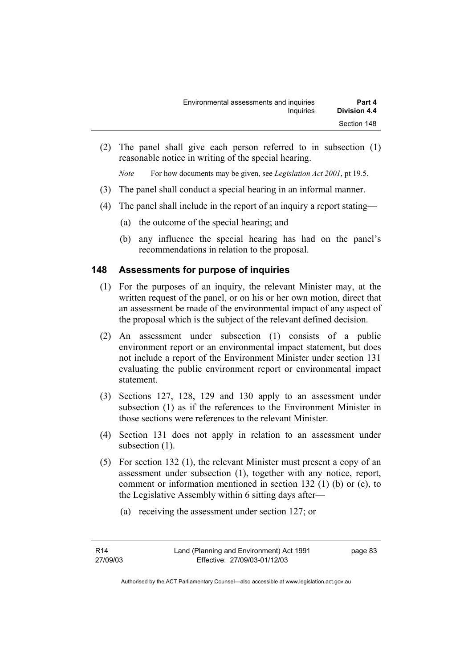(2) The panel shall give each person referred to in subsection (1) reasonable notice in writing of the special hearing.

*Note* For how documents may be given, see *Legislation Act 2001*, pt 19.5.

- (3) The panel shall conduct a special hearing in an informal manner.
- (4) The panel shall include in the report of an inquiry a report stating—
	- (a) the outcome of the special hearing; and
	- (b) any influence the special hearing has had on the panel's recommendations in relation to the proposal.

### **148 Assessments for purpose of inquiries**

- (1) For the purposes of an inquiry, the relevant Minister may, at the written request of the panel, or on his or her own motion, direct that an assessment be made of the environmental impact of any aspect of the proposal which is the subject of the relevant defined decision.
- (2) An assessment under subsection (1) consists of a public environment report or an environmental impact statement, but does not include a report of the Environment Minister under section 131 evaluating the public environment report or environmental impact statement.
- (3) Sections 127, 128, 129 and 130 apply to an assessment under subsection (1) as if the references to the Environment Minister in those sections were references to the relevant Minister.
- (4) Section 131 does not apply in relation to an assessment under subsection  $(1)$ .
- (5) For section 132 (1), the relevant Minister must present a copy of an assessment under subsection (1), together with any notice, report, comment or information mentioned in section 132 (1) (b) or (c), to the Legislative Assembly within 6 sitting days after—
	- (a) receiving the assessment under section 127; or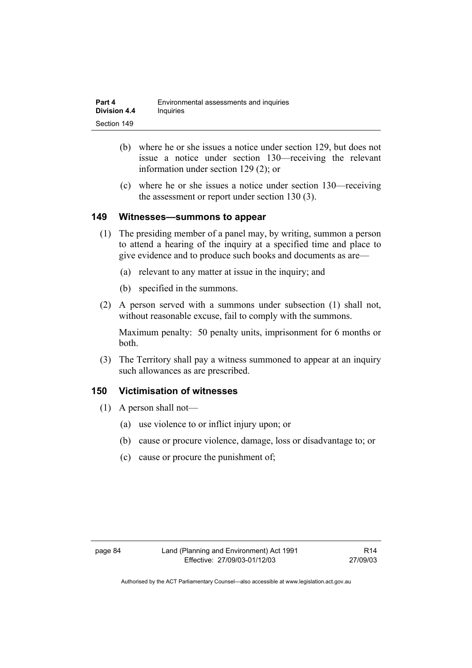| Part 4       | Environmental assessments and inquiries |
|--------------|-----------------------------------------|
| Division 4.4 | <i>Inquiries</i>                        |
| Section 149  |                                         |

- (b) where he or she issues a notice under section 129, but does not issue a notice under section 130—receiving the relevant information under section 129 (2); or
- (c) where he or she issues a notice under section 130—receiving the assessment or report under section 130 (3).

#### **149 Witnesses—summons to appear**

- (1) The presiding member of a panel may, by writing, summon a person to attend a hearing of the inquiry at a specified time and place to give evidence and to produce such books and documents as are—
	- (a) relevant to any matter at issue in the inquiry; and
	- (b) specified in the summons.
- (2) A person served with a summons under subsection (1) shall not, without reasonable excuse, fail to comply with the summons.

Maximum penalty: 50 penalty units, imprisonment for 6 months or both.

 (3) The Territory shall pay a witness summoned to appear at an inquiry such allowances as are prescribed.

### **150 Victimisation of witnesses**

- (1) A person shall not—
	- (a) use violence to or inflict injury upon; or
	- (b) cause or procure violence, damage, loss or disadvantage to; or
	- (c) cause or procure the punishment of;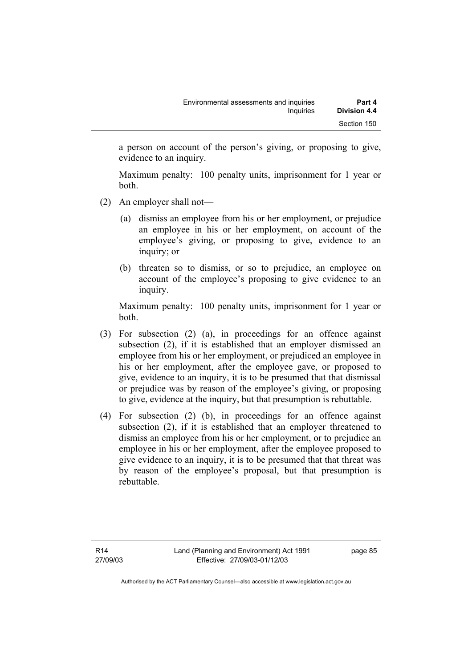a person on account of the person's giving, or proposing to give, evidence to an inquiry.

Maximum penalty: 100 penalty units, imprisonment for 1 year or both.

- (2) An employer shall not—
	- (a) dismiss an employee from his or her employment, or prejudice an employee in his or her employment, on account of the employee's giving, or proposing to give, evidence to an inquiry; or
	- (b) threaten so to dismiss, or so to prejudice, an employee on account of the employee's proposing to give evidence to an inquiry.

Maximum penalty: 100 penalty units, imprisonment for 1 year or both.

- (3) For subsection (2) (a), in proceedings for an offence against subsection (2), if it is established that an employer dismissed an employee from his or her employment, or prejudiced an employee in his or her employment, after the employee gave, or proposed to give, evidence to an inquiry, it is to be presumed that that dismissal or prejudice was by reason of the employee's giving, or proposing to give, evidence at the inquiry, but that presumption is rebuttable.
- (4) For subsection (2) (b), in proceedings for an offence against subsection (2), if it is established that an employer threatened to dismiss an employee from his or her employment, or to prejudice an employee in his or her employment, after the employee proposed to give evidence to an inquiry, it is to be presumed that that threat was by reason of the employee's proposal, but that presumption is rebuttable.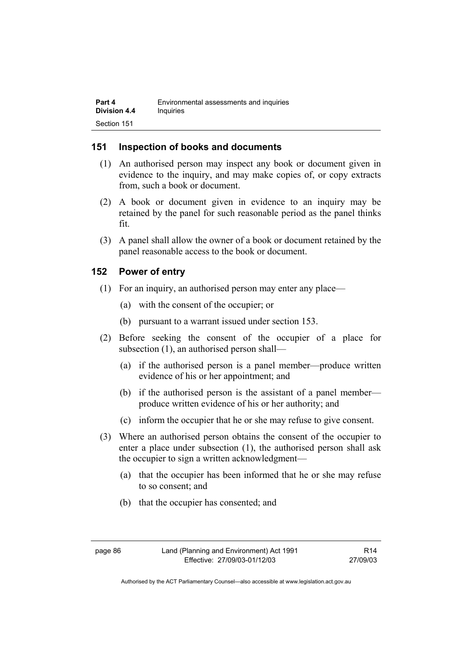### **151 Inspection of books and documents**

- (1) An authorised person may inspect any book or document given in evidence to the inquiry, and may make copies of, or copy extracts from, such a book or document.
- (2) A book or document given in evidence to an inquiry may be retained by the panel for such reasonable period as the panel thinks fit.
- (3) A panel shall allow the owner of a book or document retained by the panel reasonable access to the book or document.

### **152 Power of entry**

- (1) For an inquiry, an authorised person may enter any place—
	- (a) with the consent of the occupier; or
	- (b) pursuant to a warrant issued under section 153.
- (2) Before seeking the consent of the occupier of a place for subsection (1), an authorised person shall—
	- (a) if the authorised person is a panel member—produce written evidence of his or her appointment; and
	- (b) if the authorised person is the assistant of a panel member produce written evidence of his or her authority; and
	- (c) inform the occupier that he or she may refuse to give consent.
- (3) Where an authorised person obtains the consent of the occupier to enter a place under subsection (1), the authorised person shall ask the occupier to sign a written acknowledgment—
	- (a) that the occupier has been informed that he or she may refuse to so consent; and
	- (b) that the occupier has consented; and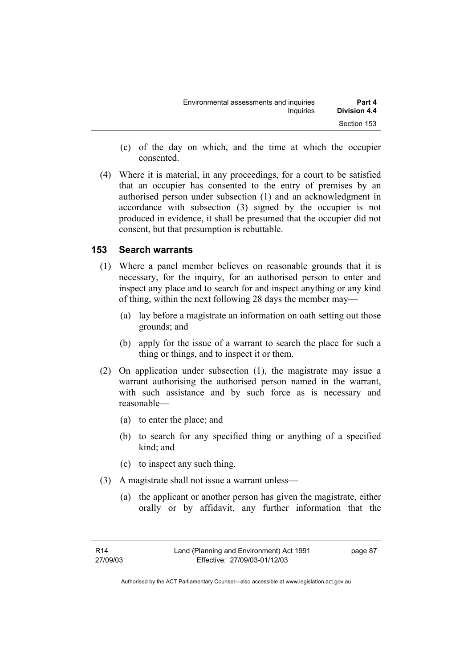| Environmental assessments and inquiries | Part 4              |
|-----------------------------------------|---------------------|
| Inquiries                               | <b>Division 4.4</b> |
|                                         | Section 153         |

- (c) of the day on which, and the time at which the occupier consented.
- (4) Where it is material, in any proceedings, for a court to be satisfied that an occupier has consented to the entry of premises by an authorised person under subsection (1) and an acknowledgment in accordance with subsection (3) signed by the occupier is not produced in evidence, it shall be presumed that the occupier did not consent, but that presumption is rebuttable.

### **153 Search warrants**

- (1) Where a panel member believes on reasonable grounds that it is necessary, for the inquiry, for an authorised person to enter and inspect any place and to search for and inspect anything or any kind of thing, within the next following 28 days the member may—
	- (a) lay before a magistrate an information on oath setting out those grounds; and
	- (b) apply for the issue of a warrant to search the place for such a thing or things, and to inspect it or them.
- (2) On application under subsection (1), the magistrate may issue a warrant authorising the authorised person named in the warrant, with such assistance and by such force as is necessary and reasonable—
	- (a) to enter the place; and
	- (b) to search for any specified thing or anything of a specified kind; and
	- (c) to inspect any such thing.
- (3) A magistrate shall not issue a warrant unless—
	- (a) the applicant or another person has given the magistrate, either orally or by affidavit, any further information that the

page 87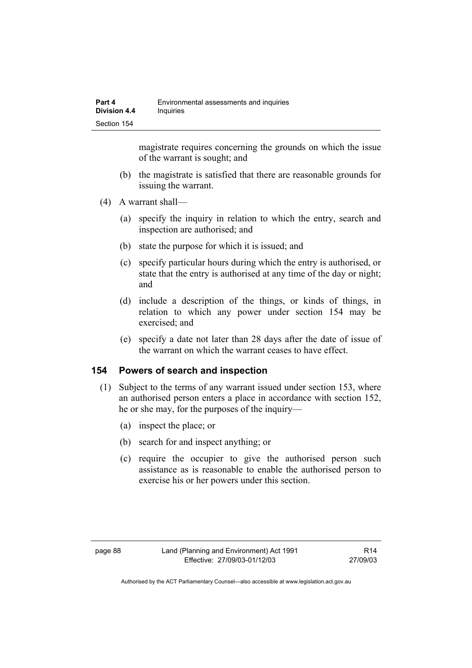magistrate requires concerning the grounds on which the issue of the warrant is sought; and

- (b) the magistrate is satisfied that there are reasonable grounds for issuing the warrant.
- (4) A warrant shall—
	- (a) specify the inquiry in relation to which the entry, search and inspection are authorised; and
	- (b) state the purpose for which it is issued; and
	- (c) specify particular hours during which the entry is authorised, or state that the entry is authorised at any time of the day or night; and
	- (d) include a description of the things, or kinds of things, in relation to which any power under section 154 may be exercised; and
	- (e) specify a date not later than 28 days after the date of issue of the warrant on which the warrant ceases to have effect.

### **154 Powers of search and inspection**

- (1) Subject to the terms of any warrant issued under section 153, where an authorised person enters a place in accordance with section 152, he or she may, for the purposes of the inquiry—
	- (a) inspect the place; or
	- (b) search for and inspect anything; or
	- (c) require the occupier to give the authorised person such assistance as is reasonable to enable the authorised person to exercise his or her powers under this section.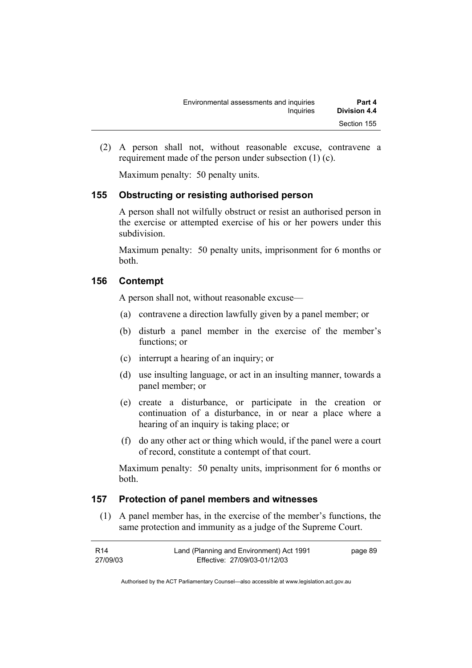| Environmental assessments and inquiries | Part 4       |
|-----------------------------------------|--------------|
| Inquiries                               | Division 4.4 |
|                                         | Section 155  |

 (2) A person shall not, without reasonable excuse, contravene a requirement made of the person under subsection (1) (c).

Maximum penalty: 50 penalty units.

### **155 Obstructing or resisting authorised person**

A person shall not wilfully obstruct or resist an authorised person in the exercise or attempted exercise of his or her powers under this subdivision.

Maximum penalty: 50 penalty units, imprisonment for 6 months or both.

#### **156 Contempt**

A person shall not, without reasonable excuse—

- (a) contravene a direction lawfully given by a panel member; or
- (b) disturb a panel member in the exercise of the member's functions; or
- (c) interrupt a hearing of an inquiry; or
- (d) use insulting language, or act in an insulting manner, towards a panel member; or
- (e) create a disturbance, or participate in the creation or continuation of a disturbance, in or near a place where a hearing of an inquiry is taking place; or
- (f) do any other act or thing which would, if the panel were a court of record, constitute a contempt of that court.

Maximum penalty: 50 penalty units, imprisonment for 6 months or both.

### **157 Protection of panel members and witnesses**

 (1) A panel member has, in the exercise of the member's functions, the same protection and immunity as a judge of the Supreme Court.

| R14      | Land (Planning and Environment) Act 1991 | page 89 |
|----------|------------------------------------------|---------|
| 27/09/03 | Effective: 27/09/03-01/12/03             |         |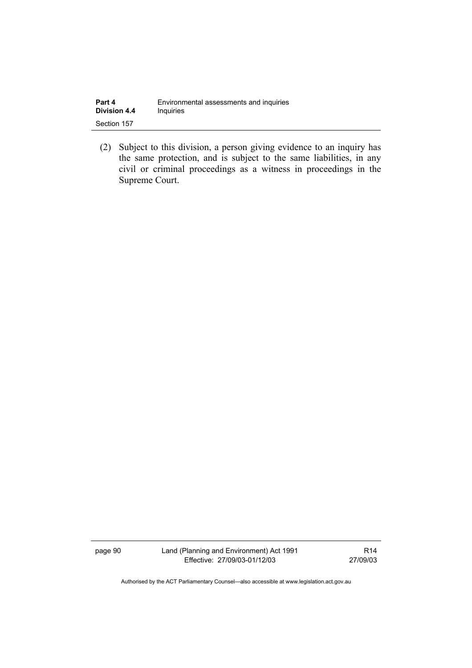| Part 4              | Environmental assessments and inquiries |
|---------------------|-----------------------------------------|
| <b>Division 4.4</b> | Inquiries                               |
| Section 157         |                                         |

 (2) Subject to this division, a person giving evidence to an inquiry has the same protection, and is subject to the same liabilities, in any civil or criminal proceedings as a witness in proceedings in the Supreme Court.

page 90 Land (Planning and Environment) Act 1991 Effective: 27/09/03-01/12/03

R14 27/09/03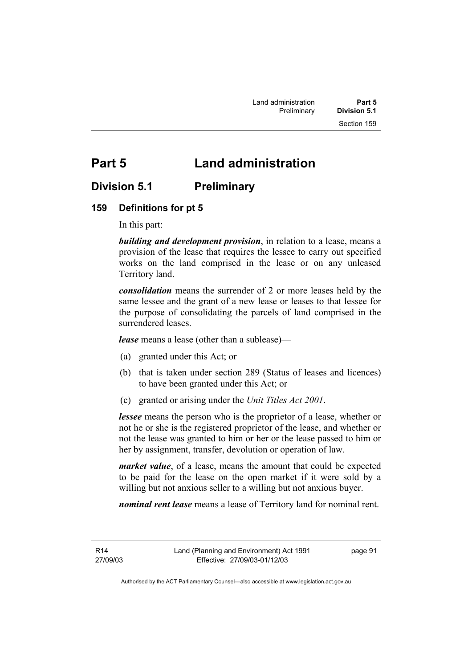# **Part 5 Land administration**

## **Division 5.1 Preliminary**

### **159 Definitions for pt 5**

In this part:

*building and development provision*, in relation to a lease, means a provision of the lease that requires the lessee to carry out specified works on the land comprised in the lease or on any unleased Territory land.

*consolidation* means the surrender of 2 or more leases held by the same lessee and the grant of a new lease or leases to that lessee for the purpose of consolidating the parcels of land comprised in the surrendered leases.

*lease* means a lease (other than a sublease)—

- (a) granted under this Act; or
- (b) that is taken under section 289 (Status of leases and licences) to have been granted under this Act; or
- (c) granted or arising under the *Unit Titles Act 2001*.

*lessee* means the person who is the proprietor of a lease, whether or not he or she is the registered proprietor of the lease, and whether or not the lease was granted to him or her or the lease passed to him or her by assignment, transfer, devolution or operation of law.

*market value*, of a lease, means the amount that could be expected to be paid for the lease on the open market if it were sold by a willing but not anxious seller to a willing but not anxious buyer.

*nominal rent lease* means a lease of Territory land for nominal rent.

R14 27/09/03 page 91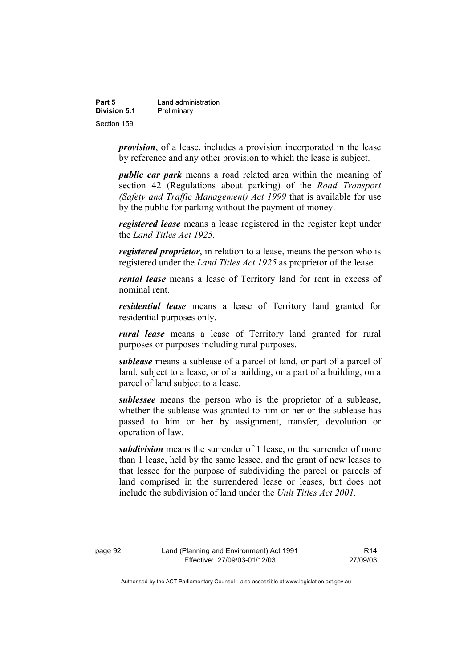| Part 5       | Land administration |
|--------------|---------------------|
| Division 5.1 | Preliminary         |
| Section 159  |                     |

*provision*, of a lease, includes a provision incorporated in the lease by reference and any other provision to which the lease is subject.

*public car park* means a road related area within the meaning of section 42 (Regulations about parking) of the *Road Transport (Safety and Traffic Management) Act 1999* that is available for use by the public for parking without the payment of money.

*registered lease* means a lease registered in the register kept under the *Land Titles Act 1925.*

*registered proprietor*, in relation to a lease, means the person who is registered under the *Land Titles Act 1925* as proprietor of the lease.

*rental lease* means a lease of Territory land for rent in excess of nominal rent.

*residential lease* means a lease of Territory land granted for residential purposes only.

*rural lease* means a lease of Territory land granted for rural purposes or purposes including rural purposes.

*sublease* means a sublease of a parcel of land, or part of a parcel of land, subject to a lease, or of a building, or a part of a building, on a parcel of land subject to a lease.

*sublessee* means the person who is the proprietor of a sublease, whether the sublease was granted to him or her or the sublease has passed to him or her by assignment, transfer, devolution or operation of law.

*subdivision* means the surrender of 1 lease, or the surrender of more than 1 lease, held by the same lessee, and the grant of new leases to that lessee for the purpose of subdividing the parcel or parcels of land comprised in the surrendered lease or leases, but does not include the subdivision of land under the *Unit Titles Act 2001.*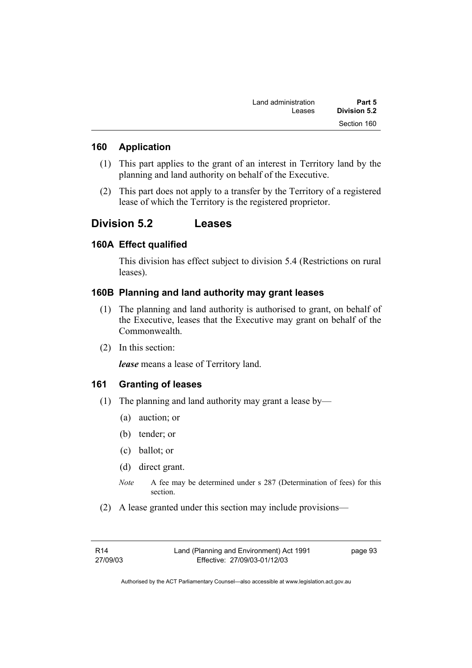| Part 5       | Land administration |
|--------------|---------------------|
| Division 5.2 | Leases              |
| Section 160  |                     |

#### **160 Application**

- (1) This part applies to the grant of an interest in Territory land by the planning and land authority on behalf of the Executive.
- (2) This part does not apply to a transfer by the Territory of a registered lease of which the Territory is the registered proprietor.

## **Division 5.2 Leases**

#### **160A Effect qualified**

This division has effect subject to division 5.4 (Restrictions on rural leases).

### **160B Planning and land authority may grant leases**

- (1) The planning and land authority is authorised to grant, on behalf of the Executive, leases that the Executive may grant on behalf of the Commonwealth.
- (2) In this section:

*lease* means a lease of Territory land.

#### **161 Granting of leases**

- (1) The planning and land authority may grant a lease by—
	- (a) auction; or
	- (b) tender; or
	- (c) ballot; or
	- (d) direct grant.
	- *Note* A fee may be determined under s 287 (Determination of fees) for this section.
- (2) A lease granted under this section may include provisions—

page 93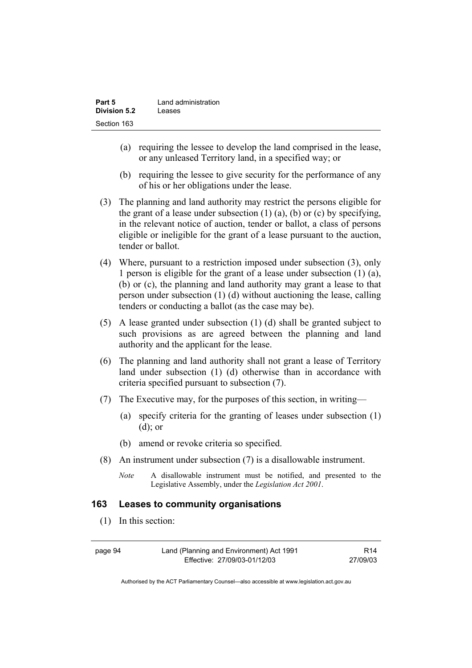| Part 5              | Land administration |
|---------------------|---------------------|
| <b>Division 5.2</b> | Leases              |
| Section 163         |                     |

- (a) requiring the lessee to develop the land comprised in the lease, or any unleased Territory land, in a specified way; or
- (b) requiring the lessee to give security for the performance of any of his or her obligations under the lease.
- (3) The planning and land authority may restrict the persons eligible for the grant of a lease under subsection  $(1)$   $(a)$ ,  $(b)$  or  $(c)$  by specifying, in the relevant notice of auction, tender or ballot, a class of persons eligible or ineligible for the grant of a lease pursuant to the auction, tender or ballot.
- (4) Where, pursuant to a restriction imposed under subsection (3), only 1 person is eligible for the grant of a lease under subsection (1) (a), (b) or (c), the planning and land authority may grant a lease to that person under subsection (1) (d) without auctioning the lease, calling tenders or conducting a ballot (as the case may be).
- (5) A lease granted under subsection (1) (d) shall be granted subject to such provisions as are agreed between the planning and land authority and the applicant for the lease.
- (6) The planning and land authority shall not grant a lease of Territory land under subsection (1) (d) otherwise than in accordance with criteria specified pursuant to subsection (7).
- (7) The Executive may, for the purposes of this section, in writing—
	- (a) specify criteria for the granting of leases under subsection (1) (d); or
	- (b) amend or revoke criteria so specified.
- (8) An instrument under subsection (7) is a disallowable instrument.
	- *Note* A disallowable instrument must be notified, and presented to the Legislative Assembly, under the *Legislation Act 2001*.

### **163 Leases to community organisations**

(1) In this section:

| page 94 | Land (Planning and Environment) Act 1991 | R <sub>14</sub> |
|---------|------------------------------------------|-----------------|
|         | Effective: 27/09/03-01/12/03             | 27/09/03        |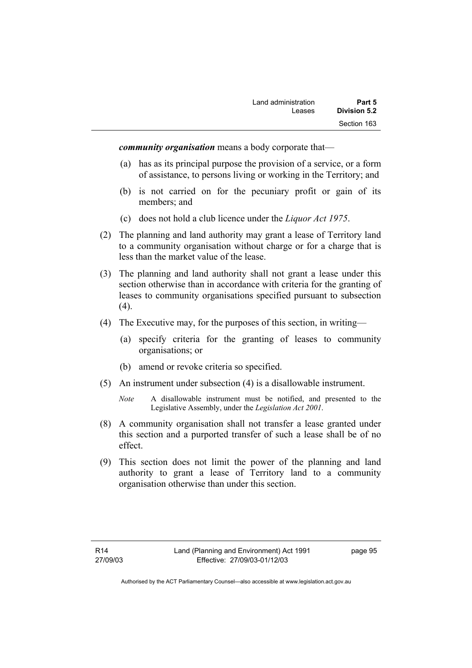*community organisation* means a body corporate that—

- (a) has as its principal purpose the provision of a service, or a form of assistance, to persons living or working in the Territory; and
- (b) is not carried on for the pecuniary profit or gain of its members; and
- (c) does not hold a club licence under the *Liquor Act 1975*.
- (2) The planning and land authority may grant a lease of Territory land to a community organisation without charge or for a charge that is less than the market value of the lease.
- (3) The planning and land authority shall not grant a lease under this section otherwise than in accordance with criteria for the granting of leases to community organisations specified pursuant to subsection  $(4).$
- (4) The Executive may, for the purposes of this section, in writing—
	- (a) specify criteria for the granting of leases to community organisations; or
	- (b) amend or revoke criteria so specified.
- (5) An instrument under subsection (4) is a disallowable instrument.
	- *Note* A disallowable instrument must be notified, and presented to the Legislative Assembly, under the *Legislation Act 2001*.
- (8) A community organisation shall not transfer a lease granted under this section and a purported transfer of such a lease shall be of no effect.
- (9) This section does not limit the power of the planning and land authority to grant a lease of Territory land to a community organisation otherwise than under this section.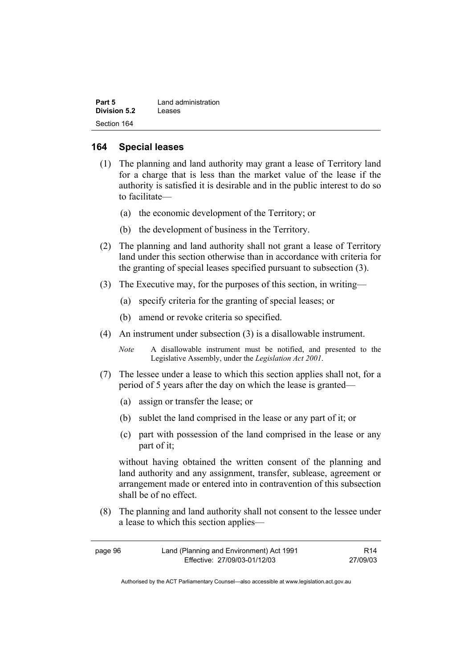| Part 5       | Land administration |
|--------------|---------------------|
| Division 5.2 | Leases              |
| Section 164  |                     |

#### **164 Special leases**

- (1) The planning and land authority may grant a lease of Territory land for a charge that is less than the market value of the lease if the authority is satisfied it is desirable and in the public interest to do so to facilitate—
	- (a) the economic development of the Territory; or
	- (b) the development of business in the Territory.
- (2) The planning and land authority shall not grant a lease of Territory land under this section otherwise than in accordance with criteria for the granting of special leases specified pursuant to subsection (3).
- (3) The Executive may, for the purposes of this section, in writing—
	- (a) specify criteria for the granting of special leases; or
	- (b) amend or revoke criteria so specified.
- (4) An instrument under subsection (3) is a disallowable instrument.
	- *Note* A disallowable instrument must be notified, and presented to the Legislative Assembly, under the *Legislation Act 2001*.
- (7) The lessee under a lease to which this section applies shall not, for a period of 5 years after the day on which the lease is granted—
	- (a) assign or transfer the lease; or
	- (b) sublet the land comprised in the lease or any part of it; or
	- (c) part with possession of the land comprised in the lease or any part of it;

without having obtained the written consent of the planning and land authority and any assignment, transfer, sublease, agreement or arrangement made or entered into in contravention of this subsection shall be of no effect.

 (8) The planning and land authority shall not consent to the lessee under a lease to which this section applies—

| page 96 | Land (Planning and Environment) Act 1991 | R <sub>14</sub> |
|---------|------------------------------------------|-----------------|
|         | Effective: 27/09/03-01/12/03             | 27/09/03        |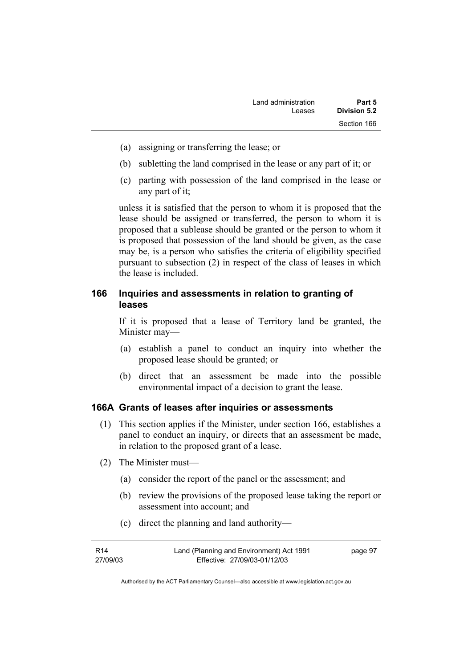- (a) assigning or transferring the lease; or
- (b) subletting the land comprised in the lease or any part of it; or
- (c) parting with possession of the land comprised in the lease or any part of it;

unless it is satisfied that the person to whom it is proposed that the lease should be assigned or transferred, the person to whom it is proposed that a sublease should be granted or the person to whom it is proposed that possession of the land should be given, as the case may be, is a person who satisfies the criteria of eligibility specified pursuant to subsection (2) in respect of the class of leases in which the lease is included.

## **166 Inquiries and assessments in relation to granting of leases**

If it is proposed that a lease of Territory land be granted, the Minister may—

- (a) establish a panel to conduct an inquiry into whether the proposed lease should be granted; or
- (b) direct that an assessment be made into the possible environmental impact of a decision to grant the lease.

### **166A Grants of leases after inquiries or assessments**

- (1) This section applies if the Minister, under section 166, establishes a panel to conduct an inquiry, or directs that an assessment be made, in relation to the proposed grant of a lease.
- (2) The Minister must—
	- (a) consider the report of the panel or the assessment; and
	- (b) review the provisions of the proposed lease taking the report or assessment into account; and
	- (c) direct the planning and land authority—

| R14      | Land (Planning and Environment) Act 1991 | page 97 |
|----------|------------------------------------------|---------|
| 27/09/03 | Effective: 27/09/03-01/12/03             |         |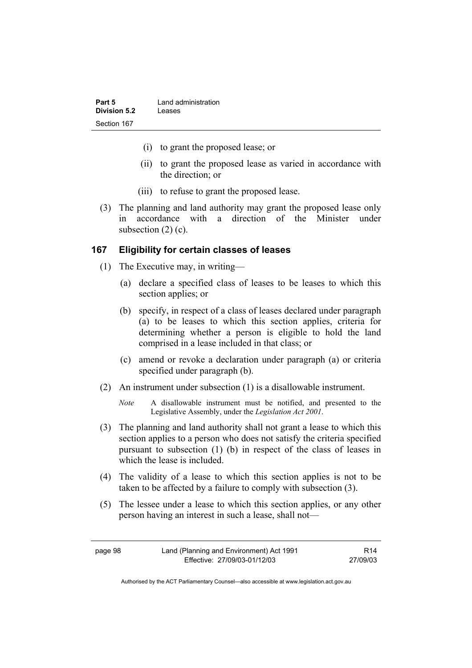| Part 5       | Land administration |
|--------------|---------------------|
| Division 5.2 | Leases              |
| Section 167  |                     |

- (i) to grant the proposed lease; or
- (ii) to grant the proposed lease as varied in accordance with the direction; or
- (iii) to refuse to grant the proposed lease.
- (3) The planning and land authority may grant the proposed lease only in accordance with a direction of the Minister under subsection  $(2)$  (c).

#### **167 Eligibility for certain classes of leases**

- (1) The Executive may, in writing—
	- (a) declare a specified class of leases to be leases to which this section applies; or
	- (b) specify, in respect of a class of leases declared under paragraph (a) to be leases to which this section applies, criteria for determining whether a person is eligible to hold the land comprised in a lease included in that class; or
	- (c) amend or revoke a declaration under paragraph (a) or criteria specified under paragraph (b).
- (2) An instrument under subsection (1) is a disallowable instrument.
	- *Note* A disallowable instrument must be notified, and presented to the Legislative Assembly, under the *Legislation Act 2001*.
- (3) The planning and land authority shall not grant a lease to which this section applies to a person who does not satisfy the criteria specified pursuant to subsection (1) (b) in respect of the class of leases in which the lease is included.
- (4) The validity of a lease to which this section applies is not to be taken to be affected by a failure to comply with subsection (3).
- (5) The lessee under a lease to which this section applies, or any other person having an interest in such a lease, shall not—

page 98 Land (Planning and Environment) Act 1991 Effective: 27/09/03-01/12/03 R14 27/09/03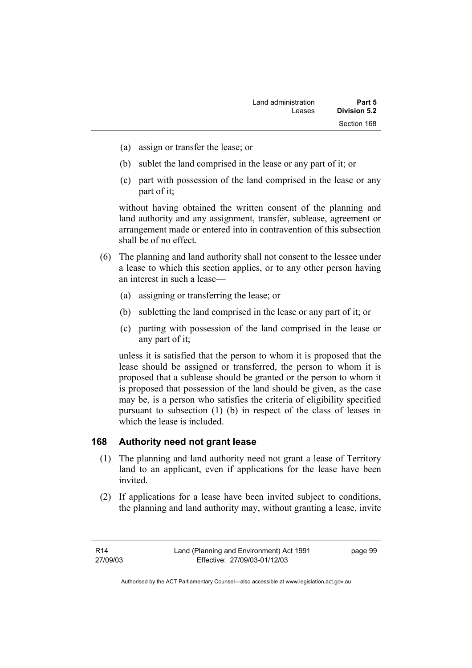- (a) assign or transfer the lease; or
- (b) sublet the land comprised in the lease or any part of it; or
- (c) part with possession of the land comprised in the lease or any part of it;

without having obtained the written consent of the planning and land authority and any assignment, transfer, sublease, agreement or arrangement made or entered into in contravention of this subsection shall be of no effect.

- (6) The planning and land authority shall not consent to the lessee under a lease to which this section applies, or to any other person having an interest in such a lease—
	- (a) assigning or transferring the lease; or
	- (b) subletting the land comprised in the lease or any part of it; or
	- (c) parting with possession of the land comprised in the lease or any part of it;

unless it is satisfied that the person to whom it is proposed that the lease should be assigned or transferred, the person to whom it is proposed that a sublease should be granted or the person to whom it is proposed that possession of the land should be given, as the case may be, is a person who satisfies the criteria of eligibility specified pursuant to subsection (1) (b) in respect of the class of leases in which the lease is included.

### **168 Authority need not grant lease**

- (1) The planning and land authority need not grant a lease of Territory land to an applicant, even if applications for the lease have been invited.
- (2) If applications for a lease have been invited subject to conditions, the planning and land authority may, without granting a lease, invite

R14 27/09/03 page 99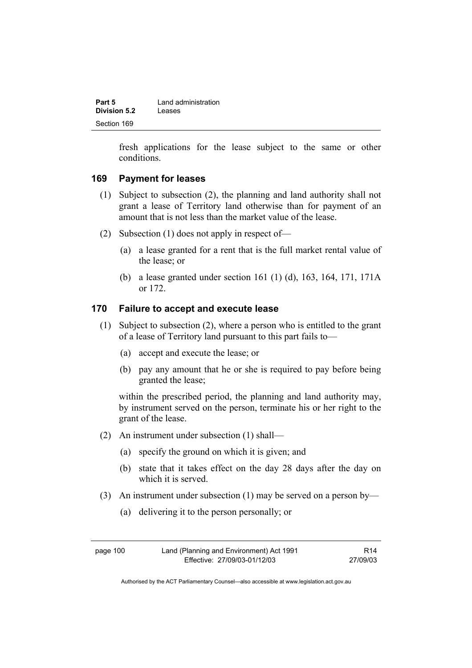| Part 5       | Land administration |
|--------------|---------------------|
| Division 5.2 | Leases              |
| Section 169  |                     |

fresh applications for the lease subject to the same or other conditions.

### **169 Payment for leases**

- (1) Subject to subsection (2), the planning and land authority shall not grant a lease of Territory land otherwise than for payment of an amount that is not less than the market value of the lease.
- (2) Subsection (1) does not apply in respect of—
	- (a) a lease granted for a rent that is the full market rental value of the lease; or
	- (b) a lease granted under section 161 (1) (d), 163, 164, 171, 171A or 172.

#### **170 Failure to accept and execute lease**

- (1) Subject to subsection (2), where a person who is entitled to the grant of a lease of Territory land pursuant to this part fails to—
	- (a) accept and execute the lease; or
	- (b) pay any amount that he or she is required to pay before being granted the lease;

within the prescribed period, the planning and land authority may, by instrument served on the person, terminate his or her right to the grant of the lease.

- (2) An instrument under subsection (1) shall—
	- (a) specify the ground on which it is given; and
	- (b) state that it takes effect on the day 28 days after the day on which it is served.
- (3) An instrument under subsection (1) may be served on a person by—
	- (a) delivering it to the person personally; or

| page 100 | Land (Planning and Environment) Act 1991 | R <sub>14</sub> |
|----------|------------------------------------------|-----------------|
|          | Effective: 27/09/03-01/12/03             | 27/09/03        |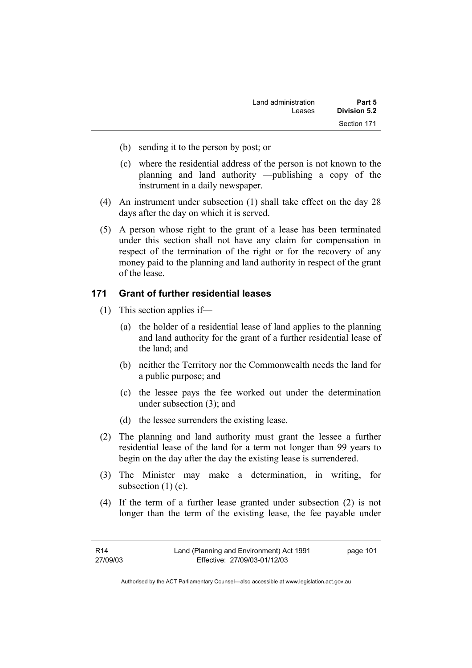| Part 5       | Land administration |
|--------------|---------------------|
| Division 5.2 | Leases              |
| Section 171  |                     |

- (b) sending it to the person by post; or
- (c) where the residential address of the person is not known to the planning and land authority —publishing a copy of the instrument in a daily newspaper.
- (4) An instrument under subsection (1) shall take effect on the day 28 days after the day on which it is served.
- (5) A person whose right to the grant of a lease has been terminated under this section shall not have any claim for compensation in respect of the termination of the right or for the recovery of any money paid to the planning and land authority in respect of the grant of the lease.

### **171 Grant of further residential leases**

- (1) This section applies if—
	- (a) the holder of a residential lease of land applies to the planning and land authority for the grant of a further residential lease of the land; and
	- (b) neither the Territory nor the Commonwealth needs the land for a public purpose; and
	- (c) the lessee pays the fee worked out under the determination under subsection (3); and
	- (d) the lessee surrenders the existing lease.
- (2) The planning and land authority must grant the lessee a further residential lease of the land for a term not longer than 99 years to begin on the day after the day the existing lease is surrendered.
- (3) The Minister may make a determination, in writing, for subsection  $(1)$  (c).
- (4) If the term of a further lease granted under subsection (2) is not longer than the term of the existing lease, the fee payable under

| R14      | Land (Planning and Environment) Act 1991 | page 101 |
|----------|------------------------------------------|----------|
| 27/09/03 | Effective: 27/09/03-01/12/03             |          |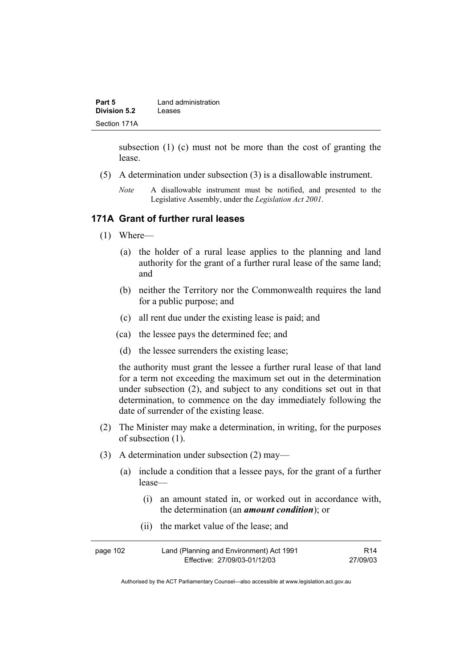| Part 5       | Land administration |
|--------------|---------------------|
| Division 5.2 | Leases              |
| Section 171A |                     |

subsection (1) (c) must not be more than the cost of granting the lease.

- (5) A determination under subsection (3) is a disallowable instrument.
	- *Note* A disallowable instrument must be notified, and presented to the Legislative Assembly, under the *Legislation Act 2001*.

#### **171A Grant of further rural leases**

- (1) Where—
	- (a) the holder of a rural lease applies to the planning and land authority for the grant of a further rural lease of the same land; and
	- (b) neither the Territory nor the Commonwealth requires the land for a public purpose; and
	- (c) all rent due under the existing lease is paid; and
	- (ca) the lessee pays the determined fee; and
	- (d) the lessee surrenders the existing lease;

the authority must grant the lessee a further rural lease of that land for a term not exceeding the maximum set out in the determination under subsection (2), and subject to any conditions set out in that determination, to commence on the day immediately following the date of surrender of the existing lease.

- (2) The Minister may make a determination, in writing, for the purposes of subsection (1).
- (3) A determination under subsection (2) may—
	- (a) include a condition that a lessee pays, for the grant of a further lease—
		- (i) an amount stated in, or worked out in accordance with, the determination (an *amount condition*); or
		- (ii) the market value of the lease; and

| page 102 | Land (Planning and Environment) Act 1991 | R <sub>14</sub> |
|----------|------------------------------------------|-----------------|
|          | Effective: 27/09/03-01/12/03             | 27/09/03        |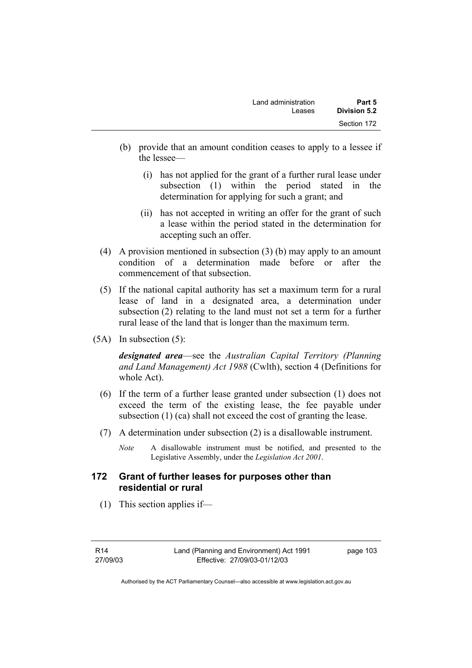| Land administration<br>Leases | Part 5<br>Division 5.2 |
|-------------------------------|------------------------|
|                               | Section 172            |
|                               |                        |

- (b) provide that an amount condition ceases to apply to a lessee if the lessee—
	- (i) has not applied for the grant of a further rural lease under subsection (1) within the period stated in the determination for applying for such a grant; and
	- (ii) has not accepted in writing an offer for the grant of such a lease within the period stated in the determination for accepting such an offer.
- (4) A provision mentioned in subsection (3) (b) may apply to an amount condition of a determination made before or after the commencement of that subsection.
- (5) If the national capital authority has set a maximum term for a rural lease of land in a designated area, a determination under subsection (2) relating to the land must not set a term for a further rural lease of the land that is longer than the maximum term.
- (5A) In subsection (5):

*designated area*—see the *Australian Capital Territory (Planning and Land Management) Act 1988* (Cwlth), section 4 (Definitions for whole Act).

- (6) If the term of a further lease granted under subsection (1) does not exceed the term of the existing lease, the fee payable under subsection (1) (ca) shall not exceed the cost of granting the lease.
- (7) A determination under subsection (2) is a disallowable instrument.
	- *Note* A disallowable instrument must be notified, and presented to the Legislative Assembly, under the *Legislation Act 2001*.

### **172 Grant of further leases for purposes other than residential or rural**

(1) This section applies if—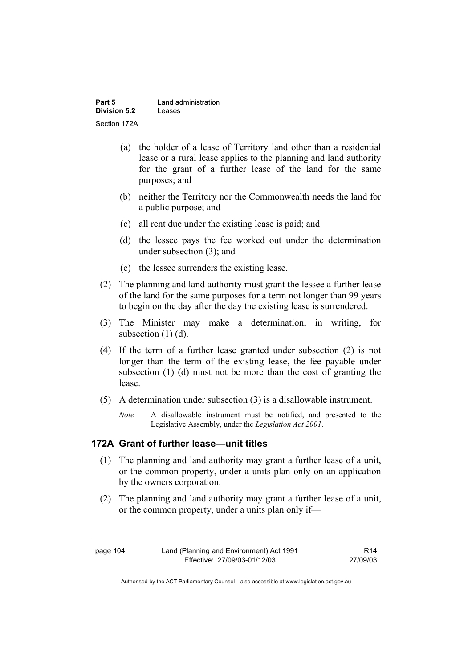| Part 5       | Land administration |
|--------------|---------------------|
| Division 5.2 | Leases              |
| Section 172A |                     |

- (a) the holder of a lease of Territory land other than a residential lease or a rural lease applies to the planning and land authority for the grant of a further lease of the land for the same purposes; and
- (b) neither the Territory nor the Commonwealth needs the land for a public purpose; and
- (c) all rent due under the existing lease is paid; and
- (d) the lessee pays the fee worked out under the determination under subsection (3); and
- (e) the lessee surrenders the existing lease.
- (2) The planning and land authority must grant the lessee a further lease of the land for the same purposes for a term not longer than 99 years to begin on the day after the day the existing lease is surrendered.
- (3) The Minister may make a determination, in writing, for subsection (1) (d).
- (4) If the term of a further lease granted under subsection (2) is not longer than the term of the existing lease, the fee payable under subsection (1) (d) must not be more than the cost of granting the lease.
- (5) A determination under subsection (3) is a disallowable instrument.
	- *Note* A disallowable instrument must be notified, and presented to the Legislative Assembly, under the *Legislation Act 2001*.

### **172A Grant of further lease—unit titles**

- (1) The planning and land authority may grant a further lease of a unit, or the common property, under a units plan only on an application by the owners corporation.
- (2) The planning and land authority may grant a further lease of a unit, or the common property, under a units plan only if—

page 104 Land (Planning and Environment) Act 1991 Effective: 27/09/03-01/12/03

R14 27/09/03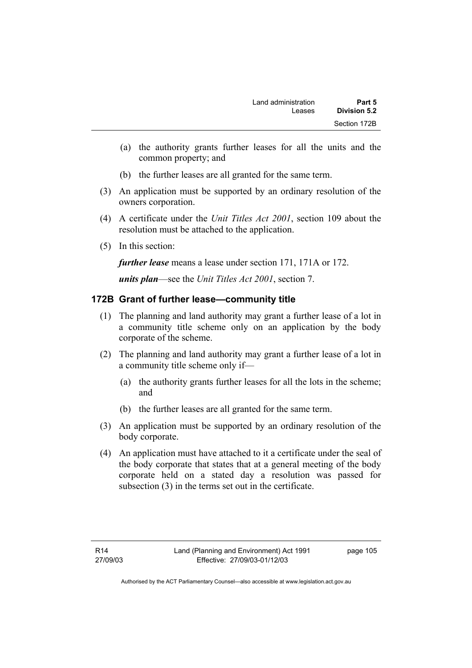- (a) the authority grants further leases for all the units and the common property; and
- (b) the further leases are all granted for the same term.
- (3) An application must be supported by an ordinary resolution of the owners corporation.
- (4) A certificate under the *Unit Titles Act 2001*, section 109 about the resolution must be attached to the application.
- (5) In this section:

*further lease* means a lease under section 171, 171A or 172.

*units plan*—see the *Unit Titles Act 2001*, section 7.

## **172B Grant of further lease—community title**

- (1) The planning and land authority may grant a further lease of a lot in a community title scheme only on an application by the body corporate of the scheme.
- (2) The planning and land authority may grant a further lease of a lot in a community title scheme only if—
	- (a) the authority grants further leases for all the lots in the scheme; and
	- (b) the further leases are all granted for the same term.
- (3) An application must be supported by an ordinary resolution of the body corporate.
- (4) An application must have attached to it a certificate under the seal of the body corporate that states that at a general meeting of the body corporate held on a stated day a resolution was passed for subsection (3) in the terms set out in the certificate.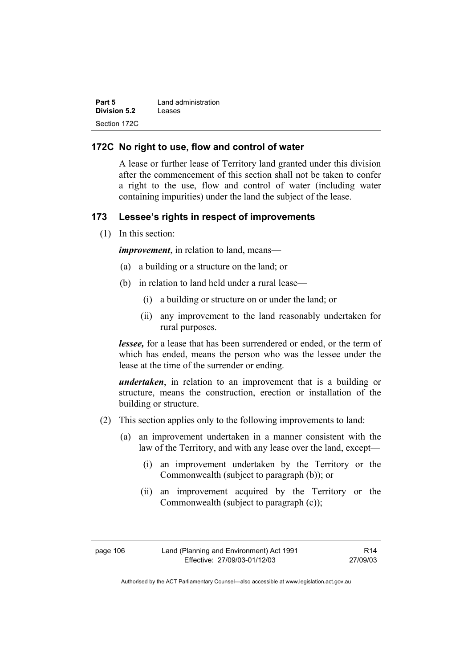| Part 5              | Land administration |
|---------------------|---------------------|
| <b>Division 5.2</b> | Leases              |
| Section 172C        |                     |

#### **172C No right to use, flow and control of water**

A lease or further lease of Territory land granted under this division after the commencement of this section shall not be taken to confer a right to the use, flow and control of water (including water containing impurities) under the land the subject of the lease.

### **173 Lessee's rights in respect of improvements**

(1) In this section:

*improvement*, in relation to land, means—

- (a) a building or a structure on the land; or
- (b) in relation to land held under a rural lease—
	- (i) a building or structure on or under the land; or
	- (ii) any improvement to the land reasonably undertaken for rural purposes.

*lessee*, for a lease that has been surrendered or ended, or the term of which has ended, means the person who was the lessee under the lease at the time of the surrender or ending.

*undertaken*, in relation to an improvement that is a building or structure, means the construction, erection or installation of the building or structure.

- (2) This section applies only to the following improvements to land:
	- (a) an improvement undertaken in a manner consistent with the law of the Territory, and with any lease over the land, except—
		- (i) an improvement undertaken by the Territory or the Commonwealth (subject to paragraph (b)); or
		- (ii) an improvement acquired by the Territory or the Commonwealth (subject to paragraph (c));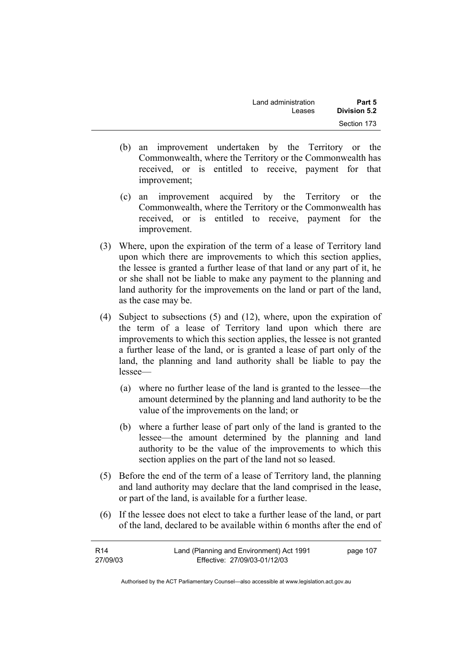| Land administration | Part 5       |
|---------------------|--------------|
| Leases              | Division 5.2 |
|                     | Section 173  |

- (b) an improvement undertaken by the Territory or the Commonwealth, where the Territory or the Commonwealth has received, or is entitled to receive, payment for that improvement;
- (c) an improvement acquired by the Territory or the Commonwealth, where the Territory or the Commonwealth has received, or is entitled to receive, payment for the improvement.
- (3) Where, upon the expiration of the term of a lease of Territory land upon which there are improvements to which this section applies, the lessee is granted a further lease of that land or any part of it, he or she shall not be liable to make any payment to the planning and land authority for the improvements on the land or part of the land, as the case may be.
- (4) Subject to subsections (5) and (12), where, upon the expiration of the term of a lease of Territory land upon which there are improvements to which this section applies, the lessee is not granted a further lease of the land, or is granted a lease of part only of the land, the planning and land authority shall be liable to pay the lessee—
	- (a) where no further lease of the land is granted to the lessee—the amount determined by the planning and land authority to be the value of the improvements on the land; or
	- (b) where a further lease of part only of the land is granted to the lessee—the amount determined by the planning and land authority to be the value of the improvements to which this section applies on the part of the land not so leased.
- (5) Before the end of the term of a lease of Territory land, the planning and land authority may declare that the land comprised in the lease, or part of the land, is available for a further lease.
- (6) If the lessee does not elect to take a further lease of the land, or part of the land, declared to be available within 6 months after the end of

| R14      | Land (Planning and Environment) Act 1991 | page 107 |
|----------|------------------------------------------|----------|
| 27/09/03 | Effective: 27/09/03-01/12/03             |          |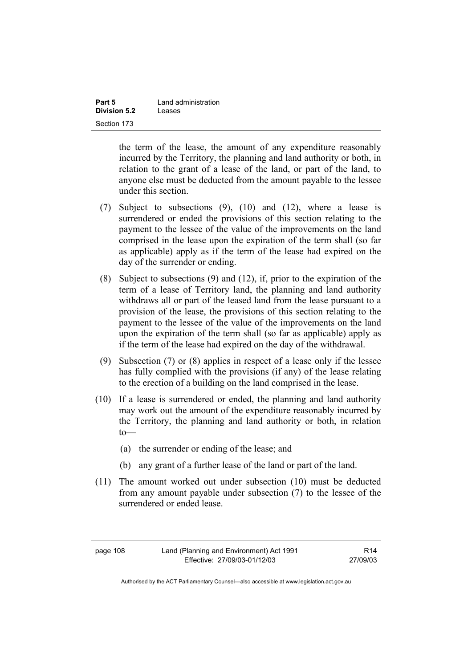| Part 5       | Land administration |
|--------------|---------------------|
| Division 5.2 | Leases              |
| Section 173  |                     |

the term of the lease, the amount of any expenditure reasonably incurred by the Territory, the planning and land authority or both, in relation to the grant of a lease of the land, or part of the land, to anyone else must be deducted from the amount payable to the lessee under this section.

- (7) Subject to subsections (9), (10) and (12), where a lease is surrendered or ended the provisions of this section relating to the payment to the lessee of the value of the improvements on the land comprised in the lease upon the expiration of the term shall (so far as applicable) apply as if the term of the lease had expired on the day of the surrender or ending.
- (8) Subject to subsections (9) and (12), if, prior to the expiration of the term of a lease of Territory land, the planning and land authority withdraws all or part of the leased land from the lease pursuant to a provision of the lease, the provisions of this section relating to the payment to the lessee of the value of the improvements on the land upon the expiration of the term shall (so far as applicable) apply as if the term of the lease had expired on the day of the withdrawal.
- (9) Subsection (7) or (8) applies in respect of a lease only if the lessee has fully complied with the provisions (if any) of the lease relating to the erection of a building on the land comprised in the lease.
- (10) If a lease is surrendered or ended, the planning and land authority may work out the amount of the expenditure reasonably incurred by the Territory, the planning and land authority or both, in relation to—
	- (a) the surrender or ending of the lease; and
	- (b) any grant of a further lease of the land or part of the land.
- (11) The amount worked out under subsection (10) must be deducted from any amount payable under subsection (7) to the lessee of the surrendered or ended lease.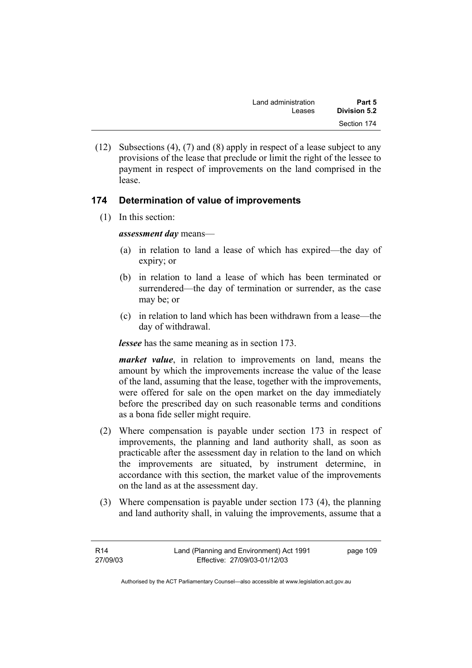| Land administration | Part 5       |
|---------------------|--------------|
| Leases              | Division 5.2 |
|                     | Section 174  |

 (12) Subsections (4), (7) and (8) apply in respect of a lease subject to any provisions of the lease that preclude or limit the right of the lessee to payment in respect of improvements on the land comprised in the lease.

## **174 Determination of value of improvements**

(1) In this section:

*assessment day* means—

- (a) in relation to land a lease of which has expired—the day of expiry; or
- (b) in relation to land a lease of which has been terminated or surrendered—the day of termination or surrender, as the case may be; or
- (c) in relation to land which has been withdrawn from a lease—the day of withdrawal.

*lessee* has the same meaning as in section 173.

*market value*, in relation to improvements on land, means the amount by which the improvements increase the value of the lease of the land, assuming that the lease, together with the improvements, were offered for sale on the open market on the day immediately before the prescribed day on such reasonable terms and conditions as a bona fide seller might require.

- (2) Where compensation is payable under section 173 in respect of improvements, the planning and land authority shall, as soon as practicable after the assessment day in relation to the land on which the improvements are situated, by instrument determine, in accordance with this section, the market value of the improvements on the land as at the assessment day.
- (3) Where compensation is payable under section 173 (4), the planning and land authority shall, in valuing the improvements, assume that a

| R14      | Land (Planning and Environment) Act 1991 | page 109 |
|----------|------------------------------------------|----------|
| 27/09/03 | Effective: 27/09/03-01/12/03             |          |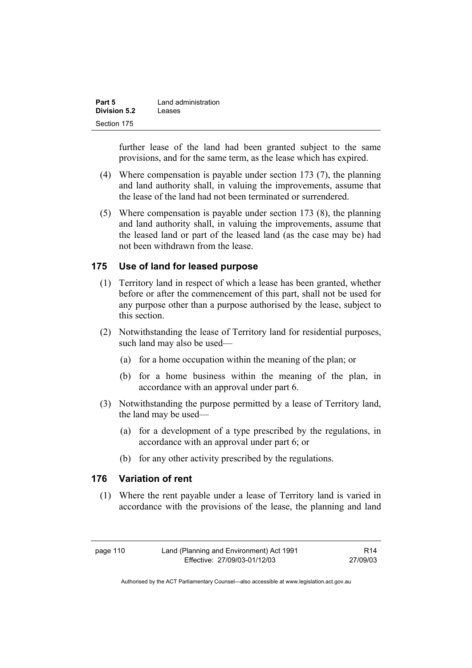| Part 5       | Land administration |
|--------------|---------------------|
| Division 5.2 | Leases              |
| Section 175  |                     |

further lease of the land had been granted subject to the same provisions, and for the same term, as the lease which has expired.

- (4) Where compensation is payable under section 173 (7), the planning and land authority shall, in valuing the improvements, assume that the lease of the land had not been terminated or surrendered.
- (5) Where compensation is payable under section 173 (8), the planning and land authority shall, in valuing the improvements, assume that the leased land or part of the leased land (as the case may be) had not been withdrawn from the lease.

### **175 Use of land for leased purpose**

- (1) Territory land in respect of which a lease has been granted, whether before or after the commencement of this part, shall not be used for any purpose other than a purpose authorised by the lease, subject to this section.
- (2) Notwithstanding the lease of Territory land for residential purposes, such land may also be used—
	- (a) for a home occupation within the meaning of the plan; or
	- (b) for a home business within the meaning of the plan, in accordance with an approval under part 6.
- (3) Notwithstanding the purpose permitted by a lease of Territory land, the land may be used—
	- (a) for a development of a type prescribed by the regulations, in accordance with an approval under part 6; or
	- (b) for any other activity prescribed by the regulations.

### **176 Variation of rent**

 (1) Where the rent payable under a lease of Territory land is varied in accordance with the provisions of the lease, the planning and land

page 110 Land (Planning and Environment) Act 1991 Effective: 27/09/03-01/12/03

R14 27/09/03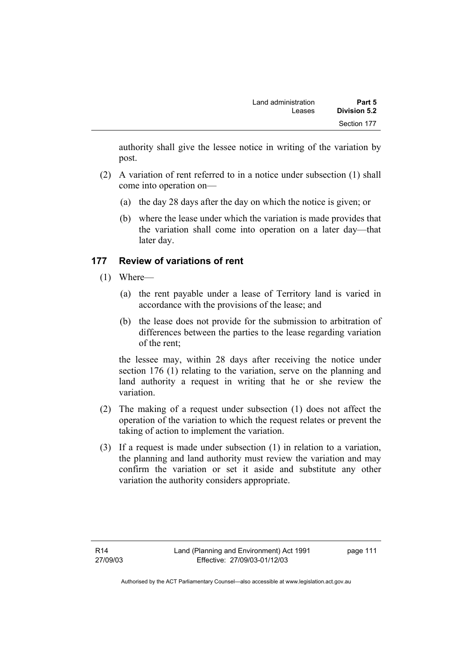authority shall give the lessee notice in writing of the variation by post.

- (2) A variation of rent referred to in a notice under subsection (1) shall come into operation on—
	- (a) the day 28 days after the day on which the notice is given; or
	- (b) where the lease under which the variation is made provides that the variation shall come into operation on a later day—that later day.

## **177 Review of variations of rent**

- (1) Where—
	- (a) the rent payable under a lease of Territory land is varied in accordance with the provisions of the lease; and
	- (b) the lease does not provide for the submission to arbitration of differences between the parties to the lease regarding variation of the rent;

the lessee may, within 28 days after receiving the notice under section 176 (1) relating to the variation, serve on the planning and land authority a request in writing that he or she review the variation.

- (2) The making of a request under subsection (1) does not affect the operation of the variation to which the request relates or prevent the taking of action to implement the variation.
- (3) If a request is made under subsection (1) in relation to a variation, the planning and land authority must review the variation and may confirm the variation or set it aside and substitute any other variation the authority considers appropriate.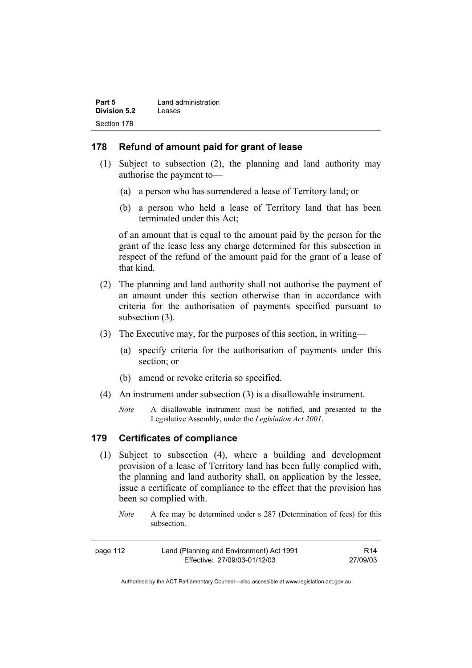| Part 5              | Land administration |
|---------------------|---------------------|
| <b>Division 5.2</b> | Leases              |
| Section 178         |                     |

#### **178 Refund of amount paid for grant of lease**

- (1) Subject to subsection (2), the planning and land authority may authorise the payment to—
	- (a) a person who has surrendered a lease of Territory land; or
	- (b) a person who held a lease of Territory land that has been terminated under this Act;

of an amount that is equal to the amount paid by the person for the grant of the lease less any charge determined for this subsection in respect of the refund of the amount paid for the grant of a lease of that kind.

- (2) The planning and land authority shall not authorise the payment of an amount under this section otherwise than in accordance with criteria for the authorisation of payments specified pursuant to subsection  $(3)$ .
- (3) The Executive may, for the purposes of this section, in writing—
	- (a) specify criteria for the authorisation of payments under this section; or
	- (b) amend or revoke criteria so specified.
- (4) An instrument under subsection (3) is a disallowable instrument.
	- *Note* A disallowable instrument must be notified, and presented to the Legislative Assembly, under the *Legislation Act 2001*.

### **179 Certificates of compliance**

- (1) Subject to subsection (4), where a building and development provision of a lease of Territory land has been fully complied with, the planning and land authority shall, on application by the lessee, issue a certificate of compliance to the effect that the provision has been so complied with.
	- *Note* A fee may be determined under s 287 (Determination of fees) for this subsection.

| page 112 | Land (Planning and Environment) Act 1991 | R14      |
|----------|------------------------------------------|----------|
|          | Effective: 27/09/03-01/12/03             | 27/09/03 |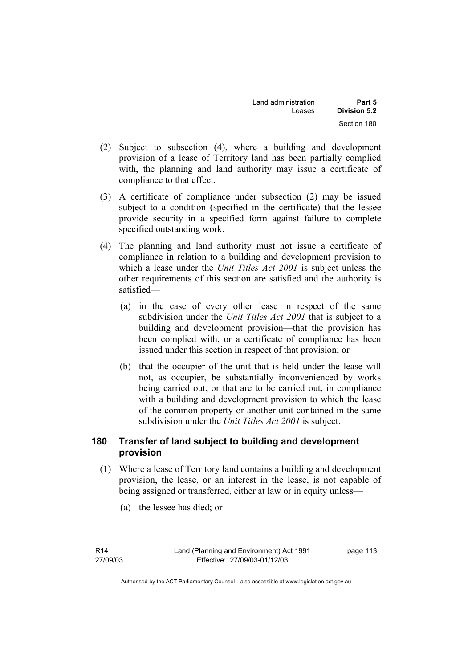| Land administration | Part 5       |
|---------------------|--------------|
| Leases              | Division 5.2 |
|                     | Section 180  |

- (2) Subject to subsection (4), where a building and development provision of a lease of Territory land has been partially complied with, the planning and land authority may issue a certificate of compliance to that effect.
- (3) A certificate of compliance under subsection (2) may be issued subject to a condition (specified in the certificate) that the lessee provide security in a specified form against failure to complete specified outstanding work.
- (4) The planning and land authority must not issue a certificate of compliance in relation to a building and development provision to which a lease under the *Unit Titles Act 2001* is subject unless the other requirements of this section are satisfied and the authority is satisfied—
	- (a) in the case of every other lease in respect of the same subdivision under the *Unit Titles Act 2001* that is subject to a building and development provision—that the provision has been complied with, or a certificate of compliance has been issued under this section in respect of that provision; or
	- (b) that the occupier of the unit that is held under the lease will not, as occupier, be substantially inconvenienced by works being carried out, or that are to be carried out, in compliance with a building and development provision to which the lease of the common property or another unit contained in the same subdivision under the *Unit Titles Act 2001* is subject.

## **180 Transfer of land subject to building and development provision**

- (1) Where a lease of Territory land contains a building and development provision, the lease, or an interest in the lease, is not capable of being assigned or transferred, either at law or in equity unless—
	- (a) the lessee has died; or

R14 27/09/03 page 113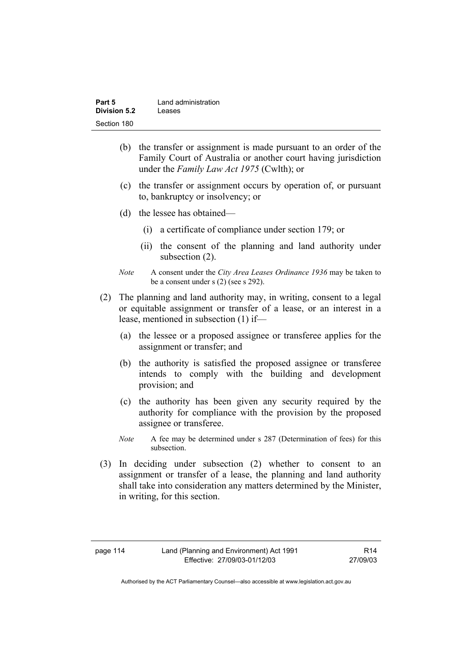| Part 5       | Land administration |
|--------------|---------------------|
| Division 5.2 | Leases              |
| Section 180  |                     |

- (b) the transfer or assignment is made pursuant to an order of the Family Court of Australia or another court having jurisdiction under the *Family Law Act 1975* (Cwlth); or
- (c) the transfer or assignment occurs by operation of, or pursuant to, bankruptcy or insolvency; or
- (d) the lessee has obtained—
	- (i) a certificate of compliance under section 179; or
	- (ii) the consent of the planning and land authority under subsection  $(2)$ .
- *Note* A consent under the *City Area Leases Ordinance 1936* may be taken to be a consent under s (2) (see s 292).
- (2) The planning and land authority may, in writing, consent to a legal or equitable assignment or transfer of a lease, or an interest in a lease, mentioned in subsection (1) if—
	- (a) the lessee or a proposed assignee or transferee applies for the assignment or transfer; and
	- (b) the authority is satisfied the proposed assignee or transferee intends to comply with the building and development provision; and
	- (c) the authority has been given any security required by the authority for compliance with the provision by the proposed assignee or transferee.
	- *Note* A fee may be determined under s 287 (Determination of fees) for this subsection.
- (3) In deciding under subsection (2) whether to consent to an assignment or transfer of a lease, the planning and land authority shall take into consideration any matters determined by the Minister, in writing, for this section.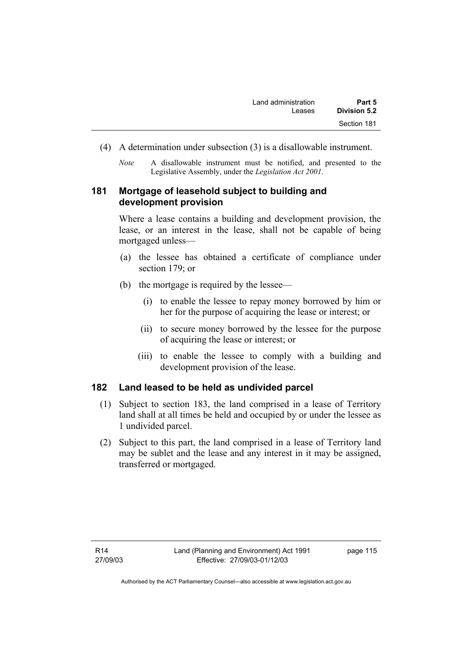- (4) A determination under subsection (3) is a disallowable instrument.
	- *Note* A disallowable instrument must be notified, and presented to the Legislative Assembly, under the *Legislation Act 2001*.

## **181 Mortgage of leasehold subject to building and development provision**

Where a lease contains a building and development provision, the lease, or an interest in the lease, shall not be capable of being mortgaged unless—

- (a) the lessee has obtained a certificate of compliance under section 179; or
- (b) the mortgage is required by the lessee—
	- (i) to enable the lessee to repay money borrowed by him or her for the purpose of acquiring the lease or interest; or
	- (ii) to secure money borrowed by the lessee for the purpose of acquiring the lease or interest; or
	- (iii) to enable the lessee to comply with a building and development provision of the lease.

## **182 Land leased to be held as undivided parcel**

- (1) Subject to section 183, the land comprised in a lease of Territory land shall at all times be held and occupied by or under the lessee as 1 undivided parcel.
- (2) Subject to this part, the land comprised in a lease of Territory land may be sublet and the lease and any interest in it may be assigned, transferred or mortgaged.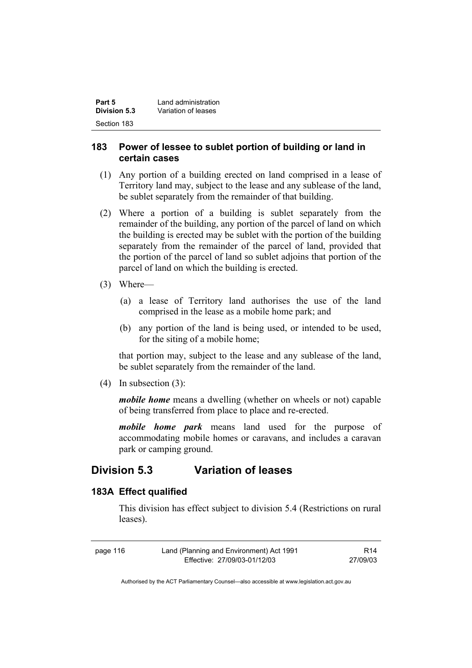| Part 5       | Land administration |
|--------------|---------------------|
| Division 5.3 | Variation of leases |
| Section 183  |                     |

### **183 Power of lessee to sublet portion of building or land in certain cases**

- (1) Any portion of a building erected on land comprised in a lease of Territory land may, subject to the lease and any sublease of the land, be sublet separately from the remainder of that building.
- (2) Where a portion of a building is sublet separately from the remainder of the building, any portion of the parcel of land on which the building is erected may be sublet with the portion of the building separately from the remainder of the parcel of land, provided that the portion of the parcel of land so sublet adjoins that portion of the parcel of land on which the building is erected.
- (3) Where—
	- (a) a lease of Territory land authorises the use of the land comprised in the lease as a mobile home park; and
	- (b) any portion of the land is being used, or intended to be used, for the siting of a mobile home;

that portion may, subject to the lease and any sublease of the land, be sublet separately from the remainder of the land.

(4) In subsection (3):

*mobile home* means a dwelling (whether on wheels or not) capable of being transferred from place to place and re-erected.

*mobile home park* means land used for the purpose of accommodating mobile homes or caravans, and includes a caravan park or camping ground.

## **Division 5.3 Variation of leases**

### **183A Effect qualified**

This division has effect subject to division 5.4 (Restrictions on rural leases).

| page 116 | Land (Planning and Environment) Act 1991 | R14      |
|----------|------------------------------------------|----------|
|          | Effective: 27/09/03-01/12/03             | 27/09/03 |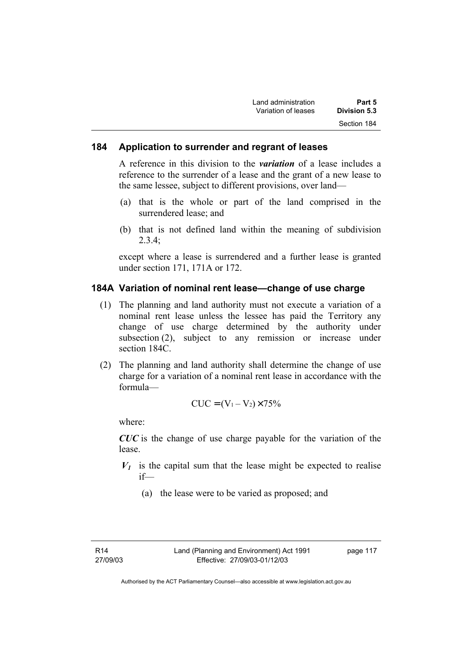| Land administration | Part 5       |
|---------------------|--------------|
| Variation of leases | Division 5.3 |
|                     | Section 184  |

### **184 Application to surrender and regrant of leases**

A reference in this division to the *variation* of a lease includes a reference to the surrender of a lease and the grant of a new lease to the same lessee, subject to different provisions, over land—

- (a) that is the whole or part of the land comprised in the surrendered lease; and
- (b) that is not defined land within the meaning of subdivision  $2.3.4$

except where a lease is surrendered and a further lease is granted under section 171, 171A or 172.

#### **184A Variation of nominal rent lease—change of use charge**

- (1) The planning and land authority must not execute a variation of a nominal rent lease unless the lessee has paid the Territory any change of use charge determined by the authority under subsection (2), subject to any remission or increase under section 184C.
- (2) The planning and land authority shall determine the change of use charge for a variation of a nominal rent lease in accordance with the formula—

$$
CUC = (V_1 - V_2) \times 75\%
$$

where:

*CUC* is the change of use charge payable for the variation of the lease.

- $V_1$  is the capital sum that the lease might be expected to realise if—
	- (a) the lease were to be varied as proposed; and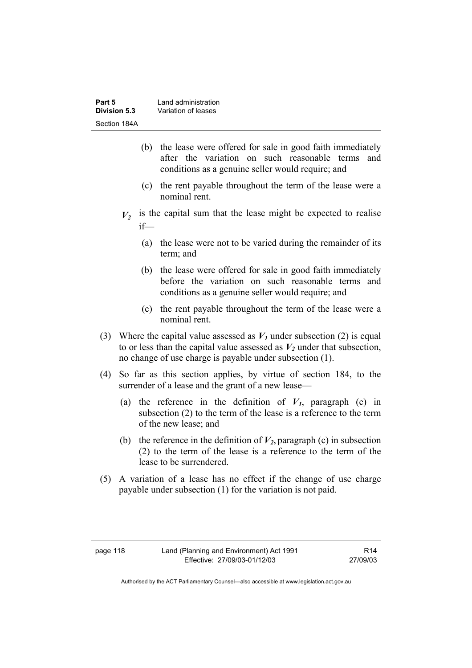| Part 5       | Land administration |
|--------------|---------------------|
| Division 5.3 | Variation of leases |
| Section 184A |                     |

- (b) the lease were offered for sale in good faith immediately after the variation on such reasonable terms and conditions as a genuine seller would require; and
- (c) the rent payable throughout the term of the lease were a nominal rent.
- $V_2$  is the capital sum that the lease might be expected to realise if—
	- (a) the lease were not to be varied during the remainder of its term; and
	- (b) the lease were offered for sale in good faith immediately before the variation on such reasonable terms and conditions as a genuine seller would require; and
	- (c) the rent payable throughout the term of the lease were a nominal rent.
- (3) Where the capital value assessed as  $V_I$  under subsection (2) is equal to or less than the capital value assessed as  $V_2$  under that subsection, no change of use charge is payable under subsection (1).
- (4) So far as this section applies, by virtue of section 184, to the surrender of a lease and the grant of a new lease—
	- (a) the reference in the definition of  $V_I$ , paragraph (c) in subsection (2) to the term of the lease is a reference to the term of the new lease; and
	- (b) the reference in the definition of  $V_2$ , paragraph (c) in subsection (2) to the term of the lease is a reference to the term of the lease to be surrendered.
- (5) A variation of a lease has no effect if the change of use charge payable under subsection (1) for the variation is not paid.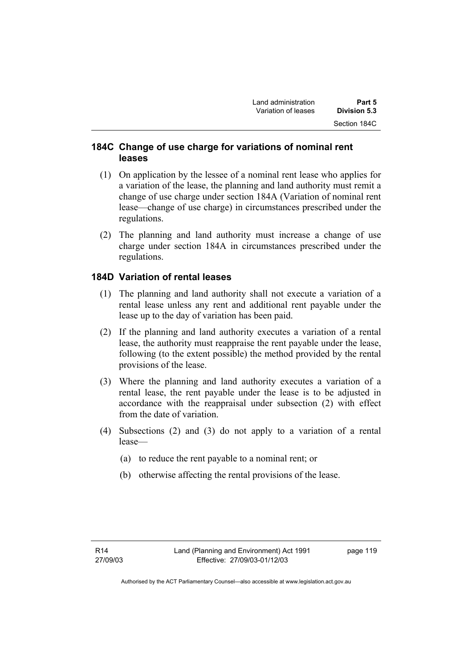## **184C Change of use charge for variations of nominal rent leases**

- (1) On application by the lessee of a nominal rent lease who applies for a variation of the lease, the planning and land authority must remit a change of use charge under section 184A (Variation of nominal rent lease—change of use charge) in circumstances prescribed under the regulations.
- (2) The planning and land authority must increase a change of use charge under section 184A in circumstances prescribed under the regulations.

## **184D Variation of rental leases**

- (1) The planning and land authority shall not execute a variation of a rental lease unless any rent and additional rent payable under the lease up to the day of variation has been paid.
- (2) If the planning and land authority executes a variation of a rental lease, the authority must reappraise the rent payable under the lease, following (to the extent possible) the method provided by the rental provisions of the lease.
- (3) Where the planning and land authority executes a variation of a rental lease, the rent payable under the lease is to be adjusted in accordance with the reappraisal under subsection (2) with effect from the date of variation.
- (4) Subsections (2) and (3) do not apply to a variation of a rental lease—
	- (a) to reduce the rent payable to a nominal rent; or
	- (b) otherwise affecting the rental provisions of the lease.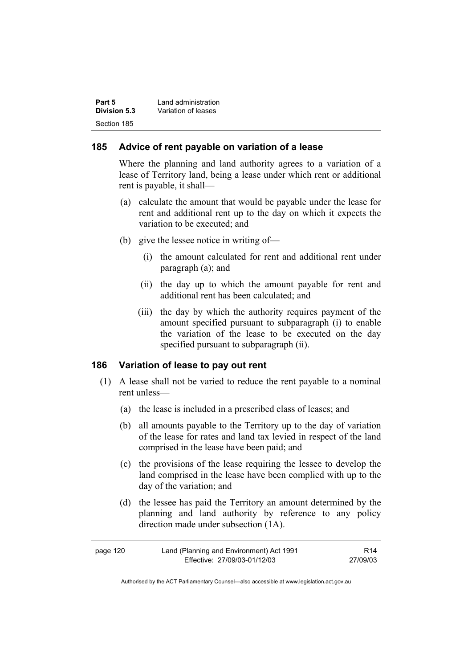| Part 5       | Land administration |
|--------------|---------------------|
| Division 5.3 | Variation of leases |
| Section 185  |                     |

### **185 Advice of rent payable on variation of a lease**

Where the planning and land authority agrees to a variation of a lease of Territory land, being a lease under which rent or additional rent is payable, it shall—

- (a) calculate the amount that would be payable under the lease for rent and additional rent up to the day on which it expects the variation to be executed; and
- (b) give the lessee notice in writing of—
	- (i) the amount calculated for rent and additional rent under paragraph (a); and
	- (ii) the day up to which the amount payable for rent and additional rent has been calculated; and
	- (iii) the day by which the authority requires payment of the amount specified pursuant to subparagraph (i) to enable the variation of the lease to be executed on the day specified pursuant to subparagraph (ii).

### **186 Variation of lease to pay out rent**

- (1) A lease shall not be varied to reduce the rent payable to a nominal rent unless—
	- (a) the lease is included in a prescribed class of leases; and
	- (b) all amounts payable to the Territory up to the day of variation of the lease for rates and land tax levied in respect of the land comprised in the lease have been paid; and
	- (c) the provisions of the lease requiring the lessee to develop the land comprised in the lease have been complied with up to the day of the variation; and
	- (d) the lessee has paid the Territory an amount determined by the planning and land authority by reference to any policy direction made under subsection (1A).

| page 120 | Land (Planning and Environment) Act 1991 | R <sub>14</sub> |
|----------|------------------------------------------|-----------------|
|          | Effective: 27/09/03-01/12/03             | 27/09/03        |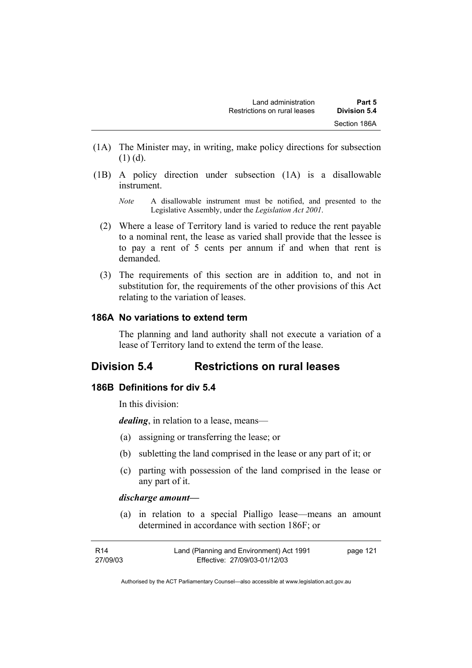- (1A) The Minister may, in writing, make policy directions for subsection  $(1)$  (d).
- (1B) A policy direction under subsection (1A) is a disallowable instrument.
	- *Note* A disallowable instrument must be notified, and presented to the Legislative Assembly, under the *Legislation Act 2001*.
	- (2) Where a lease of Territory land is varied to reduce the rent payable to a nominal rent, the lease as varied shall provide that the lessee is to pay a rent of 5 cents per annum if and when that rent is demanded.
	- (3) The requirements of this section are in addition to, and not in substitution for, the requirements of the other provisions of this Act relating to the variation of leases.

### **186A No variations to extend term**

The planning and land authority shall not execute a variation of a lease of Territory land to extend the term of the lease.

## **Division 5.4 Restrictions on rural leases**

### **186B Definitions for div 5.4**

In this division:

*dealing*, in relation to a lease, means—

- (a) assigning or transferring the lease; or
- (b) subletting the land comprised in the lease or any part of it; or
- (c) parting with possession of the land comprised in the lease or any part of it.

#### *discharge amount—*

 (a) in relation to a special Pialligo lease—means an amount determined in accordance with section 186F; or

| R14      | Land (Planning and Environment) Act 1991 | page 121 |
|----------|------------------------------------------|----------|
| 27/09/03 | Effective: 27/09/03-01/12/03             |          |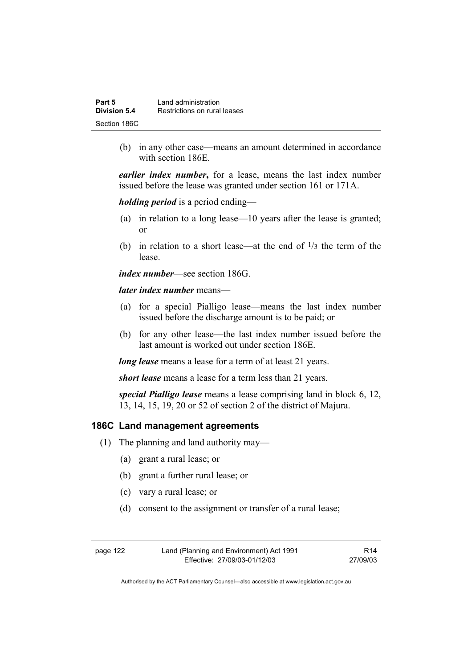| Part 5       | Land administration          |
|--------------|------------------------------|
| Division 5.4 | Restrictions on rural leases |
| Section 186C |                              |

 (b) in any other case—means an amount determined in accordance with section 186E.

*earlier index number***,** for a lease, means the last index number issued before the lease was granted under section 161 or 171A.

*holding period* is a period ending—

- (a) in relation to a long lease—10 years after the lease is granted; or
- (b) in relation to a short lease—at the end of  $\frac{1}{3}$  the term of the lease.

*index number*—see section 186G.

*later index number* means—

- (a) for a special Pialligo lease—means the last index number issued before the discharge amount is to be paid; or
- (b) for any other lease—the last index number issued before the last amount is worked out under section 186E.

*long lease* means a lease for a term of at least 21 years.

*short lease* means a lease for a term less than 21 years.

*special Pialligo lease* means a lease comprising land in block 6, 12, 13, 14, 15, 19, 20 or 52 of section 2 of the district of Majura.

#### **186C Land management agreements**

- (1) The planning and land authority may—
	- (a) grant a rural lease; or
	- (b) grant a further rural lease; or
	- (c) vary a rural lease; or
	- (d) consent to the assignment or transfer of a rural lease;

| page 122 | Land (Planning and Environment) Act 1991 | R <sub>14</sub> |
|----------|------------------------------------------|-----------------|
|          | Effective: 27/09/03-01/12/03             | 27/09/03        |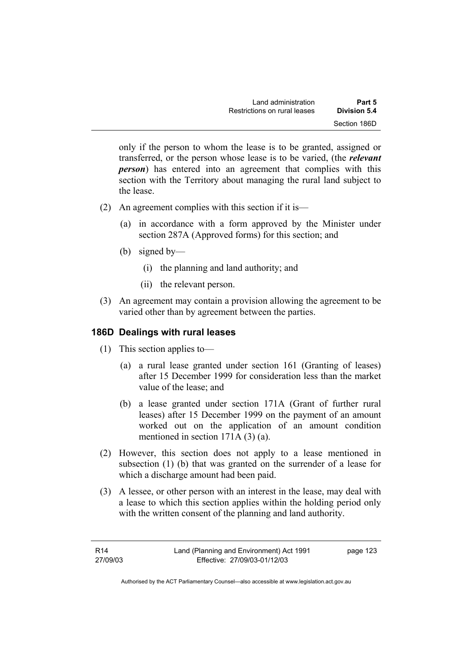| Land administration          | Part 5       |
|------------------------------|--------------|
| Restrictions on rural leases | Division 5.4 |
|                              | Section 186D |

only if the person to whom the lease is to be granted, assigned or transferred, or the person whose lease is to be varied, (the *relevant person*) has entered into an agreement that complies with this section with the Territory about managing the rural land subject to the lease.

- (2) An agreement complies with this section if it is—
	- (a) in accordance with a form approved by the Minister under section 287A (Approved forms) for this section; and
	- (b) signed by—
		- (i) the planning and land authority; and
		- (ii) the relevant person.
- (3) An agreement may contain a provision allowing the agreement to be varied other than by agreement between the parties.

#### **186D Dealings with rural leases**

- (1) This section applies to—
	- (a) a rural lease granted under section 161 (Granting of leases) after 15 December 1999 for consideration less than the market value of the lease; and
	- (b) a lease granted under section 171A (Grant of further rural leases) after 15 December 1999 on the payment of an amount worked out on the application of an amount condition mentioned in section 171A (3) (a).
- (2) However, this section does not apply to a lease mentioned in subsection (1) (b) that was granted on the surrender of a lease for which a discharge amount had been paid.
- (3) A lessee, or other person with an interest in the lease, may deal with a lease to which this section applies within the holding period only with the written consent of the planning and land authority.

| R14      | Land (Planning and Environment) Act 1991 | page 123 |
|----------|------------------------------------------|----------|
| 27/09/03 | Effective: 27/09/03-01/12/03             |          |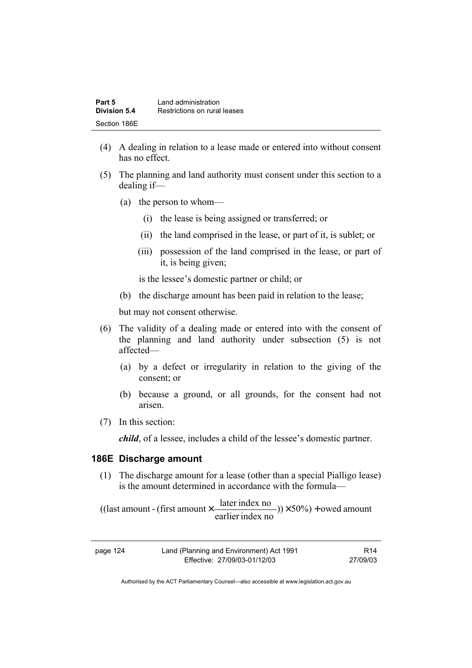| Part 5       | Land administration          |  |
|--------------|------------------------------|--|
| Division 5.4 | Restrictions on rural leases |  |
| Section 186E |                              |  |

- (4) A dealing in relation to a lease made or entered into without consent has no effect.
- (5) The planning and land authority must consent under this section to a dealing if—
	- (a) the person to whom—
		- (i) the lease is being assigned or transferred; or
		- (ii) the land comprised in the lease, or part of it, is sublet; or
		- (iii) possession of the land comprised in the lease, or part of it, is being given;

is the lessee's domestic partner or child; or

(b) the discharge amount has been paid in relation to the lease;

but may not consent otherwise.

- (6) The validity of a dealing made or entered into with the consent of the planning and land authority under subsection (5) is not affected—
	- (a) by a defect or irregularity in relation to the giving of the consent; or
	- (b) because a ground, or all grounds, for the consent had not arisen.
- (7) In this section:

*child*, of a lessee, includes a child of the lessee's domestic partner.

#### **186E Discharge amount**

 (1) The discharge amount for a lease (other than a special Pialligo lease) is the amount determined in accordance with the formula—

 $(y) \times 50\%$  + owed amount earlier index no ((last amount - (first amount  $\times \frac{\text{later index no}}{\text{in} \cdot \cdot \cdot \cdot}$ )) $\times$  50%) +

| page 124 | Land (Planning and Environment) Act 1991 | R <sub>14</sub> |
|----------|------------------------------------------|-----------------|
|          | Effective: 27/09/03-01/12/03             | 27/09/03        |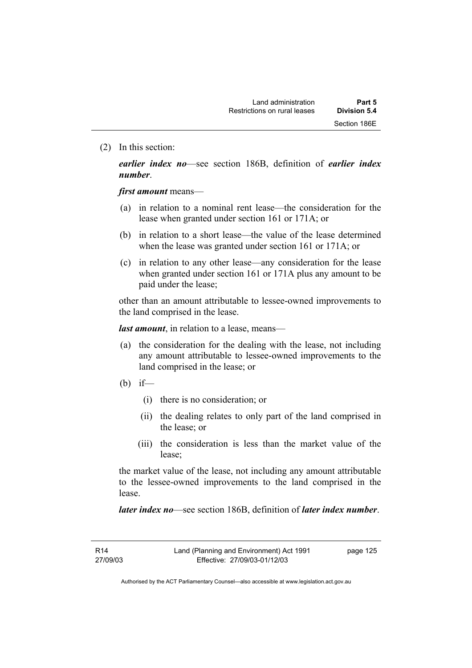(2) In this section:

*earlier index no*—see section 186B, definition of *earlier index number*.

*first amount* means—

- (a) in relation to a nominal rent lease—the consideration for the lease when granted under section 161 or 171A; or
- (b) in relation to a short lease—the value of the lease determined when the lease was granted under section 161 or 171A; or
- (c) in relation to any other lease—any consideration for the lease when granted under section 161 or 171A plus any amount to be paid under the lease;

other than an amount attributable to lessee-owned improvements to the land comprised in the lease.

*last amount*, in relation to a lease, means—

- (a) the consideration for the dealing with the lease, not including any amount attributable to lessee-owned improvements to the land comprised in the lease; or
- (b) if—
	- (i) there is no consideration; or
	- (ii) the dealing relates to only part of the land comprised in the lease; or
	- (iii) the consideration is less than the market value of the lease;

the market value of the lease, not including any amount attributable to the lessee-owned improvements to the land comprised in the lease.

*later index no*—see section 186B, definition of *later index number*.

R14 27/09/03 page 125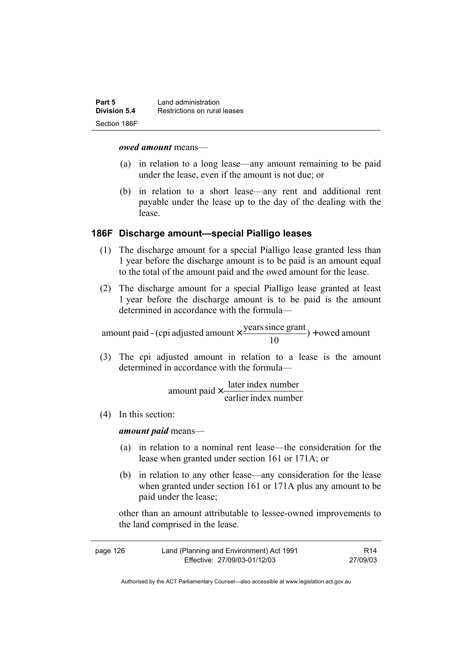| Part 5       | Land administration          |  |
|--------------|------------------------------|--|
| Division 5.4 | Restrictions on rural leases |  |
| Section 186F |                              |  |

#### *owed amount* means—

- (a) in relation to a long lease—any amount remaining to be paid under the lease, even if the amount is not due; or
- (b) in relation to a short lease—any rent and additional rent payable under the lease up to the day of the dealing with the lease.

#### **186F Discharge amount—special Pialligo leases**

- (1) The discharge amount for a special Pialligo lease granted less than 1 year before the discharge amount is to be paid is an amount equal to the total of the amount paid and the owed amount for the lease.
- (2) The discharge amount for a special Pialligo lease granted at least 1 year before the discharge amount is to be paid is the amount determined in accordance with the formula—

 $) +$  owed amount 10 amount paid - (cpi adjusted amount  $\times \frac{\text{years since grant}}{10}$ ) +

 (3) The cpi adjusted amount in relation to a lease is the amount determined in accordance with the formula—

> earlier index number amount paid  $\times \frac{\text{later index number}}{\text{time of length}}$

(4) In this section:

*amount paid* means—

- (a) in relation to a nominal rent lease—the consideration for the lease when granted under section 161 or 171A; or
- (b) in relation to any other lease—any consideration for the lease when granted under section 161 or 171A plus any amount to be paid under the lease;

other than an amount attributable to lessee-owned improvements to the land comprised in the lease.

| page 126 | Land (Planning and Environment) Act 1991 | R <sub>14</sub> |
|----------|------------------------------------------|-----------------|
|          | Effective: 27/09/03-01/12/03             | 27/09/03        |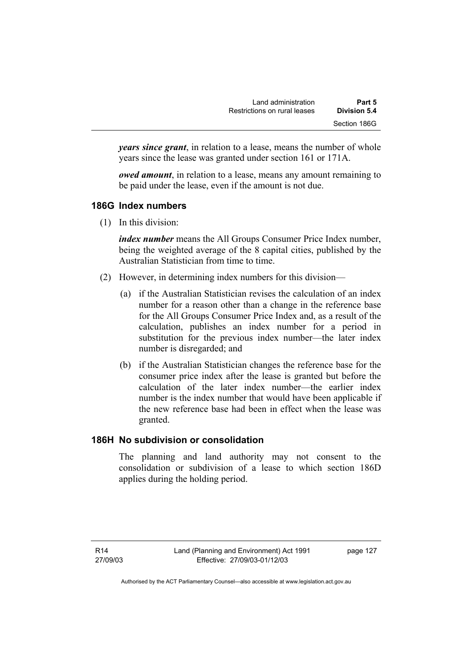| Land administration          | Part 5       |
|------------------------------|--------------|
| Restrictions on rural leases | Division 5.4 |
|                              | Section 186G |

*years since grant*, in relation to a lease, means the number of whole years since the lease was granted under section 161 or 171A.

*owed amount*, in relation to a lease, means any amount remaining to be paid under the lease, even if the amount is not due.

## **186G Index numbers**

(1) In this division:

*index number* means the All Groups Consumer Price Index number, being the weighted average of the 8 capital cities, published by the Australian Statistician from time to time.

- (2) However, in determining index numbers for this division—
	- (a) if the Australian Statistician revises the calculation of an index number for a reason other than a change in the reference base for the All Groups Consumer Price Index and, as a result of the calculation, publishes an index number for a period in substitution for the previous index number—the later index number is disregarded; and
	- (b) if the Australian Statistician changes the reference base for the consumer price index after the lease is granted but before the calculation of the later index number—the earlier index number is the index number that would have been applicable if the new reference base had been in effect when the lease was granted.

## **186H No subdivision or consolidation**

The planning and land authority may not consent to the consolidation or subdivision of a lease to which section 186D applies during the holding period.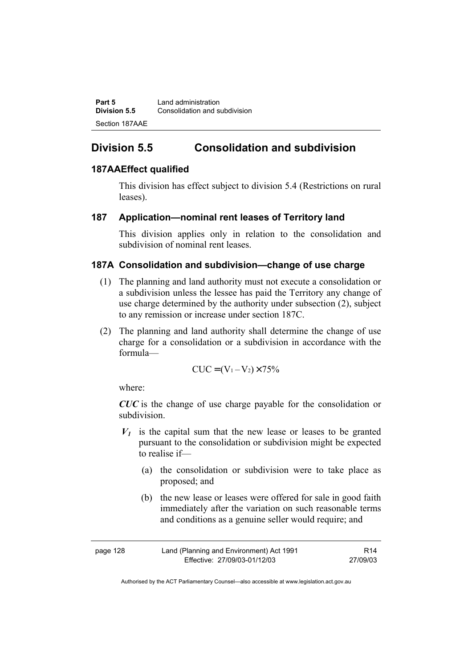**Part 5 Land administration Division 5.5** Consolidation and subdivision Section 187AAE

# **Division 5.5 Consolidation and subdivision**

## **187AAEffect qualified**

This division has effect subject to division 5.4 (Restrictions on rural leases).

### **187 Application—nominal rent leases of Territory land**

This division applies only in relation to the consolidation and subdivision of nominal rent leases.

### **187A Consolidation and subdivision—change of use charge**

- (1) The planning and land authority must not execute a consolidation or a subdivision unless the lessee has paid the Territory any change of use charge determined by the authority under subsection (2), subject to any remission or increase under section 187C.
- (2) The planning and land authority shall determine the change of use charge for a consolidation or a subdivision in accordance with the formula—

$$
CUC = (V_1 - V_2) \times 75\%
$$

where:

*CUC* is the change of use charge payable for the consolidation or subdivision.

- $V_1$  is the capital sum that the new lease or leases to be granted pursuant to the consolidation or subdivision might be expected to realise if—
	- (a) the consolidation or subdivision were to take place as proposed; and
	- (b) the new lease or leases were offered for sale in good faith immediately after the variation on such reasonable terms and conditions as a genuine seller would require; and

| page 128 | Land (Planning and Environment) Act 1991 | R <sub>14</sub> |
|----------|------------------------------------------|-----------------|
|          | Effective: 27/09/03-01/12/03             | 27/09/03        |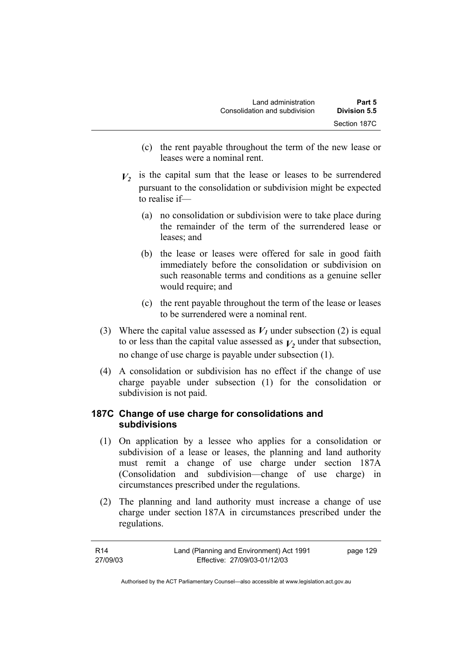- (c) the rent payable throughout the term of the new lease or leases were a nominal rent.
- $V_2$  is the capital sum that the lease or leases to be surrendered pursuant to the consolidation or subdivision might be expected to realise if—
	- (a) no consolidation or subdivision were to take place during the remainder of the term of the surrendered lease or leases; and
	- (b) the lease or leases were offered for sale in good faith immediately before the consolidation or subdivision on such reasonable terms and conditions as a genuine seller would require; and
	- (c) the rent payable throughout the term of the lease or leases to be surrendered were a nominal rent.
- (3) Where the capital value assessed as  $V_I$  under subsection (2) is equal to or less than the capital value assessed as  $V_2$  under that subsection, no change of use charge is payable under subsection (1).
- (4) A consolidation or subdivision has no effect if the change of use charge payable under subsection (1) for the consolidation or subdivision is not paid.

# **187C Change of use charge for consolidations and subdivisions**

- (1) On application by a lessee who applies for a consolidation or subdivision of a lease or leases, the planning and land authority must remit a change of use charge under section 187A (Consolidation and subdivision—change of use charge) in circumstances prescribed under the regulations.
- (2) The planning and land authority must increase a change of use charge under section 187A in circumstances prescribed under the regulations.

| R14      | Land (Planning and Environment) Act 1991 | page 129 |
|----------|------------------------------------------|----------|
| 27/09/03 | Effective: 27/09/03-01/12/03             |          |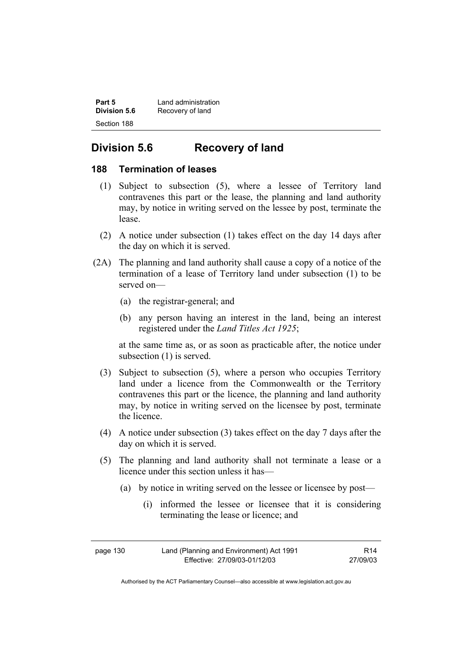| Part 5       | Land administration |
|--------------|---------------------|
| Division 5.6 | Recovery of land    |
| Section 188  |                     |

# **Division 5.6 Recovery of land**

### **188 Termination of leases**

- (1) Subject to subsection (5), where a lessee of Territory land contravenes this part or the lease, the planning and land authority may, by notice in writing served on the lessee by post, terminate the lease.
- (2) A notice under subsection (1) takes effect on the day 14 days after the day on which it is served.
- (2A) The planning and land authority shall cause a copy of a notice of the termination of a lease of Territory land under subsection (1) to be served on—
	- (a) the registrar-general; and
	- (b) any person having an interest in the land, being an interest registered under the *Land Titles Act 1925*;

at the same time as, or as soon as practicable after, the notice under subsection (1) is served.

- (3) Subject to subsection (5), where a person who occupies Territory land under a licence from the Commonwealth or the Territory contravenes this part or the licence, the planning and land authority may, by notice in writing served on the licensee by post, terminate the licence.
- (4) A notice under subsection (3) takes effect on the day 7 days after the day on which it is served.
- (5) The planning and land authority shall not terminate a lease or a licence under this section unless it has—
	- (a) by notice in writing served on the lessee or licensee by post—
		- (i) informed the lessee or licensee that it is considering terminating the lease or licence; and

page 130 Land (Planning and Environment) Act 1991 Effective: 27/09/03-01/12/03 R14 27/09/03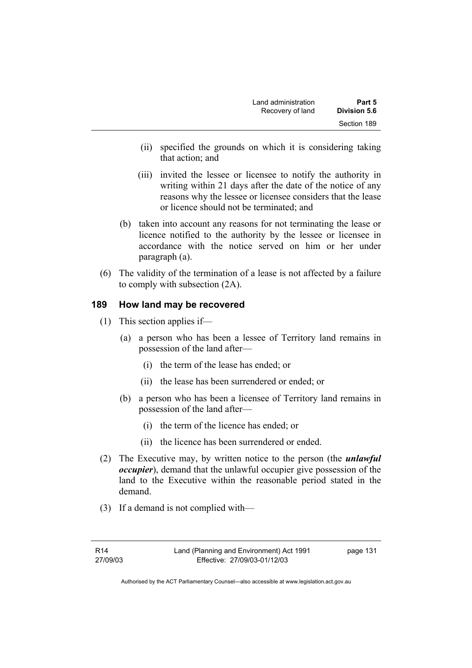| Land administration | Part 5       |
|---------------------|--------------|
| Recovery of land    | Division 5.6 |
|                     | Section 189  |

- (ii) specified the grounds on which it is considering taking that action; and
- (iii) invited the lessee or licensee to notify the authority in writing within 21 days after the date of the notice of any reasons why the lessee or licensee considers that the lease or licence should not be terminated; and
- (b) taken into account any reasons for not terminating the lease or licence notified to the authority by the lessee or licensee in accordance with the notice served on him or her under paragraph (a).
- (6) The validity of the termination of a lease is not affected by a failure to comply with subsection (2A).

### **189 How land may be recovered**

- (1) This section applies if—
	- (a) a person who has been a lessee of Territory land remains in possession of the land after—
		- (i) the term of the lease has ended; or
		- (ii) the lease has been surrendered or ended; or
	- (b) a person who has been a licensee of Territory land remains in possession of the land after—
		- (i) the term of the licence has ended; or
		- (ii) the licence has been surrendered or ended.
- (2) The Executive may, by written notice to the person (the *unlawful occupier*), demand that the unlawful occupier give possession of the land to the Executive within the reasonable period stated in the demand.
- (3) If a demand is not complied with—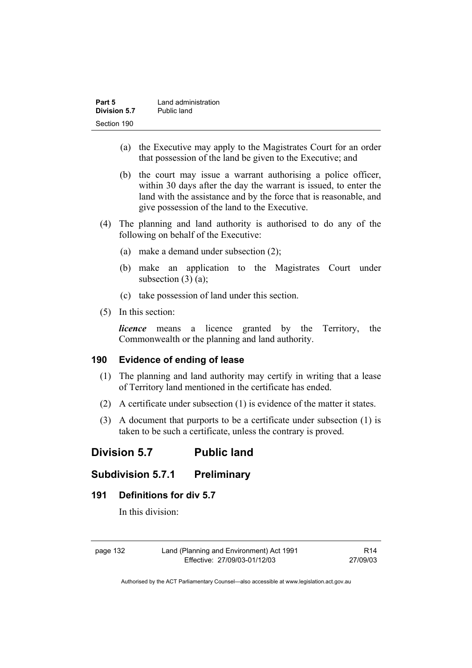| Part 5       | Land administration |
|--------------|---------------------|
| Division 5.7 | Public land         |
| Section 190  |                     |

- (a) the Executive may apply to the Magistrates Court for an order that possession of the land be given to the Executive; and
- (b) the court may issue a warrant authorising a police officer, within 30 days after the day the warrant is issued, to enter the land with the assistance and by the force that is reasonable, and give possession of the land to the Executive.
- (4) The planning and land authority is authorised to do any of the following on behalf of the Executive:
	- (a) make a demand under subsection (2);
	- (b) make an application to the Magistrates Court under subsection  $(3)$   $(a)$ ;
	- (c) take possession of land under this section.
- (5) In this section:

*licence* means a licence granted by the Territory, the Commonwealth or the planning and land authority.

### **190 Evidence of ending of lease**

- (1) The planning and land authority may certify in writing that a lease of Territory land mentioned in the certificate has ended.
- (2) A certificate under subsection (1) is evidence of the matter it states.
- (3) A document that purports to be a certificate under subsection (1) is taken to be such a certificate, unless the contrary is proved.

# **Division 5.7 Public land**

# **Subdivision 5.7.1 Preliminary**

### **191 Definitions for div 5.7**

In this division:

page 132 Land (Planning and Environment) Act 1991 Effective: 27/09/03-01/12/03

R14 27/09/03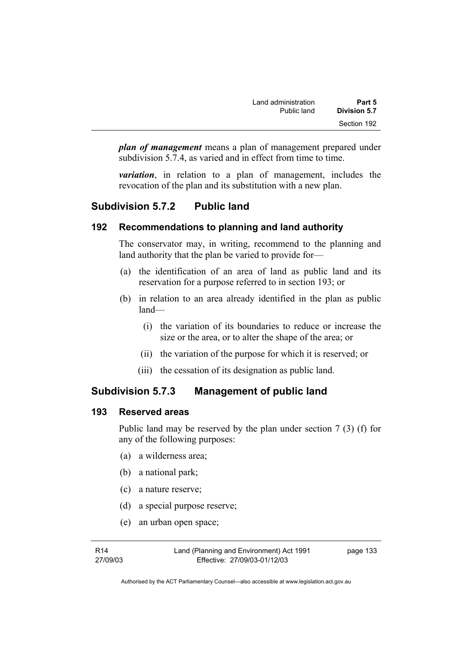| Land administration | Part 5       |
|---------------------|--------------|
| Public land         | Division 5.7 |
|                     | Section 192  |

*plan of management* means a plan of management prepared under subdivision 5.7.4, as varied and in effect from time to time.

*variation*, in relation to a plan of management, includes the revocation of the plan and its substitution with a new plan.

# **Subdivision 5.7.2 Public land**

### **192 Recommendations to planning and land authority**

The conservator may, in writing, recommend to the planning and land authority that the plan be varied to provide for—

- (a) the identification of an area of land as public land and its reservation for a purpose referred to in section 193; or
- (b) in relation to an area already identified in the plan as public land—
	- (i) the variation of its boundaries to reduce or increase the size or the area, or to alter the shape of the area; or
	- (ii) the variation of the purpose for which it is reserved; or
	- (iii) the cessation of its designation as public land.

# **Subdivision 5.7.3 Management of public land**

### **193 Reserved areas**

Public land may be reserved by the plan under section 7 (3) (f) for any of the following purposes:

- (a) a wilderness area;
- (b) a national park;
- (c) a nature reserve;
- (d) a special purpose reserve;
- (e) an urban open space;

Land (Planning and Environment) Act 1991 Effective: 27/09/03-01/12/03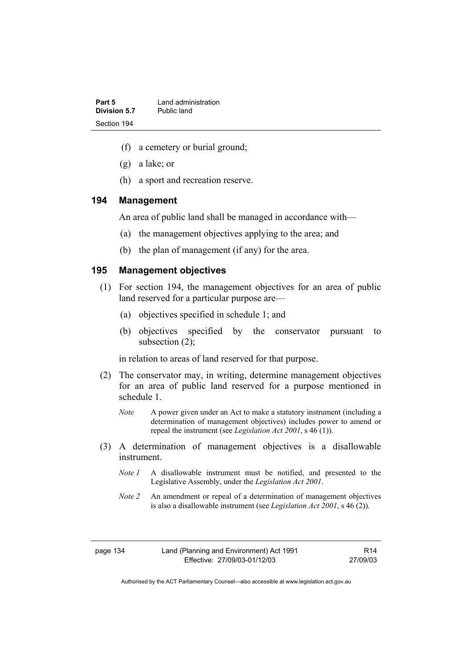| Part 5       | Land administration |
|--------------|---------------------|
| Division 5.7 | Public land         |
| Section 194  |                     |

- (f) a cemetery or burial ground;
- (g) a lake; or
- (h) a sport and recreation reserve.

#### **194 Management**

An area of public land shall be managed in accordance with—

- (a) the management objectives applying to the area; and
- (b) the plan of management (if any) for the area.

### **195 Management objectives**

- (1) For section 194, the management objectives for an area of public land reserved for a particular purpose are—
	- (a) objectives specified in schedule 1; and
	- (b) objectives specified by the conservator pursuant to subsection (2);

in relation to areas of land reserved for that purpose.

- (2) The conservator may, in writing, determine management objectives for an area of public land reserved for a purpose mentioned in schedule 1.
	- *Note* A power given under an Act to make a statutory instrument (including a determination of management objectives) includes power to amend or repeal the instrument (see *Legislation Act 2001*, s 46 (1)).
- (3) A determination of management objectives is a disallowable instrument.
	- *Note 1* A disallowable instrument must be notified, and presented to the Legislative Assembly, under the *Legislation Act 2001*.
	- *Note 2* An amendment or repeal of a determination of management objectives is also a disallowable instrument (see *Legislation Act 2001*, s 46 (2))*.*

R14 27/09/03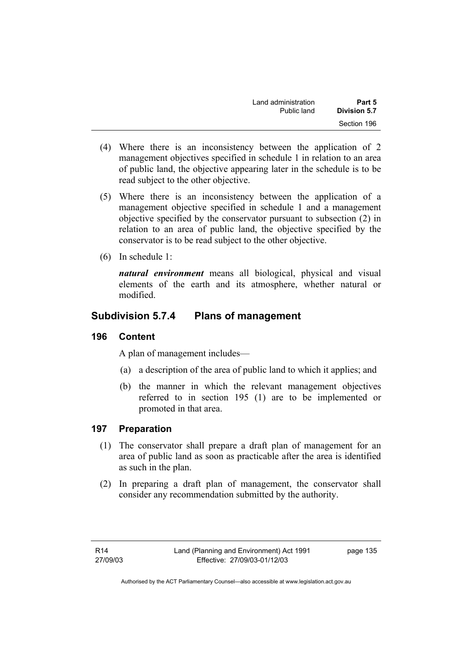| Land administration | Part 5              |
|---------------------|---------------------|
| Public land         | <b>Division 5.7</b> |
|                     | Section 196         |

- (4) Where there is an inconsistency between the application of 2 management objectives specified in schedule 1 in relation to an area of public land, the objective appearing later in the schedule is to be read subject to the other objective.
- (5) Where there is an inconsistency between the application of a management objective specified in schedule 1 and a management objective specified by the conservator pursuant to subsection (2) in relation to an area of public land, the objective specified by the conservator is to be read subject to the other objective.
- (6) In schedule 1:

*natural environment* means all biological, physical and visual elements of the earth and its atmosphere, whether natural or modified.

# **Subdivision 5.7.4 Plans of management**

### **196 Content**

A plan of management includes—

- (a) a description of the area of public land to which it applies; and
- (b) the manner in which the relevant management objectives referred to in section 195 (1) are to be implemented or promoted in that area.

# **197 Preparation**

- (1) The conservator shall prepare a draft plan of management for an area of public land as soon as practicable after the area is identified as such in the plan.
- (2) In preparing a draft plan of management, the conservator shall consider any recommendation submitted by the authority.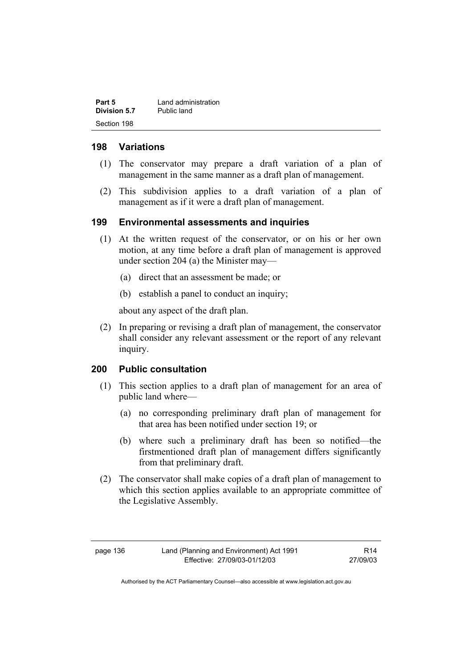| Part 5       | Land administration |
|--------------|---------------------|
| Division 5.7 | Public land         |
| Section 198  |                     |

### **198 Variations**

- (1) The conservator may prepare a draft variation of a plan of management in the same manner as a draft plan of management.
- (2) This subdivision applies to a draft variation of a plan of management as if it were a draft plan of management.

### **199 Environmental assessments and inquiries**

- (1) At the written request of the conservator, or on his or her own motion, at any time before a draft plan of management is approved under section 204 (a) the Minister may—
	- (a) direct that an assessment be made; or
	- (b) establish a panel to conduct an inquiry;

about any aspect of the draft plan.

 (2) In preparing or revising a draft plan of management, the conservator shall consider any relevant assessment or the report of any relevant inquiry.

## **200 Public consultation**

- (1) This section applies to a draft plan of management for an area of public land where—
	- (a) no corresponding preliminary draft plan of management for that area has been notified under section 19; or
	- (b) where such a preliminary draft has been so notified—the firstmentioned draft plan of management differs significantly from that preliminary draft.
- (2) The conservator shall make copies of a draft plan of management to which this section applies available to an appropriate committee of the Legislative Assembly.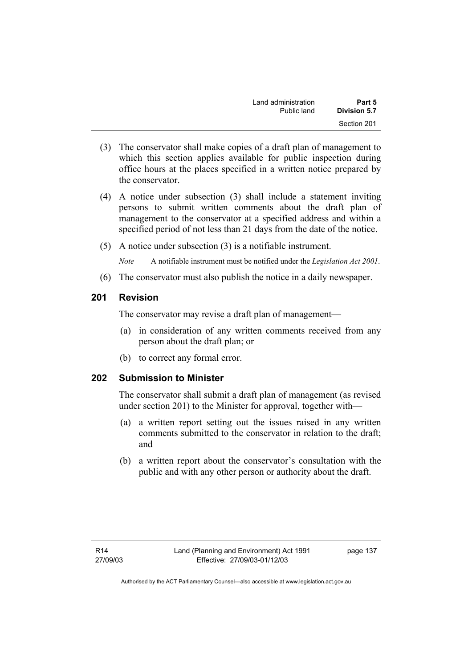| Land administration | Part 5       |
|---------------------|--------------|
| Public land         | Division 5.7 |
|                     | Section 201  |

- (3) The conservator shall make copies of a draft plan of management to which this section applies available for public inspection during office hours at the places specified in a written notice prepared by the conservator.
- (4) A notice under subsection (3) shall include a statement inviting persons to submit written comments about the draft plan of management to the conservator at a specified address and within a specified period of not less than 21 days from the date of the notice.
- (5) A notice under subsection (3) is a notifiable instrument.

*Note* A notifiable instrument must be notified under the *Legislation Act 2001*.

(6) The conservator must also publish the notice in a daily newspaper.

### **201 Revision**

The conservator may revise a draft plan of management—

- (a) in consideration of any written comments received from any person about the draft plan; or
- (b) to correct any formal error.

# **202 Submission to Minister**

The conservator shall submit a draft plan of management (as revised under section 201) to the Minister for approval, together with—

- (a) a written report setting out the issues raised in any written comments submitted to the conservator in relation to the draft; and
- (b) a written report about the conservator's consultation with the public and with any other person or authority about the draft.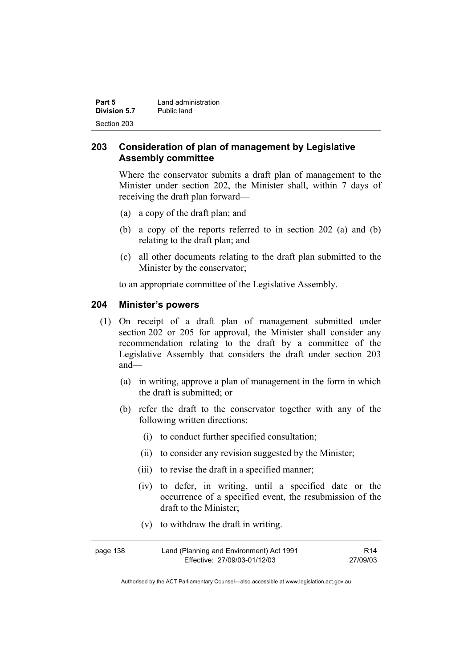| Part 5       | Land administration |
|--------------|---------------------|
| Division 5.7 | Public land         |
| Section 203  |                     |

## **203 Consideration of plan of management by Legislative Assembly committee**

Where the conservator submits a draft plan of management to the Minister under section 202, the Minister shall, within 7 days of receiving the draft plan forward—

- (a) a copy of the draft plan; and
- (b) a copy of the reports referred to in section 202 (a) and (b) relating to the draft plan; and
- (c) all other documents relating to the draft plan submitted to the Minister by the conservator;

to an appropriate committee of the Legislative Assembly.

### **204 Minister's powers**

- (1) On receipt of a draft plan of management submitted under section 202 or 205 for approval, the Minister shall consider any recommendation relating to the draft by a committee of the Legislative Assembly that considers the draft under section 203 and—
	- (a) in writing, approve a plan of management in the form in which the draft is submitted; or
	- (b) refer the draft to the conservator together with any of the following written directions:
		- (i) to conduct further specified consultation;
		- (ii) to consider any revision suggested by the Minister;
		- (iii) to revise the draft in a specified manner;
		- (iv) to defer, in writing, until a specified date or the occurrence of a specified event, the resubmission of the draft to the Minister;
		- (v) to withdraw the draft in writing.

| page 138 | Land (Planning and Environment) Act 1991 | R <sub>14</sub> |
|----------|------------------------------------------|-----------------|
|          | Effective: 27/09/03-01/12/03             | 27/09/03        |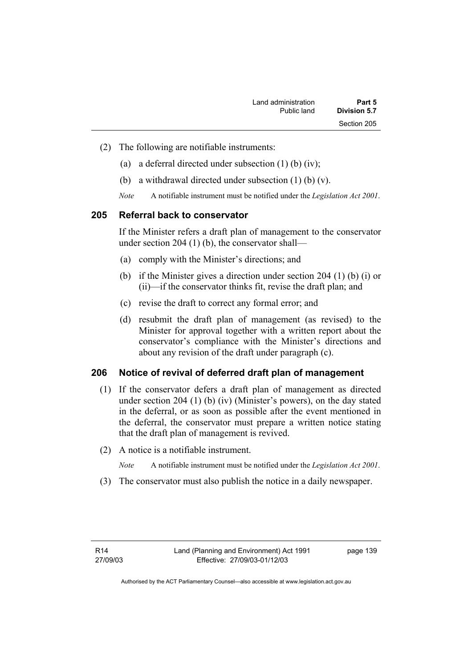| Land administration | Part 5              |
|---------------------|---------------------|
| Public land         | <b>Division 5.7</b> |
|                     | Section 205         |

- (2) The following are notifiable instruments:
	- (a) a deferral directed under subsection (1) (b) (iv);
	- (b) a withdrawal directed under subsection (1) (b) (v).
	- *Note* A notifiable instrument must be notified under the *Legislation Act 2001*.

### **205 Referral back to conservator**

If the Minister refers a draft plan of management to the conservator under section 204 (1) (b), the conservator shall—

- (a) comply with the Minister's directions; and
- (b) if the Minister gives a direction under section 204 (1) (b) (i) or (ii)—if the conservator thinks fit, revise the draft plan; and
- (c) revise the draft to correct any formal error; and
- (d) resubmit the draft plan of management (as revised) to the Minister for approval together with a written report about the conservator's compliance with the Minister's directions and about any revision of the draft under paragraph (c).

### **206 Notice of revival of deferred draft plan of management**

- (1) If the conservator defers a draft plan of management as directed under section 204 (1) (b) (iv) (Minister's powers), on the day stated in the deferral, or as soon as possible after the event mentioned in the deferral, the conservator must prepare a written notice stating that the draft plan of management is revived.
- (2) A notice is a notifiable instrument.

*Note* A notifiable instrument must be notified under the *Legislation Act 2001*.

(3) The conservator must also publish the notice in a daily newspaper.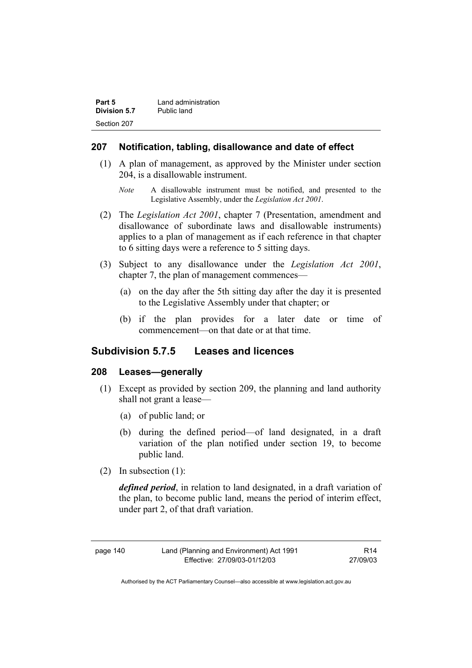| Part 5              | Land administration |
|---------------------|---------------------|
| <b>Division 5.7</b> | Public land         |
| Section 207         |                     |

### **207 Notification, tabling, disallowance and date of effect**

- (1) A plan of management, as approved by the Minister under section 204, is a disallowable instrument.
	- *Note* A disallowable instrument must be notified, and presented to the Legislative Assembly, under the *Legislation Act 2001*.
- (2) The *Legislation Act 2001*, chapter 7 (Presentation, amendment and disallowance of subordinate laws and disallowable instruments) applies to a plan of management as if each reference in that chapter to 6 sitting days were a reference to 5 sitting days.
- (3) Subject to any disallowance under the *Legislation Act 2001*, chapter 7, the plan of management commences—
	- (a) on the day after the 5th sitting day after the day it is presented to the Legislative Assembly under that chapter; or
	- (b) if the plan provides for a later date or time of commencement—on that date or at that time.

### **Subdivision 5.7.5 Leases and licences**

### **208 Leases—generally**

- (1) Except as provided by section 209, the planning and land authority shall not grant a lease—
	- (a) of public land; or
	- (b) during the defined period—of land designated, in a draft variation of the plan notified under section 19, to become public land.
- (2) In subsection (1):

*defined period*, in relation to land designated, in a draft variation of the plan, to become public land, means the period of interim effect, under part 2, of that draft variation.

| page | 140 |
|------|-----|
|------|-----|

R14 27/09/03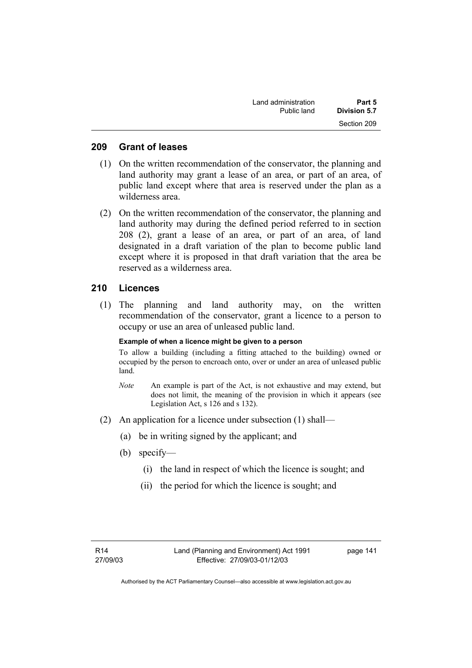| Land administration | Part 5       |
|---------------------|--------------|
| Public land         | Division 5.7 |
|                     | Section 209  |

### **209 Grant of leases**

- (1) On the written recommendation of the conservator, the planning and land authority may grant a lease of an area, or part of an area, of public land except where that area is reserved under the plan as a wilderness area.
- (2) On the written recommendation of the conservator, the planning and land authority may during the defined period referred to in section 208 (2), grant a lease of an area, or part of an area, of land designated in a draft variation of the plan to become public land except where it is proposed in that draft variation that the area be reserved as a wilderness area.

### **210 Licences**

 (1) The planning and land authority may, on the written recommendation of the conservator, grant a licence to a person to occupy or use an area of unleased public land.

#### **Example of when a licence might be given to a person**

To allow a building (including a fitting attached to the building) owned or occupied by the person to encroach onto, over or under an area of unleased public land.

- *Note* An example is part of the Act, is not exhaustive and may extend, but does not limit, the meaning of the provision in which it appears (see Legislation Act, s 126 and s 132).
- (2) An application for a licence under subsection (1) shall—
	- (a) be in writing signed by the applicant; and
	- (b) specify—
		- (i) the land in respect of which the licence is sought; and
		- (ii) the period for which the licence is sought; and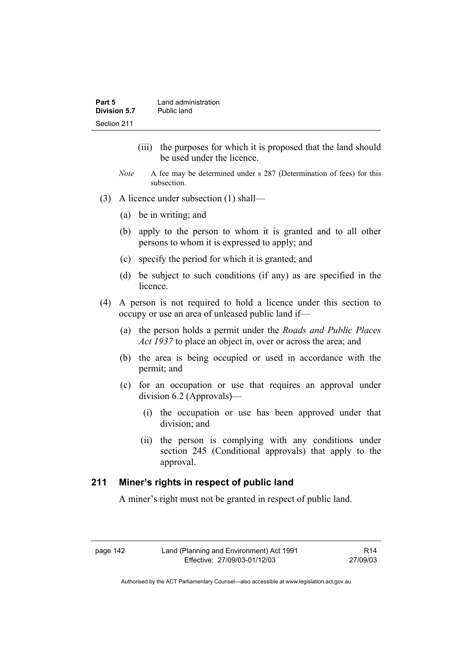| Part 5       | Land administration |
|--------------|---------------------|
| Division 5.7 | Public land         |
| Section 211  |                     |

- (iii) the purposes for which it is proposed that the land should be used under the licence.
- *Note* A fee may be determined under s 287 (Determination of fees) for this subsection.
- (3) A licence under subsection (1) shall—
	- (a) be in writing; and
	- (b) apply to the person to whom it is granted and to all other persons to whom it is expressed to apply; and
	- (c) specify the period for which it is granted; and
	- (d) be subject to such conditions (if any) as are specified in the licence.
- (4) A person is not required to hold a licence under this section to occupy or use an area of unleased public land if—
	- (a) the person holds a permit under the *Roads and Public Places Act 1937* to place an object in, over or across the area; and
	- (b) the area is being occupied or used in accordance with the permit; and
	- (c) for an occupation or use that requires an approval under division 6.2 (Approvals)—
		- (i) the occupation or use has been approved under that division; and
		- (ii) the person is complying with any conditions under section 245 (Conditional approvals) that apply to the approval.

### **211 Miner's rights in respect of public land**

A miner's right must not be granted in respect of public land.

R14 27/09/03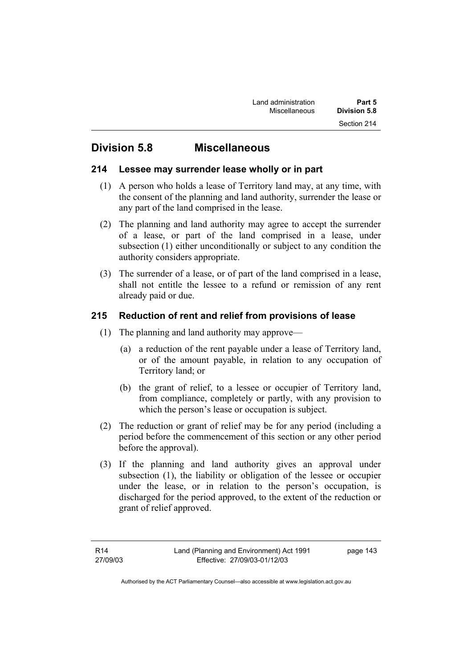# **Division 5.8 Miscellaneous**

# **214 Lessee may surrender lease wholly or in part**

- (1) A person who holds a lease of Territory land may, at any time, with the consent of the planning and land authority, surrender the lease or any part of the land comprised in the lease.
- (2) The planning and land authority may agree to accept the surrender of a lease, or part of the land comprised in a lease, under subsection (1) either unconditionally or subject to any condition the authority considers appropriate.
- (3) The surrender of a lease, or of part of the land comprised in a lease, shall not entitle the lessee to a refund or remission of any rent already paid or due.

# **215 Reduction of rent and relief from provisions of lease**

- (1) The planning and land authority may approve—
	- (a) a reduction of the rent payable under a lease of Territory land, or of the amount payable, in relation to any occupation of Territory land; or
	- (b) the grant of relief, to a lessee or occupier of Territory land, from compliance, completely or partly, with any provision to which the person's lease or occupation is subject.
- (2) The reduction or grant of relief may be for any period (including a period before the commencement of this section or any other period before the approval).
- (3) If the planning and land authority gives an approval under subsection (1), the liability or obligation of the lessee or occupier under the lease, or in relation to the person's occupation, is discharged for the period approved, to the extent of the reduction or grant of relief approved.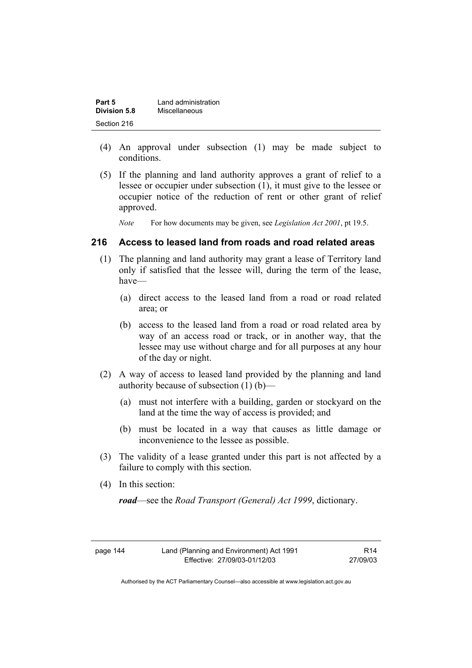| Part 5       | Land administration |
|--------------|---------------------|
| Division 5.8 | Miscellaneous       |
| Section 216  |                     |

- (4) An approval under subsection (1) may be made subject to conditions.
- (5) If the planning and land authority approves a grant of relief to a lessee or occupier under subsection (1), it must give to the lessee or occupier notice of the reduction of rent or other grant of relief approved.

*Note* For how documents may be given, see *Legislation Act 2001*, pt 19.5.

### **216 Access to leased land from roads and road related areas**

- (1) The planning and land authority may grant a lease of Territory land only if satisfied that the lessee will, during the term of the lease, have—
	- (a) direct access to the leased land from a road or road related area; or
	- (b) access to the leased land from a road or road related area by way of an access road or track, or in another way, that the lessee may use without charge and for all purposes at any hour of the day or night.
- (2) A way of access to leased land provided by the planning and land authority because of subsection (1) (b)—
	- (a) must not interfere with a building, garden or stockyard on the land at the time the way of access is provided; and
	- (b) must be located in a way that causes as little damage or inconvenience to the lessee as possible.
- (3) The validity of a lease granted under this part is not affected by a failure to comply with this section.
- (4) In this section:

*road*—see the *Road Transport (General) Act 1999*, dictionary.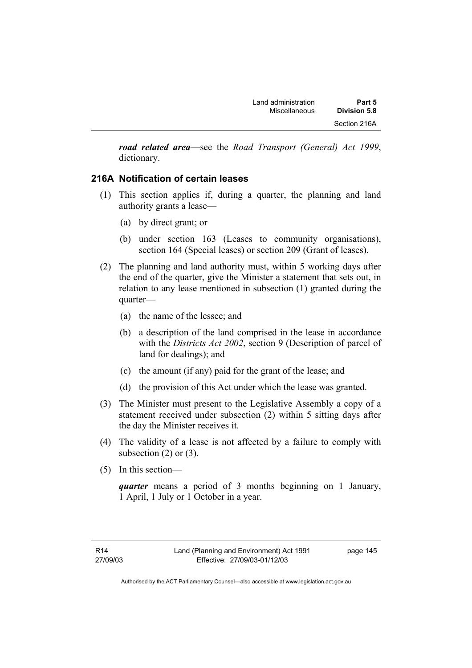*road related area*—see the *Road Transport (General) Act 1999*, dictionary.

# **216A Notification of certain leases**

- (1) This section applies if, during a quarter, the planning and land authority grants a lease—
	- (a) by direct grant; or
	- (b) under section 163 (Leases to community organisations), section 164 (Special leases) or section 209 (Grant of leases).
- (2) The planning and land authority must, within 5 working days after the end of the quarter, give the Minister a statement that sets out, in relation to any lease mentioned in subsection (1) granted during the quarter—
	- (a) the name of the lessee; and
	- (b) a description of the land comprised in the lease in accordance with the *Districts Act 2002*, section 9 (Description of parcel of land for dealings); and
	- (c) the amount (if any) paid for the grant of the lease; and
	- (d) the provision of this Act under which the lease was granted.
- (3) The Minister must present to the Legislative Assembly a copy of a statement received under subsection (2) within 5 sitting days after the day the Minister receives it.
- (4) The validity of a lease is not affected by a failure to comply with subsection  $(2)$  or  $(3)$ .
- (5) In this section—

*quarter* means a period of 3 months beginning on 1 January, 1 April, 1 July or 1 October in a year.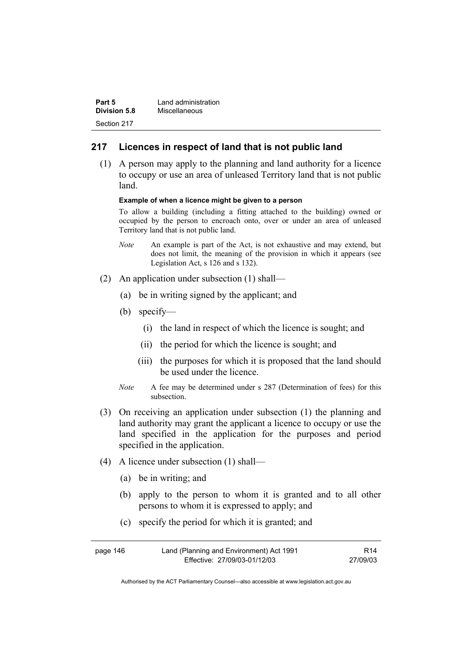| Part 5              | Land administration |
|---------------------|---------------------|
| <b>Division 5.8</b> | Miscellaneous       |
| Section 217         |                     |

### **217 Licences in respect of land that is not public land**

 (1) A person may apply to the planning and land authority for a licence to occupy or use an area of unleased Territory land that is not public land.

#### **Example of when a licence might be given to a person**

To allow a building (including a fitting attached to the building) owned or occupied by the person to encroach onto, over or under an area of unleased Territory land that is not public land.

- *Note* An example is part of the Act, is not exhaustive and may extend, but does not limit, the meaning of the provision in which it appears (see Legislation Act, s 126 and s 132).
- (2) An application under subsection (1) shall—
	- (a) be in writing signed by the applicant; and
	- (b) specify—
		- (i) the land in respect of which the licence is sought; and
		- (ii) the period for which the licence is sought; and
		- (iii) the purposes for which it is proposed that the land should be used under the licence.
	- *Note* A fee may be determined under s 287 (Determination of fees) for this subsection.
- (3) On receiving an application under subsection (1) the planning and land authority may grant the applicant a licence to occupy or use the land specified in the application for the purposes and period specified in the application.
- (4) A licence under subsection (1) shall—
	- (a) be in writing; and
	- (b) apply to the person to whom it is granted and to all other persons to whom it is expressed to apply; and
	- (c) specify the period for which it is granted; and

| page 146 | Land (Planning and Environment) Act 1991 | R14      |
|----------|------------------------------------------|----------|
|          | Effective: 27/09/03-01/12/03             | 27/09/03 |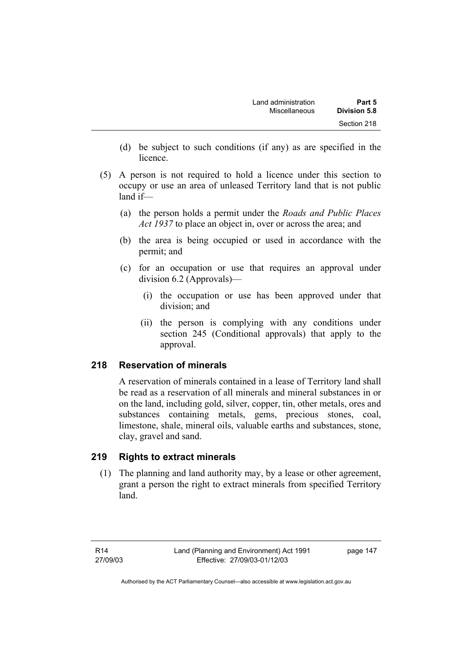- (d) be subject to such conditions (if any) as are specified in the licence.
- (5) A person is not required to hold a licence under this section to occupy or use an area of unleased Territory land that is not public land if—
	- (a) the person holds a permit under the *Roads and Public Places Act 1937* to place an object in, over or across the area; and
	- (b) the area is being occupied or used in accordance with the permit; and
	- (c) for an occupation or use that requires an approval under division 6.2 (Approvals)—
		- (i) the occupation or use has been approved under that division; and
		- (ii) the person is complying with any conditions under section 245 (Conditional approvals) that apply to the approval.

# **218 Reservation of minerals**

A reservation of minerals contained in a lease of Territory land shall be read as a reservation of all minerals and mineral substances in or on the land, including gold, silver, copper, tin, other metals, ores and substances containing metals, gems, precious stones, coal, limestone, shale, mineral oils, valuable earths and substances, stone, clay, gravel and sand.

# **219 Rights to extract minerals**

 (1) The planning and land authority may, by a lease or other agreement, grant a person the right to extract minerals from specified Territory land.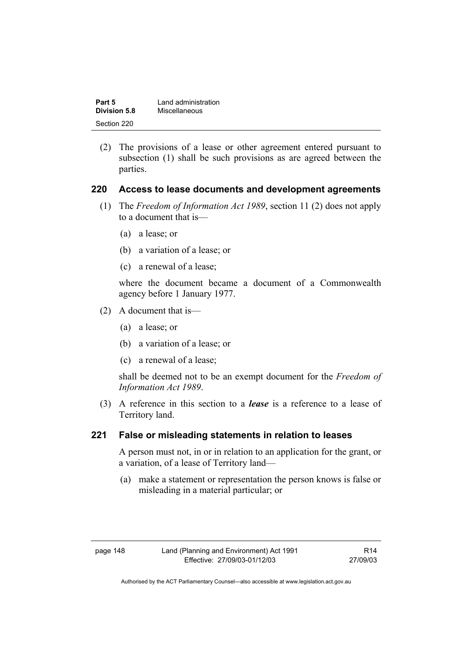| Part 5       | Land administration |
|--------------|---------------------|
| Division 5.8 | Miscellaneous       |
| Section 220  |                     |

 (2) The provisions of a lease or other agreement entered pursuant to subsection (1) shall be such provisions as are agreed between the parties.

### **220 Access to lease documents and development agreements**

- (1) The *Freedom of Information Act 1989*, section 11 (2) does not apply to a document that is—
	- (a) a lease; or
	- (b) a variation of a lease; or
	- (c) a renewal of a lease;

where the document became a document of a Commonwealth agency before 1 January 1977.

- (2) A document that is—
	- (a) a lease; or
	- (b) a variation of a lease; or
	- (c) a renewal of a lease;

shall be deemed not to be an exempt document for the *Freedom of Information Act 1989*.

 (3) A reference in this section to a *lease* is a reference to a lease of Territory land.

### **221 False or misleading statements in relation to leases**

A person must not, in or in relation to an application for the grant, or a variation, of a lease of Territory land—

 (a) make a statement or representation the person knows is false or misleading in a material particular; or

| page 148 |  |
|----------|--|
|----------|--|

R14 27/09/03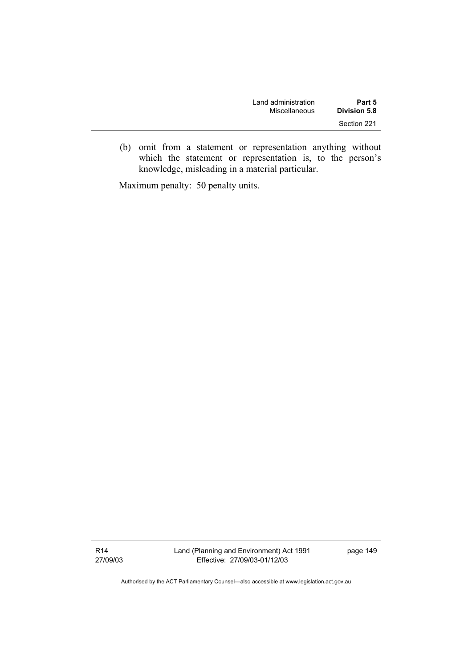| Land administration | Part 5              |
|---------------------|---------------------|
| Miscellaneous       | <b>Division 5.8</b> |
|                     | Section 221         |

 (b) omit from a statement or representation anything without which the statement or representation is, to the person's knowledge, misleading in a material particular.

Maximum penalty: 50 penalty units.

R14 27/09/03 Land (Planning and Environment) Act 1991 Effective: 27/09/03-01/12/03

page 149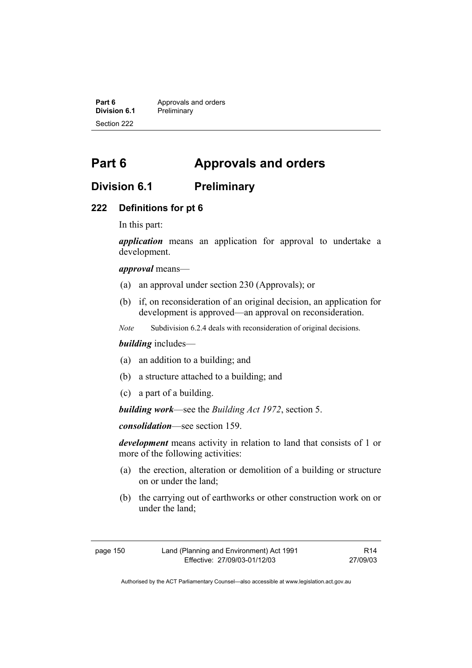**Part 6 Approvals and orders**<br>**Division 6.1 Preliminary Division 6.1** Preliminary Section 222

# **Part 6 Approvals and orders**

# **Division 6.1 Preliminary**

### **222 Definitions for pt 6**

In this part:

*application* means an application for approval to undertake a development.

*approval* means—

- (a) an approval under section 230 (Approvals); or
- (b) if, on reconsideration of an original decision, an application for development is approved—an approval on reconsideration.
- *Note* Subdivision 6.2.4 deals with reconsideration of original decisions.

### *building* includes—

- (a) an addition to a building; and
- (b) a structure attached to a building; and
- (c) a part of a building.

*building work*—see the *Building Act 1972*, section 5.

*consolidation*—see section 159.

*development* means activity in relation to land that consists of 1 or more of the following activities:

- (a) the erection, alteration or demolition of a building or structure on or under the land;
- (b) the carrying out of earthworks or other construction work on or under the land;

| page 150 | Land (Planning and Environment) Act 1991 | R <sub>14</sub> |
|----------|------------------------------------------|-----------------|
|          | Effective: 27/09/03-01/12/03             | 27/09/03        |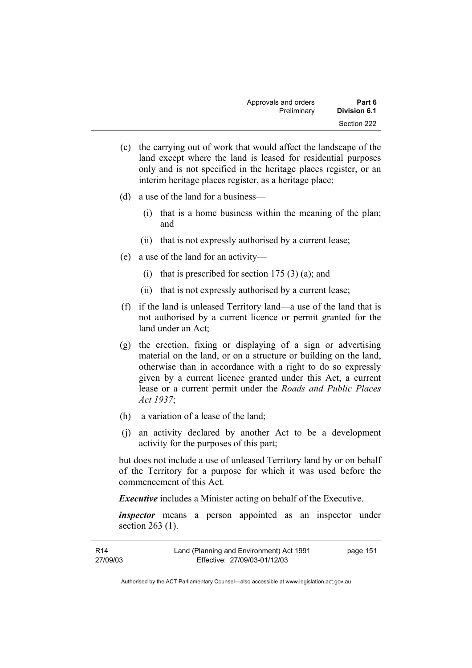| Approvals and orders | Part 6              |
|----------------------|---------------------|
| Preliminary          | <b>Division 6.1</b> |
|                      | Section 222         |

- (c) the carrying out of work that would affect the landscape of the land except where the land is leased for residential purposes only and is not specified in the heritage places register, or an interim heritage places register, as a heritage place;
- (d) a use of the land for a business—
	- (i) that is a home business within the meaning of the plan; and
	- (ii) that is not expressly authorised by a current lease;
- (e) a use of the land for an activity—
	- (i) that is prescribed for section  $175(3)(a)$ ; and
	- (ii) that is not expressly authorised by a current lease;
- (f) if the land is unleased Territory land—a use of the land that is not authorised by a current licence or permit granted for the land under an Act;
- (g) the erection, fixing or displaying of a sign or advertising material on the land, or on a structure or building on the land, otherwise than in accordance with a right to do so expressly given by a current licence granted under this Act, a current lease or a current permit under the *Roads and Public Places Act 1937*;
- (h) a variation of a lease of the land;
- (j) an activity declared by another Act to be a development activity for the purposes of this part;

but does not include a use of unleased Territory land by or on behalf of the Territory for a purpose for which it was used before the commencement of this Act.

*Executive* includes a Minister acting on behalf of the Executive.

*inspector* means a person appointed as an inspector under section 263 (1).

| R14      | Land (Planning and Environment) Act 1991 | page 151 |
|----------|------------------------------------------|----------|
| 27/09/03 | Effective: 27/09/03-01/12/03             |          |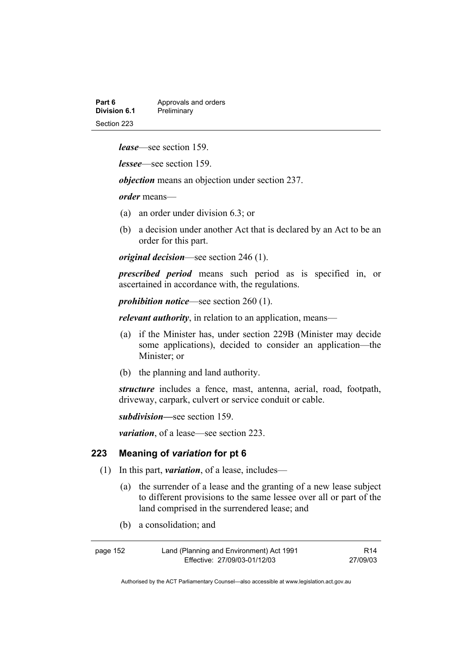| Part 6       | Approvals and orders |
|--------------|----------------------|
| Division 6.1 | Preliminary          |
| Section 223  |                      |

*lease*—see section 159.

*lessee*—see section 159.

*objection* means an objection under section 237.

*order* means—

- (a) an order under division 6.3; or
- (b) a decision under another Act that is declared by an Act to be an order for this part.

*original decision*—see section 246 (1).

*prescribed period* means such period as is specified in, or ascertained in accordance with, the regulations.

*prohibition notice*—see section 260 (1).

*relevant authority*, in relation to an application, means—

- (a) if the Minister has, under section 229B (Minister may decide some applications), decided to consider an application—the Minister; or
- (b) the planning and land authority.

*structure* includes a fence, mast, antenna, aerial, road, footpath, driveway, carpark, culvert or service conduit or cable.

*subdivision—*see section 159.

*variation*, of a lease—see section 223.

#### **223 Meaning of** *variation* **for pt 6**

- (1) In this part, *variation*, of a lease, includes—
	- (a) the surrender of a lease and the granting of a new lease subject to different provisions to the same lessee over all or part of the land comprised in the surrendered lease; and
	- (b) a consolidation; and

| page 152 | Land (Planning and Environment) Act 1991 | R14      |
|----------|------------------------------------------|----------|
|          | Effective: 27/09/03-01/12/03             | 27/09/03 |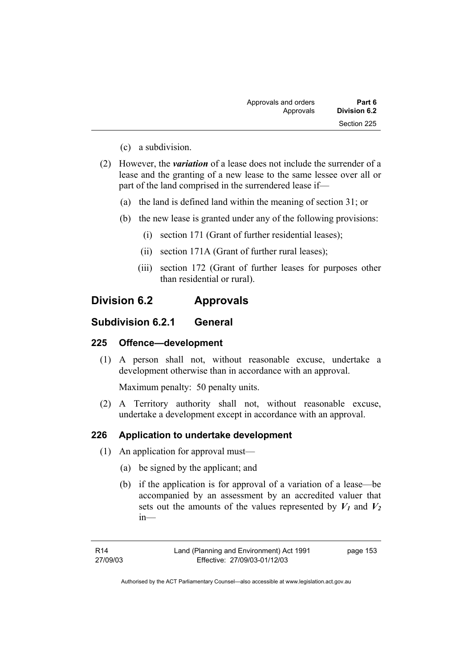| Part 6       | Approvals and orders |  |
|--------------|----------------------|--|
| Division 6.2 | Approvals            |  |
| Section 225  |                      |  |

- (c) a subdivision.
- (2) However, the *variation* of a lease does not include the surrender of a lease and the granting of a new lease to the same lessee over all or part of the land comprised in the surrendered lease if—
	- (a) the land is defined land within the meaning of section 31; or
	- (b) the new lease is granted under any of the following provisions:
		- (i) section 171 (Grant of further residential leases);
		- (ii) section 171A (Grant of further rural leases);
		- (iii) section 172 (Grant of further leases for purposes other than residential or rural).

# **Division 6.2 Approvals**

# **Subdivision 6.2.1 General**

# **225 Offence—development**

 (1) A person shall not, without reasonable excuse, undertake a development otherwise than in accordance with an approval.

Maximum penalty: 50 penalty units.

 (2) A Territory authority shall not, without reasonable excuse, undertake a development except in accordance with an approval.

### **226 Application to undertake development**

- (1) An application for approval must—
	- (a) be signed by the applicant; and
	- (b) if the application is for approval of a variation of a lease—be accompanied by an assessment by an accredited valuer that sets out the amounts of the values represented by  $V_1$  and  $V_2$ in—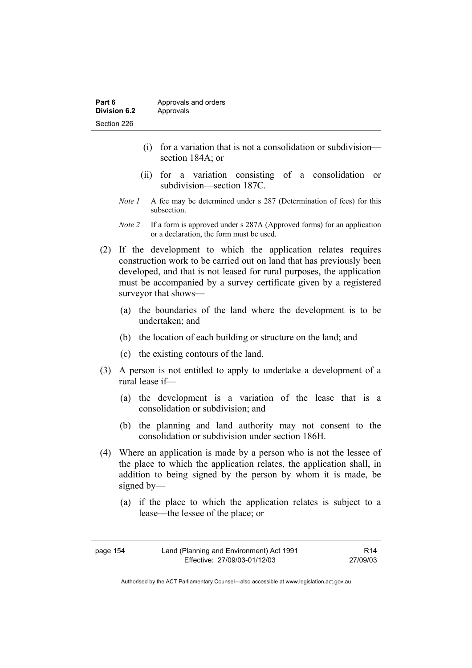- (i) for a variation that is not a consolidation or subdivision section 184A; or
- (ii) for a variation consisting of a consolidation or subdivision—section 187C.
- *Note 1* A fee may be determined under s 287 (Determination of fees) for this subsection.
- *Note 2* If a form is approved under s 287A (Approved forms) for an application or a declaration, the form must be used.
- (2) If the development to which the application relates requires construction work to be carried out on land that has previously been developed, and that is not leased for rural purposes, the application must be accompanied by a survey certificate given by a registered surveyor that shows—
	- (a) the boundaries of the land where the development is to be undertaken; and
	- (b) the location of each building or structure on the land; and
	- (c) the existing contours of the land.
- (3) A person is not entitled to apply to undertake a development of a rural lease if—
	- (a) the development is a variation of the lease that is a consolidation or subdivision; and
	- (b) the planning and land authority may not consent to the consolidation or subdivision under section 186H.
- (4) Where an application is made by a person who is not the lessee of the place to which the application relates, the application shall, in addition to being signed by the person by whom it is made, be signed by—
	- (a) if the place to which the application relates is subject to a lease—the lessee of the place; or

| page 154 | Land (Planning and Environment) Act 1991 | R14      |
|----------|------------------------------------------|----------|
|          | Effective: 27/09/03-01/12/03             | 27/09/03 |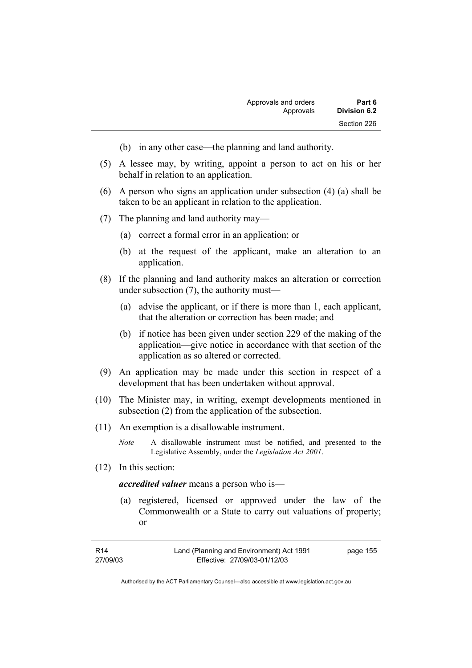- (b) in any other case—the planning and land authority.
- (5) A lessee may, by writing, appoint a person to act on his or her behalf in relation to an application.
- (6) A person who signs an application under subsection (4) (a) shall be taken to be an applicant in relation to the application.
- (7) The planning and land authority may—
	- (a) correct a formal error in an application; or
	- (b) at the request of the applicant, make an alteration to an application.
- (8) If the planning and land authority makes an alteration or correction under subsection (7), the authority must—
	- (a) advise the applicant, or if there is more than 1, each applicant, that the alteration or correction has been made; and
	- (b) if notice has been given under section 229 of the making of the application—give notice in accordance with that section of the application as so altered or corrected.
- (9) An application may be made under this section in respect of a development that has been undertaken without approval.
- (10) The Minister may, in writing, exempt developments mentioned in subsection (2) from the application of the subsection.
- (11) An exemption is a disallowable instrument.
	- *Note* A disallowable instrument must be notified, and presented to the Legislative Assembly, under the *Legislation Act 2001*.
- (12) In this section:

*accredited valuer* means a person who is—

 (a) registered, licensed or approved under the law of the Commonwealth or a State to carry out valuations of property; or

| R14      | Land (Planning and Environment) Act 1991 | page 155 |
|----------|------------------------------------------|----------|
| 27/09/03 | Effective: 27/09/03-01/12/03             |          |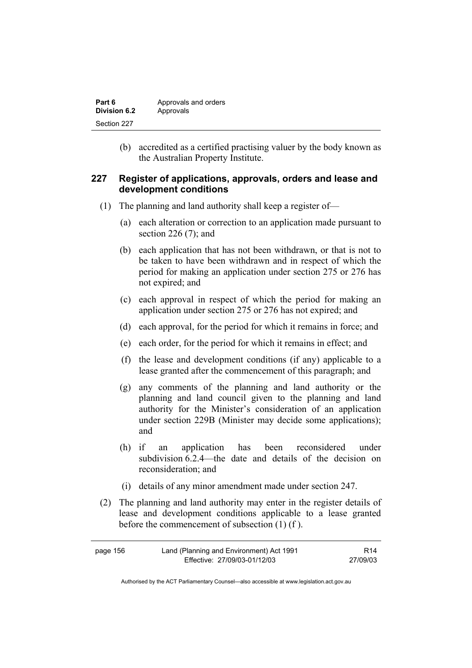| Part 6       | Approvals and orders |
|--------------|----------------------|
| Division 6.2 | Approvals            |
| Section 227  |                      |

 (b) accredited as a certified practising valuer by the body known as the Australian Property Institute.

### **227 Register of applications, approvals, orders and lease and development conditions**

- (1) The planning and land authority shall keep a register of—
	- (a) each alteration or correction to an application made pursuant to section 226 (7); and
	- (b) each application that has not been withdrawn, or that is not to be taken to have been withdrawn and in respect of which the period for making an application under section 275 or 276 has not expired; and
	- (c) each approval in respect of which the period for making an application under section 275 or 276 has not expired; and
	- (d) each approval, for the period for which it remains in force; and
	- (e) each order, for the period for which it remains in effect; and
	- (f) the lease and development conditions (if any) applicable to a lease granted after the commencement of this paragraph; and
	- (g) any comments of the planning and land authority or the planning and land council given to the planning and land authority for the Minister's consideration of an application under section 229B (Minister may decide some applications); and
	- (h) if an application has been reconsidered under subdivision 6.2.4—the date and details of the decision on reconsideration; and
	- (i) details of any minor amendment made under section 247.
- (2) The planning and land authority may enter in the register details of lease and development conditions applicable to a lease granted before the commencement of subsection (1) (f ).

| page 156 | Land (Planning and Environment) Act 1991 | R <sub>14</sub> |
|----------|------------------------------------------|-----------------|
|          | Effective: 27/09/03-01/12/03             | 27/09/03        |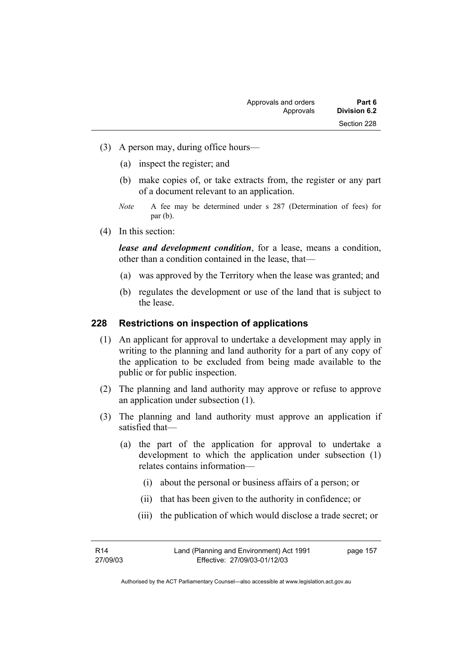- (3) A person may, during office hours—
	- (a) inspect the register; and
	- (b) make copies of, or take extracts from, the register or any part of a document relevant to an application.
	- *Note* A fee may be determined under s 287 (Determination of fees) for par (b).
- (4) In this section:

*lease and development condition*, for a lease, means a condition, other than a condition contained in the lease, that—

- (a) was approved by the Territory when the lease was granted; and
- (b) regulates the development or use of the land that is subject to the lease.

#### **228 Restrictions on inspection of applications**

- (1) An applicant for approval to undertake a development may apply in writing to the planning and land authority for a part of any copy of the application to be excluded from being made available to the public or for public inspection.
- (2) The planning and land authority may approve or refuse to approve an application under subsection (1).
- (3) The planning and land authority must approve an application if satisfied that—
	- (a) the part of the application for approval to undertake a development to which the application under subsection (1) relates contains information—
		- (i) about the personal or business affairs of a person; or
		- (ii) that has been given to the authority in confidence; or
		- (iii) the publication of which would disclose a trade secret; or

R14 27/09/03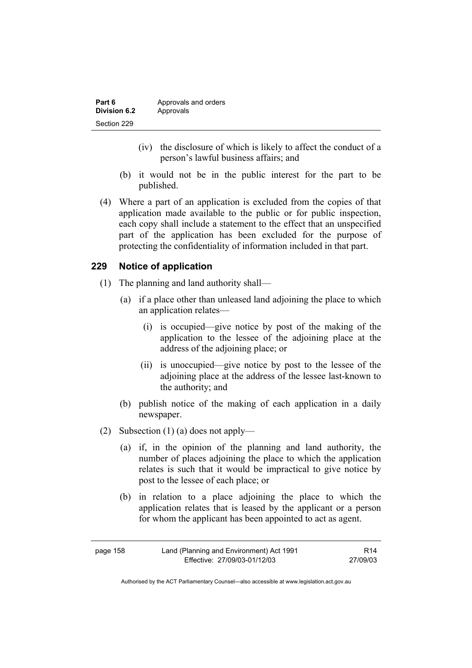| Part 6       | Approvals and orders |
|--------------|----------------------|
| Division 6.2 | Approvals            |
| Section 229  |                      |

- (iv) the disclosure of which is likely to affect the conduct of a person's lawful business affairs; and
- (b) it would not be in the public interest for the part to be published.
- (4) Where a part of an application is excluded from the copies of that application made available to the public or for public inspection, each copy shall include a statement to the effect that an unspecified part of the application has been excluded for the purpose of protecting the confidentiality of information included in that part.

### **229 Notice of application**

- (1) The planning and land authority shall—
	- (a) if a place other than unleased land adjoining the place to which an application relates—
		- (i) is occupied—give notice by post of the making of the application to the lessee of the adjoining place at the address of the adjoining place; or
		- (ii) is unoccupied—give notice by post to the lessee of the adjoining place at the address of the lessee last-known to the authority; and
	- (b) publish notice of the making of each application in a daily newspaper.
- (2) Subsection (1) (a) does not apply—
	- (a) if, in the opinion of the planning and land authority, the number of places adjoining the place to which the application relates is such that it would be impractical to give notice by post to the lessee of each place; or
	- (b) in relation to a place adjoining the place to which the application relates that is leased by the applicant or a person for whom the applicant has been appointed to act as agent.

| page 158 | Land (Planning and Environment) Act 1991 | R14      |
|----------|------------------------------------------|----------|
|          | Effective: 27/09/03-01/12/03             | 27/09/03 |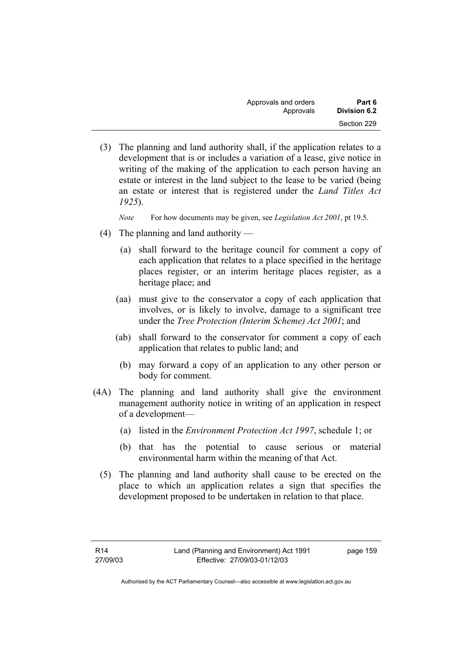| Approvals and orders | Part 6       |
|----------------------|--------------|
| Approvals            | Division 6.2 |
|                      | Section 229  |

 (3) The planning and land authority shall, if the application relates to a development that is or includes a variation of a lease, give notice in writing of the making of the application to each person having an estate or interest in the land subject to the lease to be varied (being an estate or interest that is registered under the *Land Titles Act 1925*).

*Note* For how documents may be given, see *Legislation Act 2001*, pt 19.5.

- (4) The planning and land authority
	- (a) shall forward to the heritage council for comment a copy of each application that relates to a place specified in the heritage places register, or an interim heritage places register, as a heritage place; and
	- (aa) must give to the conservator a copy of each application that involves, or is likely to involve, damage to a significant tree under the *Tree Protection (Interim Scheme) Act 2001*; and
	- (ab) shall forward to the conservator for comment a copy of each application that relates to public land; and
		- (b) may forward a copy of an application to any other person or body for comment.
- (4A) The planning and land authority shall give the environment management authority notice in writing of an application in respect of a development—
	- (a) listed in the *Environment Protection Act 1997*, schedule 1; or
	- (b) that has the potential to cause serious or material environmental harm within the meaning of that Act.
	- (5) The planning and land authority shall cause to be erected on the place to which an application relates a sign that specifies the development proposed to be undertaken in relation to that place.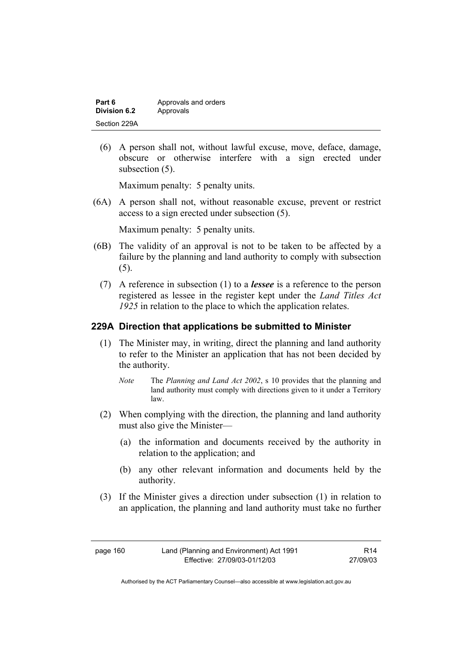| Part 6       | Approvals and orders |
|--------------|----------------------|
| Division 6.2 | Approvals            |
| Section 229A |                      |

 (6) A person shall not, without lawful excuse, move, deface, damage, obscure or otherwise interfere with a sign erected under subsection  $(5)$ .

Maximum penalty: 5 penalty units.

 (6A) A person shall not, without reasonable excuse, prevent or restrict access to a sign erected under subsection (5).

Maximum penalty: 5 penalty units.

- (6B) The validity of an approval is not to be taken to be affected by a failure by the planning and land authority to comply with subsection (5).
	- (7) A reference in subsection (1) to a *lessee* is a reference to the person registered as lessee in the register kept under the *Land Titles Act 1925* in relation to the place to which the application relates.

### **229A Direction that applications be submitted to Minister**

- (1) The Minister may, in writing, direct the planning and land authority to refer to the Minister an application that has not been decided by the authority.
	- *Note* The *Planning and Land Act 2002*, s 10 provides that the planning and land authority must comply with directions given to it under a Territory law.
- (2) When complying with the direction, the planning and land authority must also give the Minister—
	- (a) the information and documents received by the authority in relation to the application; and
	- (b) any other relevant information and documents held by the authority.
- (3) If the Minister gives a direction under subsection (1) in relation to an application, the planning and land authority must take no further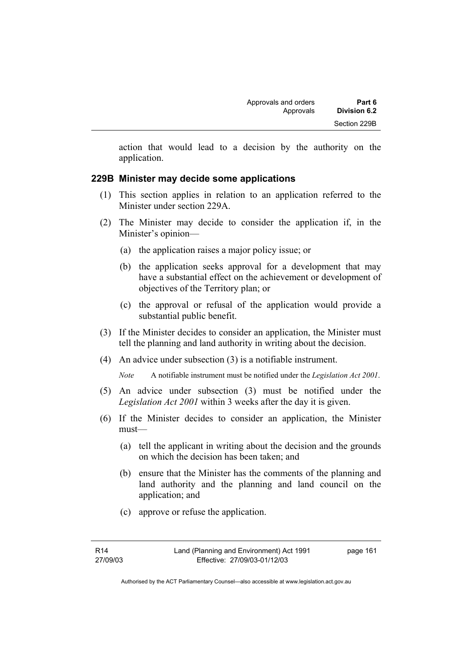action that would lead to a decision by the authority on the application.

# **229B Minister may decide some applications**

- (1) This section applies in relation to an application referred to the Minister under section 229A.
- (2) The Minister may decide to consider the application if, in the Minister's opinion—
	- (a) the application raises a major policy issue; or
	- (b) the application seeks approval for a development that may have a substantial effect on the achievement or development of objectives of the Territory plan; or
	- (c) the approval or refusal of the application would provide a substantial public benefit.
- (3) If the Minister decides to consider an application, the Minister must tell the planning and land authority in writing about the decision.
- (4) An advice under subsection (3) is a notifiable instrument.

*Note* A notifiable instrument must be notified under the *Legislation Act 2001*.

- (5) An advice under subsection (3) must be notified under the *Legislation Act 2001* within 3 weeks after the day it is given.
- (6) If the Minister decides to consider an application, the Minister must—
	- (a) tell the applicant in writing about the decision and the grounds on which the decision has been taken; and
	- (b) ensure that the Minister has the comments of the planning and land authority and the planning and land council on the application; and
	- (c) approve or refuse the application.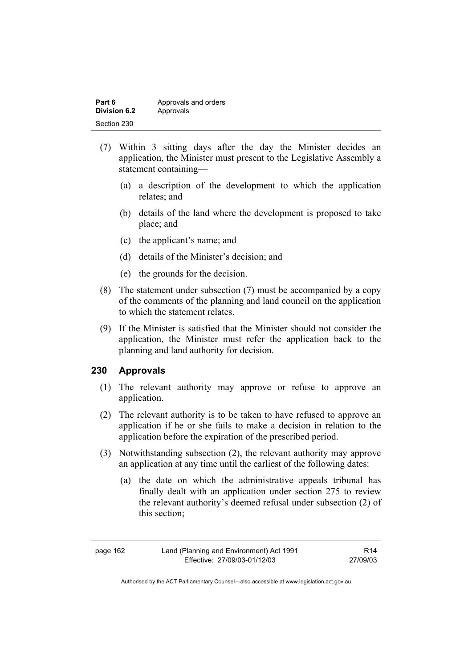| Part 6       | Approvals and orders |
|--------------|----------------------|
| Division 6.2 | Approvals            |
| Section 230  |                      |

- (7) Within 3 sitting days after the day the Minister decides an application, the Minister must present to the Legislative Assembly a statement containing—
	- (a) a description of the development to which the application relates; and
	- (b) details of the land where the development is proposed to take place; and
	- (c) the applicant's name; and
	- (d) details of the Minister's decision; and
	- (e) the grounds for the decision.
- (8) The statement under subsection (7) must be accompanied by a copy of the comments of the planning and land council on the application to which the statement relates.
- (9) If the Minister is satisfied that the Minister should not consider the application, the Minister must refer the application back to the planning and land authority for decision.

# **230 Approvals**

- (1) The relevant authority may approve or refuse to approve an application.
- (2) The relevant authority is to be taken to have refused to approve an application if he or she fails to make a decision in relation to the application before the expiration of the prescribed period.
- (3) Notwithstanding subsection (2), the relevant authority may approve an application at any time until the earliest of the following dates:
	- (a) the date on which the administrative appeals tribunal has finally dealt with an application under section 275 to review the relevant authority's deemed refusal under subsection (2) of this section;

R14 27/09/03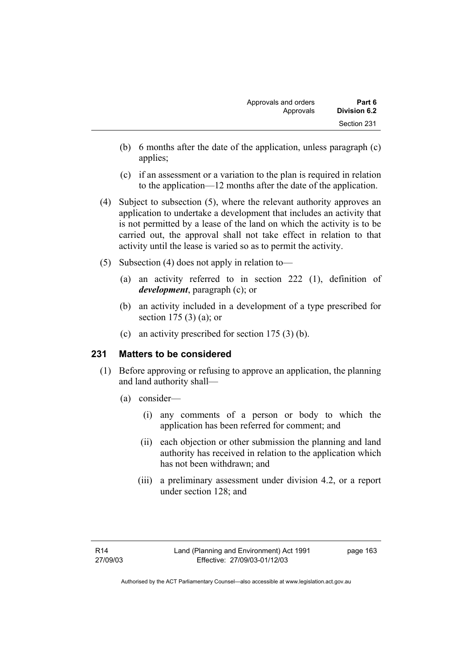- (b) 6 months after the date of the application, unless paragraph (c) applies;
- (c) if an assessment or a variation to the plan is required in relation to the application—12 months after the date of the application.
- (4) Subject to subsection (5), where the relevant authority approves an application to undertake a development that includes an activity that is not permitted by a lease of the land on which the activity is to be carried out, the approval shall not take effect in relation to that activity until the lease is varied so as to permit the activity.
- (5) Subsection (4) does not apply in relation to—
	- (a) an activity referred to in section 222 (1), definition of *development*, paragraph (c); or
	- (b) an activity included in a development of a type prescribed for section 175 (3) (a); or
	- (c) an activity prescribed for section 175 (3) (b).

# **231 Matters to be considered**

- (1) Before approving or refusing to approve an application, the planning and land authority shall—
	- (a) consider—
		- (i) any comments of a person or body to which the application has been referred for comment; and
		- (ii) each objection or other submission the planning and land authority has received in relation to the application which has not been withdrawn; and
		- (iii) a preliminary assessment under division 4.2, or a report under section 128; and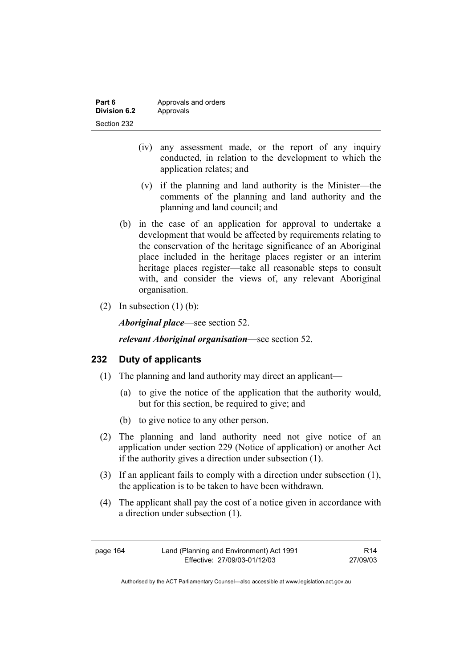| Part 6       | Approvals and orders |
|--------------|----------------------|
| Division 6.2 | Approvals            |
| Section 232  |                      |

- (iv) any assessment made, or the report of any inquiry conducted, in relation to the development to which the application relates; and
- (v) if the planning and land authority is the Minister—the comments of the planning and land authority and the planning and land council; and
- (b) in the case of an application for approval to undertake a development that would be affected by requirements relating to the conservation of the heritage significance of an Aboriginal place included in the heritage places register or an interim heritage places register—take all reasonable steps to consult with, and consider the views of, any relevant Aboriginal organisation.
- (2) In subsection  $(1)$  (b):

*Aboriginal place*—see section 52.

*relevant Aboriginal organisation*—see section 52.

### **232 Duty of applicants**

- (1) The planning and land authority may direct an applicant—
	- (a) to give the notice of the application that the authority would, but for this section, be required to give; and
	- (b) to give notice to any other person.
- (2) The planning and land authority need not give notice of an application under section 229 (Notice of application) or another Act if the authority gives a direction under subsection (1).
- (3) If an applicant fails to comply with a direction under subsection (1), the application is to be taken to have been withdrawn.
- (4) The applicant shall pay the cost of a notice given in accordance with a direction under subsection (1).

| page 164 | Land (Planning and Environment) Act 1991 | R <sub>14</sub> |
|----------|------------------------------------------|-----------------|
|          | Effective: 27/09/03-01/12/03             | 27/09/03        |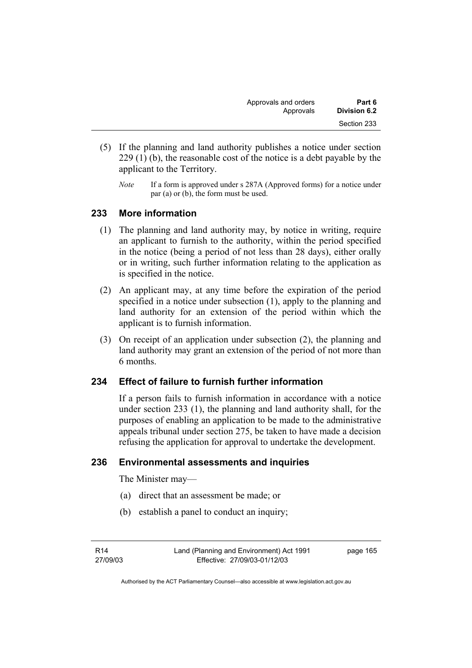| Approvals and orders | Part 6       |
|----------------------|--------------|
| Approvals            | Division 6.2 |
|                      | Section 233  |

- (5) If the planning and land authority publishes a notice under section 229 (1) (b), the reasonable cost of the notice is a debt payable by the applicant to the Territory.
	- *Note* If a form is approved under s 287A (Approved forms) for a notice under par (a) or (b), the form must be used.

### **233 More information**

- (1) The planning and land authority may, by notice in writing, require an applicant to furnish to the authority, within the period specified in the notice (being a period of not less than 28 days), either orally or in writing, such further information relating to the application as is specified in the notice.
- (2) An applicant may, at any time before the expiration of the period specified in a notice under subsection (1), apply to the planning and land authority for an extension of the period within which the applicant is to furnish information.
- (3) On receipt of an application under subsection (2), the planning and land authority may grant an extension of the period of not more than 6 months.

### **234 Effect of failure to furnish further information**

If a person fails to furnish information in accordance with a notice under section 233 (1), the planning and land authority shall, for the purposes of enabling an application to be made to the administrative appeals tribunal under section 275, be taken to have made a decision refusing the application for approval to undertake the development.

### **236 Environmental assessments and inquiries**

The Minister may—

- (a) direct that an assessment be made; or
- (b) establish a panel to conduct an inquiry;

R14 27/09/03 page 165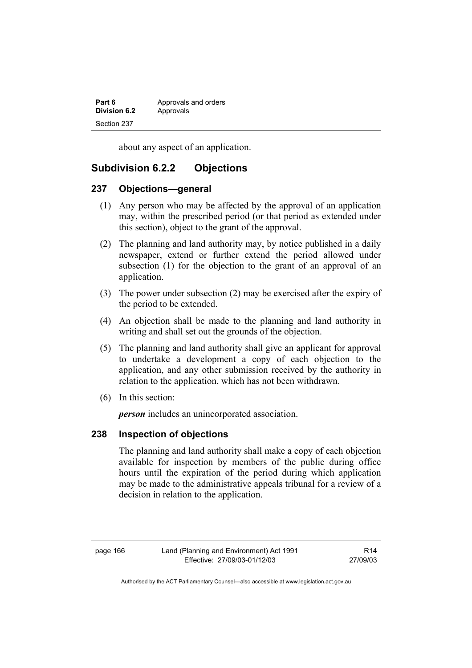| Part 6       | Approvals and orders |
|--------------|----------------------|
| Division 6.2 | Approvals            |
| Section 237  |                      |

about any aspect of an application.

# **Subdivision 6.2.2 Objections**

### **237 Objections—general**

- (1) Any person who may be affected by the approval of an application may, within the prescribed period (or that period as extended under this section), object to the grant of the approval.
- (2) The planning and land authority may, by notice published in a daily newspaper, extend or further extend the period allowed under subsection (1) for the objection to the grant of an approval of an application.
- (3) The power under subsection (2) may be exercised after the expiry of the period to be extended.
- (4) An objection shall be made to the planning and land authority in writing and shall set out the grounds of the objection.
- (5) The planning and land authority shall give an applicant for approval to undertake a development a copy of each objection to the application, and any other submission received by the authority in relation to the application, which has not been withdrawn.
- (6) In this section:

*person* includes an unincorporated association.

### **238 Inspection of objections**

The planning and land authority shall make a copy of each objection available for inspection by members of the public during office hours until the expiration of the period during which application may be made to the administrative appeals tribunal for a review of a decision in relation to the application.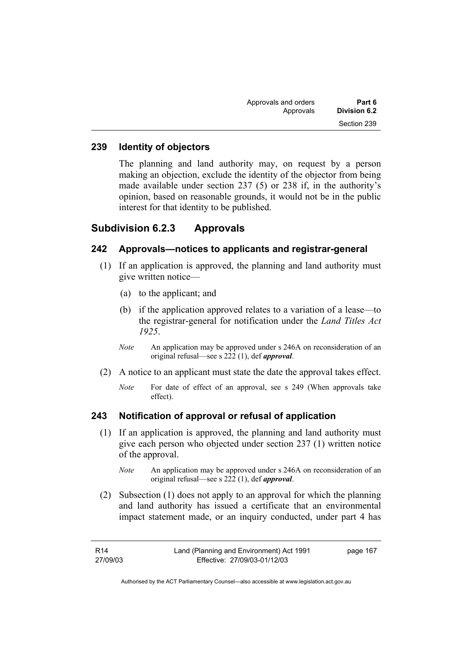| Part 6       | Approvals and orders |  |
|--------------|----------------------|--|
| Division 6.2 | Approvals            |  |
| Section 239  |                      |  |

### **239 Identity of objectors**

The planning and land authority may, on request by a person making an objection, exclude the identity of the objector from being made available under section 237 (5) or 238 if, in the authority's opinion, based on reasonable grounds, it would not be in the public interest for that identity to be published.

## **Subdivision 6.2.3 Approvals**

### **242 Approvals—notices to applicants and registrar-general**

- (1) If an application is approved, the planning and land authority must give written notice—
	- (a) to the applicant; and
	- (b) if the application approved relates to a variation of a lease—to the registrar-general for notification under the *Land Titles Act 1925*.
	- *Note* An application may be approved under s 246A on reconsideration of an original refusal—see s 222 (1), def *approval*.
- (2) A notice to an applicant must state the date the approval takes effect.
	- *Note* For date of effect of an approval, see s 249 (When approvals take effect).

### **243 Notification of approval or refusal of application**

- (1) If an application is approved, the planning and land authority must give each person who objected under section 237 (1) written notice of the approval.
	- *Note* An application may be approved under s 246A on reconsideration of an original refusal—see s 222 (1), def *approval*.
- (2) Subsection (1) does not apply to an approval for which the planning and land authority has issued a certificate that an environmental impact statement made, or an inquiry conducted, under part 4 has

| R14      | Land (Planning and Environment) Act 1991 | page 167 |
|----------|------------------------------------------|----------|
| 27/09/03 | Effective: 27/09/03-01/12/03             |          |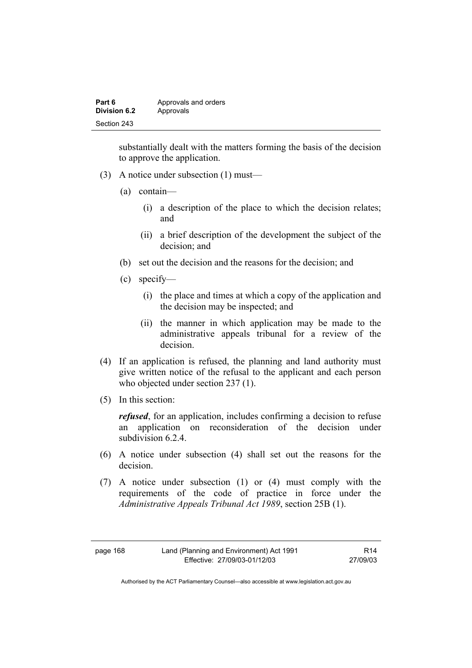| Part 6       | Approvals and orders |
|--------------|----------------------|
| Division 6.2 | Approvals            |
| Section 243  |                      |

substantially dealt with the matters forming the basis of the decision to approve the application.

- (3) A notice under subsection (1) must—
	- (a) contain—
		- (i) a description of the place to which the decision relates; and
		- (ii) a brief description of the development the subject of the decision; and
	- (b) set out the decision and the reasons for the decision; and
	- (c) specify—
		- (i) the place and times at which a copy of the application and the decision may be inspected; and
		- (ii) the manner in which application may be made to the administrative appeals tribunal for a review of the decision.
- (4) If an application is refused, the planning and land authority must give written notice of the refusal to the applicant and each person who objected under section 237 (1).
- (5) In this section:

*refused*, for an application, includes confirming a decision to refuse an application on reconsideration of the decision under subdivision 6.2.4.

- (6) A notice under subsection (4) shall set out the reasons for the decision.
- (7) A notice under subsection (1) or (4) must comply with the requirements of the code of practice in force under the *Administrative Appeals Tribunal Act 1989*, section 25B (1).

page 168 Land (Planning and Environment) Act 1991 Effective: 27/09/03-01/12/03

R14 27/09/03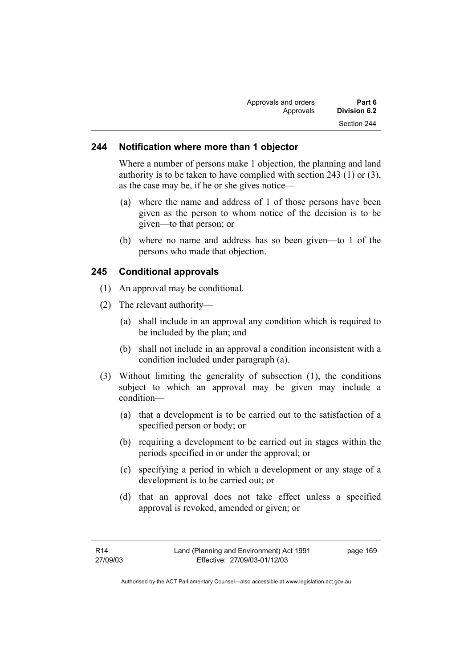| Approvals and orders | Part 6       |
|----------------------|--------------|
| Approvals            | Division 6.2 |
|                      | Section 244  |

### **244 Notification where more than 1 objector**

Where a number of persons make 1 objection, the planning and land authority is to be taken to have complied with section 243 (1) or (3), as the case may be, if he or she gives notice—

- (a) where the name and address of 1 of those persons have been given as the person to whom notice of the decision is to be given—to that person; or
- (b) where no name and address has so been given—to 1 of the persons who made that objection.

# **245 Conditional approvals**

- (1) An approval may be conditional.
- (2) The relevant authority—
	- (a) shall include in an approval any condition which is required to be included by the plan; and
	- (b) shall not include in an approval a condition inconsistent with a condition included under paragraph (a).
- (3) Without limiting the generality of subsection (1), the conditions subject to which an approval may be given may include a condition—
	- (a) that a development is to be carried out to the satisfaction of a specified person or body; or
	- (b) requiring a development to be carried out in stages within the periods specified in or under the approval; or
	- (c) specifying a period in which a development or any stage of a development is to be carried out; or
	- (d) that an approval does not take effect unless a specified approval is revoked, amended or given; or

page 169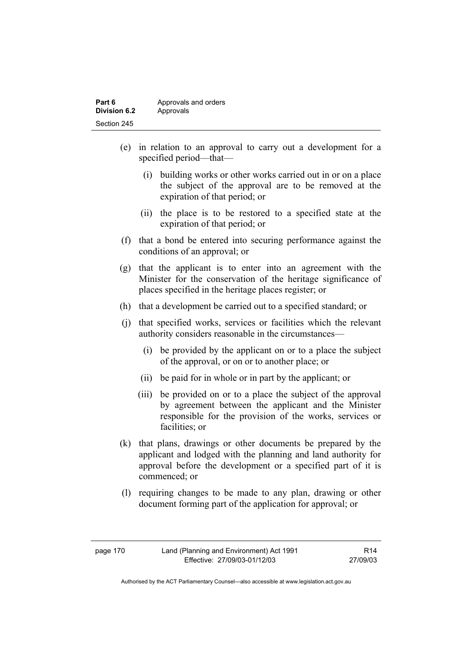| Part 6       | Approvals and orders |
|--------------|----------------------|
| Division 6.2 | Approvals            |
| Section 245  |                      |

- (e) in relation to an approval to carry out a development for a specified period—that—
	- (i) building works or other works carried out in or on a place the subject of the approval are to be removed at the expiration of that period; or
	- (ii) the place is to be restored to a specified state at the expiration of that period; or
- (f) that a bond be entered into securing performance against the conditions of an approval; or
- (g) that the applicant is to enter into an agreement with the Minister for the conservation of the heritage significance of places specified in the heritage places register; or
- (h) that a development be carried out to a specified standard; or
- (j) that specified works, services or facilities which the relevant authority considers reasonable in the circumstances—
	- (i) be provided by the applicant on or to a place the subject of the approval, or on or to another place; or
	- (ii) be paid for in whole or in part by the applicant; or
	- (iii) be provided on or to a place the subject of the approval by agreement between the applicant and the Minister responsible for the provision of the works, services or facilities; or
- (k) that plans, drawings or other documents be prepared by the applicant and lodged with the planning and land authority for approval before the development or a specified part of it is commenced; or
- (l) requiring changes to be made to any plan, drawing or other document forming part of the application for approval; or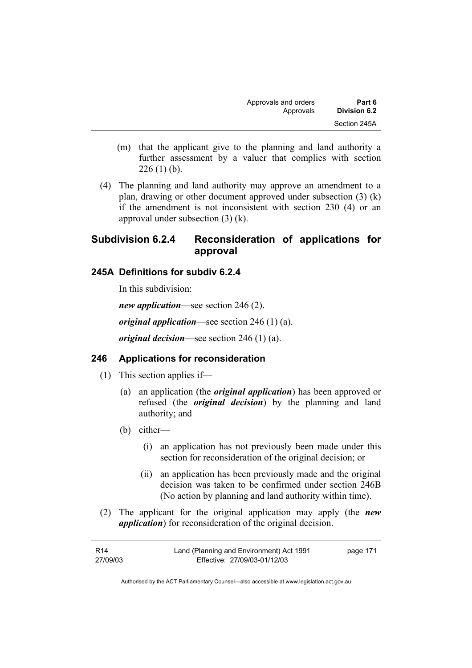| Approvals and orders | Part 6       |
|----------------------|--------------|
| Approvals            | Division 6.2 |
|                      | Section 245A |

- (m) that the applicant give to the planning and land authority a further assessment by a valuer that complies with section  $226(1)$  (b).
- (4) The planning and land authority may approve an amendment to a plan, drawing or other document approved under subsection (3) (k) if the amendment is not inconsistent with section 230 (4) or an approval under subsection (3) (k).

# **Subdivision 6.2.4 Reconsideration of applications for approval**

### **245A Definitions for subdiv 6.2.4**

In this subdivision:

*new application*—see section 246 (2). *original application*—see section 246 (1) (a).

*original decision*—see section 246 (1) (a).

### **246 Applications for reconsideration**

- (1) This section applies if—
	- (a) an application (the *original application*) has been approved or refused (the *original decision*) by the planning and land authority; and
	- (b) either—
		- (i) an application has not previously been made under this section for reconsideration of the original decision; or
		- (ii) an application has been previously made and the original decision was taken to be confirmed under section 246B (No action by planning and land authority within time).
- (2) The applicant for the original application may apply (the *new application*) for reconsideration of the original decision.

| R14      | Land (Planning and Environment) Act 1991 | page 171 |
|----------|------------------------------------------|----------|
| 27/09/03 | Effective: 27/09/03-01/12/03             |          |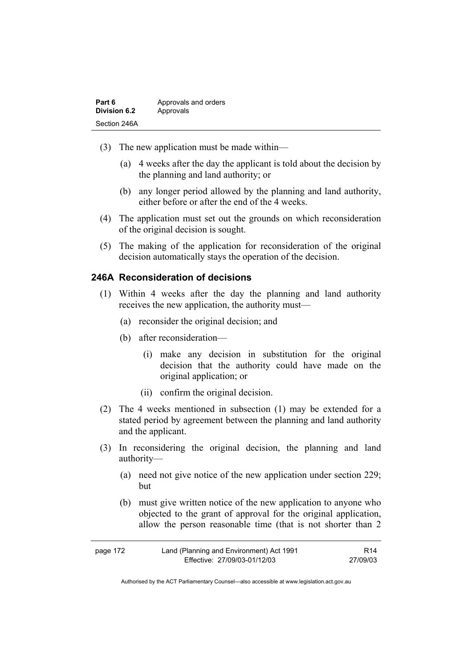| Part 6       | Approvals and orders |
|--------------|----------------------|
| Division 6.2 | Approvals            |
| Section 246A |                      |

- (3) The new application must be made within—
	- (a) 4 weeks after the day the applicant is told about the decision by the planning and land authority; or
	- (b) any longer period allowed by the planning and land authority, either before or after the end of the 4 weeks.
- (4) The application must set out the grounds on which reconsideration of the original decision is sought.
- (5) The making of the application for reconsideration of the original decision automatically stays the operation of the decision.

## **246A Reconsideration of decisions**

- (1) Within 4 weeks after the day the planning and land authority receives the new application, the authority must—
	- (a) reconsider the original decision; and
	- (b) after reconsideration—
		- (i) make any decision in substitution for the original decision that the authority could have made on the original application; or
		- (ii) confirm the original decision.
- (2) The 4 weeks mentioned in subsection (1) may be extended for a stated period by agreement between the planning and land authority and the applicant.
- (3) In reconsidering the original decision, the planning and land authority—
	- (a) need not give notice of the new application under section 229; but
	- (b) must give written notice of the new application to anyone who objected to the grant of approval for the original application, allow the person reasonable time (that is not shorter than 2

| page 172 | Land (Planning and Environment) Act 1991 | R <sub>14</sub> |
|----------|------------------------------------------|-----------------|
|          | Effective: 27/09/03-01/12/03             | 27/09/03        |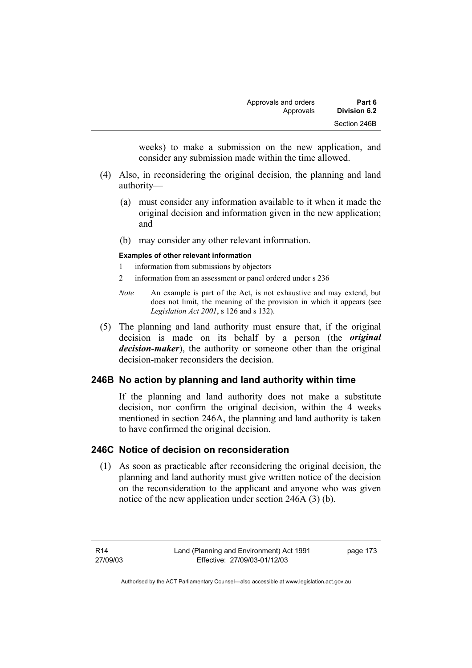weeks) to make a submission on the new application, and consider any submission made within the time allowed.

- (4) Also, in reconsidering the original decision, the planning and land authority—
	- (a) must consider any information available to it when it made the original decision and information given in the new application; and
	- (b) may consider any other relevant information.

#### **Examples of other relevant information**

- 1 information from submissions by objectors
- 2 information from an assessment or panel ordered under s 236
- *Note* An example is part of the Act, is not exhaustive and may extend, but does not limit, the meaning of the provision in which it appears (see *Legislation Act 2001*, s 126 and s 132).
- (5) The planning and land authority must ensure that, if the original decision is made on its behalf by a person (the *original decision-maker*), the authority or someone other than the original decision-maker reconsiders the decision.

# **246B No action by planning and land authority within time**

If the planning and land authority does not make a substitute decision, nor confirm the original decision, within the 4 weeks mentioned in section 246A, the planning and land authority is taken to have confirmed the original decision.

# **246C Notice of decision on reconsideration**

 (1) As soon as practicable after reconsidering the original decision, the planning and land authority must give written notice of the decision on the reconsideration to the applicant and anyone who was given notice of the new application under section 246A (3) (b).

R14 27/09/03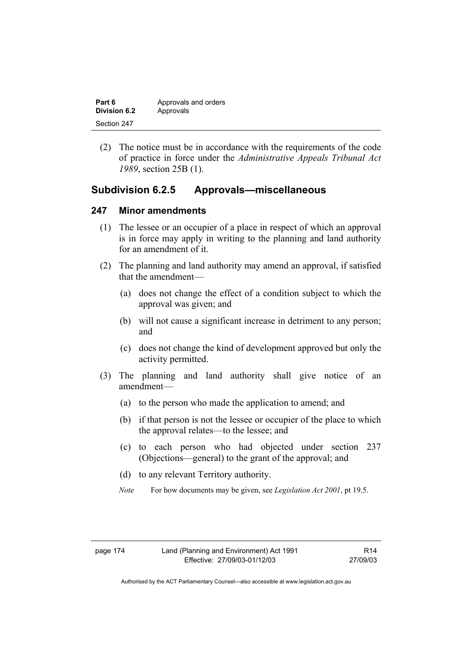| Part 6              | Approvals and orders |
|---------------------|----------------------|
| <b>Division 6.2</b> | Approvals            |
| Section 247         |                      |

 (2) The notice must be in accordance with the requirements of the code of practice in force under the *Administrative Appeals Tribunal Act 1989*, section 25B (1).

## **Subdivision 6.2.5 Approvals—miscellaneous**

#### **247 Minor amendments**

- (1) The lessee or an occupier of a place in respect of which an approval is in force may apply in writing to the planning and land authority for an amendment of it.
- (2) The planning and land authority may amend an approval, if satisfied that the amendment—
	- (a) does not change the effect of a condition subject to which the approval was given; and
	- (b) will not cause a significant increase in detriment to any person; and
	- (c) does not change the kind of development approved but only the activity permitted.
- (3) The planning and land authority shall give notice of an amendment—
	- (a) to the person who made the application to amend; and
	- (b) if that person is not the lessee or occupier of the place to which the approval relates—to the lessee; and
	- (c) to each person who had objected under section 237 (Objections—general) to the grant of the approval; and
	- (d) to any relevant Territory authority.
	- *Note* For how documents may be given, see *Legislation Act 2001*, pt 19.5.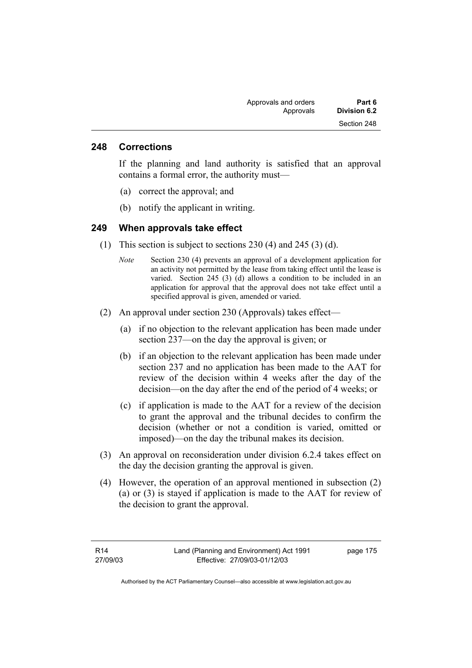#### **248 Corrections**

If the planning and land authority is satisfied that an approval contains a formal error, the authority must—

- (a) correct the approval; and
- (b) notify the applicant in writing.

#### **249 When approvals take effect**

- (1) This section is subject to sections 230 (4) and 245 (3) (d).
	- *Note* Section 230 (4) prevents an approval of a development application for an activity not permitted by the lease from taking effect until the lease is varied. Section 245 (3) (d) allows a condition to be included in an application for approval that the approval does not take effect until a specified approval is given, amended or varied.
- (2) An approval under section 230 (Approvals) takes effect—
	- (a) if no objection to the relevant application has been made under section 237—on the day the approval is given; or
	- (b) if an objection to the relevant application has been made under section 237 and no application has been made to the AAT for review of the decision within 4 weeks after the day of the decision—on the day after the end of the period of 4 weeks; or
	- (c) if application is made to the AAT for a review of the decision to grant the approval and the tribunal decides to confirm the decision (whether or not a condition is varied, omitted or imposed)—on the day the tribunal makes its decision.
- (3) An approval on reconsideration under division 6.2.4 takes effect on the day the decision granting the approval is given.
- (4) However, the operation of an approval mentioned in subsection (2) (a) or (3) is stayed if application is made to the AAT for review of the decision to grant the approval.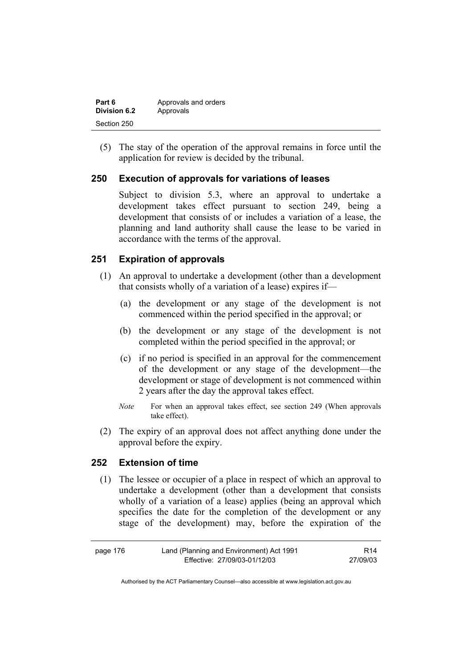| Part 6       | Approvals and orders |
|--------------|----------------------|
| Division 6.2 | Approvals            |
| Section 250  |                      |

 (5) The stay of the operation of the approval remains in force until the application for review is decided by the tribunal.

### **250 Execution of approvals for variations of leases**

Subject to division 5.3, where an approval to undertake a development takes effect pursuant to section 249, being a development that consists of or includes a variation of a lease, the planning and land authority shall cause the lease to be varied in accordance with the terms of the approval.

## **251 Expiration of approvals**

- (1) An approval to undertake a development (other than a development that consists wholly of a variation of a lease) expires if—
	- (a) the development or any stage of the development is not commenced within the period specified in the approval; or
	- (b) the development or any stage of the development is not completed within the period specified in the approval; or
	- (c) if no period is specified in an approval for the commencement of the development or any stage of the development—the development or stage of development is not commenced within 2 years after the day the approval takes effect.
	- *Note* For when an approval takes effect, see section 249 (When approvals take effect).
- (2) The expiry of an approval does not affect anything done under the approval before the expiry.

# **252 Extension of time**

 (1) The lessee or occupier of a place in respect of which an approval to undertake a development (other than a development that consists wholly of a variation of a lease) applies (being an approval which specifies the date for the completion of the development or any stage of the development) may, before the expiration of the

| page 176 | Land (Planning and Environment) Act 1991 | R14      |
|----------|------------------------------------------|----------|
|          | Effective: 27/09/03-01/12/03             | 27/09/03 |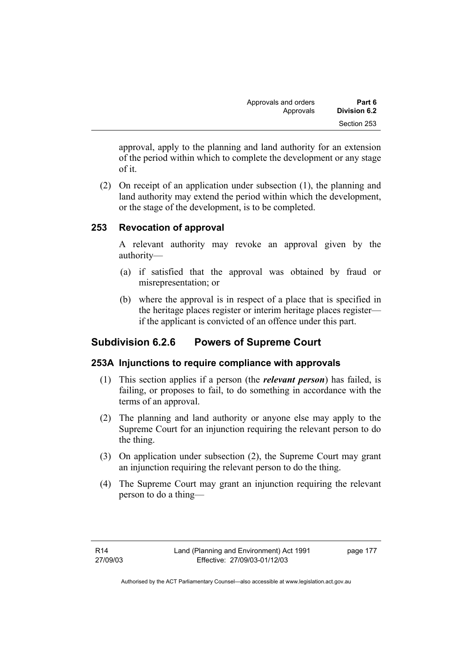| Approvals and orders | Part 6       |
|----------------------|--------------|
| Approvals            | Division 6.2 |
|                      | Section 253  |

approval, apply to the planning and land authority for an extension of the period within which to complete the development or any stage of it.

 (2) On receipt of an application under subsection (1), the planning and land authority may extend the period within which the development, or the stage of the development, is to be completed.

## **253 Revocation of approval**

A relevant authority may revoke an approval given by the authority—

- (a) if satisfied that the approval was obtained by fraud or misrepresentation; or
- (b) where the approval is in respect of a place that is specified in the heritage places register or interim heritage places register if the applicant is convicted of an offence under this part.

# **Subdivision 6.2.6 Powers of Supreme Court**

### **253A Injunctions to require compliance with approvals**

- (1) This section applies if a person (the *relevant person*) has failed, is failing, or proposes to fail, to do something in accordance with the terms of an approval.
- (2) The planning and land authority or anyone else may apply to the Supreme Court for an injunction requiring the relevant person to do the thing.
- (3) On application under subsection (2), the Supreme Court may grant an injunction requiring the relevant person to do the thing.
- (4) The Supreme Court may grant an injunction requiring the relevant person to do a thing—

page 177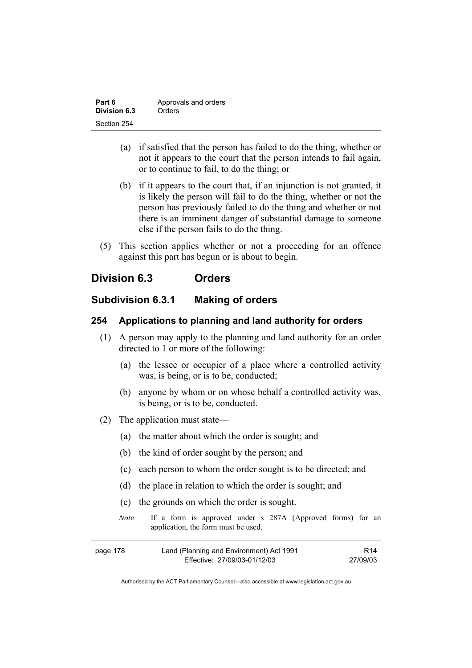| Part 6       | Approvals and orders |
|--------------|----------------------|
| Division 6.3 | Orders               |
| Section 254  |                      |

- (a) if satisfied that the person has failed to do the thing, whether or not it appears to the court that the person intends to fail again, or to continue to fail, to do the thing; or
- (b) if it appears to the court that, if an injunction is not granted, it is likely the person will fail to do the thing, whether or not the person has previously failed to do the thing and whether or not there is an imminent danger of substantial damage to someone else if the person fails to do the thing.
- (5) This section applies whether or not a proceeding for an offence against this part has begun or is about to begin.

# **Division 6.3 Orders**

# **Subdivision 6.3.1 Making of orders**

#### **254 Applications to planning and land authority for orders**

- (1) A person may apply to the planning and land authority for an order directed to 1 or more of the following:
	- (a) the lessee or occupier of a place where a controlled activity was, is being, or is to be, conducted;
	- (b) anyone by whom or on whose behalf a controlled activity was, is being, or is to be, conducted.
- (2) The application must state—
	- (a) the matter about which the order is sought; and
	- (b) the kind of order sought by the person; and
	- (c) each person to whom the order sought is to be directed; and
	- (d) the place in relation to which the order is sought; and
	- (e) the grounds on which the order is sought.
	- *Note* If a form is approved under s 287A (Approved forms) for an application, the form must be used.

| page 178 | Land (Planning and Environment) Act 1991 | R <sub>14</sub> |
|----------|------------------------------------------|-----------------|
|          | Effective: 27/09/03-01/12/03             | 27/09/03        |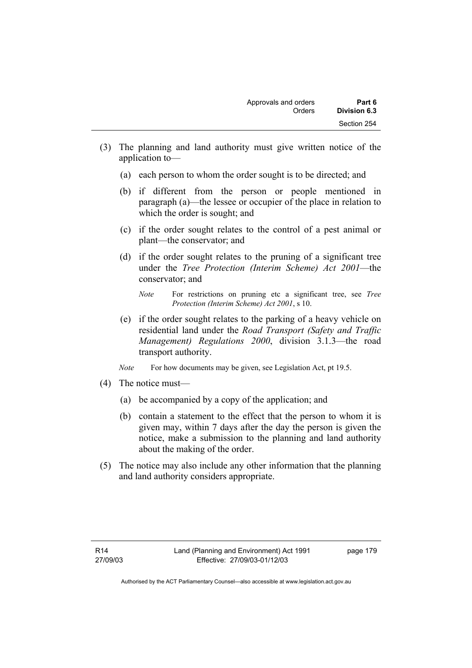- (3) The planning and land authority must give written notice of the application to—
	- (a) each person to whom the order sought is to be directed; and
	- (b) if different from the person or people mentioned in paragraph (a)—the lessee or occupier of the place in relation to which the order is sought; and
	- (c) if the order sought relates to the control of a pest animal or plant—the conservator; and
	- (d) if the order sought relates to the pruning of a significant tree under the *Tree Protection (Interim Scheme) Act 2001*—the conservator; and

- (e) if the order sought relates to the parking of a heavy vehicle on residential land under the *Road Transport (Safety and Traffic Management) Regulations 2000*, division 3.1.3—the road transport authority.
- *Note* For how documents may be given, see Legislation Act, pt 19.5.
- (4) The notice must—
	- (a) be accompanied by a copy of the application; and
	- (b) contain a statement to the effect that the person to whom it is given may, within 7 days after the day the person is given the notice, make a submission to the planning and land authority about the making of the order.
- (5) The notice may also include any other information that the planning and land authority considers appropriate.

page 179

*Note* For restrictions on pruning etc a significant tree, see *Tree Protection (Interim Scheme) Act 2001*, s 10.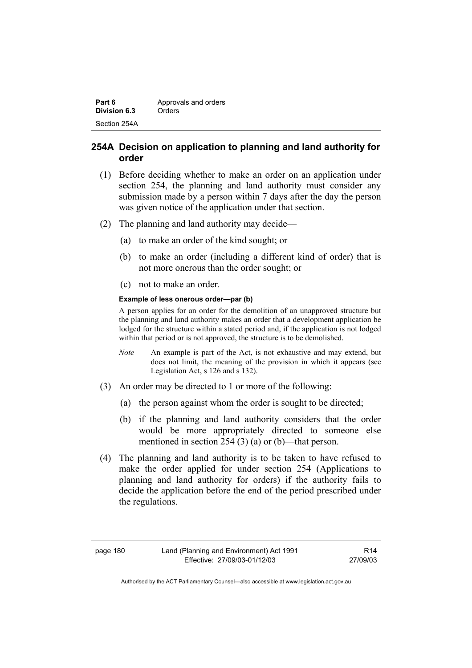| Part 6       | Approvals and orders |
|--------------|----------------------|
| Division 6.3 | Orders               |
| Section 254A |                      |

## **254A Decision on application to planning and land authority for order**

- (1) Before deciding whether to make an order on an application under section 254, the planning and land authority must consider any submission made by a person within 7 days after the day the person was given notice of the application under that section.
- (2) The planning and land authority may decide—
	- (a) to make an order of the kind sought; or
	- (b) to make an order (including a different kind of order) that is not more onerous than the order sought; or
	- (c) not to make an order.

#### **Example of less onerous order—par (b)**

A person applies for an order for the demolition of an unapproved structure but the planning and land authority makes an order that a development application be lodged for the structure within a stated period and, if the application is not lodged within that period or is not approved, the structure is to be demolished.

- *Note* An example is part of the Act, is not exhaustive and may extend, but does not limit, the meaning of the provision in which it appears (see Legislation Act, s 126 and s 132).
- (3) An order may be directed to 1 or more of the following:
	- (a) the person against whom the order is sought to be directed;
	- (b) if the planning and land authority considers that the order would be more appropriately directed to someone else mentioned in section 254 (3) (a) or (b)—that person.
- (4) The planning and land authority is to be taken to have refused to make the order applied for under section 254 (Applications to planning and land authority for orders) if the authority fails to decide the application before the end of the period prescribed under the regulations.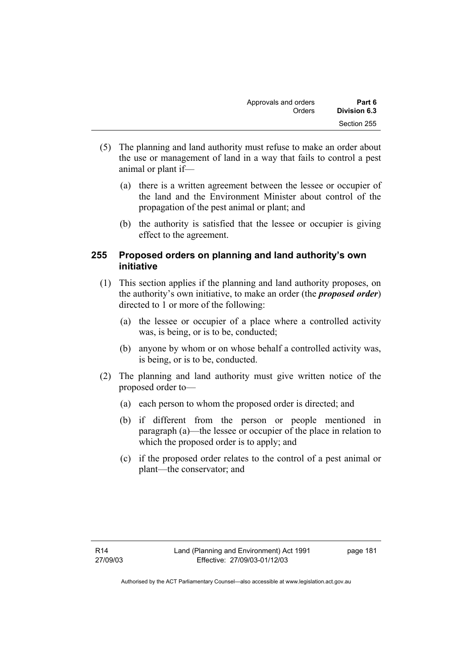| Approvals and orders | Part 6       |
|----------------------|--------------|
| Orders               | Division 6.3 |
|                      | Section 255  |

- (5) The planning and land authority must refuse to make an order about the use or management of land in a way that fails to control a pest animal or plant if—
	- (a) there is a written agreement between the lessee or occupier of the land and the Environment Minister about control of the propagation of the pest animal or plant; and
	- (b) the authority is satisfied that the lessee or occupier is giving effect to the agreement.

## **255 Proposed orders on planning and land authority's own initiative**

- (1) This section applies if the planning and land authority proposes, on the authority's own initiative, to make an order (the *proposed order*) directed to 1 or more of the following:
	- (a) the lessee or occupier of a place where a controlled activity was, is being, or is to be, conducted;
	- (b) anyone by whom or on whose behalf a controlled activity was, is being, or is to be, conducted.
- (2) The planning and land authority must give written notice of the proposed order to—
	- (a) each person to whom the proposed order is directed; and
	- (b) if different from the person or people mentioned in paragraph (a)—the lessee or occupier of the place in relation to which the proposed order is to apply; and
	- (c) if the proposed order relates to the control of a pest animal or plant—the conservator; and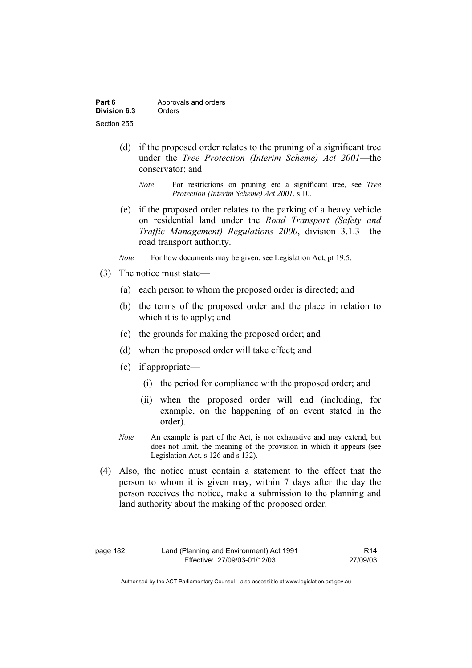| Part 6       | Approvals and orders |
|--------------|----------------------|
| Division 6.3 | Orders               |
| Section 255  |                      |

- (d) if the proposed order relates to the pruning of a significant tree under the *Tree Protection (Interim Scheme) Act 2001*—the conservator; and
	- *Note* For restrictions on pruning etc a significant tree, see *Tree Protection (Interim Scheme) Act 2001*, s 10.
- (e) if the proposed order relates to the parking of a heavy vehicle on residential land under the *Road Transport (Safety and Traffic Management) Regulations 2000*, division 3.1.3—the road transport authority.
- *Note* For how documents may be given, see Legislation Act, pt 19.5.
- (3) The notice must state—
	- (a) each person to whom the proposed order is directed; and
	- (b) the terms of the proposed order and the place in relation to which it is to apply; and
	- (c) the grounds for making the proposed order; and
	- (d) when the proposed order will take effect; and
	- (e) if appropriate—
		- (i) the period for compliance with the proposed order; and
		- (ii) when the proposed order will end (including, for example, on the happening of an event stated in the order).
	- *Note* An example is part of the Act, is not exhaustive and may extend, but does not limit, the meaning of the provision in which it appears (see Legislation Act, s 126 and s 132).
- (4) Also, the notice must contain a statement to the effect that the person to whom it is given may, within 7 days after the day the person receives the notice, make a submission to the planning and land authority about the making of the proposed order.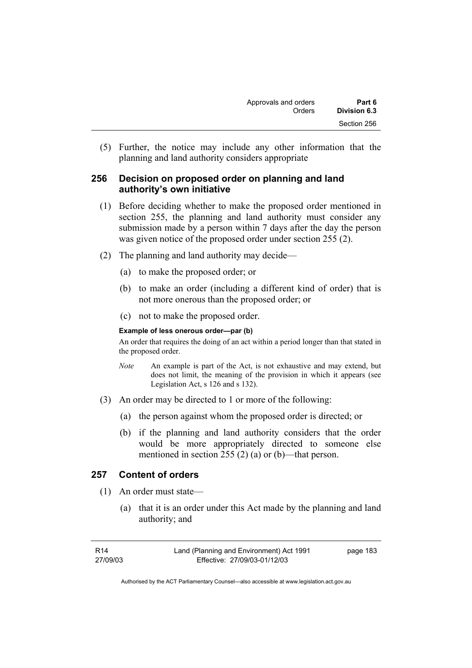(5) Further, the notice may include any other information that the planning and land authority considers appropriate

## **256 Decision on proposed order on planning and land authority's own initiative**

- (1) Before deciding whether to make the proposed order mentioned in section 255, the planning and land authority must consider any submission made by a person within 7 days after the day the person was given notice of the proposed order under section 255 (2).
- (2) The planning and land authority may decide—
	- (a) to make the proposed order; or
	- (b) to make an order (including a different kind of order) that is not more onerous than the proposed order; or
	- (c) not to make the proposed order.

#### **Example of less onerous order—par (b)**

An order that requires the doing of an act within a period longer than that stated in the proposed order.

- *Note* An example is part of the Act, is not exhaustive and may extend, but does not limit, the meaning of the provision in which it appears (see Legislation Act, s 126 and s 132).
- (3) An order may be directed to 1 or more of the following:
	- (a) the person against whom the proposed order is directed; or
	- (b) if the planning and land authority considers that the order would be more appropriately directed to someone else mentioned in section 255 (2) (a) or (b)—that person.

### **257 Content of orders**

- (1) An order must state—
	- (a) that it is an order under this Act made by the planning and land authority; and

| R14      | Land (Planning and Environment) Act 1991 | page 183 |
|----------|------------------------------------------|----------|
| 27/09/03 | Effective: 27/09/03-01/12/03             |          |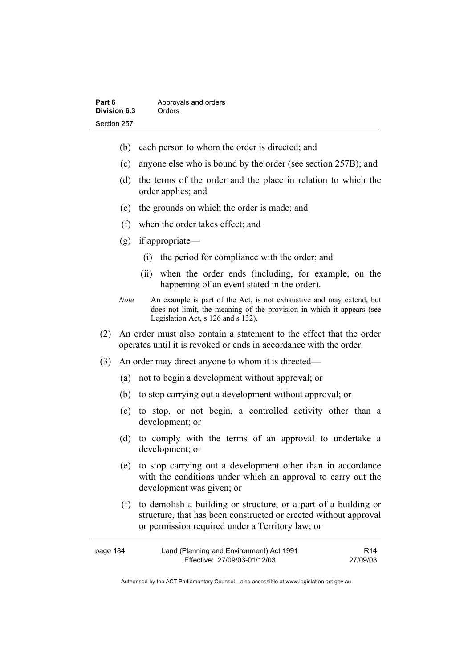| Part 6       | Approvals and orders |
|--------------|----------------------|
| Division 6.3 | Orders               |
| Section 257  |                      |

- (b) each person to whom the order is directed; and
- (c) anyone else who is bound by the order (see section 257B); and
- (d) the terms of the order and the place in relation to which the order applies; and
- (e) the grounds on which the order is made; and
- (f) when the order takes effect; and
- (g) if appropriate—
	- (i) the period for compliance with the order; and
	- (ii) when the order ends (including, for example, on the happening of an event stated in the order).
- *Note* An example is part of the Act, is not exhaustive and may extend, but does not limit, the meaning of the provision in which it appears (see Legislation Act, s 126 and s 132).
- (2) An order must also contain a statement to the effect that the order operates until it is revoked or ends in accordance with the order.
- (3) An order may direct anyone to whom it is directed—
	- (a) not to begin a development without approval; or
	- (b) to stop carrying out a development without approval; or
	- (c) to stop, or not begin, a controlled activity other than a development; or
	- (d) to comply with the terms of an approval to undertake a development; or
	- (e) to stop carrying out a development other than in accordance with the conditions under which an approval to carry out the development was given; or
	- (f) to demolish a building or structure, or a part of a building or structure, that has been constructed or erected without approval or permission required under a Territory law; or

| page 184 | Land (Planning and Environment) Act 1991 | R <sub>14</sub> |
|----------|------------------------------------------|-----------------|
|          | Effective: 27/09/03-01/12/03             | 27/09/03        |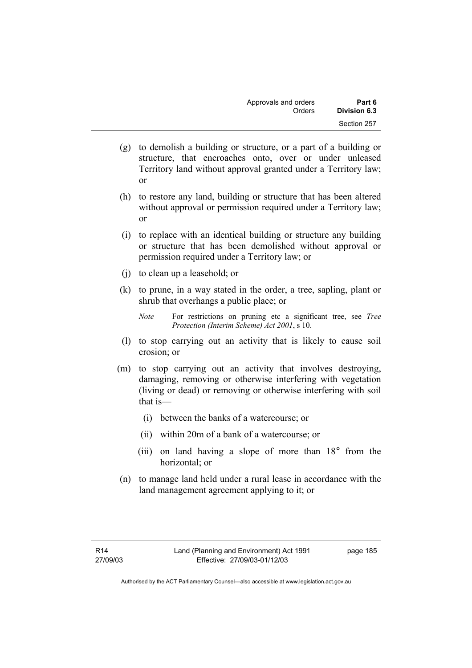| Approvals and orders | Part 6       |
|----------------------|--------------|
| Orders               | Division 6.3 |
|                      | Section 257  |

- (g) to demolish a building or structure, or a part of a building or structure, that encroaches onto, over or under unleased Territory land without approval granted under a Territory law; or
- (h) to restore any land, building or structure that has been altered without approval or permission required under a Territory law; or
- (i) to replace with an identical building or structure any building or structure that has been demolished without approval or permission required under a Territory law; or
- (j) to clean up a leasehold; or
- (k) to prune, in a way stated in the order, a tree, sapling, plant or shrub that overhangs a public place; or

- (l) to stop carrying out an activity that is likely to cause soil erosion; or
- (m) to stop carrying out an activity that involves destroying, damaging, removing or otherwise interfering with vegetation (living or dead) or removing or otherwise interfering with soil that is—
	- (i) between the banks of a watercourse; or
	- (ii) within 20m of a bank of a watercourse; or
	- (iii) on land having a slope of more than 18° from the horizontal; or
- (n) to manage land held under a rural lease in accordance with the land management agreement applying to it; or

page 185

*Note* For restrictions on pruning etc a significant tree, see *Tree Protection (Interim Scheme) Act 2001*, s 10.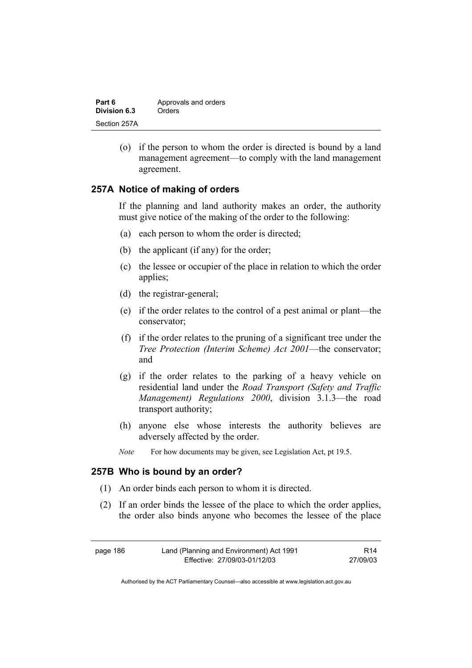| Part 6       | Approvals and orders |
|--------------|----------------------|
| Division 6.3 | Orders               |
| Section 257A |                      |

 (o) if the person to whom the order is directed is bound by a land management agreement—to comply with the land management agreement.

### **257A Notice of making of orders**

If the planning and land authority makes an order, the authority must give notice of the making of the order to the following:

- (a) each person to whom the order is directed;
- (b) the applicant (if any) for the order;
- (c) the lessee or occupier of the place in relation to which the order applies;
- (d) the registrar-general;
- (e) if the order relates to the control of a pest animal or plant—the conservator;
- (f) if the order relates to the pruning of a significant tree under the *Tree Protection (Interim Scheme) Act 2001*—the conservator; and
- (g) if the order relates to the parking of a heavy vehicle on residential land under the *Road Transport (Safety and Traffic Management) Regulations 2000*, division 3.1.3—the road transport authority;
- (h) anyone else whose interests the authority believes are adversely affected by the order.
- *Note* For how documents may be given, see Legislation Act, pt 19.5.

#### **257B Who is bound by an order?**

- (1) An order binds each person to whom it is directed.
- (2) If an order binds the lessee of the place to which the order applies, the order also binds anyone who becomes the lessee of the place

| page 186 | Land (Planning and Environment) Act 1991 | R <sub>14</sub> |
|----------|------------------------------------------|-----------------|
|          | Effective: 27/09/03-01/12/03             | 27/09/03        |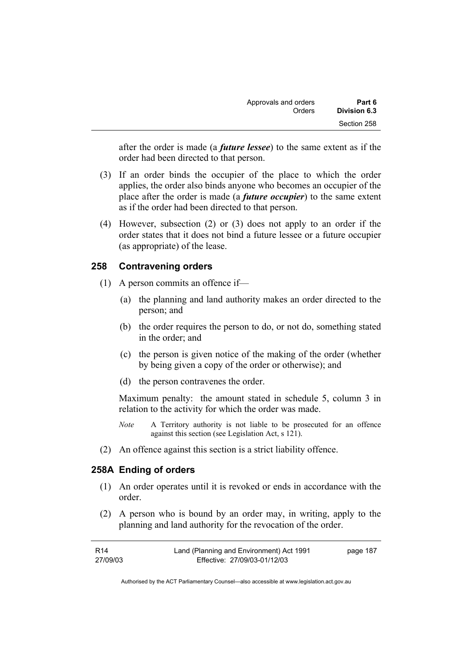| Approvals and orders | Part 6       |
|----------------------|--------------|
| Orders               | Division 6.3 |
|                      | Section 258  |

after the order is made (a *future lessee*) to the same extent as if the order had been directed to that person.

- (3) If an order binds the occupier of the place to which the order applies, the order also binds anyone who becomes an occupier of the place after the order is made (a *future occupier*) to the same extent as if the order had been directed to that person.
- (4) However, subsection (2) or (3) does not apply to an order if the order states that it does not bind a future lessee or a future occupier (as appropriate) of the lease.

### **258 Contravening orders**

- (1) A person commits an offence if—
	- (a) the planning and land authority makes an order directed to the person; and
	- (b) the order requires the person to do, or not do, something stated in the order; and
	- (c) the person is given notice of the making of the order (whether by being given a copy of the order or otherwise); and
	- (d) the person contravenes the order.

Maximum penalty: the amount stated in schedule 5, column 3 in relation to the activity for which the order was made.

- *Note* A Territory authority is not liable to be prosecuted for an offence against this section (see Legislation Act, s 121).
- (2) An offence against this section is a strict liability offence.

#### **258A Ending of orders**

- (1) An order operates until it is revoked or ends in accordance with the order.
- (2) A person who is bound by an order may, in writing, apply to the planning and land authority for the revocation of the order.

| R14      | Land (Planning and Environment) Act 1991 | page 187 |
|----------|------------------------------------------|----------|
| 27/09/03 | Effective: 27/09/03-01/12/03             |          |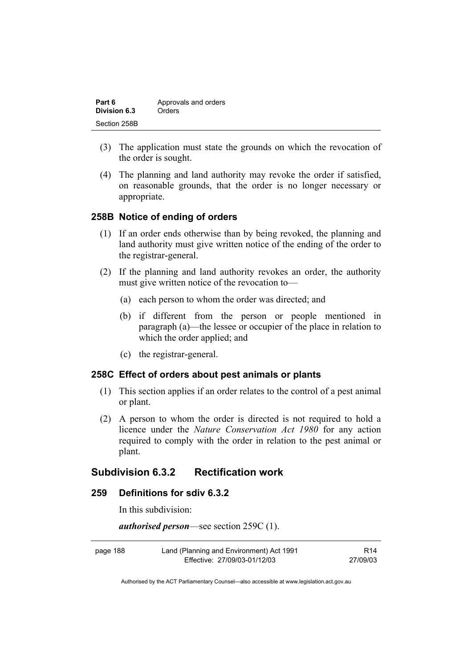| Part 6       | Approvals and orders |
|--------------|----------------------|
| Division 6.3 | Orders               |
| Section 258B |                      |

- (3) The application must state the grounds on which the revocation of the order is sought.
- (4) The planning and land authority may revoke the order if satisfied, on reasonable grounds, that the order is no longer necessary or appropriate.

### **258B Notice of ending of orders**

- (1) If an order ends otherwise than by being revoked, the planning and land authority must give written notice of the ending of the order to the registrar-general.
- (2) If the planning and land authority revokes an order, the authority must give written notice of the revocation to—
	- (a) each person to whom the order was directed; and
	- (b) if different from the person or people mentioned in paragraph (a)—the lessee or occupier of the place in relation to which the order applied; and
	- (c) the registrar-general.

#### **258C Effect of orders about pest animals or plants**

- (1) This section applies if an order relates to the control of a pest animal or plant.
- (2) A person to whom the order is directed is not required to hold a licence under the *Nature Conservation Act 1980* for any action required to comply with the order in relation to the pest animal or plant.

### **Subdivision 6.3.2 Rectification work**

#### **259 Definitions for sdiv 6.3.2**

In this subdivision:

*authorised person*—see section 259C (1).

| page 188 | Land (Planning and Environment) Act 1991 | R <sub>14</sub> |
|----------|------------------------------------------|-----------------|
|          | Effective: 27/09/03-01/12/03             | 27/09/03        |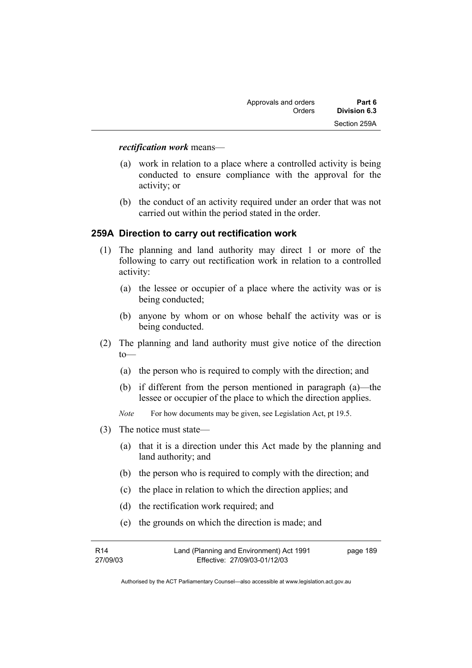#### *rectification work* means—

- (a) work in relation to a place where a controlled activity is being conducted to ensure compliance with the approval for the activity; or
- (b) the conduct of an activity required under an order that was not carried out within the period stated in the order.

### **259A Direction to carry out rectification work**

- (1) The planning and land authority may direct 1 or more of the following to carry out rectification work in relation to a controlled activity:
	- (a) the lessee or occupier of a place where the activity was or is being conducted;
	- (b) anyone by whom or on whose behalf the activity was or is being conducted.
- (2) The planning and land authority must give notice of the direction  $to$ —
	- (a) the person who is required to comply with the direction; and
	- (b) if different from the person mentioned in paragraph (a)—the lessee or occupier of the place to which the direction applies.
	- *Note* For how documents may be given, see Legislation Act, pt 19.5.
- (3) The notice must state—
	- (a) that it is a direction under this Act made by the planning and land authority; and
	- (b) the person who is required to comply with the direction; and
	- (c) the place in relation to which the direction applies; and
	- (d) the rectification work required; and
	- (e) the grounds on which the direction is made; and

| R14      | Land (Planning and Environment) Act 1991 | page 189 |
|----------|------------------------------------------|----------|
| 27/09/03 | Effective: 27/09/03-01/12/03             |          |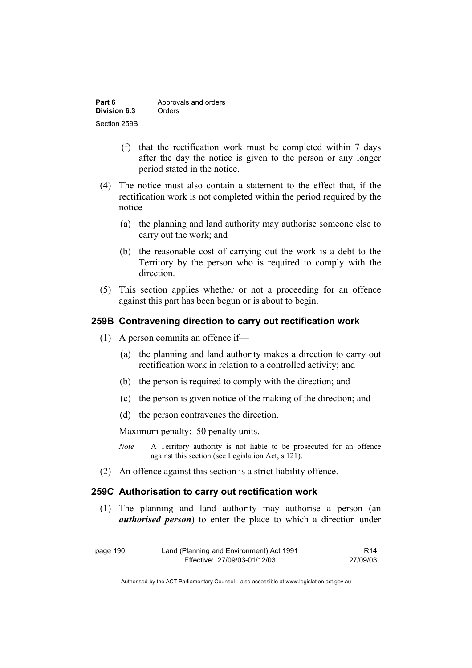| Part 6       | Approvals and orders |
|--------------|----------------------|
| Division 6.3 | Orders               |
| Section 259B |                      |

- (f) that the rectification work must be completed within 7 days after the day the notice is given to the person or any longer period stated in the notice.
- (4) The notice must also contain a statement to the effect that, if the rectification work is not completed within the period required by the notice—
	- (a) the planning and land authority may authorise someone else to carry out the work; and
	- (b) the reasonable cost of carrying out the work is a debt to the Territory by the person who is required to comply with the direction.
- (5) This section applies whether or not a proceeding for an offence against this part has been begun or is about to begin.

#### **259B Contravening direction to carry out rectification work**

- (1) A person commits an offence if—
	- (a) the planning and land authority makes a direction to carry out rectification work in relation to a controlled activity; and
	- (b) the person is required to comply with the direction; and
	- (c) the person is given notice of the making of the direction; and
	- (d) the person contravenes the direction.

Maximum penalty: 50 penalty units.

- *Note* A Territory authority is not liable to be prosecuted for an offence against this section (see Legislation Act, s 121).
- (2) An offence against this section is a strict liability offence.

### **259C Authorisation to carry out rectification work**

 (1) The planning and land authority may authorise a person (an *authorised person*) to enter the place to which a direction under

| page 190 | Land (Planning and Environment) Act 1991 | R14      |
|----------|------------------------------------------|----------|
|          | Effective: 27/09/03-01/12/03             | 27/09/03 |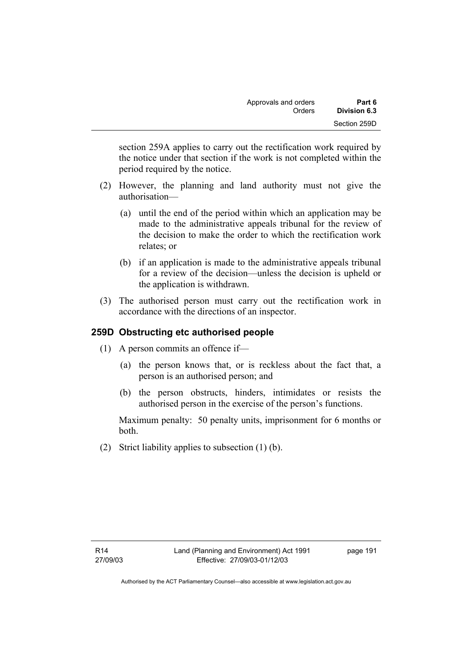section 259A applies to carry out the rectification work required by the notice under that section if the work is not completed within the period required by the notice.

- (2) However, the planning and land authority must not give the authorisation—
	- (a) until the end of the period within which an application may be made to the administrative appeals tribunal for the review of the decision to make the order to which the rectification work relates; or
	- (b) if an application is made to the administrative appeals tribunal for a review of the decision—unless the decision is upheld or the application is withdrawn.
- (3) The authorised person must carry out the rectification work in accordance with the directions of an inspector.

# **259D Obstructing etc authorised people**

- (1) A person commits an offence if—
	- (a) the person knows that, or is reckless about the fact that, a person is an authorised person; and
	- (b) the person obstructs, hinders, intimidates or resists the authorised person in the exercise of the person's functions.

Maximum penalty: 50 penalty units, imprisonment for 6 months or both.

(2) Strict liability applies to subsection (1) (b).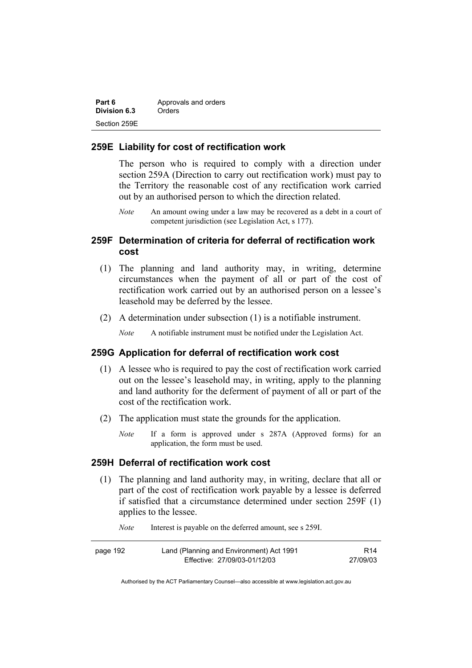| Part 6       | Approvals and orders |
|--------------|----------------------|
| Division 6.3 | Orders               |
| Section 259E |                      |

#### **259E Liability for cost of rectification work**

The person who is required to comply with a direction under section 259A (Direction to carry out rectification work) must pay to the Territory the reasonable cost of any rectification work carried out by an authorised person to which the direction related.

*Note* An amount owing under a law may be recovered as a debt in a court of competent jurisdiction (see Legislation Act, s 177).

## **259F Determination of criteria for deferral of rectification work cost**

- (1) The planning and land authority may, in writing, determine circumstances when the payment of all or part of the cost of rectification work carried out by an authorised person on a lessee's leasehold may be deferred by the lessee.
- (2) A determination under subsection (1) is a notifiable instrument.

*Note* A notifiable instrument must be notified under the Legislation Act.

#### **259G Application for deferral of rectification work cost**

- (1) A lessee who is required to pay the cost of rectification work carried out on the lessee's leasehold may, in writing, apply to the planning and land authority for the deferment of payment of all or part of the cost of the rectification work.
- (2) The application must state the grounds for the application.
	- *Note* If a form is approved under s 287A (Approved forms) for an application, the form must be used.

#### **259H Deferral of rectification work cost**

 (1) The planning and land authority may, in writing, declare that all or part of the cost of rectification work payable by a lessee is deferred if satisfied that a circumstance determined under section 259F (1) applies to the lessee.

*Note* Interest is payable on the deferred amount, see s 259I.

| page 192 | Land (Planning and Environment) Act 1991 | R <sub>14</sub> |
|----------|------------------------------------------|-----------------|
|          | Effective: 27/09/03-01/12/03             | 27/09/03        |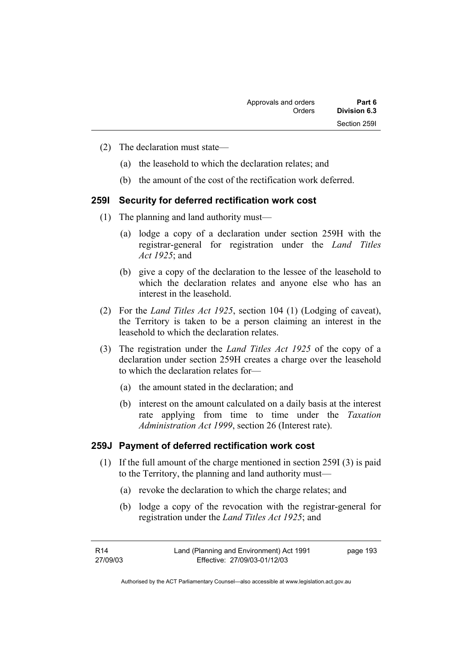- (2) The declaration must state—
	- (a) the leasehold to which the declaration relates; and
	- (b) the amount of the cost of the rectification work deferred.

# **259I Security for deferred rectification work cost**

- (1) The planning and land authority must—
	- (a) lodge a copy of a declaration under section 259H with the registrar-general for registration under the *Land Titles Act 1925*; and
	- (b) give a copy of the declaration to the lessee of the leasehold to which the declaration relates and anyone else who has an interest in the leasehold.
- (2) For the *Land Titles Act 1925*, section 104 (1) (Lodging of caveat), the Territory is taken to be a person claiming an interest in the leasehold to which the declaration relates.
- (3) The registration under the *Land Titles Act 1925* of the copy of a declaration under section 259H creates a charge over the leasehold to which the declaration relates for—
	- (a) the amount stated in the declaration; and
	- (b) interest on the amount calculated on a daily basis at the interest rate applying from time to time under the *Taxation Administration Act 1999*, section 26 (Interest rate).

### **259J Payment of deferred rectification work cost**

- (1) If the full amount of the charge mentioned in section 259I (3) is paid to the Territory, the planning and land authority must—
	- (a) revoke the declaration to which the charge relates; and
	- (b) lodge a copy of the revocation with the registrar-general for registration under the *Land Titles Act 1925*; and

| R14      | Land (Planning and Environment) Act 1991 | page 193 |
|----------|------------------------------------------|----------|
| 27/09/03 | Effective: 27/09/03-01/12/03             |          |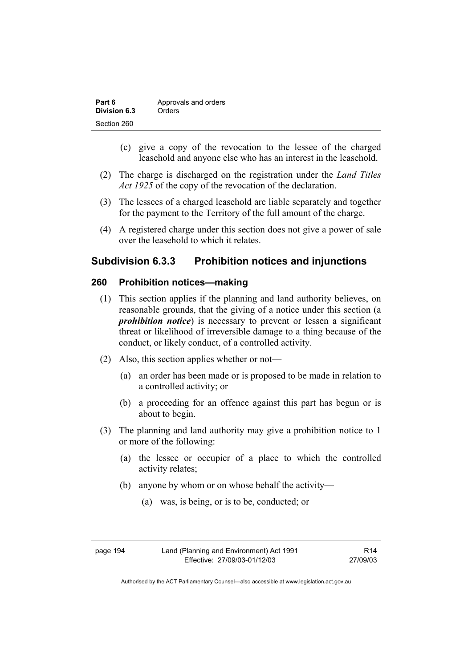| Part 6       | Approvals and orders |
|--------------|----------------------|
| Division 6.3 | Orders               |
| Section 260  |                      |

- (c) give a copy of the revocation to the lessee of the charged leasehold and anyone else who has an interest in the leasehold.
- (2) The charge is discharged on the registration under the *Land Titles Act 1925* of the copy of the revocation of the declaration.
- (3) The lessees of a charged leasehold are liable separately and together for the payment to the Territory of the full amount of the charge.
- (4) A registered charge under this section does not give a power of sale over the leasehold to which it relates.

## **Subdivision 6.3.3 Prohibition notices and injunctions**

### **260 Prohibition notices—making**

- (1) This section applies if the planning and land authority believes, on reasonable grounds, that the giving of a notice under this section (a *prohibition notice*) is necessary to prevent or lessen a significant threat or likelihood of irreversible damage to a thing because of the conduct, or likely conduct, of a controlled activity.
- (2) Also, this section applies whether or not—
	- (a) an order has been made or is proposed to be made in relation to a controlled activity; or
	- (b) a proceeding for an offence against this part has begun or is about to begin.
- (3) The planning and land authority may give a prohibition notice to 1 or more of the following:
	- (a) the lessee or occupier of a place to which the controlled activity relates;
	- (b) anyone by whom or on whose behalf the activity—
		- (a) was, is being, or is to be, conducted; or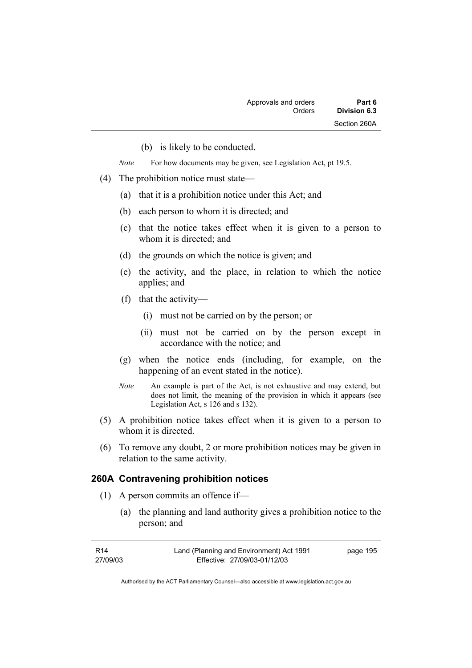(b) is likely to be conducted.

*Note* For how documents may be given, see Legislation Act, pt 19.5.

- (4) The prohibition notice must state—
	- (a) that it is a prohibition notice under this Act; and
	- (b) each person to whom it is directed; and
	- (c) that the notice takes effect when it is given to a person to whom it is directed; and
	- (d) the grounds on which the notice is given; and
	- (e) the activity, and the place, in relation to which the notice applies; and
	- (f) that the activity—
		- (i) must not be carried on by the person; or
		- (ii) must not be carried on by the person except in accordance with the notice; and
	- (g) when the notice ends (including, for example, on the happening of an event stated in the notice).
	- *Note* An example is part of the Act, is not exhaustive and may extend, but does not limit, the meaning of the provision in which it appears (see Legislation Act, s 126 and s 132).
- (5) A prohibition notice takes effect when it is given to a person to whom it is directed.
- (6) To remove any doubt, 2 or more prohibition notices may be given in relation to the same activity.

#### **260A Contravening prohibition notices**

- (1) A person commits an offence if—
	- (a) the planning and land authority gives a prohibition notice to the person; and

| R14      | Land (Planning and Environment) Act 1991 | page 195 |
|----------|------------------------------------------|----------|
| 27/09/03 | Effective: 27/09/03-01/12/03             |          |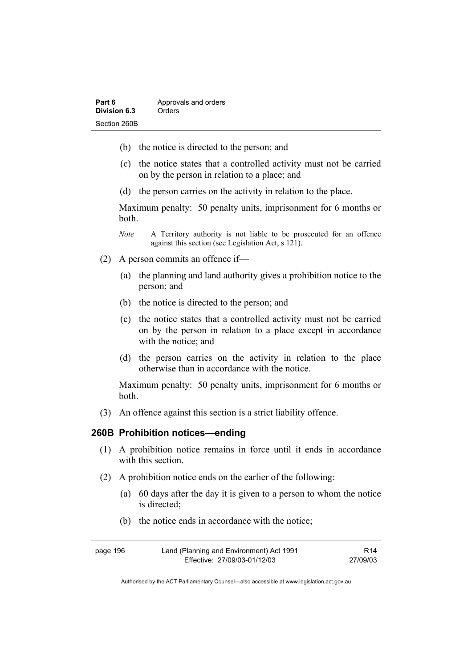| Part 6       | Approvals and orders |
|--------------|----------------------|
| Division 6.3 | Orders               |
| Section 260B |                      |

- (b) the notice is directed to the person; and
- (c) the notice states that a controlled activity must not be carried on by the person in relation to a place; and
- (d) the person carries on the activity in relation to the place.

Maximum penalty: 50 penalty units, imprisonment for 6 months or both.

- *Note* A Territory authority is not liable to be prosecuted for an offence against this section (see Legislation Act, s 121).
- (2) A person commits an offence if—
	- (a) the planning and land authority gives a prohibition notice to the person; and
	- (b) the notice is directed to the person; and
	- (c) the notice states that a controlled activity must not be carried on by the person in relation to a place except in accordance with the notice; and
	- (d) the person carries on the activity in relation to the place otherwise than in accordance with the notice.

Maximum penalty: 50 penalty units, imprisonment for 6 months or both.

(3) An offence against this section is a strict liability offence.

#### **260B Prohibition notices—ending**

- (1) A prohibition notice remains in force until it ends in accordance with this section
- (2) A prohibition notice ends on the earlier of the following:
	- (a) 60 days after the day it is given to a person to whom the notice is directed;
	- (b) the notice ends in accordance with the notice;

| page 196 | Land (Planning and Environment) Act 1991 | R14      |
|----------|------------------------------------------|----------|
|          | Effective: 27/09/03-01/12/03             | 27/09/03 |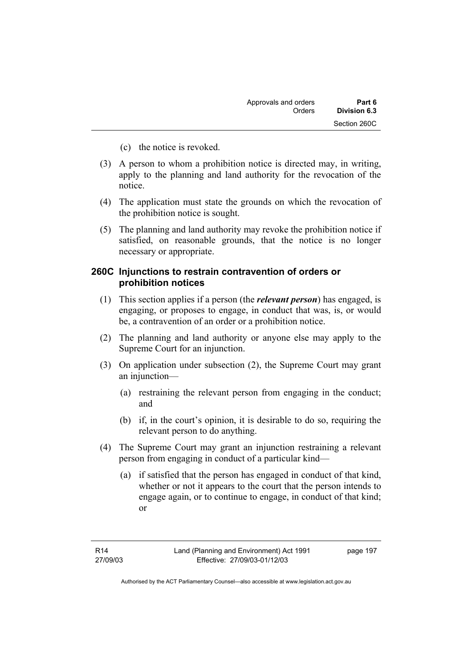- (c) the notice is revoked.
- (3) A person to whom a prohibition notice is directed may, in writing, apply to the planning and land authority for the revocation of the notice.
- (4) The application must state the grounds on which the revocation of the prohibition notice is sought.
- (5) The planning and land authority may revoke the prohibition notice if satisfied, on reasonable grounds, that the notice is no longer necessary or appropriate.

### **260C Injunctions to restrain contravention of orders or prohibition notices**

- (1) This section applies if a person (the *relevant person*) has engaged, is engaging, or proposes to engage, in conduct that was, is, or would be, a contravention of an order or a prohibition notice.
- (2) The planning and land authority or anyone else may apply to the Supreme Court for an injunction.
- (3) On application under subsection (2), the Supreme Court may grant an injunction—
	- (a) restraining the relevant person from engaging in the conduct; and
	- (b) if, in the court's opinion, it is desirable to do so, requiring the relevant person to do anything.
- (4) The Supreme Court may grant an injunction restraining a relevant person from engaging in conduct of a particular kind—
	- (a) if satisfied that the person has engaged in conduct of that kind, whether or not it appears to the court that the person intends to engage again, or to continue to engage, in conduct of that kind; or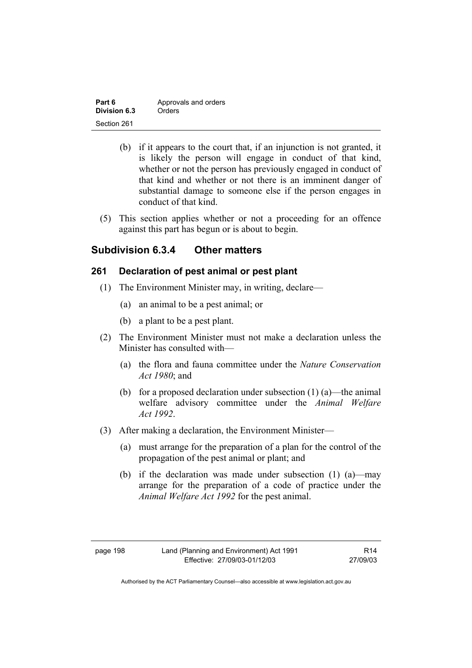| Part 6       | Approvals and orders |
|--------------|----------------------|
| Division 6.3 | Orders               |
| Section 261  |                      |

- (b) if it appears to the court that, if an injunction is not granted, it is likely the person will engage in conduct of that kind, whether or not the person has previously engaged in conduct of that kind and whether or not there is an imminent danger of substantial damage to someone else if the person engages in conduct of that kind.
- (5) This section applies whether or not a proceeding for an offence against this part has begun or is about to begin.

## **Subdivision 6.3.4 Other matters**

### **261 Declaration of pest animal or pest plant**

- (1) The Environment Minister may, in writing, declare—
	- (a) an animal to be a pest animal; or
	- (b) a plant to be a pest plant.
- (2) The Environment Minister must not make a declaration unless the Minister has consulted with—
	- (a) the flora and fauna committee under the *Nature Conservation Act 1980*; and
	- (b) for a proposed declaration under subsection  $(1)$  (a)—the animal welfare advisory committee under the *Animal Welfare Act 1992*.
- (3) After making a declaration, the Environment Minister—
	- (a) must arrange for the preparation of a plan for the control of the propagation of the pest animal or plant; and
	- (b) if the declaration was made under subsection (1) (a)—may arrange for the preparation of a code of practice under the *Animal Welfare Act 1992* for the pest animal.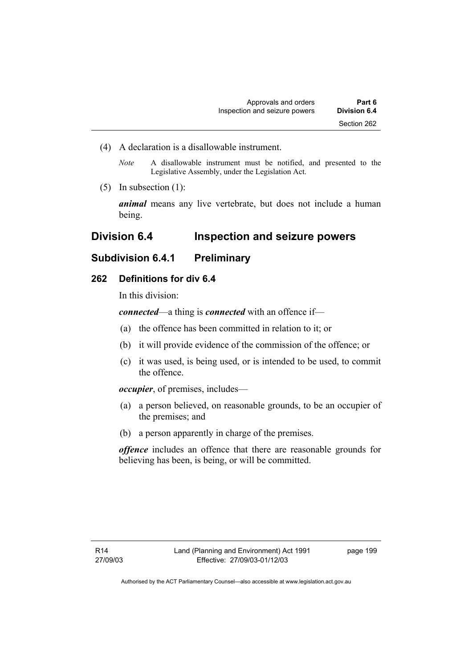(4) A declaration is a disallowable instrument.

*Note* A disallowable instrument must be notified, and presented to the Legislative Assembly, under the Legislation Act.

(5) In subsection (1):

*animal* means any live vertebrate, but does not include a human being.

# **Division 6.4 Inspection and seizure powers**

# **Subdivision 6.4.1 Preliminary**

### **262 Definitions for div 6.4**

In this division:

*connected*—a thing is *connected* with an offence if—

- (a) the offence has been committed in relation to it; or
- (b) it will provide evidence of the commission of the offence; or
- (c) it was used, is being used, or is intended to be used, to commit the offence.

*occupier*, of premises, includes—

- (a) a person believed, on reasonable grounds, to be an occupier of the premises; and
- (b) a person apparently in charge of the premises.

*offence* includes an offence that there are reasonable grounds for believing has been, is being, or will be committed.

page 199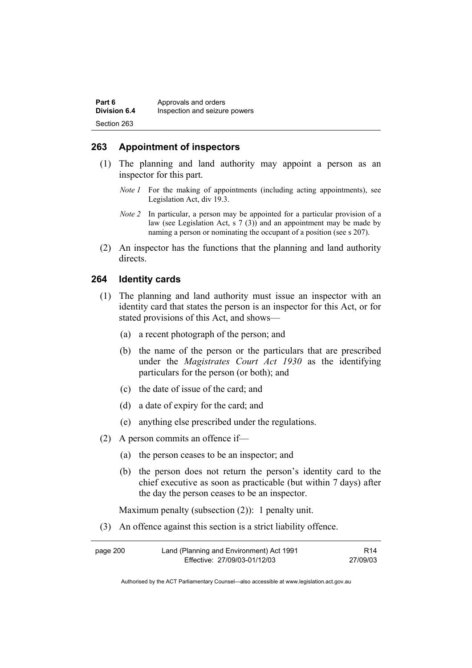| Part 6              | Approvals and orders          |
|---------------------|-------------------------------|
| <b>Division 6.4</b> | Inspection and seizure powers |
| Section 263         |                               |

### **263 Appointment of inspectors**

- (1) The planning and land authority may appoint a person as an inspector for this part.
	- *Note 1* For the making of appointments (including acting appointments), see Legislation Act, div 19.3.
	- *Note 2* In particular, a person may be appointed for a particular provision of a law (see Legislation Act, s 7 (3)) and an appointment may be made by naming a person or nominating the occupant of a position (see s 207).
- (2) An inspector has the functions that the planning and land authority directs.

#### **264 Identity cards**

- (1) The planning and land authority must issue an inspector with an identity card that states the person is an inspector for this Act, or for stated provisions of this Act, and shows—
	- (a) a recent photograph of the person; and
	- (b) the name of the person or the particulars that are prescribed under the *Magistrates Court Act 1930* as the identifying particulars for the person (or both); and
	- (c) the date of issue of the card; and
	- (d) a date of expiry for the card; and
	- (e) anything else prescribed under the regulations.
- (2) A person commits an offence if—
	- (a) the person ceases to be an inspector; and
	- (b) the person does not return the person's identity card to the chief executive as soon as practicable (but within 7 days) after the day the person ceases to be an inspector.

Maximum penalty (subsection (2)): 1 penalty unit.

(3) An offence against this section is a strict liability offence.

| page 200 | Land (Planning and Environment) Act 1991 | R14      |
|----------|------------------------------------------|----------|
|          | Effective: 27/09/03-01/12/03             | 27/09/03 |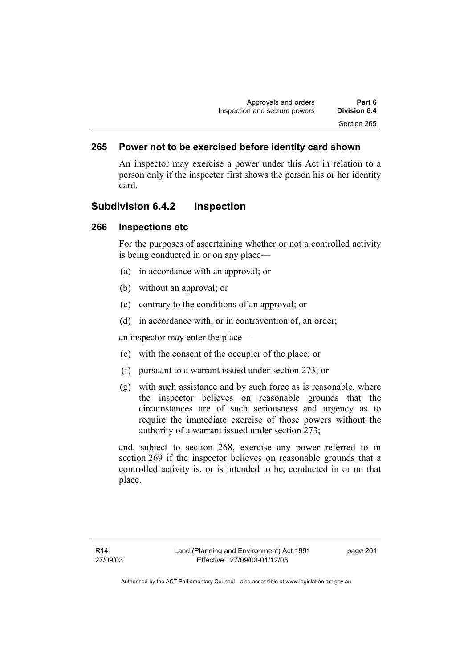## **265 Power not to be exercised before identity card shown**

An inspector may exercise a power under this Act in relation to a person only if the inspector first shows the person his or her identity card.

## **Subdivision 6.4.2 Inspection**

## **266 Inspections etc**

For the purposes of ascertaining whether or not a controlled activity is being conducted in or on any place—

- (a) in accordance with an approval; or
- (b) without an approval; or
- (c) contrary to the conditions of an approval; or
- (d) in accordance with, or in contravention of, an order;

an inspector may enter the place—

- (e) with the consent of the occupier of the place; or
- (f) pursuant to a warrant issued under section 273; or
- (g) with such assistance and by such force as is reasonable, where the inspector believes on reasonable grounds that the circumstances are of such seriousness and urgency as to require the immediate exercise of those powers without the authority of a warrant issued under section 273;

and, subject to section 268, exercise any power referred to in section 269 if the inspector believes on reasonable grounds that a controlled activity is, or is intended to be, conducted in or on that place.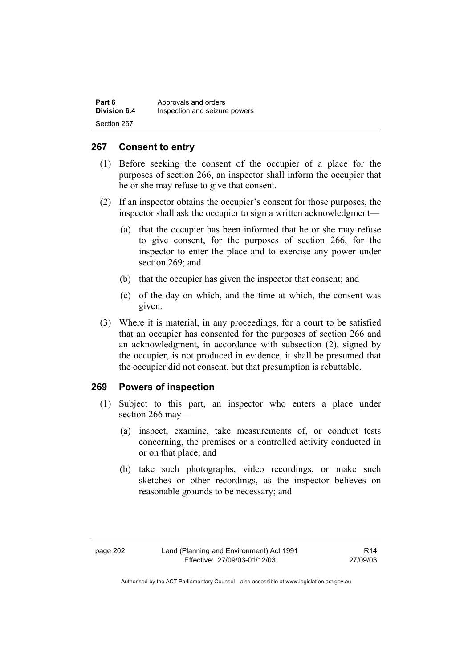| Part 6              | Approvals and orders          |
|---------------------|-------------------------------|
| <b>Division 6.4</b> | Inspection and seizure powers |
| Section 267         |                               |

## **267 Consent to entry**

- (1) Before seeking the consent of the occupier of a place for the purposes of section 266, an inspector shall inform the occupier that he or she may refuse to give that consent.
- (2) If an inspector obtains the occupier's consent for those purposes, the inspector shall ask the occupier to sign a written acknowledgment—
	- (a) that the occupier has been informed that he or she may refuse to give consent, for the purposes of section 266, for the inspector to enter the place and to exercise any power under section 269; and
	- (b) that the occupier has given the inspector that consent; and
	- (c) of the day on which, and the time at which, the consent was given.
- (3) Where it is material, in any proceedings, for a court to be satisfied that an occupier has consented for the purposes of section 266 and an acknowledgment, in accordance with subsection (2), signed by the occupier, is not produced in evidence, it shall be presumed that the occupier did not consent, but that presumption is rebuttable.

## **269 Powers of inspection**

- (1) Subject to this part, an inspector who enters a place under section 266 may—
	- (a) inspect, examine, take measurements of, or conduct tests concerning, the premises or a controlled activity conducted in or on that place; and
	- (b) take such photographs, video recordings, or make such sketches or other recordings, as the inspector believes on reasonable grounds to be necessary; and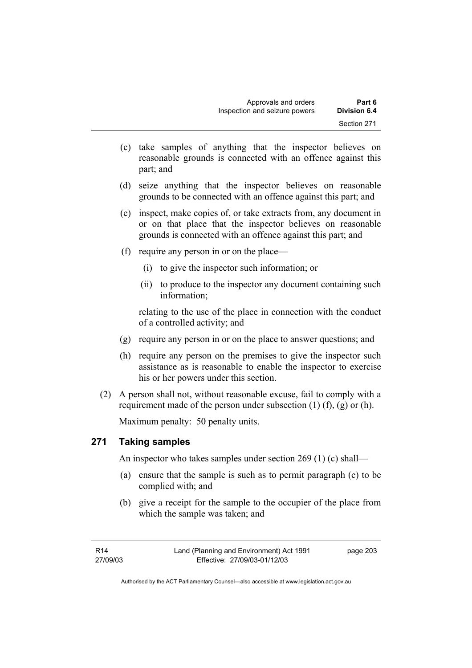- (c) take samples of anything that the inspector believes on reasonable grounds is connected with an offence against this part; and
- (d) seize anything that the inspector believes on reasonable grounds to be connected with an offence against this part; and
- (e) inspect, make copies of, or take extracts from, any document in or on that place that the inspector believes on reasonable grounds is connected with an offence against this part; and
- (f) require any person in or on the place—
	- (i) to give the inspector such information; or
	- (ii) to produce to the inspector any document containing such information;

relating to the use of the place in connection with the conduct of a controlled activity; and

- (g) require any person in or on the place to answer questions; and
- (h) require any person on the premises to give the inspector such assistance as is reasonable to enable the inspector to exercise his or her powers under this section.
- (2) A person shall not, without reasonable excuse, fail to comply with a requirement made of the person under subsection  $(1)$   $(f)$ ,  $(g)$  or  $(h)$ .

Maximum penalty: 50 penalty units.

## **271 Taking samples**

An inspector who takes samples under section 269 (1) (c) shall—

- (a) ensure that the sample is such as to permit paragraph (c) to be complied with; and
- (b) give a receipt for the sample to the occupier of the place from which the sample was taken; and

page 203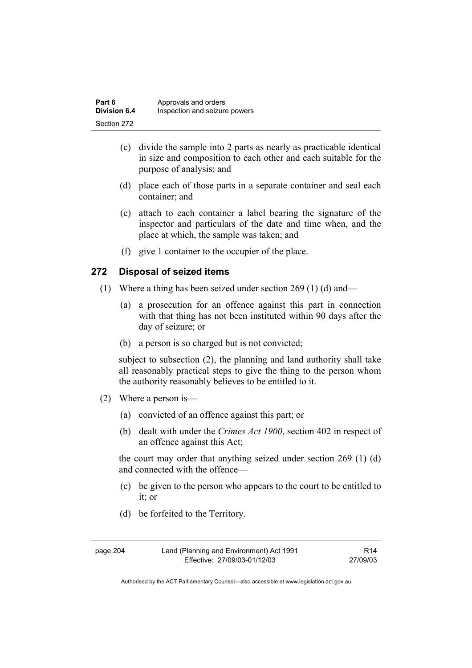| Part 6       | Approvals and orders          |
|--------------|-------------------------------|
| Division 6.4 | Inspection and seizure powers |
| Section 272  |                               |

- (c) divide the sample into 2 parts as nearly as practicable identical in size and composition to each other and each suitable for the purpose of analysis; and
- (d) place each of those parts in a separate container and seal each container; and
- (e) attach to each container a label bearing the signature of the inspector and particulars of the date and time when, and the place at which, the sample was taken; and
- (f) give 1 container to the occupier of the place.

## **272 Disposal of seized items**

- (1) Where a thing has been seized under section 269 (1) (d) and—
	- (a) a prosecution for an offence against this part in connection with that thing has not been instituted within 90 days after the day of seizure; or
	- (b) a person is so charged but is not convicted;

subject to subsection (2), the planning and land authority shall take all reasonably practical steps to give the thing to the person whom the authority reasonably believes to be entitled to it.

- (2) Where a person is—
	- (a) convicted of an offence against this part; or
	- (b) dealt with under the *Crimes Act 1900*, section 402 in respect of an offence against this Act;

the court may order that anything seized under section 269 (1) (d) and connected with the offence—

- (c) be given to the person who appears to the court to be entitled to it; or
- (d) be forfeited to the Territory.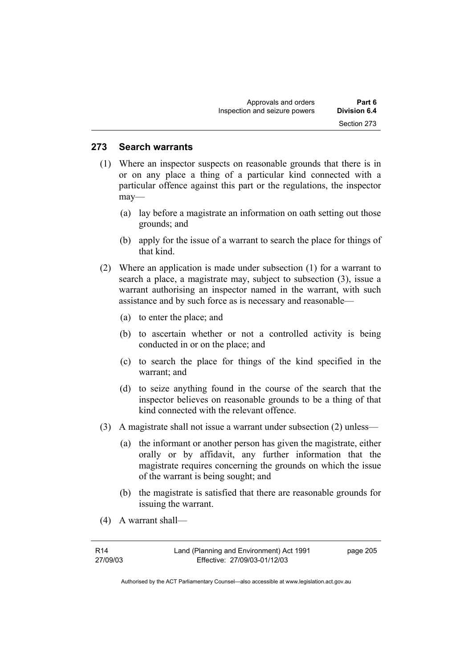### **273 Search warrants**

- (1) Where an inspector suspects on reasonable grounds that there is in or on any place a thing of a particular kind connected with a particular offence against this part or the regulations, the inspector may—
	- (a) lay before a magistrate an information on oath setting out those grounds; and
	- (b) apply for the issue of a warrant to search the place for things of that kind.
- (2) Where an application is made under subsection (1) for a warrant to search a place, a magistrate may, subject to subsection (3), issue a warrant authorising an inspector named in the warrant, with such assistance and by such force as is necessary and reasonable—
	- (a) to enter the place; and
	- (b) to ascertain whether or not a controlled activity is being conducted in or on the place; and
	- (c) to search the place for things of the kind specified in the warrant; and
	- (d) to seize anything found in the course of the search that the inspector believes on reasonable grounds to be a thing of that kind connected with the relevant offence.
- (3) A magistrate shall not issue a warrant under subsection (2) unless—
	- (a) the informant or another person has given the magistrate, either orally or by affidavit, any further information that the magistrate requires concerning the grounds on which the issue of the warrant is being sought; and
	- (b) the magistrate is satisfied that there are reasonable grounds for issuing the warrant.
- (4) A warrant shall—

| R14      | Land (Planning and Environment) Act 1991 | page 205 |
|----------|------------------------------------------|----------|
| 27/09/03 | Effective: 27/09/03-01/12/03             |          |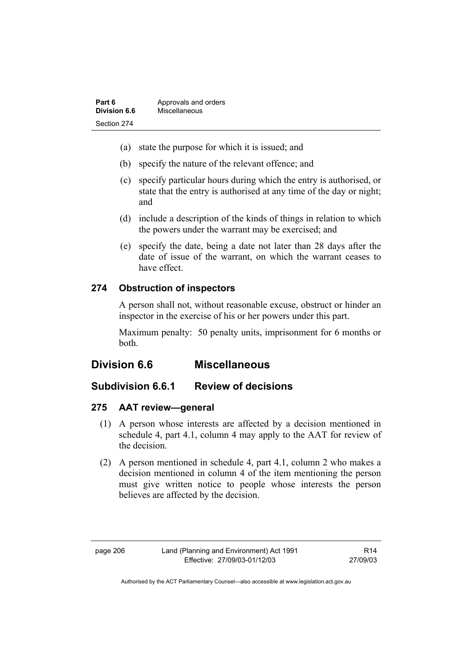| Part 6       | Approvals and orders |
|--------------|----------------------|
| Division 6.6 | Miscellaneous        |
| Section 274  |                      |

- (a) state the purpose for which it is issued; and
- (b) specify the nature of the relevant offence; and
- (c) specify particular hours during which the entry is authorised, or state that the entry is authorised at any time of the day or night; and
- (d) include a description of the kinds of things in relation to which the powers under the warrant may be exercised; and
- (e) specify the date, being a date not later than 28 days after the date of issue of the warrant, on which the warrant ceases to have effect.

## **274 Obstruction of inspectors**

A person shall not, without reasonable excuse, obstruct or hinder an inspector in the exercise of his or her powers under this part.

Maximum penalty: 50 penalty units, imprisonment for 6 months or both.

## **Division 6.6 Miscellaneous**

## **Subdivision 6.6.1 Review of decisions**

## **275 AAT review—general**

- (1) A person whose interests are affected by a decision mentioned in schedule 4, part 4.1, column 4 may apply to the AAT for review of the decision.
- (2) A person mentioned in schedule 4, part 4.1, column 2 who makes a decision mentioned in column 4 of the item mentioning the person must give written notice to people whose interests the person believes are affected by the decision.

R14 27/09/03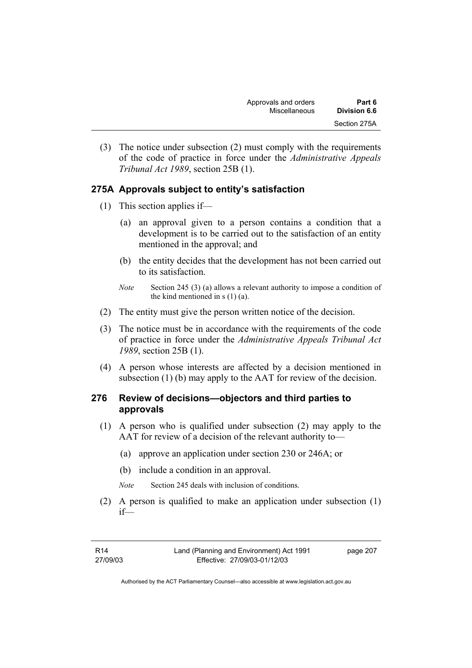(3) The notice under subsection (2) must comply with the requirements of the code of practice in force under the *Administrative Appeals Tribunal Act 1989*, section 25B (1).

## **275A Approvals subject to entity's satisfaction**

- (1) This section applies if—
	- (a) an approval given to a person contains a condition that a development is to be carried out to the satisfaction of an entity mentioned in the approval; and
	- (b) the entity decides that the development has not been carried out to its satisfaction.
	- *Note* Section 245 (3) (a) allows a relevant authority to impose a condition of the kind mentioned in  $s(1)(a)$ .
- (2) The entity must give the person written notice of the decision.
- (3) The notice must be in accordance with the requirements of the code of practice in force under the *Administrative Appeals Tribunal Act 1989*, section 25B (1).
- (4) A person whose interests are affected by a decision mentioned in subsection (1) (b) may apply to the AAT for review of the decision.

## **276 Review of decisions—objectors and third parties to approvals**

- (1) A person who is qualified under subsection (2) may apply to the AAT for review of a decision of the relevant authority to—
	- (a) approve an application under section 230 or 246A; or
	- (b) include a condition in an approval.
	- *Note* Section 245 deals with inclusion of conditions.
- (2) A person is qualified to make an application under subsection (1) if—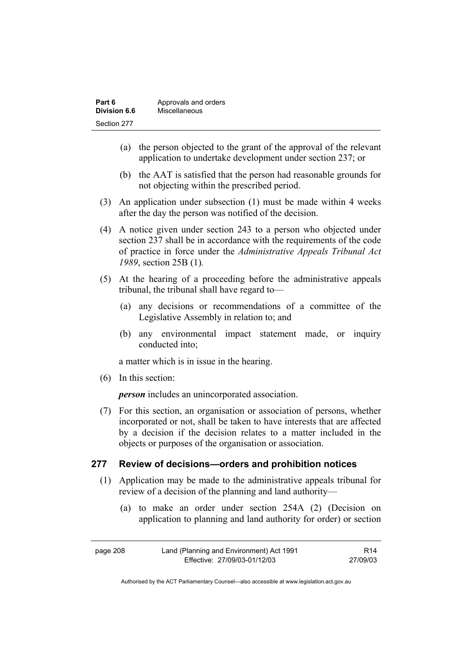| Part 6       | Approvals and orders |
|--------------|----------------------|
| Division 6.6 | Miscellaneous        |
| Section 277  |                      |

- (a) the person objected to the grant of the approval of the relevant application to undertake development under section 237; or
- (b) the AAT is satisfied that the person had reasonable grounds for not objecting within the prescribed period.
- (3) An application under subsection (1) must be made within 4 weeks after the day the person was notified of the decision.
- (4) A notice given under section 243 to a person who objected under section 237 shall be in accordance with the requirements of the code of practice in force under the *Administrative Appeals Tribunal Act 1989*, section 25B (1)*.*
- (5) At the hearing of a proceeding before the administrative appeals tribunal, the tribunal shall have regard to—
	- (a) any decisions or recommendations of a committee of the Legislative Assembly in relation to; and
	- (b) any environmental impact statement made, or inquiry conducted into;

a matter which is in issue in the hearing.

(6) In this section:

*person* includes an unincorporated association.

 (7) For this section, an organisation or association of persons, whether incorporated or not, shall be taken to have interests that are affected by a decision if the decision relates to a matter included in the objects or purposes of the organisation or association.

### **277 Review of decisions—orders and prohibition notices**

- (1) Application may be made to the administrative appeals tribunal for review of a decision of the planning and land authority—
	- (a) to make an order under section 254A (2) (Decision on application to planning and land authority for order) or section

| page 208 | Land (Planning and Environment) Act 1991 | R14      |
|----------|------------------------------------------|----------|
|          | Effective: 27/09/03-01/12/03             | 27/09/03 |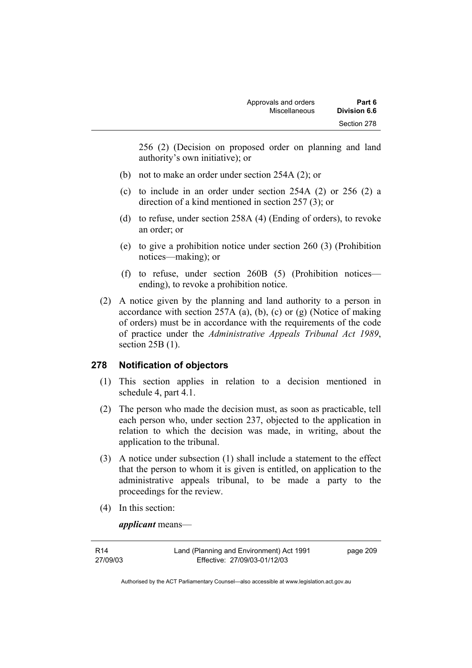256 (2) (Decision on proposed order on planning and land authority's own initiative); or

- (b) not to make an order under section 254A (2); or
- (c) to include in an order under section 254A (2) or 256 (2) a direction of a kind mentioned in section 257 (3); or
- (d) to refuse, under section 258A (4) (Ending of orders), to revoke an order; or
- (e) to give a prohibition notice under section 260 (3) (Prohibition notices—making); or
- (f) to refuse, under section 260B (5) (Prohibition notices ending), to revoke a prohibition notice.
- (2) A notice given by the planning and land authority to a person in accordance with section 257A (a), (b), (c) or (g) (Notice of making of orders) must be in accordance with the requirements of the code of practice under the *Administrative Appeals Tribunal Act 1989*, section 25B (1).

## **278 Notification of objectors**

- (1) This section applies in relation to a decision mentioned in schedule 4, part 4.1.
- (2) The person who made the decision must, as soon as practicable, tell each person who, under section 237, objected to the application in relation to which the decision was made, in writing, about the application to the tribunal.
- (3) A notice under subsection (1) shall include a statement to the effect that the person to whom it is given is entitled, on application to the administrative appeals tribunal, to be made a party to the proceedings for the review.
- (4) In this section:

*applicant* means—

| R14      | Land (Planning and Environment) Act 1991 | page 209 |
|----------|------------------------------------------|----------|
| 27/09/03 | Effective: 27/09/03-01/12/03             |          |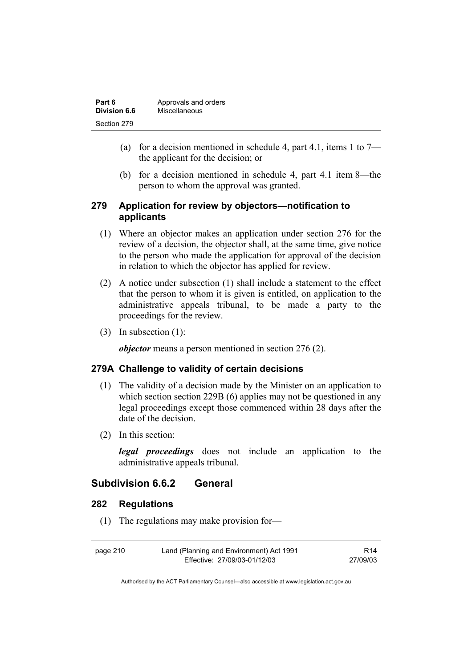| Part 6       | Approvals and orders |  |
|--------------|----------------------|--|
| Division 6.6 | Miscellaneous        |  |
| Section 279  |                      |  |

- (a) for a decision mentioned in schedule 4, part 4.1, items 1 to  $7$ the applicant for the decision; or
- (b) for a decision mentioned in schedule 4, part 4.1 item 8—the person to whom the approval was granted.

## **279 Application for review by objectors—notification to applicants**

- (1) Where an objector makes an application under section 276 for the review of a decision, the objector shall, at the same time, give notice to the person who made the application for approval of the decision in relation to which the objector has applied for review.
- (2) A notice under subsection (1) shall include a statement to the effect that the person to whom it is given is entitled, on application to the administrative appeals tribunal, to be made a party to the proceedings for the review.
- (3) In subsection (1):

*objector* means a person mentioned in section 276 (2).

## **279A Challenge to validity of certain decisions**

- (1) The validity of a decision made by the Minister on an application to which section section 229B (6) applies may not be questioned in any legal proceedings except those commenced within 28 days after the date of the decision.
- (2) In this section:

*legal proceedings* does not include an application to the administrative appeals tribunal.

## **Subdivision 6.6.2 General**

## **282 Regulations**

(1) The regulations may make provision for—

| page 210 | Land (Planning and Environment) Act 1991 | R14      |
|----------|------------------------------------------|----------|
|          | Effective: 27/09/03-01/12/03             | 27/09/03 |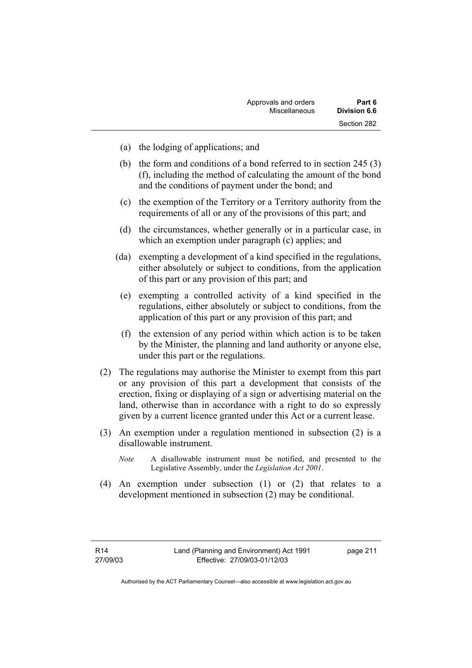| Approvals and orders | Part 6              |
|----------------------|---------------------|
| Miscellaneous        | <b>Division 6.6</b> |
|                      | Section 282         |

- (a) the lodging of applications; and
- (b) the form and conditions of a bond referred to in section 245 (3) (f), including the method of calculating the amount of the bond and the conditions of payment under the bond; and
- (c) the exemption of the Territory or a Territory authority from the requirements of all or any of the provisions of this part; and
- (d) the circumstances, whether generally or in a particular case, in which an exemption under paragraph (c) applies; and
- (da) exempting a development of a kind specified in the regulations, either absolutely or subject to conditions, from the application of this part or any provision of this part; and
- (e) exempting a controlled activity of a kind specified in the regulations, either absolutely or subject to conditions, from the application of this part or any provision of this part; and
- (f) the extension of any period within which action is to be taken by the Minister, the planning and land authority or anyone else, under this part or the regulations.
- (2) The regulations may authorise the Minister to exempt from this part or any provision of this part a development that consists of the erection, fixing or displaying of a sign or advertising material on the land, otherwise than in accordance with a right to do so expressly given by a current licence granted under this Act or a current lease.
- (3) An exemption under a regulation mentioned in subsection (2) is a disallowable instrument.
	- *Note* A disallowable instrument must be notified, and presented to the Legislative Assembly, under the *Legislation Act 2001*.
- (4) An exemption under subsection (1) or (2) that relates to a development mentioned in subsection (2) may be conditional.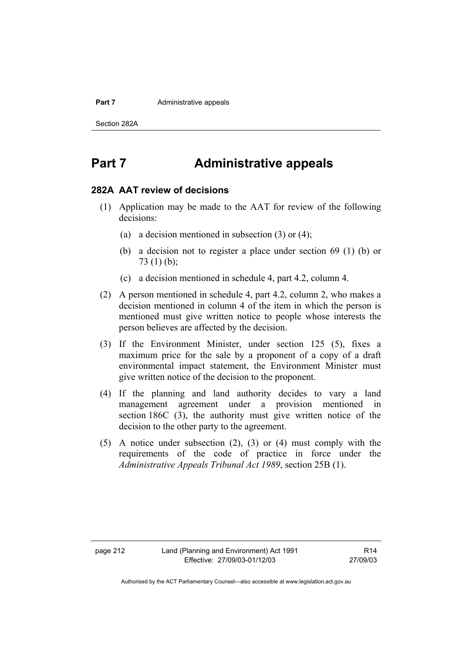#### **Part 7 Administrative appeals**

Section 282A

## **Part 7 Administrative appeals**

#### **282A AAT review of decisions**

- (1) Application may be made to the AAT for review of the following decisions:
	- (a) a decision mentioned in subsection (3) or (4);
	- (b) a decision not to register a place under section 69 (1) (b) or 73 (1) (b);
	- (c) a decision mentioned in schedule 4, part 4.2, column 4.
- (2) A person mentioned in schedule 4, part 4.2, column 2, who makes a decision mentioned in column 4 of the item in which the person is mentioned must give written notice to people whose interests the person believes are affected by the decision.
- (3) If the Environment Minister, under section 125 (5), fixes a maximum price for the sale by a proponent of a copy of a draft environmental impact statement, the Environment Minister must give written notice of the decision to the proponent.
- (4) If the planning and land authority decides to vary a land management agreement under a provision mentioned in section 186C (3), the authority must give written notice of the decision to the other party to the agreement.
- (5) A notice under subsection (2), (3) or (4) must comply with the requirements of the code of practice in force under the *Administrative Appeals Tribunal Act 1989*, section 25B (1).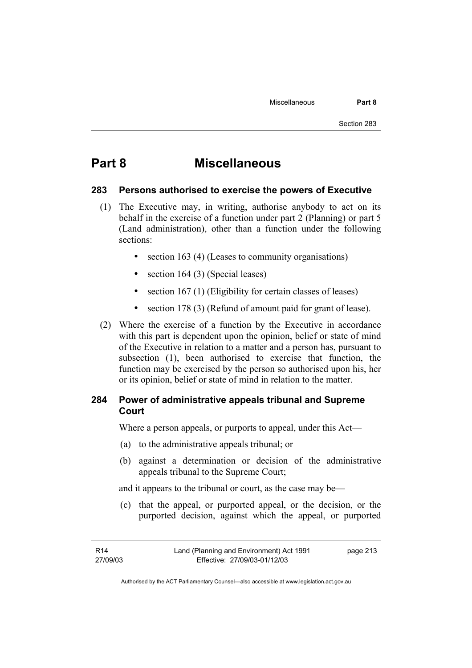## **Part 8 Miscellaneous**

#### **283 Persons authorised to exercise the powers of Executive**

- (1) The Executive may, in writing, authorise anybody to act on its behalf in the exercise of a function under part 2 (Planning) or part 5 (Land administration), other than a function under the following sections:
	- section 163 (4) (Leases to community organisations)
	- section 164 (3) (Special leases)
	- section 167 (1) (Eligibility for certain classes of leases)
	- section 178 (3) (Refund of amount paid for grant of lease).
- (2) Where the exercise of a function by the Executive in accordance with this part is dependent upon the opinion, belief or state of mind of the Executive in relation to a matter and a person has, pursuant to subsection (1), been authorised to exercise that function, the function may be exercised by the person so authorised upon his, her or its opinion, belief or state of mind in relation to the matter.

## **284 Power of administrative appeals tribunal and Supreme Court**

Where a person appeals, or purports to appeal, under this Act—

- (a) to the administrative appeals tribunal; or
- (b) against a determination or decision of the administrative appeals tribunal to the Supreme Court;

and it appears to the tribunal or court, as the case may be—

 (c) that the appeal, or purported appeal, or the decision, or the purported decision, against which the appeal, or purported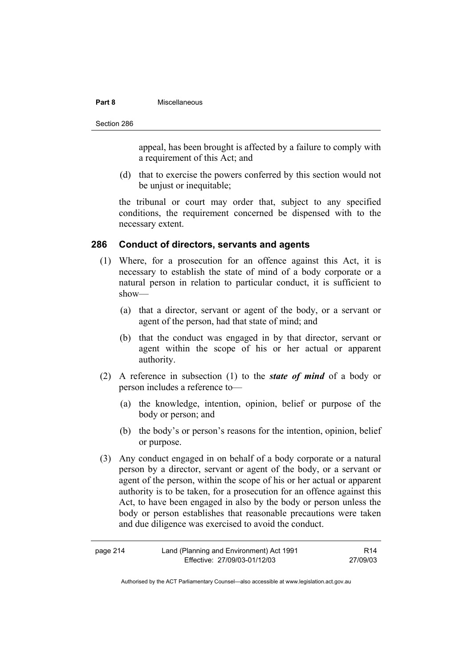#### **Part 8** Miscellaneous

Section 286

appeal, has been brought is affected by a failure to comply with a requirement of this Act; and

 (d) that to exercise the powers conferred by this section would not be unjust or inequitable;

the tribunal or court may order that, subject to any specified conditions, the requirement concerned be dispensed with to the necessary extent.

#### **286 Conduct of directors, servants and agents**

- (1) Where, for a prosecution for an offence against this Act, it is necessary to establish the state of mind of a body corporate or a natural person in relation to particular conduct, it is sufficient to show—
	- (a) that a director, servant or agent of the body, or a servant or agent of the person, had that state of mind; and
	- (b) that the conduct was engaged in by that director, servant or agent within the scope of his or her actual or apparent authority.
- (2) A reference in subsection (1) to the *state of mind* of a body or person includes a reference to—
	- (a) the knowledge, intention, opinion, belief or purpose of the body or person; and
	- (b) the body's or person's reasons for the intention, opinion, belief or purpose.
- (3) Any conduct engaged in on behalf of a body corporate or a natural person by a director, servant or agent of the body, or a servant or agent of the person, within the scope of his or her actual or apparent authority is to be taken, for a prosecution for an offence against this Act, to have been engaged in also by the body or person unless the body or person establishes that reasonable precautions were taken and due diligence was exercised to avoid the conduct.

| page 214 | Land (Planning and Environment) Act 1991 | R <sub>14</sub> |
|----------|------------------------------------------|-----------------|
|          | Effective: 27/09/03-01/12/03             | 27/09/03        |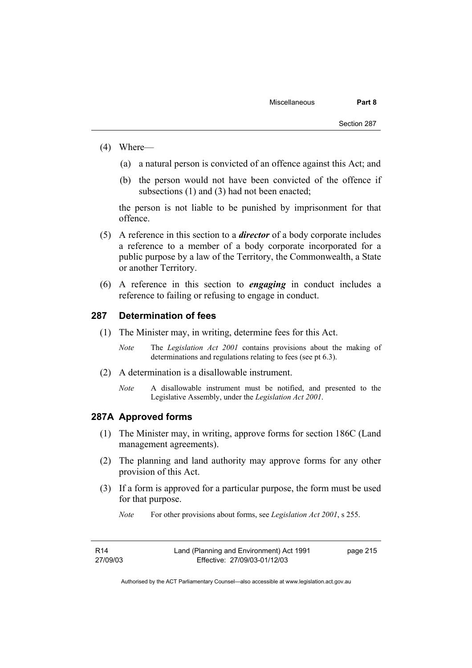- (4) Where—
	- (a) a natural person is convicted of an offence against this Act; and
	- (b) the person would not have been convicted of the offence if subsections (1) and (3) had not been enacted:

the person is not liable to be punished by imprisonment for that offence.

- (5) A reference in this section to a *director* of a body corporate includes a reference to a member of a body corporate incorporated for a public purpose by a law of the Territory, the Commonwealth, a State or another Territory.
- (6) A reference in this section to *engaging* in conduct includes a reference to failing or refusing to engage in conduct.

#### **287 Determination of fees**

- (1) The Minister may, in writing, determine fees for this Act.
	- *Note* The *Legislation Act 2001* contains provisions about the making of determinations and regulations relating to fees (see pt 6.3).
- (2) A determination is a disallowable instrument.
	- *Note* A disallowable instrument must be notified, and presented to the Legislative Assembly, under the *Legislation Act 2001*.

#### **287A Approved forms**

- (1) The Minister may, in writing, approve forms for section 186C (Land management agreements).
- (2) The planning and land authority may approve forms for any other provision of this Act.
- (3) If a form is approved for a particular purpose, the form must be used for that purpose.

*Note* For other provisions about forms, see *Legislation Act 2001*, s 255.

| R14      | Land (Planning and Environment) Act 1991 | page 215 |
|----------|------------------------------------------|----------|
| 27/09/03 | Effective: 27/09/03-01/12/03             |          |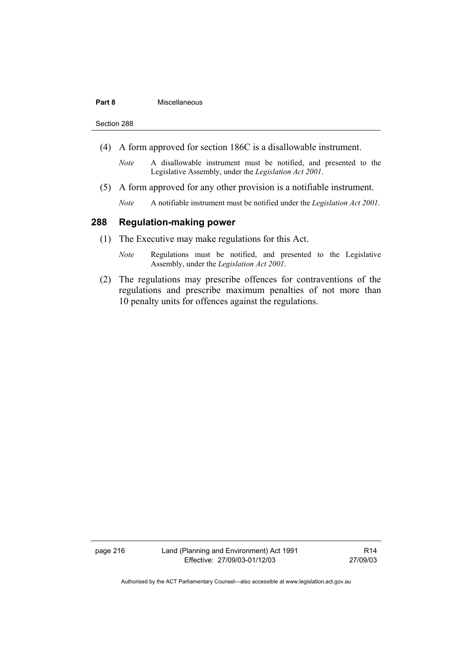#### **Part 8** Miscellaneous

Section 288

- (4) A form approved for section 186C is a disallowable instrument.
	- *Note* A disallowable instrument must be notified, and presented to the Legislative Assembly, under the *Legislation Act 2001*.
- (5) A form approved for any other provision is a notifiable instrument.
	- *Note* A notifiable instrument must be notified under the *Legislation Act 2001*.

## **288 Regulation-making power**

- (1) The Executive may make regulations for this Act.
	- *Note* Regulations must be notified, and presented to the Legislative Assembly, under the *Legislation Act 2001*.
- (2) The regulations may prescribe offences for contraventions of the regulations and prescribe maximum penalties of not more than 10 penalty units for offences against the regulations.

page 216 Land (Planning and Environment) Act 1991 Effective: 27/09/03-01/12/03

R14 27/09/03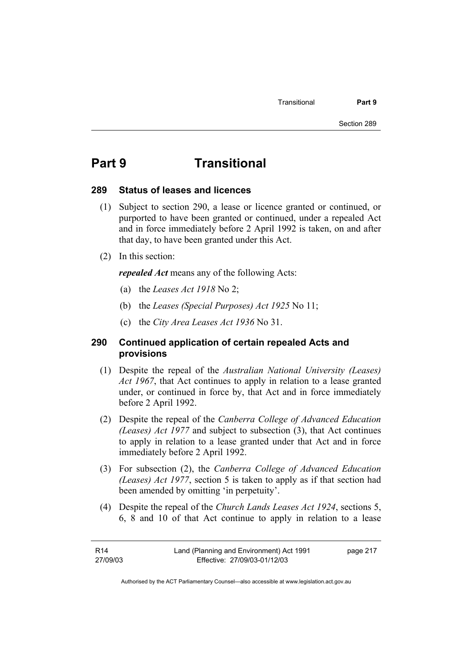## **Part 9 Transitional**

#### **289 Status of leases and licences**

- (1) Subject to section 290, a lease or licence granted or continued, or purported to have been granted or continued, under a repealed Act and in force immediately before 2 April 1992 is taken, on and after that day, to have been granted under this Act.
- (2) In this section:

*repealed Act* means any of the following Acts:

- (a) the *Leases Act 1918* No 2;
- (b) the *Leases (Special Purposes) Act 1925* No 11;
- (c) the *City Area Leases Act 1936* No 31.

## **290 Continued application of certain repealed Acts and provisions**

- (1) Despite the repeal of the *Australian National University (Leases) Act 1967*, that Act continues to apply in relation to a lease granted under, or continued in force by, that Act and in force immediately before 2 April 1992.
- (2) Despite the repeal of the *Canberra College of Advanced Education (Leases) Act 1977* and subject to subsection (3), that Act continues to apply in relation to a lease granted under that Act and in force immediately before 2 April 1992.
- (3) For subsection (2), the *Canberra College of Advanced Education (Leases) Act 1977*, section 5 is taken to apply as if that section had been amended by omitting 'in perpetuity'.
- (4) Despite the repeal of the *Church Lands Leases Act 1924*, sections 5, 6, 8 and 10 of that Act continue to apply in relation to a lease

| R14      | Land (Planning and Environment) Act 1991 | page 217 |
|----------|------------------------------------------|----------|
| 27/09/03 | Effective: 27/09/03-01/12/03             |          |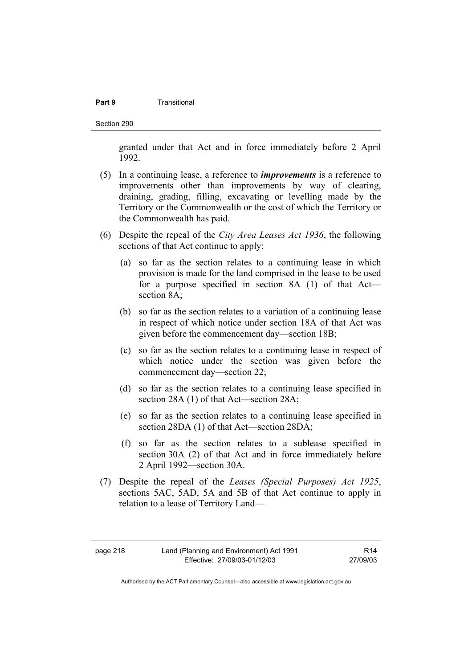#### **Part 9 Transitional**

Section 290

granted under that Act and in force immediately before 2 April 1992.

- (5) In a continuing lease, a reference to *improvements* is a reference to improvements other than improvements by way of clearing, draining, grading, filling, excavating or levelling made by the Territory or the Commonwealth or the cost of which the Territory or the Commonwealth has paid.
- (6) Despite the repeal of the *City Area Leases Act 1936*, the following sections of that Act continue to apply:
	- (a) so far as the section relates to a continuing lease in which provision is made for the land comprised in the lease to be used for a purpose specified in section 8A (1) of that Act section 8A;
	- (b) so far as the section relates to a variation of a continuing lease in respect of which notice under section 18A of that Act was given before the commencement day—section 18B;
	- (c) so far as the section relates to a continuing lease in respect of which notice under the section was given before the commencement day—section 22;
	- (d) so far as the section relates to a continuing lease specified in section 28A (1) of that Act—section 28A;
	- (e) so far as the section relates to a continuing lease specified in section 28DA (1) of that Act—section 28DA;
	- (f) so far as the section relates to a sublease specified in section 30A (2) of that Act and in force immediately before 2 April 1992—section 30A.
- (7) Despite the repeal of the *Leases (Special Purposes) Act 1925*, sections 5AC, 5AD, 5A and 5B of that Act continue to apply in relation to a lease of Territory Land—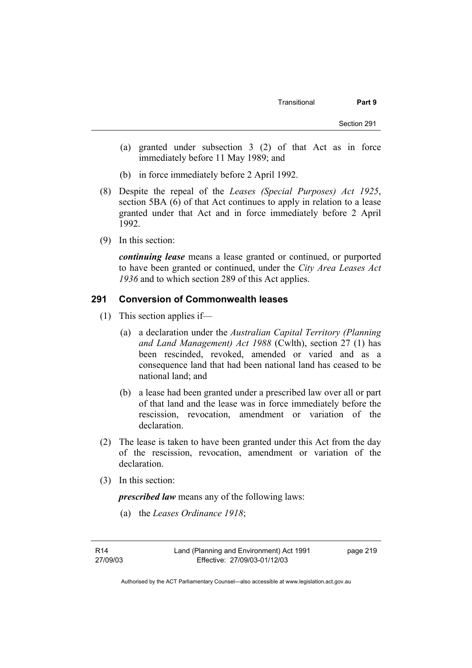- (a) granted under subsection 3 (2) of that Act as in force immediately before 11 May 1989; and
- (b) in force immediately before 2 April 1992.
- (8) Despite the repeal of the *Leases (Special Purposes) Act 1925*, section 5BA (6) of that Act continues to apply in relation to a lease granted under that Act and in force immediately before 2 April 1992.
- (9) In this section:

*continuing lease* means a lease granted or continued, or purported to have been granted or continued, under the *City Area Leases Act 1936* and to which section 289 of this Act applies.

## **291 Conversion of Commonwealth leases**

- (1) This section applies if—
	- (a) a declaration under the *Australian Capital Territory (Planning and Land Management) Act 1988* (Cwlth), section 27 (1) has been rescinded, revoked, amended or varied and as a consequence land that had been national land has ceased to be national land; and
	- (b) a lease had been granted under a prescribed law over all or part of that land and the lease was in force immediately before the rescission, revocation, amendment or variation of the declaration.
- (2) The lease is taken to have been granted under this Act from the day of the rescission, revocation, amendment or variation of the declaration.
- (3) In this section:

*prescribed law* means any of the following laws:

(a) the *Leases Ordinance 1918*;

R14 27/09/03 page 219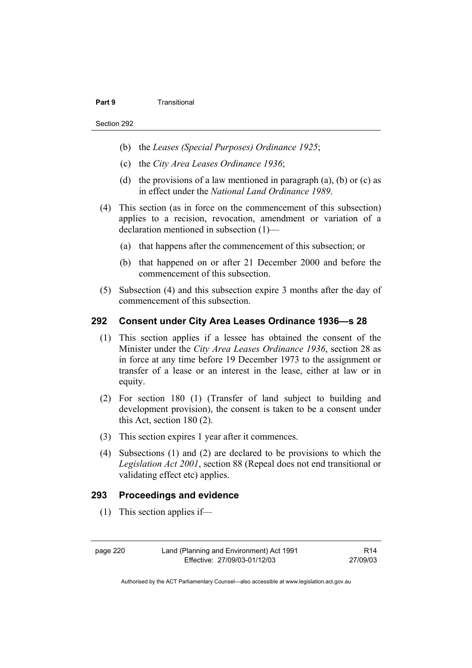#### **Part 9 Transitional**

- (b) the *Leases (Special Purposes) Ordinance 1925*;
- (c) the *City Area Leases Ordinance 1936*;
- (d) the provisions of a law mentioned in paragraph  $(a)$ ,  $(b)$  or  $(c)$  as in effect under the *National Land Ordinance 1989*.
- (4) This section (as in force on the commencement of this subsection) applies to a recision, revocation, amendment or variation of a declaration mentioned in subsection (1)—
	- (a) that happens after the commencement of this subsection; or
	- (b) that happened on or after 21 December 2000 and before the commencement of this subsection.
- (5) Subsection (4) and this subsection expire 3 months after the day of commencement of this subsection.

### **292 Consent under City Area Leases Ordinance 1936—s 28**

- (1) This section applies if a lessee has obtained the consent of the Minister under the *City Area Leases Ordinance 1936*, section 28 as in force at any time before 19 December 1973 to the assignment or transfer of a lease or an interest in the lease, either at law or in equity.
- (2) For section 180 (1) (Transfer of land subject to building and development provision), the consent is taken to be a consent under this Act, section 180 (2).
- (3) This section expires 1 year after it commences.
- (4) Subsections (1) and (2) are declared to be provisions to which the *Legislation Act 2001*, section 88 (Repeal does not end transitional or validating effect etc) applies.

### **293 Proceedings and evidence**

(1) This section applies if—

page 220 Land (Planning and Environment) Act 1991 Effective: 27/09/03-01/12/03

R14 27/09/03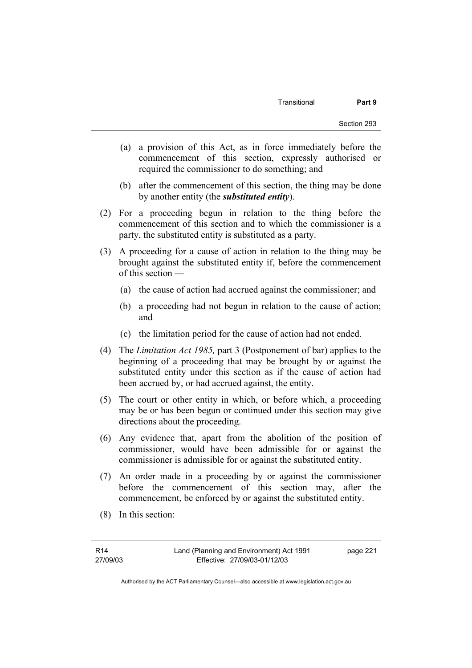- (a) a provision of this Act, as in force immediately before the commencement of this section, expressly authorised or required the commissioner to do something; and
- (b) after the commencement of this section, the thing may be done by another entity (the *substituted entity*).
- (2) For a proceeding begun in relation to the thing before the commencement of this section and to which the commissioner is a party, the substituted entity is substituted as a party.
- (3) A proceeding for a cause of action in relation to the thing may be brought against the substituted entity if, before the commencement of this section —
	- (a) the cause of action had accrued against the commissioner; and
	- (b) a proceeding had not begun in relation to the cause of action; and
	- (c) the limitation period for the cause of action had not ended.
- (4) The *Limitation Act 1985,* part 3 (Postponement of bar) applies to the beginning of a proceeding that may be brought by or against the substituted entity under this section as if the cause of action had been accrued by, or had accrued against, the entity.
- (5) The court or other entity in which, or before which, a proceeding may be or has been begun or continued under this section may give directions about the proceeding.
- (6) Any evidence that, apart from the abolition of the position of commissioner, would have been admissible for or against the commissioner is admissible for or against the substituted entity.
- (7) An order made in a proceeding by or against the commissioner before the commencement of this section may, after the commencement, be enforced by or against the substituted entity.
- (8) In this section: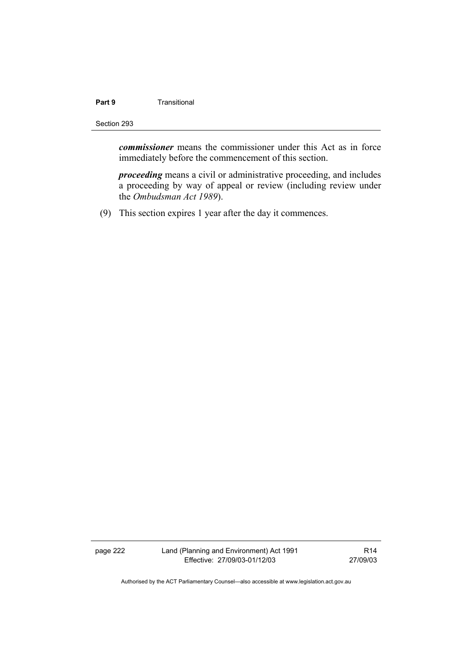## **Part 9 Transitional**

#### Section 293

*commissioner* means the commissioner under this Act as in force immediately before the commencement of this section.

*proceeding* means a civil or administrative proceeding, and includes a proceeding by way of appeal or review (including review under the *Ombudsman Act 1989*).

(9) This section expires 1 year after the day it commences.

page 222 Land (Planning and Environment) Act 1991 Effective: 27/09/03-01/12/03

R14 27/09/03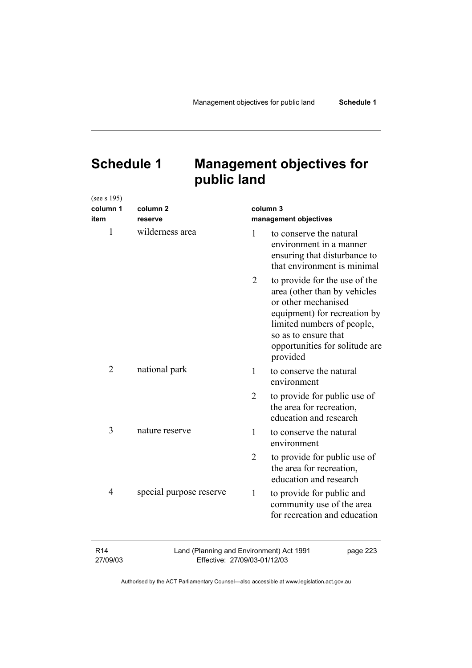# **Schedule 1 Management objectives for public land**

(see s 195)

| column 1                    | column <sub>2</sub>                                                      |                | column 3                                                                                                                                                                                                                 |
|-----------------------------|--------------------------------------------------------------------------|----------------|--------------------------------------------------------------------------------------------------------------------------------------------------------------------------------------------------------------------------|
| item                        | reserve                                                                  |                | management objectives                                                                                                                                                                                                    |
| 1                           | wilderness area                                                          | 1              | to conserve the natural<br>environment in a manner<br>ensuring that disturbance to<br>that environment is minimal                                                                                                        |
|                             |                                                                          | $\overline{2}$ | to provide for the use of the<br>area (other than by vehicles<br>or other mechanised<br>equipment) for recreation by<br>limited numbers of people,<br>so as to ensure that<br>opportunities for solitude are<br>provided |
| $\overline{2}$              | national park                                                            | 1              | to conserve the natural<br>environment                                                                                                                                                                                   |
|                             |                                                                          | 2              | to provide for public use of<br>the area for recreation,<br>education and research                                                                                                                                       |
| 3                           | nature reserve                                                           | 1              | to conserve the natural<br>environment                                                                                                                                                                                   |
|                             |                                                                          | $\overline{2}$ | to provide for public use of<br>the area for recreation,<br>education and research                                                                                                                                       |
| $\overline{4}$              | special purpose reserve                                                  | 1              | to provide for public and<br>community use of the area<br>for recreation and education                                                                                                                                   |
| R <sub>14</sub><br>27/09/03 | Land (Planning and Environment) Act 1991<br>Effective: 27/09/03-01/12/03 |                | page 223                                                                                                                                                                                                                 |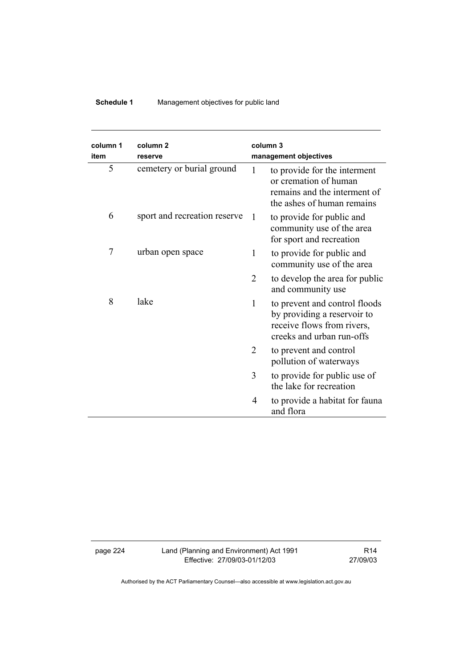## **Schedule 1** Management objectives for public land

| column 1<br>item | column <sub>2</sub><br>reserve |                | column 3<br>management objectives                                                                                       |
|------------------|--------------------------------|----------------|-------------------------------------------------------------------------------------------------------------------------|
| 5                | cemetery or burial ground      | 1              | to provide for the interment<br>or cremation of human<br>remains and the interment of<br>the ashes of human remains     |
| 6                | sport and recreation reserve   | 1              | to provide for public and<br>community use of the area<br>for sport and recreation                                      |
| 7                | urban open space               | 1              | to provide for public and<br>community use of the area                                                                  |
|                  |                                | $\overline{2}$ | to develop the area for public<br>and community use                                                                     |
| 8                | lake                           | 1              | to prevent and control floods<br>by providing a reservoir to<br>receive flows from rivers,<br>creeks and urban run-offs |
|                  |                                | 2              | to prevent and control<br>pollution of waterways                                                                        |
|                  |                                | 3              | to provide for public use of<br>the lake for recreation                                                                 |
|                  |                                | 4              | to provide a habitat for fauna<br>and flora                                                                             |

page 224 Land (Planning and Environment) Act 1991 Effective: 27/09/03-01/12/03

R14 27/09/03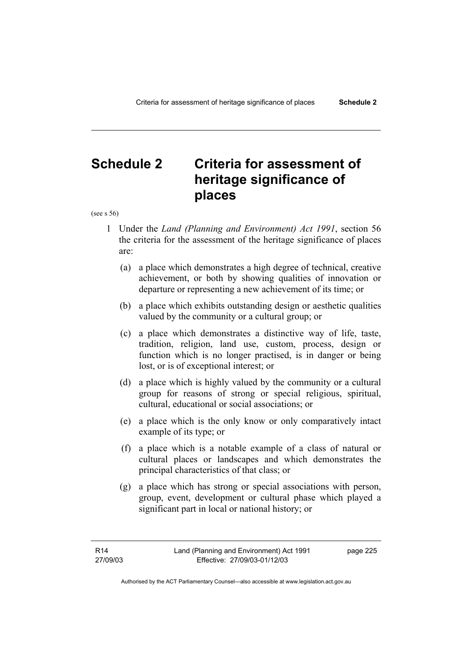# **Schedule 2 Criteria for assessment of heritage significance of places**

(see s 56)

- 1 Under the *Land (Planning and Environment) Act 1991*, section 56 the criteria for the assessment of the heritage significance of places are:
	- (a) a place which demonstrates a high degree of technical, creative achievement, or both by showing qualities of innovation or departure or representing a new achievement of its time; or
	- (b) a place which exhibits outstanding design or aesthetic qualities valued by the community or a cultural group; or
	- (c) a place which demonstrates a distinctive way of life, taste, tradition, religion, land use, custom, process, design or function which is no longer practised, is in danger or being lost, or is of exceptional interest; or
	- (d) a place which is highly valued by the community or a cultural group for reasons of strong or special religious, spiritual, cultural, educational or social associations; or
	- (e) a place which is the only know or only comparatively intact example of its type; or
	- (f) a place which is a notable example of a class of natural or cultural places or landscapes and which demonstrates the principal characteristics of that class; or
	- (g) a place which has strong or special associations with person, group, event, development or cultural phase which played a significant part in local or national history; or

page 225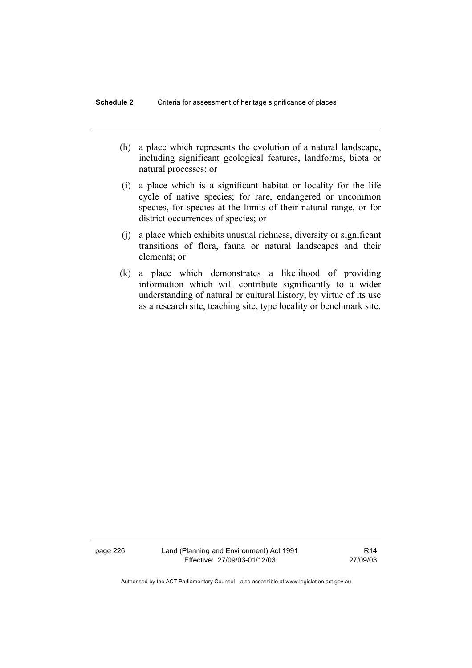- (h) a place which represents the evolution of a natural landscape, including significant geological features, landforms, biota or natural processes; or
- (i) a place which is a significant habitat or locality for the life cycle of native species; for rare, endangered or uncommon species, for species at the limits of their natural range, or for district occurrences of species; or
- (j) a place which exhibits unusual richness, diversity or significant transitions of flora, fauna or natural landscapes and their elements; or
- (k) a place which demonstrates a likelihood of providing information which will contribute significantly to a wider understanding of natural or cultural history, by virtue of its use as a research site, teaching site, type locality or benchmark site.

page 226 Land (Planning and Environment) Act 1991 Effective: 27/09/03-01/12/03

R14 27/09/03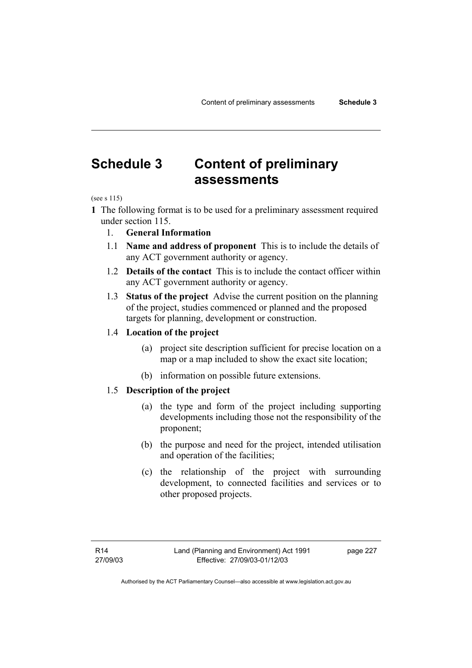# **Schedule 3 Content of preliminary assessments**

(see s 115)

- **1** The following format is to be used for a preliminary assessment required under section 115.
	- 1. **General Information**
	- 1.1 **Name and address of proponent** This is to include the details of any ACT government authority or agency.
	- 1.2 **Details of the contact** This is to include the contact officer within any ACT government authority or agency.
	- 1.3 **Status of the project** Advise the current position on the planning of the project, studies commenced or planned and the proposed targets for planning, development or construction.

### 1.4 **Location of the project**

- (a) project site description sufficient for precise location on a map or a map included to show the exact site location;
- (b) information on possible future extensions.

## 1.5 **Description of the project**

- (a) the type and form of the project including supporting developments including those not the responsibility of the proponent;
- (b) the purpose and need for the project, intended utilisation and operation of the facilities;
- (c) the relationship of the project with surrounding development, to connected facilities and services or to other proposed projects.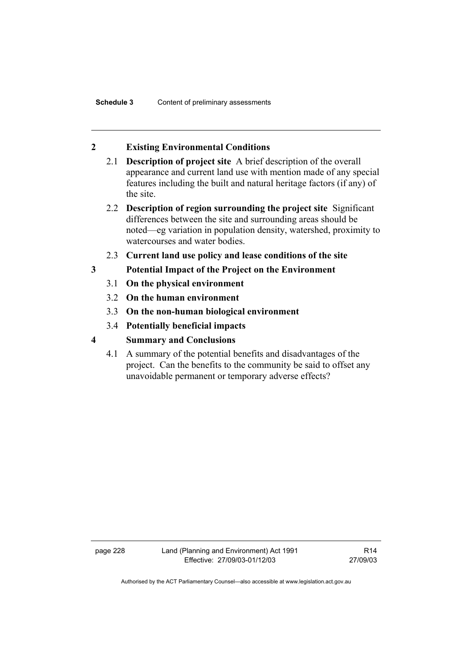## **2 Existing Environmental Conditions**

- 2.1 **Description of project site** A brief description of the overall appearance and current land use with mention made of any special features including the built and natural heritage factors (if any) of the site.
- 2.2 **Description of region surrounding the project site** Significant differences between the site and surrounding areas should be noted—eg variation in population density, watershed, proximity to watercourses and water bodies.
- 2.3 **Current land use policy and lease conditions of the site**
- **3 Potential Impact of the Project on the Environment** 
	- 3.1 **On the physical environment**
	- 3.2 **On the human environment**
	- 3.3 **On the non-human biological environment**
	- 3.4 **Potentially beneficial impacts**
- **4 Summary and Conclusions** 
	- 4.1 A summary of the potential benefits and disadvantages of the project. Can the benefits to the community be said to offset any unavoidable permanent or temporary adverse effects?

page 228 Land (Planning and Environment) Act 1991 Effective: 27/09/03-01/12/03

R14 27/09/03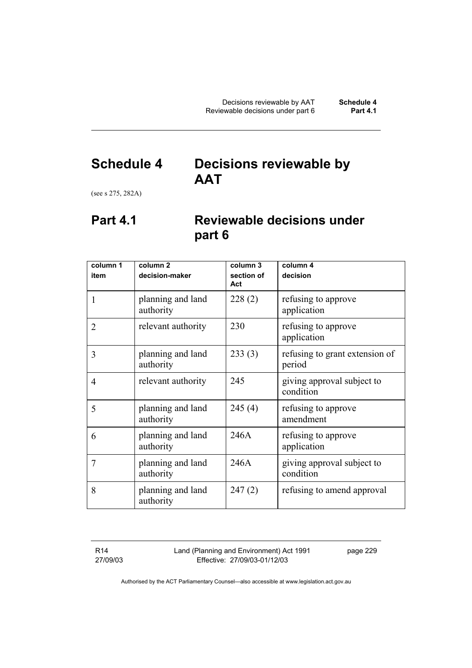## **Schedule 4 Decisions reviewable by AAT**

(see s 275, 282A)

## **Part 4.1 Reviewable decisions under part 6**

| column 1       | column <sub>2</sub>            | column 3          | column 4                                 |
|----------------|--------------------------------|-------------------|------------------------------------------|
| item           | decision-maker                 | section of<br>Act | decision                                 |
| 1              | planning and land<br>authority | 228(2)            | refusing to approve<br>application       |
| $\overline{2}$ | relevant authority             | 230               | refusing to approve<br>application       |
| 3              | planning and land<br>authority | 233(3)            | refusing to grant extension of<br>period |
| $\overline{4}$ | relevant authority             | 245               | giving approval subject to<br>condition  |
| 5              | planning and land<br>authority | 245(4)            | refusing to approve<br>amendment         |
| 6              | planning and land<br>authority | 246A              | refusing to approve<br>application       |
| 7              | planning and land<br>authority | 246A              | giving approval subject to<br>condition  |
| 8              | planning and land<br>authority | 247(2)            | refusing to amend approval               |

R14 27/09/03 Land (Planning and Environment) Act 1991 Effective: 27/09/03-01/12/03

page 229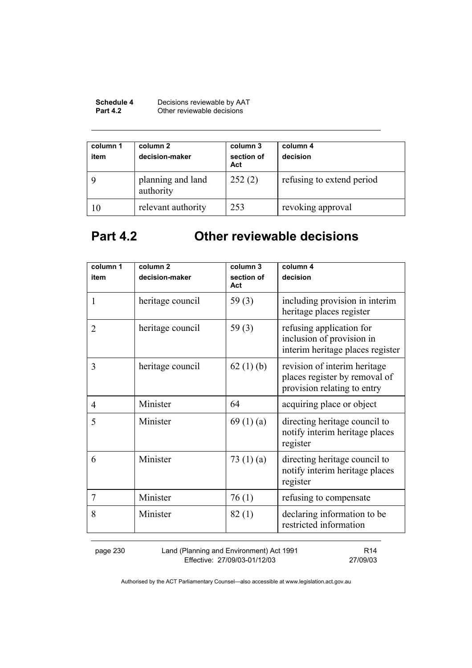| <b>Schedule 4</b> | Decisions reviewable by AAT |
|-------------------|-----------------------------|
| <b>Part 4.2</b>   | Other reviewable decisions  |

| column 1<br>item | column 2<br>decision-maker     | column 3<br>section of<br>Act | column 4<br>decision      |
|------------------|--------------------------------|-------------------------------|---------------------------|
|                  | planning and land<br>authority | 252(2)                        | refusing to extend period |
| 10               | relevant authority             | 253                           | revoking approval         |

# **Part 4.2 Other reviewable decisions**

| column 1<br>item | column <sub>2</sub><br>decision-maker | column 3<br>section of | column 4<br>decision                                                                         |
|------------------|---------------------------------------|------------------------|----------------------------------------------------------------------------------------------|
| 1                | heritage council                      | Act<br>59 $(3)$        | including provision in interim<br>heritage places register                                   |
| $\overline{2}$   | heritage council                      | 59 $(3)$               | refusing application for<br>inclusion of provision in<br>interim heritage places register    |
| 3                | heritage council                      | 62 $(1)$ (b)           | revision of interim heritage<br>places register by removal of<br>provision relating to entry |
| 4                | Minister                              | 64                     | acquiring place or object                                                                    |
| 5                | Minister                              | 69 $(1)(a)$            | directing heritage council to<br>notify interim heritage places<br>register                  |
| 6                | Minister                              | 73 $(1)(a)$            | directing heritage council to<br>notify interim heritage places<br>register                  |
| 7                | Minister                              | 76(1)                  | refusing to compensate                                                                       |
| 8                | Minister                              | 82(1)                  | declaring information to be<br>restricted information                                        |

page 230 Land (Planning and Environment) Act 1991 Effective: 27/09/03-01/12/03

R14 27/09/03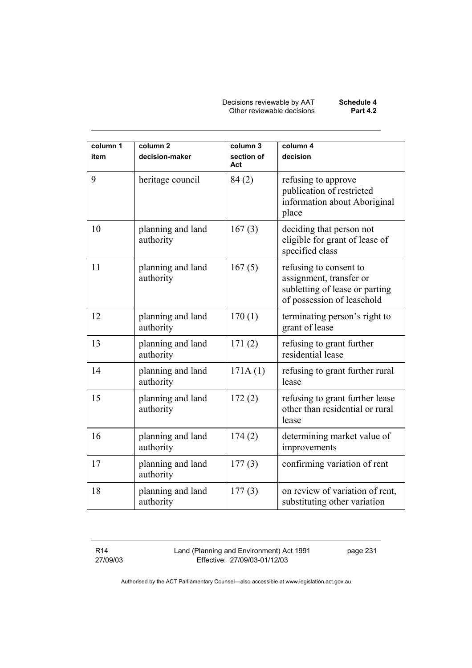Decisions reviewable by AAT **Schedule 4**  Other reviewable decisions **Part 4.2** 

| column 1<br>item | column <sub>2</sub><br>decision-maker | column 3<br>section of<br>Act | column 4<br>decision                                                                                              |
|------------------|---------------------------------------|-------------------------------|-------------------------------------------------------------------------------------------------------------------|
| 9                | heritage council                      | 84(2)                         | refusing to approve<br>publication of restricted<br>information about Aboriginal<br>place                         |
| 10               | planning and land<br>authority        | 167(3)                        | deciding that person not<br>eligible for grant of lease of<br>specified class                                     |
| 11               | planning and land<br>authority        | 167(5)                        | refusing to consent to<br>assignment, transfer or<br>subletting of lease or parting<br>of possession of leasehold |
| 12               | planning and land<br>authority        | 170(1)                        | terminating person's right to<br>grant of lease                                                                   |
| 13               | planning and land<br>authority        | 171(2)                        | refusing to grant further<br>residential lease                                                                    |
| 14               | planning and land<br>authority        | 171A(1)                       | refusing to grant further rural<br>lease                                                                          |
| 15               | planning and land<br>authority        | 172(2)                        | refusing to grant further lease<br>other than residential or rural<br>lease                                       |
| 16               | planning and land<br>authority        | 174(2)                        | determining market value of<br>improvements                                                                       |
| 17               | planning and land<br>authority        | 177(3)                        | confirming variation of rent                                                                                      |
| 18               | planning and land<br>authority        | 177(3)                        | on review of variation of rent,<br>substituting other variation                                                   |

R14 27/09/03 Land (Planning and Environment) Act 1991 Effective: 27/09/03-01/12/03

page 231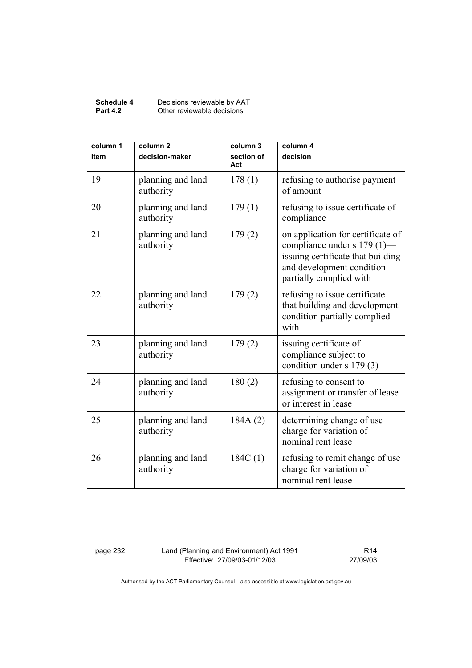#### **Schedule 4** Decisions reviewable by AAT **Part 4.2 Other reviewable decisions**

| column 1<br>item | column <sub>2</sub><br>decision-maker | column 3<br>section of<br>Act | column 4<br>decision                                                                                                                                            |
|------------------|---------------------------------------|-------------------------------|-----------------------------------------------------------------------------------------------------------------------------------------------------------------|
| 19               | planning and land<br>authority        | 178(1)                        | refusing to authorise payment<br>of amount                                                                                                                      |
| 20               | planning and land<br>authority        | 179(1)                        | refusing to issue certificate of<br>compliance                                                                                                                  |
| 21               | planning and land<br>authority        | 179(2)                        | on application for certificate of<br>compliance under s $179(1)$ —<br>issuing certificate that building<br>and development condition<br>partially complied with |
| 22               | planning and land<br>authority        | 179(2)                        | refusing to issue certificate<br>that building and development<br>condition partially complied<br>with                                                          |
| 23               | planning and land<br>authority        | 179(2)                        | issuing certificate of<br>compliance subject to<br>condition under s 179 (3)                                                                                    |
| 24               | planning and land<br>authority        | 180(2)                        | refusing to consent to<br>assignment or transfer of lease<br>or interest in lease                                                                               |
| 25               | planning and land<br>authority        | 184A(2)                       | determining change of use<br>charge for variation of<br>nominal rent lease                                                                                      |
| 26               | planning and land<br>authority        | 184C(1)                       | refusing to remit change of use<br>charge for variation of<br>nominal rent lease                                                                                |

page 232 Land (Planning and Environment) Act 1991 Effective: 27/09/03-01/12/03

R14 27/09/03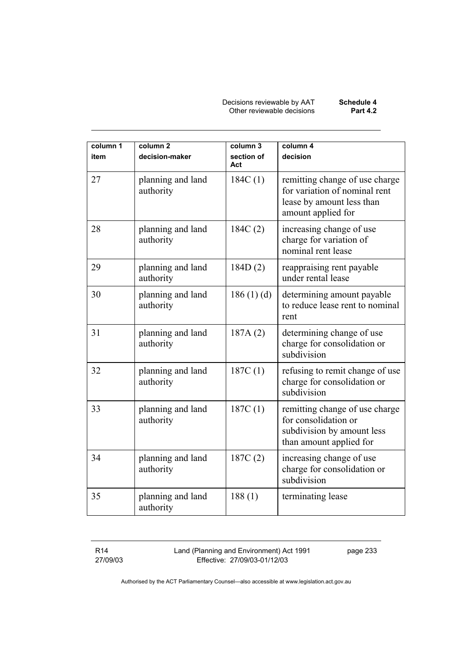Decisions reviewable by AAT **Schedule 4**  Other reviewable decisions **Part 4.2** 

| column 1<br>item | column <sub>2</sub><br>decision-maker | column 3<br>section of<br>Act | column 4<br>decision                                                                                               |
|------------------|---------------------------------------|-------------------------------|--------------------------------------------------------------------------------------------------------------------|
| 27               | planning and land<br>authority        | 184C(1)                       | remitting change of use charge<br>for variation of nominal rent<br>lease by amount less than<br>amount applied for |
| 28               | planning and land<br>authority        | 184C(2)                       | increasing change of use<br>charge for variation of<br>nominal rent lease                                          |
| 29               | planning and land<br>authority        | 184D(2)                       | reappraising rent payable<br>under rental lease                                                                    |
| 30               | planning and land<br>authority        | 186(1)(d)                     | determining amount payable<br>to reduce lease rent to nominal<br>rent                                              |
| 31               | planning and land<br>authority        | 187A(2)                       | determining change of use<br>charge for consolidation or<br>subdivision                                            |
| 32               | planning and land<br>authority        | 187C(1)                       | refusing to remit change of use<br>charge for consolidation or<br>subdivision                                      |
| 33               | planning and land<br>authority        | 187C(1)                       | remitting change of use charge<br>for consolidation or<br>subdivision by amount less<br>than amount applied for    |
| 34               | planning and land<br>authority        | 187C(2)                       | increasing change of use<br>charge for consolidation or<br>subdivision                                             |
| 35               | planning and land<br>authority        | 188(1)                        | terminating lease                                                                                                  |

R14 27/09/03 Land (Planning and Environment) Act 1991 Effective: 27/09/03-01/12/03

page 233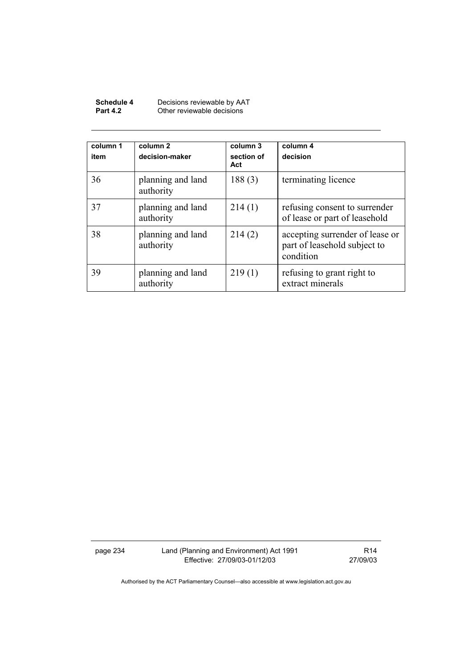| Schedule 4      | Decisions reviewable by AAT |
|-----------------|-----------------------------|
| <b>Part 4.2</b> | Other reviewable decisions  |

| column 1<br>item | column 2<br>decision-maker     | column 3<br>section of<br>Act | column 4<br>decision                                                         |
|------------------|--------------------------------|-------------------------------|------------------------------------------------------------------------------|
| 36               | planning and land<br>authority | 188(3)                        | terminating licence                                                          |
| 37               | planning and land<br>authority | 214(1)                        | refusing consent to surrender<br>of lease or part of leasehold               |
| 38               | planning and land<br>authority | 214(2)                        | accepting surrender of lease or<br>part of leasehold subject to<br>condition |
| 39               | planning and land<br>authority | 219(1)                        | refusing to grant right to<br>extract minerals                               |

page 234 Land (Planning and Environment) Act 1991 Effective: 27/09/03-01/12/03

R14 27/09/03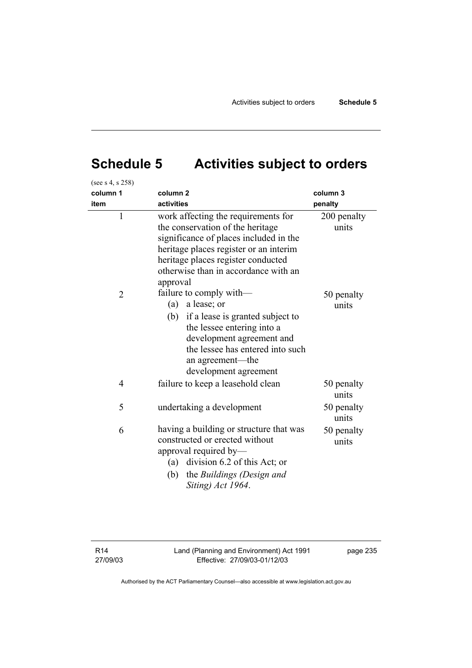# **Schedule 5 Activities subject to orders**

| (see s 4, s 258) |                                                                                                                                                                                                                                                       |                      |
|------------------|-------------------------------------------------------------------------------------------------------------------------------------------------------------------------------------------------------------------------------------------------------|----------------------|
| column 1         | column <sub>2</sub>                                                                                                                                                                                                                                   | column 3             |
| item             | activities                                                                                                                                                                                                                                            | penalty              |
| $\mathbf{1}$     | work affecting the requirements for<br>the conservation of the heritage<br>significance of places included in the<br>heritage places register or an interim<br>heritage places register conducted<br>otherwise than in accordance with an<br>approval | 200 penalty<br>units |
| $\overline{2}$   | failure to comply with—<br>a lease; or<br>(a)<br>(b) if a lease is granted subject to<br>the lessee entering into a<br>development agreement and<br>the lessee has entered into such<br>an agreement-the<br>development agreement                     | 50 penalty<br>units  |
| $\overline{4}$   | failure to keep a leasehold clean                                                                                                                                                                                                                     | 50 penalty<br>units  |
| 5                | undertaking a development                                                                                                                                                                                                                             | 50 penalty<br>units  |
| 6                | having a building or structure that was<br>constructed or erected without<br>approval required by—<br>(a) division 6.2 of this Act; or<br>(b)<br>the Buildings (Design and<br>Siting) Act 1964.                                                       | 50 penalty<br>units  |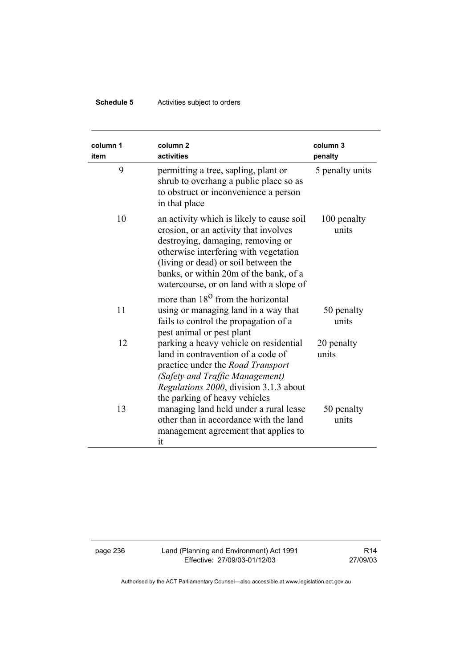## **Schedule 5** Activities subject to orders

| column 1<br>item | column <sub>2</sub><br>activities                                                                                                                                                                                                                                                             | column 3<br>penalty  |
|------------------|-----------------------------------------------------------------------------------------------------------------------------------------------------------------------------------------------------------------------------------------------------------------------------------------------|----------------------|
| 9                | permitting a tree, sapling, plant or<br>shrub to overhang a public place so as<br>to obstruct or inconvenience a person<br>in that place                                                                                                                                                      | 5 penalty units      |
| 10               | an activity which is likely to cause soil<br>erosion, or an activity that involves<br>destroying, damaging, removing or<br>otherwise interfering with vegetation<br>(living or dead) or soil between the<br>banks, or within 20m of the bank, of a<br>watercourse, or on land with a slope of | 100 penalty<br>units |
| 11               | more than 18 <sup>0</sup> from the horizontal<br>using or managing land in a way that<br>fails to control the propagation of a<br>pest animal or pest plant                                                                                                                                   | 50 penalty<br>units  |
| 12               | parking a heavy vehicle on residential<br>land in contravention of a code of<br>practice under the <i>Road Transport</i><br>(Safety and Traffic Management)<br>Regulations 2000, division 3.1.3 about<br>the parking of heavy vehicles                                                        | 20 penalty<br>units  |
| 13               | managing land held under a rural lease<br>other than in accordance with the land<br>management agreement that applies to<br>it                                                                                                                                                                | 50 penalty<br>units  |

page 236 Land (Planning and Environment) Act 1991 Effective: 27/09/03-01/12/03

R14 27/09/03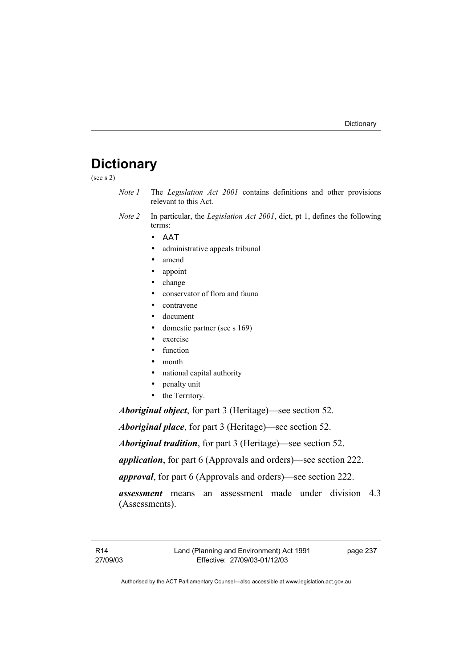# **Dictionary**

(see s 2)

- *Note 1* The *Legislation Act 2001* contains definitions and other provisions relevant to this Act.
- *Note 2* In particular, the *Legislation Act 2001*, dict, pt 1, defines the following terms:
	- ΑΑΤ
	- administrative appeals tribunal
	- amend
	- appoint
	- change
	- conservator of flora and fauna
	- contravene
	- document
	- domestic partner (see s 169)
	- exercise
	- function
	- month
	- national capital authority
	- penalty unit
	- the Territory.

*Aboriginal object*, for part 3 (Heritage)—see section 52.

*Aboriginal place*, for part 3 (Heritage)—see section 52.

*Aboriginal tradition*, for part 3 (Heritage)—see section 52.

*application*, for part 6 (Approvals and orders)—see section 222.

*approval*, for part 6 (Approvals and orders)—see section 222.

*assessment* means an assessment made under division 4.3 (Assessments).

page 237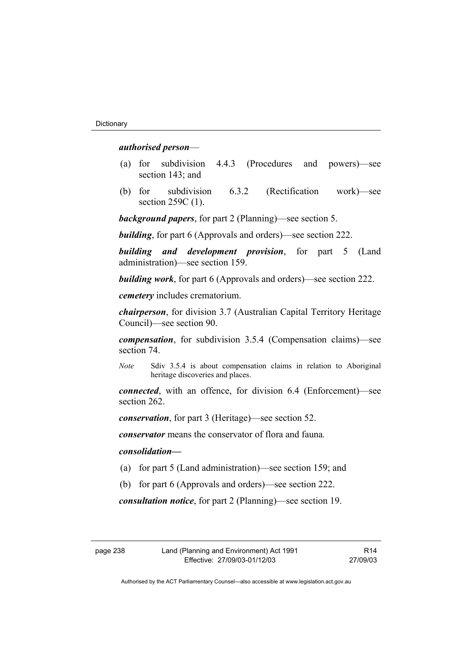# *authorised person*—

- (a) for subdivision 4.4.3 (Procedures and powers)—see section 143; and
- (b) for subdivision 6.3.2 (Rectification work)—see section 259C (1).

*background papers*, for part 2 (Planning)—see section 5.

*building*, for part 6 (Approvals and orders)—see section 222.

*building and development provision*, for part 5 (Land administration)—see section 159.

*building work*, for part 6 (Approvals and orders)—see section 222.

*cemetery* includes crematorium.

*chairperson*, for division 3.7 (Australian Capital Territory Heritage Council)—see section 90.

*compensation*, for subdivision 3.5.4 (Compensation claims)—see section 74.

*Note* Sdiv 3.5.4 is about compensation claims in relation to Aboriginal heritage discoveries and places.

*connected*, with an offence, for division 6.4 (Enforcement)—see section 262.

*conservation*, for part 3 (Heritage)—see section 52.

*conservator* means the conservator of flora and fauna*.*

# *consolidation—*

- (a) for part 5 (Land administration)—see section 159; and
- (b) for part 6 (Approvals and orders)—see section 222.

*consultation notice*, for part 2 (Planning)—see section 19.

R14 27/09/03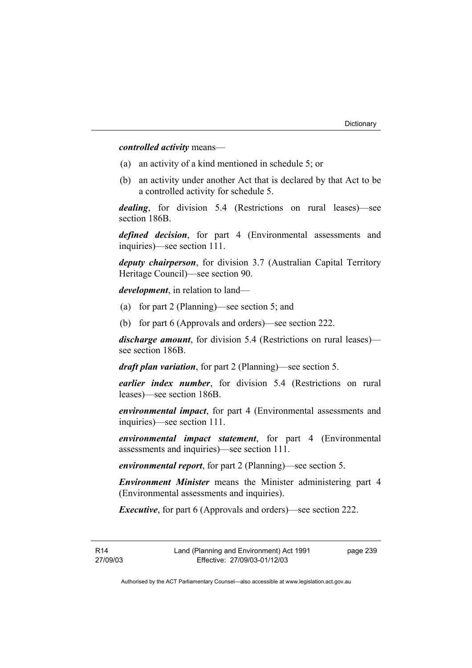*controlled activity* means—

- (a) an activity of a kind mentioned in schedule 5; or
- (b) an activity under another Act that is declared by that Act to be a controlled activity for schedule 5.

*dealing*, for division 5.4 (Restrictions on rural leases)—see section 186B.

*defined decision*, for part 4 (Environmental assessments and inquiries)—see section 111.

*deputy chairperson*, for division 3.7 (Australian Capital Territory Heritage Council)—see section 90.

*development*, in relation to land—

- (a) for part 2 (Planning)—see section 5; and
- (b) for part 6 (Approvals and orders)—see section 222.

*discharge amount*, for division 5.4 (Restrictions on rural leases) see section 186B.

*draft plan variation*, for part 2 (Planning)—see section 5.

*earlier index number*, for division 5.4 (Restrictions on rural leases)—see section 186B.

*environmental impact*, for part 4 (Environmental assessments and inquiries)—see section 111.

*environmental impact statement*, for part 4 (Environmental assessments and inquiries)—see section 111.

*environmental report*, for part 2 (Planning)—see section 5.

*Environment Minister* means the Minister administering part 4 (Environmental assessments and inquiries).

*Executive*, for part 6 (Approvals and orders)—see section 222.

R14 27/09/03 page 239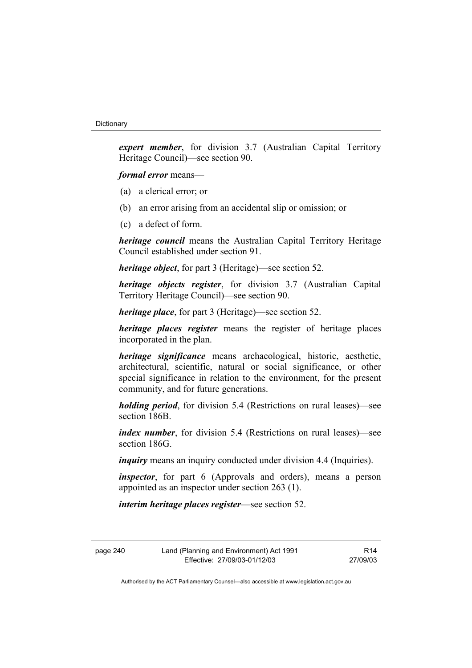*expert member*, for division 3.7 (Australian Capital Territory Heritage Council)—see section 90.

*formal error* means—

- (a) a clerical error; or
- (b) an error arising from an accidental slip or omission; or
- (c) a defect of form.

*heritage council* means the Australian Capital Territory Heritage Council established under section 91.

*heritage object*, for part 3 (Heritage)—see section 52.

*heritage objects register*, for division 3.7 (Australian Capital Territory Heritage Council)—see section 90.

*heritage place*, for part 3 (Heritage)—see section 52.

*heritage places register* means the register of heritage places incorporated in the plan.

*heritage significance* means archaeological, historic, aesthetic, architectural, scientific, natural or social significance, or other special significance in relation to the environment, for the present community, and for future generations.

*holding period*, for division 5.4 (Restrictions on rural leases)—see section 186B.

*index number*, for division 5.4 (Restrictions on rural leases)—see section 186G.

*inquiry* means an inquiry conducted under division 4.4 (Inquiries).

*inspector*, for part 6 (Approvals and orders), means a person appointed as an inspector under section 263 (1).

*interim heritage places register*—see section 52.

R14 27/09/03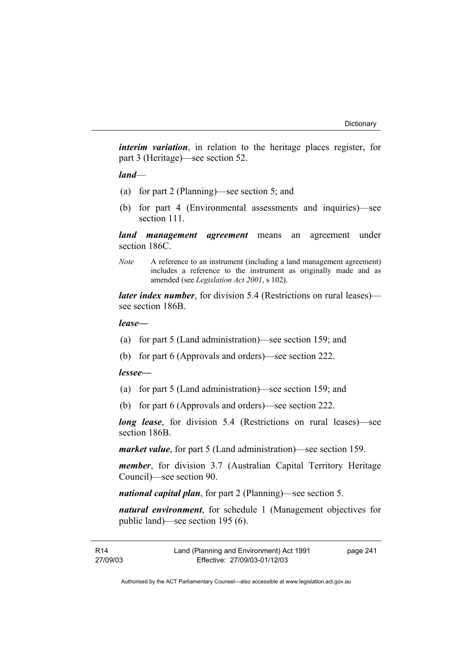*interim variation*, in relation to the heritage places register, for part 3 (Heritage)—see section 52.

*land*—

- (a) for part 2 (Planning)—see section 5; and
- (b) for part 4 (Environmental assessments and inquiries)—see section 111.

*land management agreement* means an agreement under section 186C.

*Note* A reference to an instrument (including a land management agreement) includes a reference to the instrument as originally made and as amended (see *Legislation Act 2001*, s 102).

*later index number*, for division 5.4 (Restrictions on rural leases) see section 186B.

#### *lease—*

- (a) for part 5 (Land administration)—see section 159; and
- (b) for part 6 (Approvals and orders)—see section 222.

# *lessee—*

- (a) for part 5 (Land administration)—see section 159; and
- (b) for part 6 (Approvals and orders)—see section 222.

*long lease*, for division 5.4 (Restrictions on rural leases)—see section 186B.

*market value*, for part 5 (Land administration)—see section 159.

*member*, for division 3.7 (Australian Capital Territory Heritage Council)—see section 90.

*national capital plan*, for part 2 (Planning)—see section 5.

*natural environment*, for schedule 1 (Management objectives for public land)—see section 195 (6).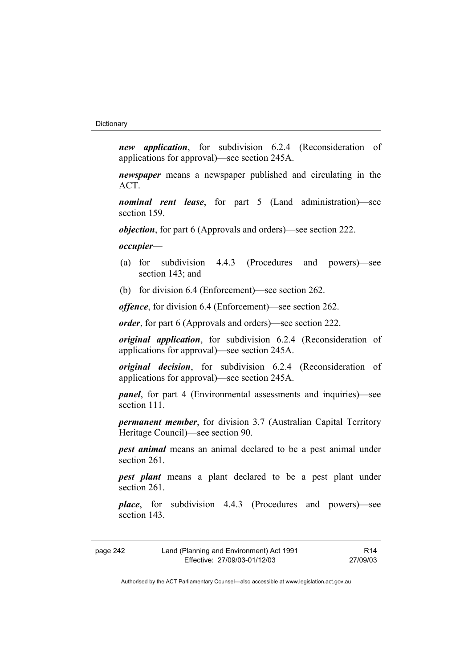*new application*, for subdivision 6.2.4 (Reconsideration of applications for approval)—see section 245A.

*newspaper* means a newspaper published and circulating in the ACT.

*nominal rent lease*, for part 5 (Land administration)—see section 159.

*objection*, for part 6 (Approvals and orders)—see section 222.

*occupier*—

- (a) for subdivision 4.4.3 (Procedures and powers)—see section 143; and
- (b) for division 6.4 (Enforcement)—see section 262.

*offence*, for division 6.4 (Enforcement)—see section 262.

*order*, for part 6 (Approvals and orders)—see section 222.

*original application*, for subdivision 6.2.4 (Reconsideration of applications for approval)—see section 245A.

*original decision*, for subdivision 6.2.4 (Reconsideration of applications for approval)—see section 245A.

*panel*, for part 4 (Environmental assessments and inquiries)—see section 111

*permanent member*, for division 3.7 (Australian Capital Territory Heritage Council)—see section 90.

*pest animal* means an animal declared to be a pest animal under section 261.

*pest plant* means a plant declared to be a pest plant under section 261.

*place*, for subdivision 4.4.3 (Procedures and powers)—see section 143.

| page 242 | Land (Planning and Environment) Act 1991 | R14      |
|----------|------------------------------------------|----------|
|          | Effective: 27/09/03-01/12/03             | 27/09/03 |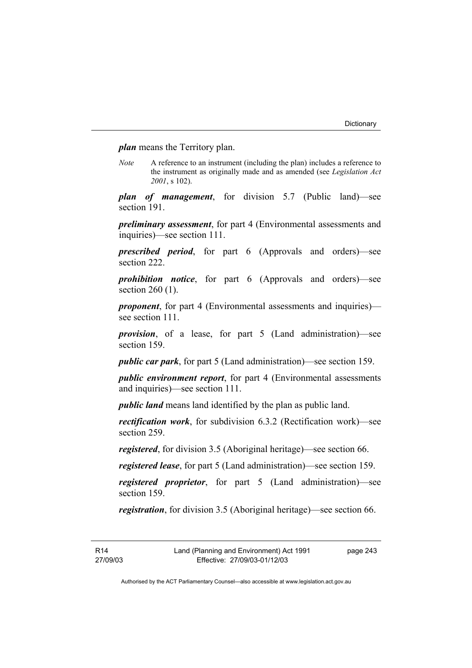*plan* means the Territory plan.

*Note* A reference to an instrument (including the plan) includes a reference to the instrument as originally made and as amended (see *Legislation Act 2001*, s 102).

*plan of management*, for division 5.7 (Public land)—see section 191.

*preliminary assessment*, for part 4 (Environmental assessments and inquiries)—see section 111.

*prescribed period*, for part 6 (Approvals and orders)—see section 222.

*prohibition notice*, for part 6 (Approvals and orders)—see section 260 (1).

*proponent*, for part 4 (Environmental assessments and inquiries) see section 111.

*provision*, of a lease, for part 5 (Land administration)—see section 159.

*public car park*, for part 5 (Land administration)—see section 159.

*public environment report*, for part 4 (Environmental assessments and inquiries)—see section 111.

*public land* means land identified by the plan as public land.

*rectification work*, for subdivision 6.3.2 (Rectification work)—see section 259.

*registered*, for division 3.5 (Aboriginal heritage)—see section 66.

*registered lease*, for part 5 (Land administration)—see section 159.

*registered proprietor*, for part 5 (Land administration)—see section 159.

*registration*, for division 3.5 (Aboriginal heritage)—see section 66.

R14 27/09/03 page 243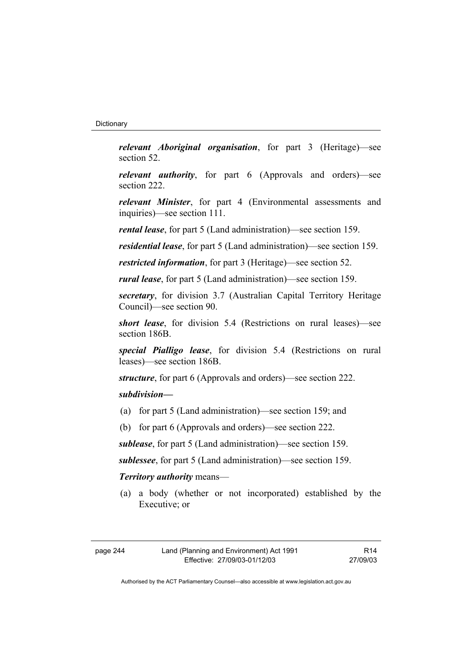*relevant Aboriginal organisation*, for part 3 (Heritage)—see section 52.

*relevant authority*, for part 6 (Approvals and orders)—see section 222.

*relevant Minister*, for part 4 (Environmental assessments and inquiries)—see section 111.

*rental lease*, for part 5 (Land administration)—see section 159.

*residential lease*, for part 5 (Land administration)—see section 159.

*restricted information*, for part 3 (Heritage)—see section 52.

*rural lease*, for part 5 (Land administration)—see section 159.

*secretary*, for division 3.7 (Australian Capital Territory Heritage Council)—see section 90.

*short lease*, for division 5.4 (Restrictions on rural leases)—see section 186B.

*special Pialligo lease*, for division 5.4 (Restrictions on rural leases)—see section 186B.

*structure*, for part 6 (Approvals and orders)—see section 222.

# *subdivision—*

- (a) for part 5 (Land administration)—see section 159; and
- (b) for part 6 (Approvals and orders)—see section 222.

*sublease*, for part 5 (Land administration)—see section 159.

*sublessee*, for part 5 (Land administration)—see section 159.

# *Territory authority* means—

 (a) a body (whether or not incorporated) established by the Executive; or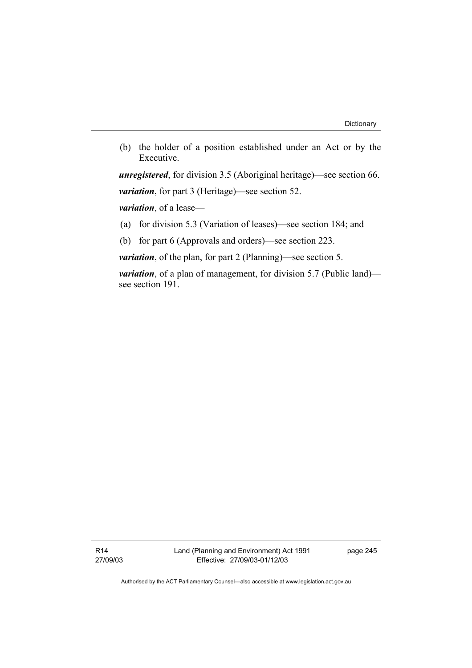(b) the holder of a position established under an Act or by the Executive.

*unregistered*, for division 3.5 (Aboriginal heritage)—see section 66. *variation*, for part 3 (Heritage)—see section 52.

*variation*, of a lease—

(a) for division 5.3 (Variation of leases)—see section 184; and

(b) for part 6 (Approvals and orders)—see section 223.

*variation*, of the plan, for part 2 (Planning)—see section 5.

*variation*, of a plan of management, for division 5.7 (Public land) see section 191.

R14 27/09/03 Land (Planning and Environment) Act 1991 Effective: 27/09/03-01/12/03

page 245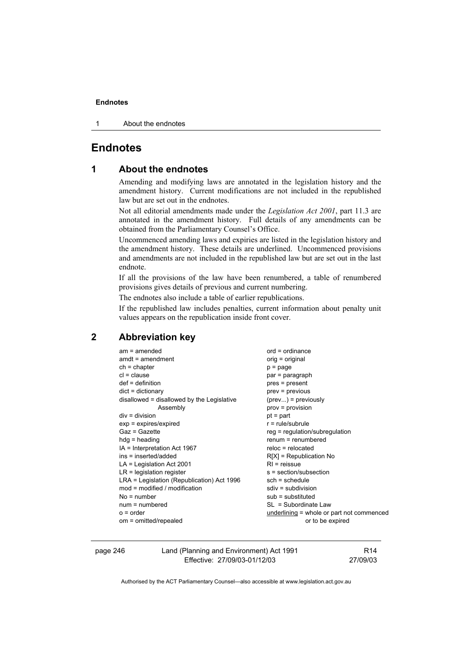1 About the endnotes

# **Endnotes**

# **1 About the endnotes**

Amending and modifying laws are annotated in the legislation history and the amendment history. Current modifications are not included in the republished law but are set out in the endnotes.

Not all editorial amendments made under the *Legislation Act 2001*, part 11.3 are annotated in the amendment history. Full details of any amendments can be obtained from the Parliamentary Counsel's Office.

Uncommenced amending laws and expiries are listed in the legislation history and the amendment history. These details are underlined. Uncommenced provisions and amendments are not included in the republished law but are set out in the last endnote.

If all the provisions of the law have been renumbered, a table of renumbered provisions gives details of previous and current numbering.

The endnotes also include a table of earlier republications.

If the republished law includes penalties, current information about penalty unit values appears on the republication inside front cover.

# **2 Abbreviation key**

| $am = amended$                             | $ord = ordinance$                 |
|--------------------------------------------|-----------------------------------|
| $amdt = amendment$                         | orig = original                   |
| $ch = chapter$                             | $p = page$                        |
| $cl = clause$                              | par = paragraph                   |
| $def = definition$                         | pres = present                    |
| $dict = dictionary$                        | prev = previous                   |
| disallowed = disallowed by the Legislative | $(\text{prev})$ = previously      |
| Assembly                                   | prov = provision                  |
| $div =$ division                           | $pt = part$                       |
| $exp = expires/expired$                    | $r = rule/subrule$                |
| Gaz = Gazette                              | reg = regulation/subregulation    |
| $hdg =$ heading                            | $renum = renumbered$              |
| IA = Interpretation Act 1967               | $reloc = relocated$               |
| ins = inserted/added                       | $R[X]$ = Republication No         |
| $LA =$ Legislation Act 2001                | $RI = reissue$                    |
| $LR =$ legislation register                | s = section/subsection            |
| LRA = Legislation (Republication) Act 1996 | $sch = schedule$                  |
| $mod = modified / modified$                | $sdiv = subdivision$              |
| $No = number$                              | sub = substituted                 |
| $num = numbered$                           | $SL = Subordinate Law$            |
| $o = order$                                | underlining $=$ whole or part not |
| om = omitted/repealed                      | or to be expired                  |
|                                            |                                   |

| page 246 | Land (Planning and Environment) Act 1991 | R14      |
|----------|------------------------------------------|----------|
|          | Effective: 27/09/03-01/12/03             | 27/09/03 |

part not commenced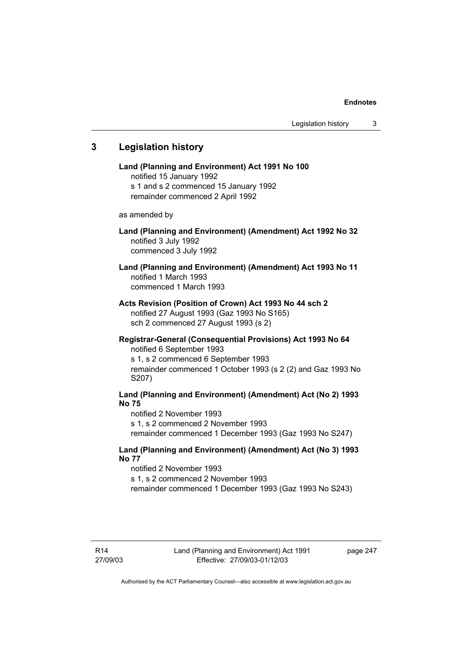# **3 Legislation history**

**Land (Planning and Environment) Act 1991 No 100**  notified 15 January 1992 s 1 and s 2 commenced 15 January 1992 remainder commenced 2 April 1992 as amended by **Land (Planning and Environment) (Amendment) Act 1992 No 32**  notified 3 July 1992 commenced 3 July 1992 **Land (Planning and Environment) (Amendment) Act 1993 No 11**  notified 1 March 1993 commenced 1 March 1993 **Acts Revision (Position of Crown) Act 1993 No 44 sch 2**  notified 27 August 1993 (Gaz 1993 No S165) sch 2 commenced 27 August 1993 (s 2) **Registrar-General (Consequential Provisions) Act 1993 No 64**  notified 6 September 1993 s 1, s 2 commenced 6 September 1993 remainder commenced 1 October 1993 (s 2 (2) and Gaz 1993 No S207) **Land (Planning and Environment) (Amendment) Act (No 2) 1993 No 75**  notified 2 November 1993 s 1, s 2 commenced 2 November 1993 remainder commenced 1 December 1993 (Gaz 1993 No S247) **Land (Planning and Environment) (Amendment) Act (No 3) 1993 No 77** 

notified 2 November 1993 s 1, s 2 commenced 2 November 1993

remainder commenced 1 December 1993 (Gaz 1993 No S243)

page 247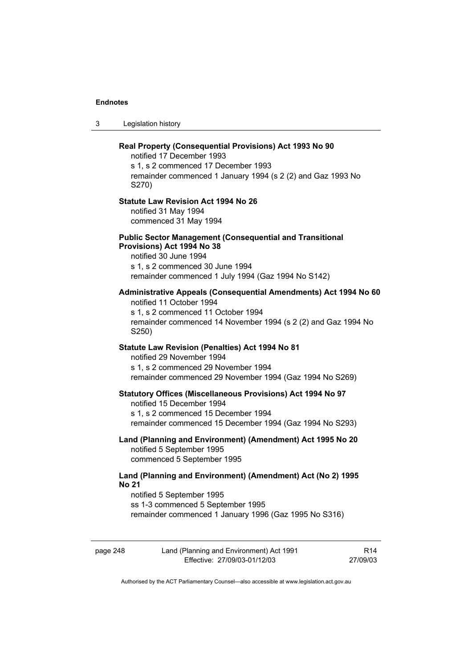3 Legislation history

|              | Real Property (Consequential Provisions) Act 1993 No 90<br>notified 17 December 1993<br>s 1, s 2 commenced 17 December 1993<br>remainder commenced 1 January 1994 (s 2 (2) and Gaz 1993 No<br>S270)             |                 |
|--------------|-----------------------------------------------------------------------------------------------------------------------------------------------------------------------------------------------------------------|-----------------|
|              | <b>Statute Law Revision Act 1994 No 26</b><br>notified 31 May 1994<br>commenced 31 May 1994                                                                                                                     |                 |
|              | <b>Public Sector Management (Consequential and Transitional</b><br>Provisions) Act 1994 No 38<br>notified 30 June 1994<br>s 1, s 2 commenced 30 June 1994<br>remainder commenced 1 July 1994 (Gaz 1994 No S142) |                 |
|              | Administrative Appeals (Consequential Amendments) Act 1994 No 60<br>notified 11 October 1994<br>s 1, s 2 commenced 11 October 1994<br>remainder commenced 14 November 1994 (s 2 (2) and Gaz 1994 No<br>S250)    |                 |
|              | Statute Law Revision (Penalties) Act 1994 No 81<br>notified 29 November 1994<br>s 1, s 2 commenced 29 November 1994<br>remainder commenced 29 November 1994 (Gaz 1994 No S269)                                  |                 |
|              | <b>Statutory Offices (Miscellaneous Provisions) Act 1994 No 97</b><br>notified 15 December 1994<br>s 1, s 2 commenced 15 December 1994<br>remainder commenced 15 December 1994 (Gaz 1994 No S293)               |                 |
|              | Land (Planning and Environment) (Amendment) Act 1995 No 20<br>notified 5 September 1995<br>commenced 5 September 1995                                                                                           |                 |
| <b>No 21</b> | Land (Planning and Environment) (Amendment) Act (No 2) 1995<br>notified 5 September 1995<br>ss 1-3 commenced 5 September 1995<br>remainder commenced 1 January 1996 (Gaz 1995 No S316)                          |                 |
| page 248     | Land (Planning and Environment) Act 1991                                                                                                                                                                        | R <sub>14</sub> |

Authorised by the ACT Parliamentary Counsel—also accessible at www.legislation.act.gov.au

Effective: 27/09/03-01/12/03

27/09/03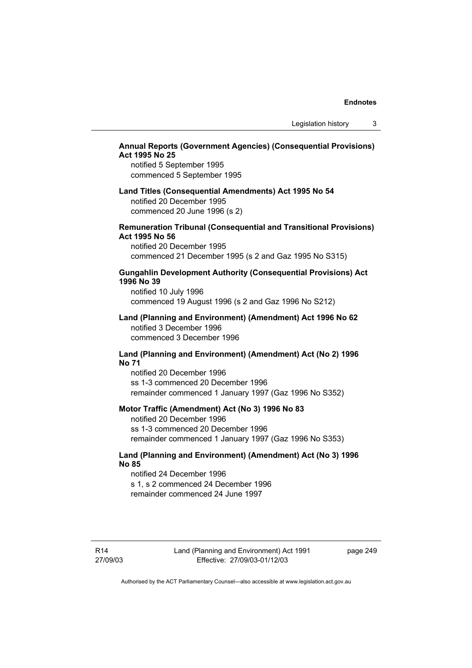# **Annual Reports (Government Agencies) (Consequential Provisions) Act 1995 No 25**

notified 5 September 1995 commenced 5 September 1995

# **Land Titles (Consequential Amendments) Act 1995 No 54**  notified 20 December 1995 commenced 20 June 1996 (s 2)

## **Remuneration Tribunal (Consequential and Transitional Provisions) Act 1995 No 56**

notified 20 December 1995 commenced 21 December 1995 (s 2 and Gaz 1995 No S315)

# **Gungahlin Development Authority (Consequential Provisions) Act 1996 No 39**

notified 10 July 1996 commenced 19 August 1996 (s 2 and Gaz 1996 No S212)

### **Land (Planning and Environment) (Amendment) Act 1996 No 62**  notified 3 December 1996 commenced 3 December 1996

# **Land (Planning and Environment) (Amendment) Act (No 2) 1996 No 71**

notified 20 December 1996 ss 1-3 commenced 20 December 1996 remainder commenced 1 January 1997 (Gaz 1996 No S352)

#### **Motor Traffic (Amendment) Act (No 3) 1996 No 83**

notified 20 December 1996 ss 1-3 commenced 20 December 1996 remainder commenced 1 January 1997 (Gaz 1996 No S353)

# **Land (Planning and Environment) (Amendment) Act (No 3) 1996 No 85**

notified 24 December 1996 s 1, s 2 commenced 24 December 1996 remainder commenced 24 June 1997

R14 27/09/03 Land (Planning and Environment) Act 1991 Effective: 27/09/03-01/12/03

page 249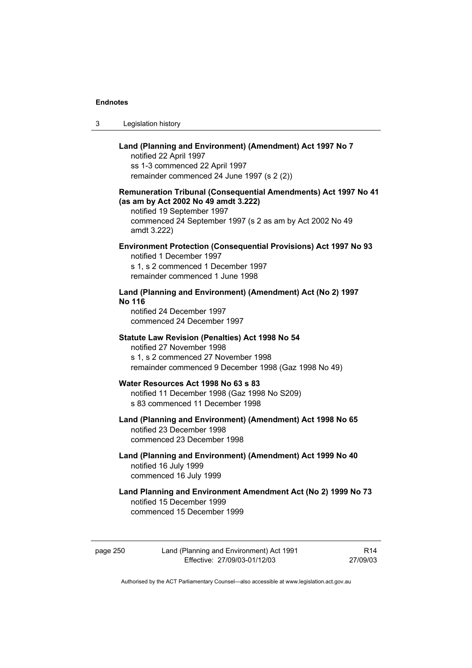| -3 | Legislation history |
|----|---------------------|
|----|---------------------|

# **Land (Planning and Environment) (Amendment) Act 1997 No 7**  notified 22 April 1997 ss 1-3 commenced 22 April 1997 remainder commenced 24 June 1997 (s 2 (2)) **Remuneration Tribunal (Consequential Amendments) Act 1997 No 41 (as am by Act 2002 No 49 amdt 3.222)**  notified 19 September 1997 commenced 24 September 1997 (s 2 as am by Act 2002 No 49 amdt 3.222) **Environment Protection (Consequential Provisions) Act 1997 No 93**  notified 1 December 1997 s 1, s 2 commenced 1 December 1997 remainder commenced 1 June 1998 **Land (Planning and Environment) (Amendment) Act (No 2) 1997 No 116**  notified 24 December 1997 commenced 24 December 1997 **Statute Law Revision (Penalties) Act 1998 No 54**  notified 27 November 1998 s 1, s 2 commenced 27 November 1998 remainder commenced 9 December 1998 (Gaz 1998 No 49) **Water Resources Act 1998 No 63 s 83**  notified 11 December 1998 (Gaz 1998 No S209) s 83 commenced 11 December 1998 **Land (Planning and Environment) (Amendment) Act 1998 No 65**  notified 23 December 1998 commenced 23 December 1998 **Land (Planning and Environment) (Amendment) Act 1999 No 40**  notified 16 July 1999 commenced 16 July 1999 **Land Planning and Environment Amendment Act (No 2) 1999 No 73**  notified 15 December 1999

commenced 15 December 1999

page 250 Land (Planning and Environment) Act 1991 Effective: 27/09/03-01/12/03

R14 27/09/03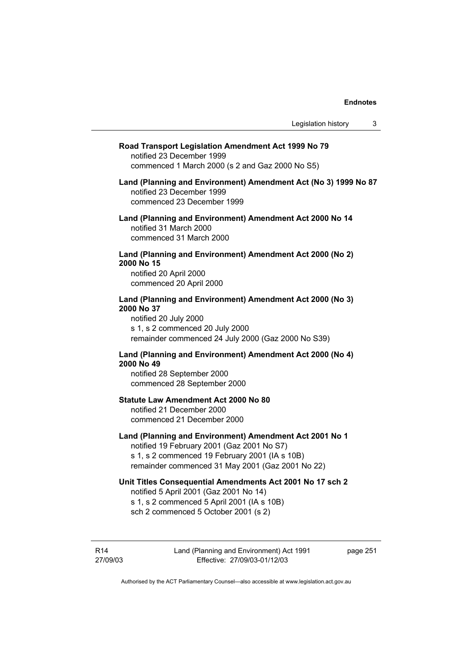| Road Transport Legislation Amendment Act 1999 No 79<br>notified 23 December 1999<br>commenced 1 March 2000 (s 2 and Gaz 2000 No S5)                                                                         |
|-------------------------------------------------------------------------------------------------------------------------------------------------------------------------------------------------------------|
| Land (Planning and Environment) Amendment Act (No 3) 1999 No 87<br>notified 23 December 1999<br>commenced 23 December 1999                                                                                  |
| Land (Planning and Environment) Amendment Act 2000 No 14<br>notified 31 March 2000<br>commenced 31 March 2000                                                                                               |
| Land (Planning and Environment) Amendment Act 2000 (No 2)<br>2000 No 15<br>notified 20 April 2000<br>commenced 20 April 2000                                                                                |
| Land (Planning and Environment) Amendment Act 2000 (No 3)<br>2000 No 37<br>notified 20 July 2000<br>s 1, s 2 commenced 20 July 2000<br>remainder commenced 24 July 2000 (Gaz 2000 No S39)                   |
| Land (Planning and Environment) Amendment Act 2000 (No 4)<br>2000 No 49<br>notified 28 September 2000<br>commenced 28 September 2000                                                                        |
| Statute Law Amendment Act 2000 No 80<br>notified 21 December 2000<br>commenced 21 December 2000                                                                                                             |
| Land (Planning and Environment) Amendment Act 2001 No 1<br>notified 19 February 2001 (Gaz 2001 No S7)<br>s 1, s 2 commenced 19 February 2001 (IA s 10B)<br>remainder commenced 31 May 2001 (Gaz 2001 No 22) |
| Unit Titles Consequential Amendments Act 2001 No 17 sch 2<br>notified 5 April 2001 (Gaz 2001 No 14)<br>s 1, s 2 commenced 5 April 2001 (IA s 10B)<br>sch 2 commenced 5 October 2001 (s 2)                   |
|                                                                                                                                                                                                             |

R14 27/09/03 Land (Planning and Environment) Act 1991 Effective: 27/09/03-01/12/03

page 251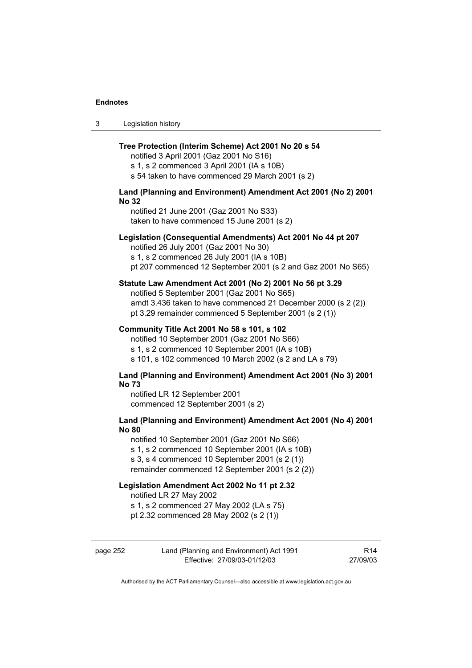3 Legislation history

## **Tree Protection (Interim Scheme) Act 2001 No 20 s 54**

notified 3 April 2001 (Gaz 2001 No S16) s 1, s 2 commenced 3 April 2001 (IA s 10B) s 54 taken to have commenced 29 March 2001 (s 2)

# **Land (Planning and Environment) Amendment Act 2001 (No 2) 2001 No 32**

notified 21 June 2001 (Gaz 2001 No S33) taken to have commenced 15 June 2001 (s 2)

## **Legislation (Consequential Amendments) Act 2001 No 44 pt 207**

notified 26 July 2001 (Gaz 2001 No 30)

s 1, s 2 commenced 26 July 2001 (IA s 10B) pt 207 commenced 12 September 2001 (s 2 and Gaz 2001 No S65)

## **Statute Law Amendment Act 2001 (No 2) 2001 No 56 pt 3.29**

notified 5 September 2001 (Gaz 2001 No S65) amdt 3.436 taken to have commenced 21 December 2000 (s 2 (2)) pt 3.29 remainder commenced 5 September 2001 (s 2 (1))

#### **Community Title Act 2001 No 58 s 101, s 102**

notified 10 September 2001 (Gaz 2001 No S66) s 1, s 2 commenced 10 September 2001 (IA s 10B) s 101, s 102 commenced 10 March 2002 (s 2 and LA s 79)

## **Land (Planning and Environment) Amendment Act 2001 (No 3) 2001 No 73**

notified LR 12 September 2001 commenced 12 September 2001 (s 2)

# **Land (Planning and Environment) Amendment Act 2001 (No 4) 2001 No 80**

notified 10 September 2001 (Gaz 2001 No S66) s 1, s 2 commenced 10 September 2001 (IA s 10B) s 3, s 4 commenced 10 September 2001 (s 2 (1)) remainder commenced 12 September 2001 (s 2 (2))

# **Legislation Amendment Act 2002 No 11 pt 2.32**

notified LR 27 May 2002

s 1, s 2 commenced 27 May 2002 (LA s 75)

pt 2.32 commenced 28 May 2002 (s 2 (1))

| page 252 | Land (Planning and Environment) Act 1991 | R14      |
|----------|------------------------------------------|----------|
|          | Effective: 27/09/03-01/12/03             | 27/09/03 |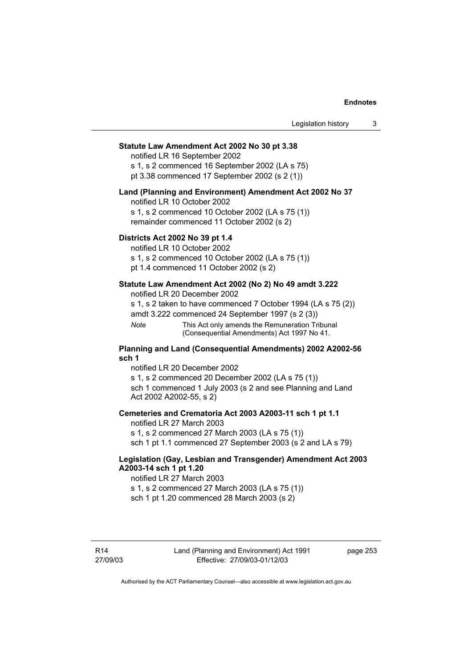## **Statute Law Amendment Act 2002 No 30 pt 3.38**

notified LR 16 September 2002 s 1, s 2 commenced 16 September 2002 (LA s 75)

pt 3.38 commenced 17 September 2002 (s 2 (1))

#### **Land (Planning and Environment) Amendment Act 2002 No 37**

notified LR 10 October 2002

s 1, s 2 commenced 10 October 2002 (LA s 75 (1)) remainder commenced 11 October 2002 (s 2)

## **Districts Act 2002 No 39 pt 1.4**

notified LR 10 October 2002

s 1, s 2 commenced 10 October 2002 (LA s 75 (1)) pt 1.4 commenced 11 October 2002 (s 2)

# **Statute Law Amendment Act 2002 (No 2) No 49 amdt 3.222**

notified LR 20 December 2002

s 1, s 2 taken to have commenced 7 October 1994 (LA s 75 (2)) amdt 3.222 commenced 24 September 1997 (s 2 (3))

*Note* This Act only amends the Remuneration Tribunal (Consequential Amendments) Act 1997 No 41.

## **Planning and Land (Consequential Amendments) 2002 A2002-56 sch 1**

notified LR 20 December 2002 s 1, s 2 commenced 20 December 2002 (LA s 75 (1)) sch 1 commenced 1 July 2003 (s 2 and see Planning and Land Act 2002 A2002-55, s 2)

#### **Cemeteries and Crematoria Act 2003 A2003-11 sch 1 pt 1.1**

notified LR 27 March 2003 s 1, s 2 commenced 27 March 2003 (LA s 75 (1)) sch 1 pt 1.1 commenced 27 September 2003 (s 2 and LA s 79)

# **Legislation (Gay, Lesbian and Transgender) Amendment Act 2003 A2003-14 sch 1 pt 1.20**

notified LR 27 March 2003 s 1, s 2 commenced 27 March 2003 (LA s 75 (1)) sch 1 pt 1.20 commenced 28 March 2003 (s 2)

page 253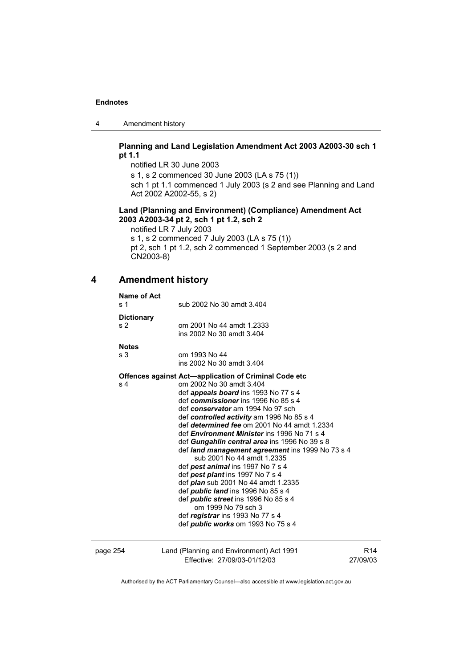4 Amendment history

# **Planning and Land Legislation Amendment Act 2003 A2003-30 sch 1 pt 1.1**

notified LR 30 June 2003 s 1, s 2 commenced 30 June 2003 (LA s 75 (1)) sch 1 pt 1.1 commenced 1 July 2003 (s 2 and see Planning and Land Act 2002 A2002-55, s 2)

# **Land (Planning and Environment) (Compliance) Amendment Act 2003 A2003-34 pt 2, sch 1 pt 1.2, sch 2**

notified LR 7 July 2003 s 1, s 2 commenced 7 July 2003 (LA s 75 (1)) pt 2, sch 1 pt 1.2, sch 2 commenced 1 September 2003 (s 2 and CN2003-8)

# **4 Amendment history**

| Name of Act<br>s 1                  | sub 2002 No 30 amdt 3.404                                                                                                                                                                                                                                                                                                                                                                                                                                                                                                                                                                                                                                                                                                                                                                                                            |                 |
|-------------------------------------|--------------------------------------------------------------------------------------------------------------------------------------------------------------------------------------------------------------------------------------------------------------------------------------------------------------------------------------------------------------------------------------------------------------------------------------------------------------------------------------------------------------------------------------------------------------------------------------------------------------------------------------------------------------------------------------------------------------------------------------------------------------------------------------------------------------------------------------|-----------------|
| <b>Dictionary</b><br>s <sub>2</sub> | om 2001 No 44 amdt 1.2333<br>ins 2002 No 30 amdt 3.404                                                                                                                                                                                                                                                                                                                                                                                                                                                                                                                                                                                                                                                                                                                                                                               |                 |
| <b>Notes</b><br>s 3                 | om 1993 No 44<br>ins 2002 No 30 amdt 3.404                                                                                                                                                                                                                                                                                                                                                                                                                                                                                                                                                                                                                                                                                                                                                                                           |                 |
| s <sub>4</sub>                      | <b>Offences against Act-application of Criminal Code etc</b><br>om 2002 No 30 amdt 3.404<br>def <i>appeals board</i> ins 1993 No 77 s 4<br>def commissioner ins 1996 No 85 s 4<br>def conservator am 1994 No 97 sch<br>def controlled activity am 1996 No 85 s 4<br>def determined fee om 2001 No 44 amdt 1.2334<br>def <i>Environment Minister</i> ins 1996 No 71 s 4<br>def Gungahlin central area ins 1996 No 39 s 8<br>def land management agreement ins 1999 No 73 s 4<br>sub 2001 No 44 amdt 1.2335<br>def pest animal ins 1997 No 7 s 4<br>def pest plant ins 1997 No 7 s 4<br>def <i>plan</i> sub 2001 No 44 amdt 1.2335<br>def <i>public land</i> ins 1996 No 85 s 4<br>def <i>public street</i> ins 1996 No 85 s 4<br>om 1999 No 79 sch 3<br>def registrar ins 1993 No 77 s 4<br>def <i>public</i> works om 1993 No 75 s 4 |                 |
| page 254                            | Land (Planning and Environment) Act 1991<br>Effective: 27/09/03-01/12/03                                                                                                                                                                                                                                                                                                                                                                                                                                                                                                                                                                                                                                                                                                                                                             | R14<br>27/09/03 |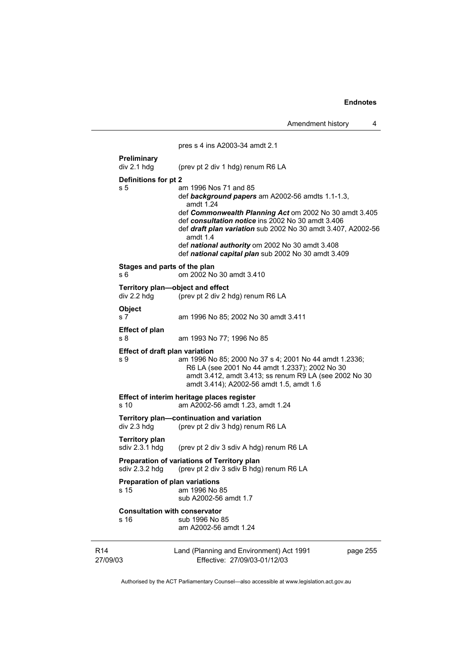Amendment history 4

|                                         | pres s 4 ins A2003-34 amdt 2.1                                                                                                                                                                                                                                                                                                                                                                       |
|-----------------------------------------|------------------------------------------------------------------------------------------------------------------------------------------------------------------------------------------------------------------------------------------------------------------------------------------------------------------------------------------------------------------------------------------------------|
| Preliminary<br>div 2.1 hdg              | (prev pt 2 div 1 hdg) renum R6 LA                                                                                                                                                                                                                                                                                                                                                                    |
| Definitions for pt 2<br>s 5             | am 1996 Nos 71 and 85<br>def background papers am A2002-56 amdts 1.1-1.3,<br>amdt 1.24<br>def Commonwealth Planning Act om 2002 No 30 amdt 3.405<br>def consultation notice ins 2002 No 30 amdt 3.406<br>def <i>draft plan variation</i> sub 2002 No 30 amdt 3.407, A2002-56<br>amdt $1.4$<br>def national authority om 2002 No 30 amdt 3.408<br>def national capital plan sub 2002 No 30 amdt 3.409 |
| s 6                                     | Stages and parts of the plan<br>om 2002 No 30 amdt 3.410                                                                                                                                                                                                                                                                                                                                             |
| div 2.2 hdg                             | Territory plan-object and effect<br>(prev pt 2 div 2 hdg) renum R6 LA                                                                                                                                                                                                                                                                                                                                |
| Object<br>s 7                           | am 1996 No 85; 2002 No 30 amdt 3.411                                                                                                                                                                                                                                                                                                                                                                 |
| <b>Effect of plan</b><br>s 8            | am 1993 No 77; 1996 No 85                                                                                                                                                                                                                                                                                                                                                                            |
| s 9                                     | Effect of draft plan variation<br>am 1996 No 85; 2000 No 37 s 4; 2001 No 44 amdt 1.2336;<br>R6 LA (see 2001 No 44 amdt 1.2337); 2002 No 30<br>amdt 3.412, amdt 3.413; ss renum R9 LA (see 2002 No 30<br>amdt 3.414); A2002-56 amdt 1.5, amdt 1.6                                                                                                                                                     |
| s 10                                    | Effect of interim heritage places register<br>am A2002-56 amdt 1.23, amdt 1.24                                                                                                                                                                                                                                                                                                                       |
| div 2.3 hdg                             | Territory plan-continuation and variation<br>(prev pt 2 div 3 hdg) renum R6 LA                                                                                                                                                                                                                                                                                                                       |
| <b>Territory plan</b><br>sdiv 2.3.1 hdg | (prev pt 2 div 3 sdiv A hdg) renum R6 LA                                                                                                                                                                                                                                                                                                                                                             |
| sdiv 2.3.2 hdg                          | Preparation of variations of Territory plan<br>(prev pt 2 div 3 sdiv B hdg) renum R6 LA                                                                                                                                                                                                                                                                                                              |
| s 15                                    | <b>Preparation of plan variations</b><br>am 1996 No 85<br>sub A2002-56 amdt 1.7                                                                                                                                                                                                                                                                                                                      |
| s 16                                    | <b>Consultation with conservator</b><br>sub 1996 No 85<br>am A2002-56 amdt 1.24                                                                                                                                                                                                                                                                                                                      |
| R <sub>14</sub><br>27/09/03             | Land (Planning and Environment) Act 1991<br>page 255<br>Effective: 27/09/03-01/12/03                                                                                                                                                                                                                                                                                                                 |

Authorised by the ACT Parliamentary Counsel—also accessible at www.legislation.act.gov.au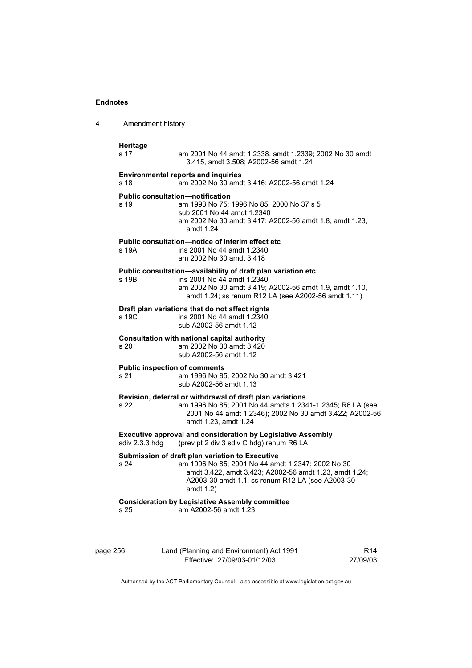| 4        | Amendment history                                                                                                                 |                                                                                                                                                                                                                                    |                 |
|----------|-----------------------------------------------------------------------------------------------------------------------------------|------------------------------------------------------------------------------------------------------------------------------------------------------------------------------------------------------------------------------------|-----------------|
|          | <b>Heritage</b><br>s 17                                                                                                           | am 2001 No 44 amdt 1.2338, amdt 1.2339; 2002 No 30 amdt<br>3.415, amdt 3.508; A2002-56 amdt 1.24                                                                                                                                   |                 |
|          | s 18                                                                                                                              | <b>Environmental reports and inquiries</b><br>am 2002 No 30 amdt 3.416; A2002-56 amdt 1.24                                                                                                                                         |                 |
|          | s 19                                                                                                                              | <b>Public consultation-notification</b><br>am 1993 No 75; 1996 No 85; 2000 No 37 s 5<br>sub 2001 No 44 amdt 1.2340<br>am 2002 No 30 amdt 3.417; A2002-56 amdt 1.8, amdt 1.23,<br>amdt 1.24                                         |                 |
|          | s 19A                                                                                                                             | Public consultation-notice of interim effect etc<br>ins 2001 No 44 amdt 1.2340<br>am 2002 No 30 amdt 3.418                                                                                                                         |                 |
|          | s 19B                                                                                                                             | Public consultation-availability of draft plan variation etc<br>ins 2001 No 44 amdt 1.2340<br>am 2002 No 30 amdt 3.419; A2002-56 amdt 1.9, amdt 1.10,<br>amdt 1.24; ss renum R12 LA (see A2002-56 amdt 1.11)                       |                 |
|          | s 19C                                                                                                                             | Draft plan variations that do not affect rights<br>ins 2001 No 44 amdt 1.2340<br>sub A2002-56 amdt 1.12                                                                                                                            |                 |
|          | s 20                                                                                                                              | Consultation with national capital authority<br>am 2002 No 30 amdt 3.420<br>sub A2002-56 amdt 1.12                                                                                                                                 |                 |
|          | s 21                                                                                                                              | <b>Public inspection of comments</b><br>am 1996 No 85; 2002 No 30 amdt 3.421<br>sub A2002-56 amdt 1.13                                                                                                                             |                 |
|          | s 22                                                                                                                              | Revision, deferral or withdrawal of draft plan variations<br>am 1996 No 85; 2001 No 44 amdts 1.2341-1.2345; R6 LA (see<br>2001 No 44 amdt 1.2346); 2002 No 30 amdt 3.422; A2002-56<br>amdt 1.23, amdt 1.24                         |                 |
|          | <b>Executive approval and consideration by Legislative Assembly</b><br>sdiv 2.3.3 hdg<br>(prev pt 2 div 3 sdiv C hdg) renum R6 LA |                                                                                                                                                                                                                                    |                 |
|          | s 24                                                                                                                              | Submission of draft plan variation to Executive<br>am 1996 No 85; 2001 No 44 amdt 1.2347; 2002 No 30<br>amdt 3.422, amdt 3.423; A2002-56 amdt 1.23, amdt 1.24;<br>A2003-30 amdt 1.1; ss renum R12 LA (see A2003-30<br>amdt $1.2$ ) |                 |
|          | s 25                                                                                                                              | <b>Consideration by Legislative Assembly committee</b><br>am A2002-56 amdt 1.23                                                                                                                                                    |                 |
| page 256 |                                                                                                                                   | Land (Planning and Environment) Act 1991                                                                                                                                                                                           | R <sub>14</sub> |

Effective: 27/09/03-01/12/03

R14 27/09/03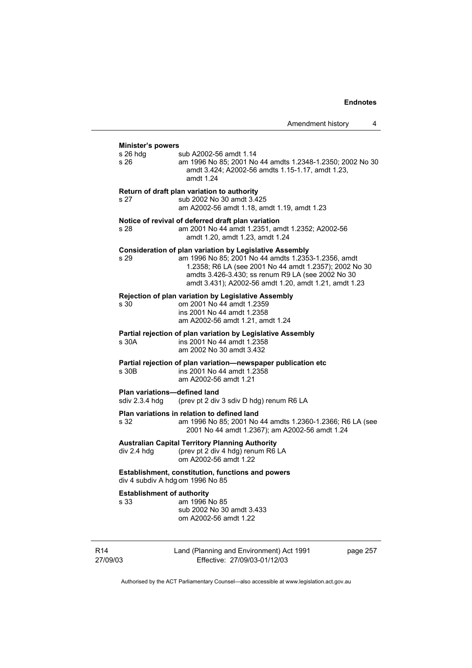| <b>Minister's powers</b>                       |                                                                                                                                                                                                                                                                                               |
|------------------------------------------------|-----------------------------------------------------------------------------------------------------------------------------------------------------------------------------------------------------------------------------------------------------------------------------------------------|
| $s$ 26 hdg<br>s 26                             | sub A2002-56 amdt 1.14<br>am 1996 No 85; 2001 No 44 amdts 1.2348-1.2350; 2002 No 30<br>amdt 3.424; A2002-56 amdts 1.15-1.17, amdt 1.23,<br>amdt 1.24                                                                                                                                          |
| s 27                                           | Return of draft plan variation to authority<br>sub 2002 No 30 amdt 3.425<br>am A2002-56 amdt 1.18, amdt 1.19, amdt 1.23                                                                                                                                                                       |
| s 28                                           | Notice of revival of deferred draft plan variation<br>am 2001 No 44 amdt 1.2351, amdt 1.2352; A2002-56<br>amdt 1.20, amdt 1.23, amdt 1.24                                                                                                                                                     |
| s 29                                           | <b>Consideration of plan variation by Legislative Assembly</b><br>am 1996 No 85; 2001 No 44 amdts 1.2353-1.2356, amdt<br>1.2358; R6 LA (see 2001 No 44 amdt 1.2357); 2002 No 30<br>amdts 3.426-3.430; ss renum R9 LA (see 2002 No 30<br>amdt 3.431); A2002-56 amdt 1.20, amdt 1.21, amdt 1.23 |
| s 30                                           | <b>Rejection of plan variation by Legislative Assembly</b><br>om 2001 No 44 amdt 1.2359<br>ins 2001 No 44 amdt 1.2358<br>am A2002-56 amdt 1.21, amdt 1.24                                                                                                                                     |
| s 30A                                          | Partial rejection of plan variation by Legislative Assembly<br>ins 2001 No 44 amdt 1.2358<br>am 2002 No 30 amdt 3.432                                                                                                                                                                         |
| s 30B                                          | Partial rejection of plan variation-newspaper publication etc<br>ins 2001 No 44 amdt 1.2358<br>am A2002-56 amdt 1.21                                                                                                                                                                          |
| Plan variations-defined land<br>sdiv 2.3.4 hdg | (prev pt 2 div 3 sdiv D hdg) renum R6 LA                                                                                                                                                                                                                                                      |
| s 32                                           | Plan variations in relation to defined land<br>am 1996 No 85; 2001 No 44 amdts 1.2360-1.2366; R6 LA (see<br>2001 No 44 amdt 1.2367); am A2002-56 amdt 1.24                                                                                                                                    |
| div 2.4 hdg                                    | <b>Australian Capital Territory Planning Authority</b><br>(prev pt 2 div 4 hdg) renum R6 LA<br>om A2002-56 amdt 1.22                                                                                                                                                                          |
| div 4 subdiv A hdg om 1996 No 85               | <b>Establishment, constitution, functions and powers</b>                                                                                                                                                                                                                                      |
| <b>Establishment of authority</b><br>s 33      | am 1996 No 85<br>sub 2002 No 30 amdt 3.433                                                                                                                                                                                                                                                    |

R14 27/09/03 Land (Planning and Environment) Act 1991 Effective: 27/09/03-01/12/03

om A2002-56 amdt 1.22

page 257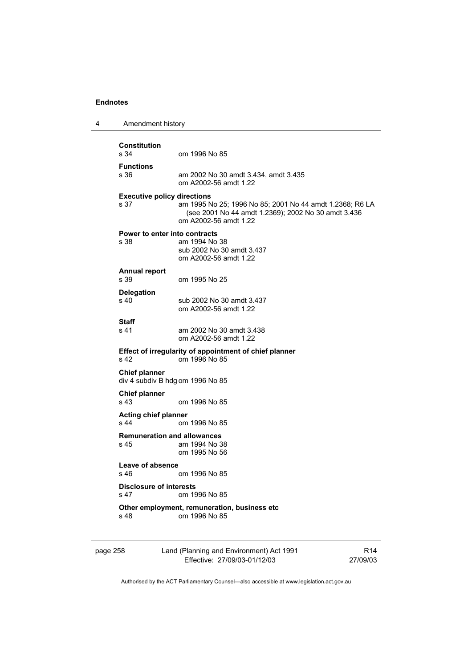| 4 | Amendment history                          |                                                                                                                                          |                 |
|---|--------------------------------------------|------------------------------------------------------------------------------------------------------------------------------------------|-----------------|
|   | <b>Constitution</b><br>s 34                | om 1996 No 85                                                                                                                            |                 |
|   | <b>Functions</b><br>s 36                   | am 2002 No 30 amdt 3.434, amdt 3.435<br>om A2002-56 amdt 1.22                                                                            |                 |
|   | <b>Executive policy directions</b><br>s 37 | am 1995 No 25; 1996 No 85; 2001 No 44 amdt 1.2368; R6 LA<br>(see 2001 No 44 amdt 1.2369); 2002 No 30 amdt 3.436<br>om A2002-56 amdt 1.22 |                 |
|   | s 38                                       | Power to enter into contracts<br>am 1994 No 38<br>sub 2002 No 30 amdt 3.437<br>om A2002-56 amdt 1.22                                     |                 |
|   | <b>Annual report</b><br>s 39               | om 1995 No 25                                                                                                                            |                 |
|   | <b>Delegation</b><br>s 40                  | sub 2002 No 30 amdt 3.437<br>om A2002-56 amdt 1.22                                                                                       |                 |
|   | Staff<br>s 41                              | am 2002 No 30 amdt 3.438<br>om A2002-56 amdt 1.22                                                                                        |                 |
|   | s 42                                       | Effect of irregularity of appointment of chief planner<br>om 1996 No 85                                                                  |                 |
|   | <b>Chief planner</b>                       | div 4 subdiv B hdg om 1996 No 85                                                                                                         |                 |
|   | <b>Chief planner</b><br>s 43               | om 1996 No 85                                                                                                                            |                 |
|   | <b>Acting chief planner</b><br>s 44        | om 1996 No 85                                                                                                                            |                 |
|   | s 45                                       | <b>Remuneration and allowances</b><br>am 1994 No 38<br>om 1995 No 56                                                                     |                 |
|   | Leave of absence<br>s 46.                  | om 1996 No 85                                                                                                                            |                 |
|   | <b>Disclosure of interests</b><br>s 47     | om 1996 No 85                                                                                                                            |                 |
|   | s 48                                       | Other employment, remuneration, business etc<br>om 1996 No 85                                                                            |                 |
|   | page 258                                   | Land (Planning and Environment) Act 1991                                                                                                 | R <sub>14</sub> |

Effective: 27/09/03-01/12/03

R14 27/09/03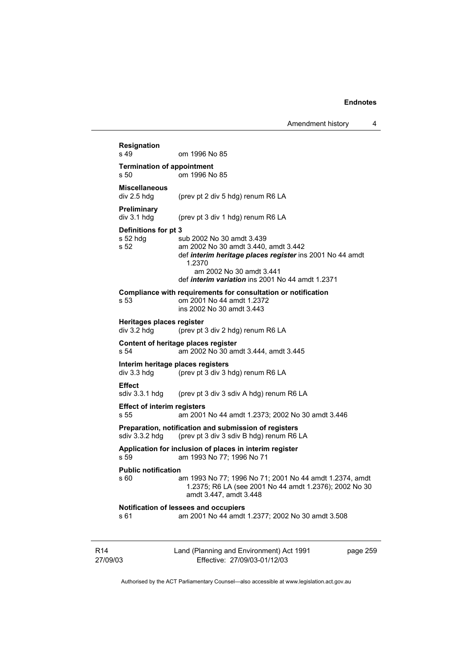|                             | <b>Resignation</b><br>s 49                 | om 1996 No 85                                                                                                                                                                                                                  |          |
|-----------------------------|--------------------------------------------|--------------------------------------------------------------------------------------------------------------------------------------------------------------------------------------------------------------------------------|----------|
|                             | <b>Termination of appointment</b><br>s 50  | om 1996 No 85                                                                                                                                                                                                                  |          |
|                             | <b>Miscellaneous</b>                       |                                                                                                                                                                                                                                |          |
|                             | div 2.5 hdg                                | (prev pt 2 div 5 hdg) renum R6 LA                                                                                                                                                                                              |          |
|                             | Preliminary<br>div 3.1 hdg                 | (prev pt 3 div 1 hdg) renum R6 LA                                                                                                                                                                                              |          |
|                             | Definitions for pt 3<br>$s52$ hdg<br>s 52  | sub 2002 No 30 amdt 3.439<br>am 2002 No 30 amdt 3.440, amdt 3.442<br>def interim heritage places register ins 2001 No 44 amdt<br>1.2370<br>am 2002 No 30 amdt 3.441<br>def <i>interim variation</i> ins 2001 No 44 amdt 1.2371 |          |
|                             | s 53                                       | Compliance with requirements for consultation or notification<br>om 2001 No 44 amdt 1.2372<br>ins 2002 No 30 amdt 3.443                                                                                                        |          |
|                             | Heritages places register<br>div 3.2 hdg   | (prev pt 3 div 2 hdg) renum R6 LA                                                                                                                                                                                              |          |
|                             | s 54                                       | Content of heritage places register<br>am 2002 No 30 amdt 3.444, amdt 3.445                                                                                                                                                    |          |
|                             | div 3.3 hdg                                | Interim heritage places registers<br>(prev pt 3 div 3 hdg) renum R6 LA                                                                                                                                                         |          |
|                             | Effect<br>sdiv 3.3.1 hdg                   | (prev pt 3 div 3 sdiv A hdg) renum R6 LA                                                                                                                                                                                       |          |
|                             | <b>Effect of interim registers</b><br>s 55 | am 2001 No 44 amdt 1.2373; 2002 No 30 amdt 3.446                                                                                                                                                                               |          |
|                             | sdiv 3.3.2 hdg                             | Preparation, notification and submission of registers<br>(prev pt 3 div 3 sdiv B hdg) renum R6 LA                                                                                                                              |          |
|                             | s 59                                       | Application for inclusion of places in interim register<br>am 1993 No 77; 1996 No 71                                                                                                                                           |          |
|                             | <b>Public notification</b><br>s 60         | am 1993 No 77; 1996 No 71; 2001 No 44 amdt 1.2374, amdt<br>1.2375; R6 LA (see 2001 No 44 amdt 1.2376); 2002 No 30<br>amdt 3.447, amdt 3.448                                                                                    |          |
|                             | s 61                                       | Notification of lessees and occupiers<br>am 2001 No 44 amdt 1.2377; 2002 No 30 amdt 3.508                                                                                                                                      |          |
| R <sub>14</sub><br>27/09/03 |                                            | Land (Planning and Environment) Act 1991<br>Effective: 27/09/03-01/12/03                                                                                                                                                       | page 259 |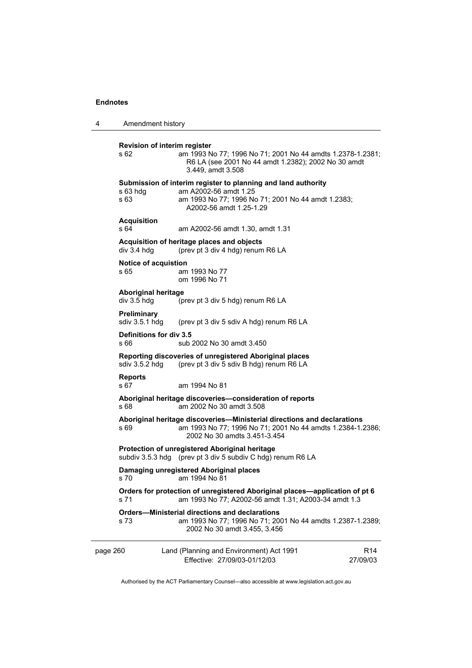| 4        | Amendment history                         |                                                                                                                                                                         |  |
|----------|-------------------------------------------|-------------------------------------------------------------------------------------------------------------------------------------------------------------------------|--|
|          | Revision of interim register<br>s 62      | am 1993 No 77; 1996 No 71; 2001 No 44 amdts 1.2378-1.2381;<br>R6 LA (see 2001 No 44 amdt 1.2382); 2002 No 30 amdt<br>3.449, amdt 3.508                                  |  |
|          | s 63 hda<br>s 63                          | Submission of interim register to planning and land authority<br>am A2002-56 amdt 1.25<br>am 1993 No 77; 1996 No 71; 2001 No 44 amdt 1.2383;<br>A2002-56 amdt 1.25-1.29 |  |
|          | <b>Acquisition</b><br>s 64                | am A2002-56 amdt 1.30, amdt 1.31                                                                                                                                        |  |
|          | div 3.4 hdg                               | Acquisition of heritage places and objects<br>(prev pt 3 div 4 hdg) renum R6 LA                                                                                         |  |
|          | Notice of acquistion<br>s 65              | am 1993 No 77<br>om 1996 No 71                                                                                                                                          |  |
|          | <b>Aboriginal heritage</b><br>div 3.5 hdg | (prev pt 3 div 5 hdg) renum R6 LA                                                                                                                                       |  |
|          | Preliminary<br>sdiv 3.5.1 hdg             | (prev pt 3 div 5 sdiv A hdg) renum R6 LA                                                                                                                                |  |
|          | Definitions for div 3.5<br>s 66           | sub 2002 No 30 amdt 3.450                                                                                                                                               |  |
|          | sdiv $3.5.2$ hdg                          | Reporting discoveries of unregistered Aboriginal places<br>(prev pt 3 div 5 sdiv B hdg) renum R6 LA                                                                     |  |
|          | <b>Reports</b><br>s 67                    | am 1994 No 81                                                                                                                                                           |  |
|          | s 68                                      | Aboriginal heritage discoveries-consideration of reports<br>am 2002 No 30 amdt 3.508                                                                                    |  |
|          | s 69                                      | Aboriginal heritage discoveries-Ministerial directions and declarations<br>am 1993 No 77; 1996 No 71; 2001 No 44 amdts 1.2384-1.2386;<br>2002 No 30 amdts 3.451-3.454   |  |
|          |                                           | Protection of unregistered Aboriginal heritage<br>subdiv 3.5.3 hdg (prev pt 3 div 5 subdiv C hdg) renum R6 LA                                                           |  |
|          | s 70                                      | Damaging unregistered Aboriginal places<br>am 1994 No 81                                                                                                                |  |
|          | s 71                                      | Orders for protection of unregistered Aboriginal places—application of pt 6<br>am 1993 No 77; A2002-56 amdt 1.31; A2003-34 amdt 1.3                                     |  |
|          | s 73                                      | <b>Orders-Ministerial directions and declarations</b><br>am 1993 No 77; 1996 No 71; 2001 No 44 amdts 1.2387-1.2389;<br>2002 No 30 amdt 3.455, 3.456                     |  |
| page 260 |                                           | Land (Planning and Environment) Act 1991<br>R14<br>Effective: 27/09/03-01/12/03<br>27/09/03                                                                             |  |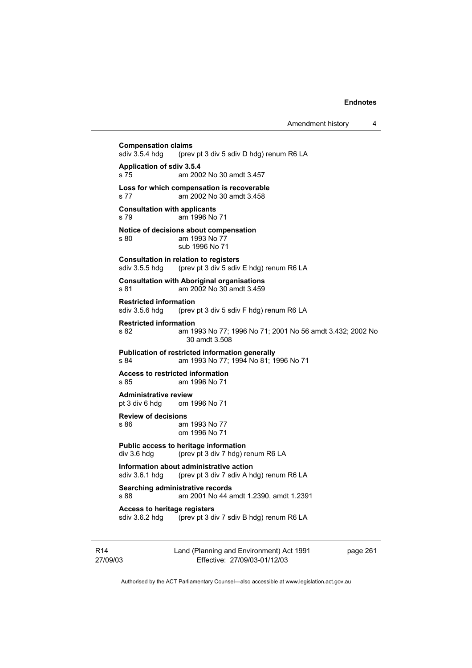**Compensation claims**<br>sdiv 3.5.4 hdg (prev (prev pt 3 div 5 sdiv D hdg) renum R6 LA **Application of sdiv 3.5.4**  s 75 am 2002 No 30 amdt 3.457 **Loss for which compensation is recoverable**  s 77 am 2002 No 30 amdt 3.458 **Consultation with applicants**  s 79 am 1996 No 71 **Notice of decisions about compensation**  s 80 am 1993 No 77 sub 1996 No 71 **Consultation in relation to registers**  sdiv 3.5.5 hdg (prev pt 3 div 5 sdiv E hdg) renum R6 LA **Consultation with Aboriginal organisations**  s 81 am 2002 No 30 amdt 3.459 **Restricted information**<br>sdiv 3.5.6 hdg (prev (prev pt 3 div 5 sdiv F hdg) renum R6 LA **Restricted information**  s 82 am 1993 No 77; 1996 No 71; 2001 No 56 amdt 3.432; 2002 No 30 amdt 3.508 **Publication of restricted information generally**  s 84 am 1993 No 77; 1994 No 81; 1996 No 71 **Access to restricted information**  s 85 am 1996 No 71 **Administrative review** pt 3 div 6 hdq om 1 om 1996 No 71 **Review of decisions**  s 86 am 1993 No 77 om 1996 No 71 **Public access to heritage information**  div 3.6 hdg (prev pt 3 div 7 hdg) renum R6 LA **Information about administrative action**<br>sdiv 3.6.1 hdg (prev pt 3 div 7 sdiv A ho (prev pt 3 div 7 sdiv A hdg) renum R6 LA **Searching administrative records**  s 88 am 2001 No 44 amdt 1.2390, amdt 1.2391 **Access to heritage registers**  sdiv 3.6.2 hdg (prev pt 3 div 7 sdiv B hdg) renum R6 LA

R14 27/09/03 Land (Planning and Environment) Act 1991 Effective: 27/09/03-01/12/03

page 261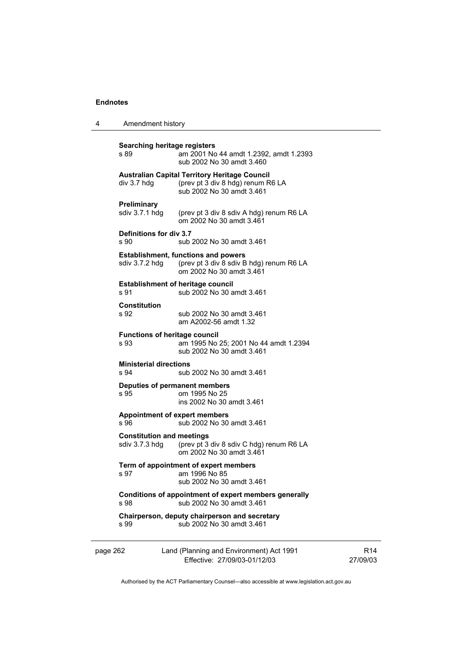| 4        | Amendment history                                                                          |                                                                                                                    |                             |
|----------|--------------------------------------------------------------------------------------------|--------------------------------------------------------------------------------------------------------------------|-----------------------------|
|          | Searching heritage registers<br>s 89                                                       | am 2001 No 44 amdt 1.2392, amdt 1.2393<br>sub 2002 No 30 amdt 3.460                                                |                             |
|          | div 3.7 hdg                                                                                | Australian Capital Territory Heritage Council<br>(prev pt 3 div 8 hdg) renum R6 LA<br>sub 2002 No 30 amdt 3.461    |                             |
|          | Preliminary<br>sdiv 3.7.1 hdg                                                              | (prev pt 3 div 8 sdiv A hdg) renum R6 LA<br>om 2002 No 30 amdt 3.461                                               |                             |
|          | Definitions for div 3.7<br>s 90                                                            | sub 2002 No 30 amdt 3.461                                                                                          |                             |
|          | sdiv 3.7.2 hdg                                                                             | <b>Establishment, functions and powers</b><br>(prev pt 3 div 8 sdiv B hdg) renum R6 LA<br>om 2002 No 30 amdt 3.461 |                             |
|          | s 91                                                                                       | <b>Establishment of heritage council</b><br>sub 2002 No 30 amdt 3.461                                              |                             |
|          | <b>Constitution</b><br>s 92                                                                | sub 2002 No 30 amdt 3.461<br>am A2002-56 amdt 1.32                                                                 |                             |
|          | <b>Functions of heritage council</b><br>s 93                                               | am 1995 No 25; 2001 No 44 amdt 1.2394<br>sub 2002 No 30 amdt 3.461                                                 |                             |
|          | <b>Ministerial directions</b><br>s 94                                                      | sub 2002 No 30 amdt 3.461                                                                                          |                             |
|          | s 95                                                                                       | Deputies of permanent members<br>om 1995 No 25<br>ins 2002 No 30 amdt 3.461                                        |                             |
|          | s 96                                                                                       | <b>Appointment of expert members</b><br>sub 2002 No 30 amdt 3.461                                                  |                             |
|          | <b>Constitution and meetings</b><br>sdiv 3.7.3 hdg                                         | (prev pt 3 div 8 sdiv C hdg) renum R6 LA<br>om 2002 No 30 amdt 3.461                                               |                             |
|          | s 97                                                                                       | Term of appointment of expert members<br>am 1996 No 85<br>sub 2002 No 30 amdt 3.461                                |                             |
|          | Conditions of appointment of expert members generally<br>sub 2002 No 30 amdt 3.461<br>s 98 |                                                                                                                    |                             |
|          | s 99                                                                                       | Chairperson, deputy chairperson and secretary<br>sub 2002 No 30 amdt 3.461                                         |                             |
| page 262 |                                                                                            | Land (Planning and Environment) Act 1991<br>Effective: 27/09/03-01/12/03                                           | R <sub>14</sub><br>27/09/03 |

Authorised by the ACT Parliamentary Counsel—also accessible at www.legislation.act.gov.au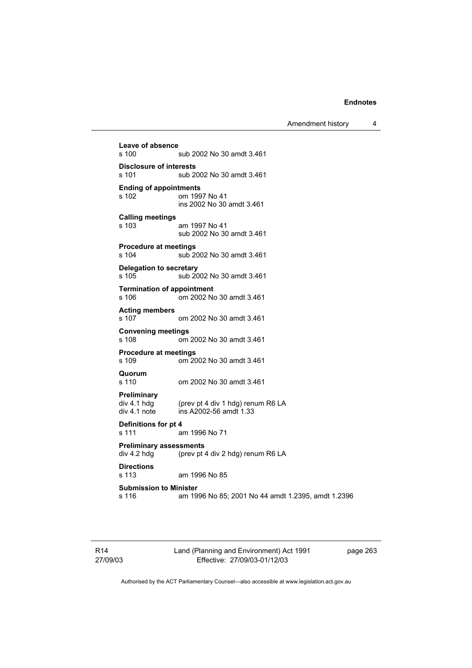Amendment history 4

**Leave of absence**  sub 2002 No 30 amdt 3.461 **Disclosure of interests**  sub 2002 No 30 amdt 3.461 **Ending of appointments**  om 1997 No 41 ins 2002 No 30 amdt 3.461 **Calling meetings**  s 103 am 1997 No 41 sub 2002 No 30 amdt 3.461 **Procedure at meetings**  sub 2002 No 30 amdt 3.461 **Delegation to secretary**  s 105 sub 2002 No 30 amdt 3.461 **Termination of appointment**  s 106 om 2002 No 30 amdt 3.461 **Acting members**  om 2002 No 30 amdt 3.461 **Convening meetings**  om 2002 No 30 amdt 3.461 **Procedure at meetings**  om 2002 No 30 amdt 3.461 **Quorum**  s 110 om 2002 No 30 amdt 3.461 **Preliminary**  (prev pt 4 div 1 hdg) renum R6 LA div 4.1 note ins A2002-56 amdt 1.33 **Definitions for pt 4**  s 111 am 1996 No 71 **Preliminary assessments**  div 4.2 hdg (prev pt 4 div 2 hdg) renum R6 LA **Directions**  am 1996 No 85 **Submission to Minister**  s 116 am 1996 No 85; 2001 No 44 amdt 1.2395, amdt 1.2396

R14 27/09/03 Land (Planning and Environment) Act 1991 Effective: 27/09/03-01/12/03

page 263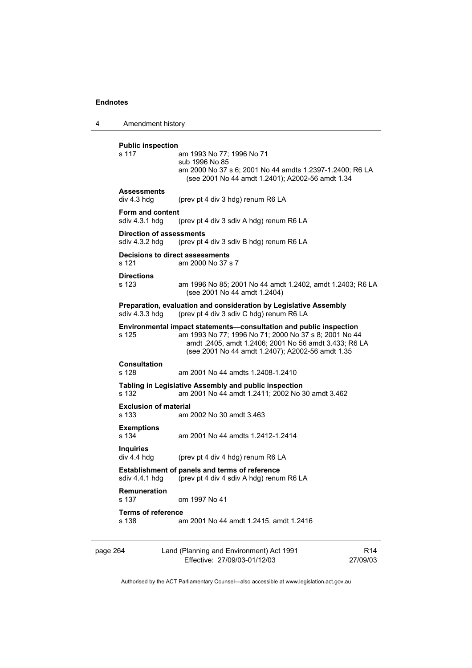4 Amendment history

**Public inspection**  s 117 am 1993 No 77; 1996 No 71 sub 1996 No 85 am 2000 No 37 s 6; 2001 No 44 amdts 1.2397-1.2400; R6 LA (see 2001 No 44 amdt 1.2401); A2002-56 amdt 1.34 **Assessments**  div 4.3 hdg (prev pt 4 div 3 hdg) renum R6 LA **Form and content**<br>sdiv 4.3.1 hdg (prev pt 4 div 3 sdiv A hdg) renum R6 LA **Direction of assessments**  sdiv 4.3.2 hdg (prev pt 4 div 3 sdiv B hdg) renum R6 LA **Decisions to direct assessments**  s 121 am 2000 No 37 s 7 **Directions**  s 123 am 1996 No 85; 2001 No 44 amdt 1.2402, amdt 1.2403; R6 LA (see 2001 No 44 amdt 1.2404) **Preparation, evaluation and consideration by Legislative Assembly**  sdiv 4.3.3 hdg (prev pt 4 div 3 sdiv C hdg) renum R6 LA **Environmental impact statements—consultation and public inspection**  am 1993 No 77; 1996 No 71; 2000 No 37 s 8; 2001 No 44 amdt .2405, amdt 1.2406; 2001 No 56 amdt 3.433; R6 LA (see 2001 No 44 amdt 1.2407); A2002-56 amdt 1.35 **Consultation**  s 128 am 2001 No 44 amdts 1.2408-1.2410 **Tabling in Legislative Assembly and public inspection**  s 132 am 2001 No 44 amdt 1.2411; 2002 No 30 amdt 3.462 **Exclusion of material**  s 133 am 2002 No 30 amdt 3.463 **Exemptions**  s 134 am 2001 No 44 amdts 1.2412-1.2414 **Inquiries**  (prev pt 4 div 4 hdg) renum R6 LA **Establishment of panels and terms of reference**  sdiv 4.4.1 hdg (prev pt 4 div 4 sdiv A hdg) renum R6 LA **Remuneration**  om 1997 No 41 **Terms of reference**  s 138 am 2001 No 44 amdt 1.2415, amdt 1.2416

| page 264 | Land (Planning and Environment) Act 1991 | R <sub>14</sub> |
|----------|------------------------------------------|-----------------|
|          | Effective: 27/09/03-01/12/03             | 27/09/03        |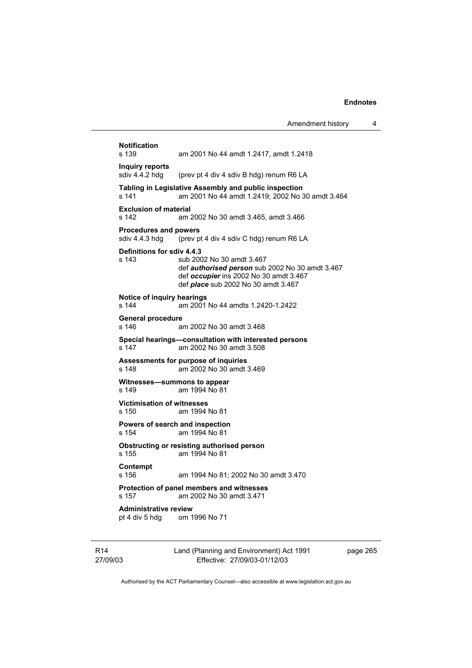| <b>Notification</b><br>s 139                                 | am 2001 No 44 amdt 1.2417, amdt 1.2418                                                                                                                               |
|--------------------------------------------------------------|----------------------------------------------------------------------------------------------------------------------------------------------------------------------|
| <b>Inquiry reports</b><br>sdiv 4.4.2 hdg                     | (prev pt 4 div 4 sdiv B hdg) renum R6 LA                                                                                                                             |
| s 141                                                        | Tabling in Legislative Assembly and public inspection<br>am 2001 No 44 amdt 1.2419; 2002 No 30 amdt 3.464                                                            |
| <b>Exclusion of material</b><br>s 142                        | am 2002 No 30 amdt 3.465, amdt 3.466                                                                                                                                 |
| <b>Procedures and powers</b><br>sdiv 4.4.3 hdg               | (prev pt 4 div 4 sdiv C hdg) renum R6 LA                                                                                                                             |
| Definitions for sdiv 4.4.3<br>s 143                          | sub 2002 No 30 amdt 3.467<br>def authorised person sub 2002 No 30 amdt 3.467<br>def occupier ins 2002 No 30 amdt 3.467<br>def <i>place</i> sub 2002 No 30 amdt 3.467 |
| Notice of inquiry hearings<br>s 144                          | am 2001 No 44 amdts 1.2420-1.2422                                                                                                                                    |
| <b>General procedure</b><br>s 146                            | am 2002 No 30 amdt 3.468                                                                                                                                             |
| s 147                                                        | Special hearings-consultation with interested persons<br>am 2002 No 30 amdt 3.508                                                                                    |
| s 148                                                        | Assessments for purpose of inquiries<br>am 2002 No 30 amdt 3.469                                                                                                     |
| s 149                                                        | Witnesses-summons to appear<br>am 1994 No 81                                                                                                                         |
| <b>Victimisation of witnesses</b><br>s 150                   | am 1994 No 81                                                                                                                                                        |
| s 154                                                        | Powers of search and inspection<br>am 1994 No 81                                                                                                                     |
| s 155                                                        | Obstructing or resisting authorised person<br>am 1994 No 81                                                                                                          |
| Contempt<br>s <sub>156</sub>                                 | am 1994 No 81; 2002 No 30 amdt 3.470                                                                                                                                 |
| s 157                                                        | Protection of panel members and witnesses<br>am 2002 No 30 amdt 3.471                                                                                                |
| <b>Administrative review</b><br>pt 4 div 5 hdg om 1996 No 71 |                                                                                                                                                                      |
|                                                              |                                                                                                                                                                      |

R14 27/09/03 Land (Planning and Environment) Act 1991 Effective: 27/09/03-01/12/03

page 265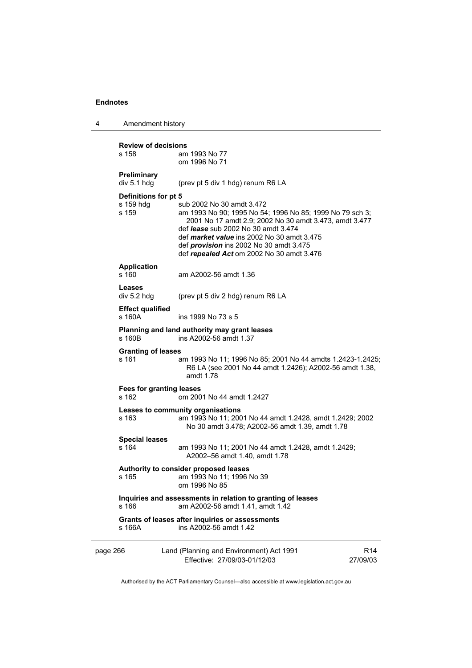| Amendment history<br>-4 |
|-------------------------|
|-------------------------|

| s 158    | <b>Review of decisions</b>        | am 1993 No 77<br>om 1996 No 71                                                                                                                                                                                                                                                                                                                    |                             |
|----------|-----------------------------------|---------------------------------------------------------------------------------------------------------------------------------------------------------------------------------------------------------------------------------------------------------------------------------------------------------------------------------------------------|-----------------------------|
|          | Preliminary<br>div 5.1 hdg        | (prev pt 5 div 1 hdg) renum R6 LA                                                                                                                                                                                                                                                                                                                 |                             |
| s 159    | Definitions for pt 5<br>s 159 hdg | sub 2002 No 30 amdt 3.472<br>am 1993 No 90; 1995 No 54; 1996 No 85; 1999 No 79 sch 3;<br>2001 No 17 amdt 2.9; 2002 No 30 amdt 3.473, amdt 3.477<br>def <i>lease</i> sub 2002 No 30 amdt 3.474<br>def <i>market value</i> ins 2002 No 30 amdt 3.475<br>def <i>provision</i> ins 2002 No 30 amdt 3.475<br>def repealed Act om 2002 No 30 amdt 3.476 |                             |
| s 160    | <b>Application</b>                | am A2002-56 amdt 1.36                                                                                                                                                                                                                                                                                                                             |                             |
| Leases   | div 5.2 hdg                       | (prev pt 5 div 2 hdg) renum R6 LA                                                                                                                                                                                                                                                                                                                 |                             |
| s 160A   | <b>Effect qualified</b>           | ins 1999 No 73 s 5                                                                                                                                                                                                                                                                                                                                |                             |
| s 160B   |                                   | Planning and land authority may grant leases<br>ins A2002-56 amdt 1.37                                                                                                                                                                                                                                                                            |                             |
| s 161    | <b>Granting of leases</b>         | am 1993 No 11; 1996 No 85; 2001 No 44 amdts 1.2423-1.2425;<br>R6 LA (see 2001 No 44 amdt 1.2426); A2002-56 amdt 1.38,<br>amdt 1.78                                                                                                                                                                                                                |                             |
| s 162    |                                   | <b>Fees for granting leases</b><br>om 2001 No 44 amdt 1.2427                                                                                                                                                                                                                                                                                      |                             |
| s 163    |                                   | Leases to community organisations<br>am 1993 No 11; 2001 No 44 amdt 1.2428, amdt 1.2429; 2002<br>No 30 amdt 3.478; A2002-56 amdt 1.39, amdt 1.78                                                                                                                                                                                                  |                             |
| s 164    | <b>Special leases</b>             | am 1993 No 11; 2001 No 44 amdt 1.2428, amdt 1.2429;<br>A2002-56 amdt 1.40, amdt 1.78                                                                                                                                                                                                                                                              |                             |
| s 165    |                                   | Authority to consider proposed leases<br>am 1993 No 11; 1996 No 39<br>om 1996 No 85                                                                                                                                                                                                                                                               |                             |
| s 166    |                                   | Inquiries and assessments in relation to granting of leases<br>am A2002-56 amdt 1.41, amdt 1.42                                                                                                                                                                                                                                                   |                             |
| s 166A   |                                   | Grants of leases after inquiries or assessments<br>ins A2002-56 amdt 1.42                                                                                                                                                                                                                                                                         |                             |
| page 266 |                                   | Land (Planning and Environment) Act 1991<br>Effective: 27/09/03-01/12/03                                                                                                                                                                                                                                                                          | R <sub>14</sub><br>27/09/03 |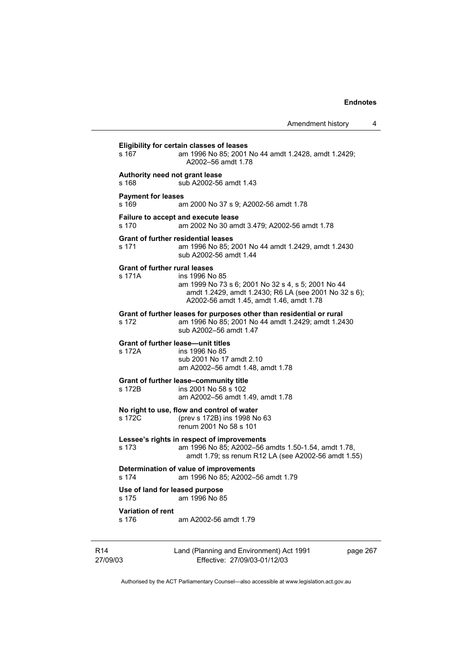| Amendment history |  |
|-------------------|--|
|-------------------|--|

**Eligibility for certain classes of leases**  s 167 am 1996 No 85; 2001 No 44 amdt 1.2428, amdt 1.2429; A2002–56 amdt 1.78 **Authority need not grant lease**  s 168 sub A2002-56 amdt 1.43 **Payment for leases**  s 169 am 2000 No 37 s 9; A2002-56 amdt 1.78 **Failure to accept and execute lease**  s 170 am 2002 No 30 amdt 3.479; A2002-56 amdt 1.78 **Grant of further residential leases**  s 171 am 1996 No 85; 2001 No 44 amdt 1.2429, amdt 1.2430 sub A2002-56 amdt 1.44 **Grant of further rural leases**  s 171A ins 1996 No 85 am 1999 No 73 s 6; 2001 No 32 s 4, s 5; 2001 No 44 amdt 1.2429, amdt 1.2430; R6 LA (see 2001 No 32 s 6); A2002-56 amdt 1.45, amdt 1.46, amdt 1.78 **Grant of further leases for purposes other than residential or rural**  s 172 am 1996 No 85; 2001 No 44 amdt 1.2429; amdt 1.2430 sub A2002–56 amdt 1.47 **Grant of further lease—unit titles**  s 172A ins 1996 No 85 sub 2001 No 17 amdt 2.10 am A2002–56 amdt 1.48, amdt 1.78 **Grant of further lease–community title**  s 172B ins 2001 No 58 s 102 am A2002–56 amdt 1.49, amdt 1.78 **No right to use, flow and control of water**  s 172C (prev s 172B) ins 1998 No 63 renum 2001 No 58 s 101 **Lessee's rights in respect of improvements**  s 173 am 1996 No 85; A2002–56 amdts 1.50-1.54, amdt 1.78, amdt 1.79; ss renum R12 LA (see A2002-56 amdt 1.55) **Determination of value of improvements**  s 174 am 1996 No 85; A2002–56 amdt 1.79 **Use of land for leased purpose**  s 175 am 1996 No 85 **Variation of rent**  s 176 am A2002-56 amdt 1.79

R14 27/09/03 Land (Planning and Environment) Act 1991 Effective: 27/09/03-01/12/03

page 267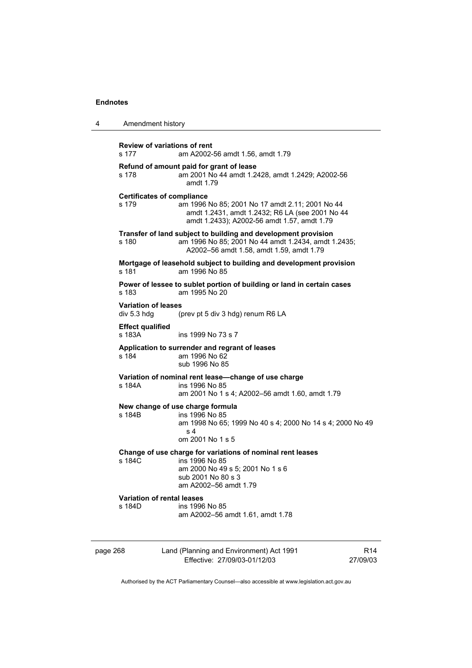4 Amendment history

| <b>Review of variations of rent</b><br>s 177 | am A2002-56 amdt 1.56, amdt 1.79                                                                                                                                  |
|----------------------------------------------|-------------------------------------------------------------------------------------------------------------------------------------------------------------------|
| s 178                                        | Refund of amount paid for grant of lease<br>am 2001 No 44 amdt 1.2428, amdt 1.2429; A2002-56<br>amdt $1.79$                                                       |
| <b>Certificates of compliance</b><br>s 179   | am 1996 No 85; 2001 No 17 amdt 2.11; 2001 No 44<br>amdt 1.2431, amdt 1.2432; R6 LA (see 2001 No 44<br>amdt 1.2433); A2002-56 amdt 1.57, amdt 1.79                 |
| s 180                                        | Transfer of land subject to building and development provision<br>am 1996 No 85; 2001 No 44 amdt 1.2434, amdt 1.2435;<br>A2002-56 amdt 1.58, amdt 1.59, amdt 1.79 |
| s 181                                        | Mortgage of leasehold subject to building and development provision<br>am 1996 No 85                                                                              |
| s 183                                        | Power of lessee to sublet portion of building or land in certain cases<br>am 1995 No 20                                                                           |
| <b>Variation of leases</b><br>div 5.3 hdg    | (prev pt 5 div 3 hdg) renum R6 LA                                                                                                                                 |
| <b>Effect qualified</b><br>s 183A            | ins 1999 No 73 s 7                                                                                                                                                |
| s 184                                        | Application to surrender and regrant of leases<br>am 1996 No 62<br>sub 1996 No 85                                                                                 |
| s 184A                                       | Variation of nominal rent lease-change of use charge<br>ins 1996 No 85<br>am 2001 No 1 s 4; A2002-56 amdt 1.60, amdt 1.79                                         |
| s 184B                                       | New change of use charge formula<br>ins 1996 No 85<br>am 1998 No 65; 1999 No 40 s 4; 2000 No 14 s 4; 2000 No 49<br>s 4<br>om 2001 No 1 s 5                        |
| s 184C                                       | Change of use charge for variations of nominal rent leases<br>ins 1996 No 85<br>am 2000 No 49 s 5; 2001 No 1 s 6<br>sub 2001 No 80 s 3<br>am A2002-56 amdt 1.79   |
| <b>Variation of rental leases</b><br>s 184D  | ins 1996 No 85<br>am A2002-56 amdt 1.61, amdt 1.78                                                                                                                |
|                                              |                                                                                                                                                                   |

page 268 Land (Planning and Environment) Act 1991 Effective: 27/09/03-01/12/03

R14 27/09/03

 $\overline{\phantom{0}}$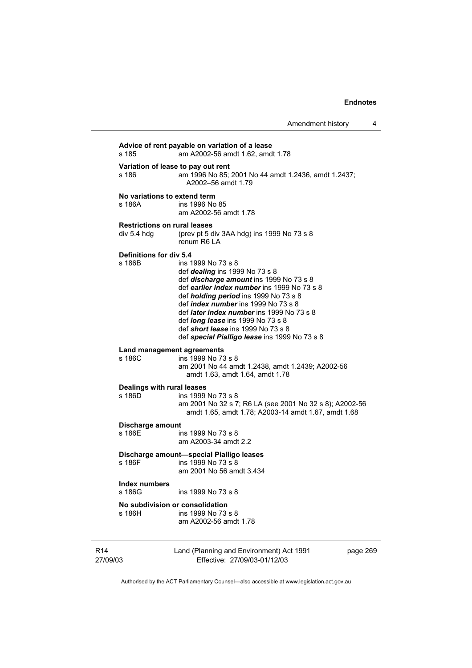**Advice of rent payable on variation of a lease**  s 185 am A2002-56 amdt 1.62, amdt 1.78 **Variation of lease to pay out rent**  s 186 am 1996 No 85; 2001 No 44 amdt 1.2436, amdt 1.2437; A2002–56 amdt 1.79 **No variations to extend term**  s 186A ins 1996 No 85 am A2002-56 amdt 1.78 **Restrictions on rural leases**  div 5.4 hdg (prev pt 5 div 3AA hdg) ins 1999 No 73 s 8 renum R6 LA **Definitions for div 5.4**  ins 1999 No 73 s 8 def *dealing* ins 1999 No 73 s 8 def *discharge amount* ins 1999 No 73 s 8 def *earlier index number* ins 1999 No 73 s 8 def *holding period* ins 1999 No 73 s 8 def *index number* ins 1999 No 73 s 8 def *later index number* ins 1999 No 73 s 8 def *long lease* ins 1999 No 73 s 8 def *short lease* ins 1999 No 73 s 8 def *special Pialligo lease* ins 1999 No 73 s 8 **Land management agreements**  s 186C ins 1999 No 73 s 8 am 2001 No 44 amdt 1.2438, amdt 1.2439; A2002-56 amdt 1.63, amdt 1.64, amdt 1.78 **Dealings with rural leases**  ins 1999 No 73 s 8 am 2001 No 32 s 7; R6 LA (see 2001 No 32 s 8); A2002-56 amdt 1.65, amdt 1.78; A2003-14 amdt 1.67, amdt 1.68 **Discharge amount**  s 186E ins 1999 No 73 s 8 am A2003-34 amdt 2.2 **Discharge amount—special Pialligo leases**  s 186F ins 1999 No 73 s 8 am 2001 No 56 amdt 3.434 **Index numbers**  ins 1999 No 73 s 8 **No subdivision or consolidation**  ins 1999 No 73 s 8 am A2002-56 amdt 1.78

R14 27/09/03 Land (Planning and Environment) Act 1991 Effective: 27/09/03-01/12/03 page 269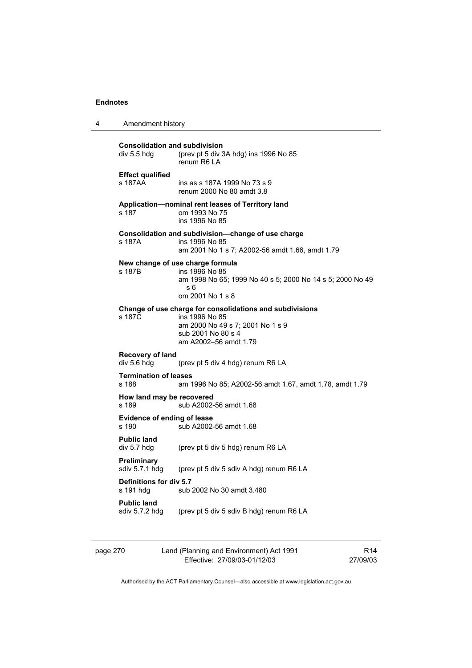| $\boldsymbol{4}$ | Amendment history |
|------------------|-------------------|
|------------------|-------------------|

| <b>Consolidation and subdivision</b><br>div 5.5 hdg<br>(prev pt 5 div 3A hdg) ins 1996 No 85<br>renum R6 LA |                                                                                                                                                               |  |  |
|-------------------------------------------------------------------------------------------------------------|---------------------------------------------------------------------------------------------------------------------------------------------------------------|--|--|
| <b>Effect qualified</b><br>s 187AA                                                                          | ins as s 187A 1999 No 73 s 9<br>renum 2000 No 80 amdt 3.8                                                                                                     |  |  |
| s 187                                                                                                       | Application-nominal rent leases of Territory land<br>om 1993 No 75<br>ins 1996 No 85                                                                          |  |  |
| s 187A                                                                                                      | Consolidation and subdivision—change of use charge<br>ins 1996 No 85<br>am 2001 No 1 s 7; A2002-56 amdt 1.66, amdt 1.79                                       |  |  |
| s 187B                                                                                                      | New change of use charge formula<br>ins 1996 No 85<br>am 1998 No 65; 1999 No 40 s 5; 2000 No 14 s 5; 2000 No 49<br>s 6<br>om 2001 No 1 s 8                    |  |  |
| s 187C                                                                                                      | Change of use charge for consolidations and subdivisions<br>ins 1996 No 85<br>am 2000 No 49 s 7; 2001 No 1 s 9<br>sub 2001 No 80 s 4<br>am A2002-56 amdt 1.79 |  |  |
| Recovery of land<br>div 5.6 hdg                                                                             | (prev pt 5 div 4 hdg) renum R6 LA                                                                                                                             |  |  |
| <b>Termination of leases</b><br>s 188                                                                       | am 1996 No 85; A2002-56 amdt 1.67, amdt 1.78, amdt 1.79                                                                                                       |  |  |
| How land may be recovered<br>s 189                                                                          | sub A2002-56 amdt 1.68                                                                                                                                        |  |  |
| Evidence of ending of lease<br>s 190                                                                        | sub A2002-56 amdt 1.68                                                                                                                                        |  |  |
| <b>Public land</b><br>div 5.7 hdg                                                                           | (prev pt 5 div 5 hdg) renum R6 LA                                                                                                                             |  |  |
| <b>Preliminary</b><br>sdiv 5.7.1 hdg                                                                        | (prev pt 5 div 5 sdiv A hdg) renum R6 LA                                                                                                                      |  |  |
| Definitions for div 5.7<br>s 191 hdg                                                                        | sub 2002 No 30 amdt 3.480                                                                                                                                     |  |  |
| <b>Public land</b><br>sdiv 5.7.2 hdg                                                                        | (prev pt 5 div 5 sdiv B hdg) renum R6 LA                                                                                                                      |  |  |

| page 270 | Land (Planning and Environment) Act 1991 | R <sub>14</sub> |
|----------|------------------------------------------|-----------------|
|          | Effective: 27/09/03-01/12/03             | 27/09/03        |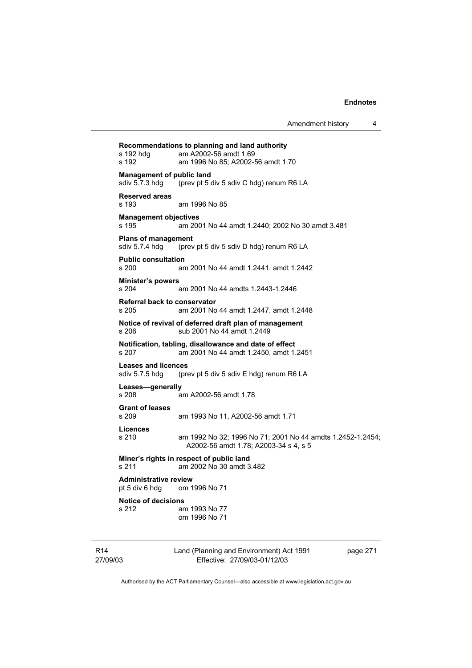Land (Planning and Environment) Act 1991 **Recommendations to planning and land authority**  s 192 hdg am A2002-56 amdt 1.69 s 192 am 1996 No 85; A2002-56 amdt 1.70 **Management of public land<br>sdiv 5.7.3 hdg** (prev pt 5 d (prev pt 5 div 5 sdiv C hdg) renum R6 LA **Reserved areas**  s 193 am 1996 No 85 **Management objectives**  s 195 am 2001 No 44 amdt 1.2440; 2002 No 30 amdt 3.481 **Plans of management**  sdiv 5.7.4 hdg (prev pt 5 div 5 sdiv D hdg) renum R6 LA **Public consultation**  s 200 am 2001 No 44 amdt 1.2441, amdt 1.2442 **Minister's powers**  s 204 am 2001 No 44 amdts 1.2443-1.2446 **Referral back to conservator**  s 205 am 2001 No 44 amdt 1.2447, amdt 1.2448 **Notice of revival of deferred draft plan of management**  s 206 sub 2001 No 44 amdt 1.2449 **Notification, tabling, disallowance and date of effect**  s 207 am 2001 No 44 amdt 1.2450, amdt 1.2451 **Leases and licences**  sdiv 5.7.5 hdg (prev pt 5 div 5 sdiv E hdg) renum R6 LA **Leases—generally**  s 208 am A2002-56 amdt 1.78 **Grant of leases**  s 209 am 1993 No 11, A2002-56 amdt 1.71 **Licences**  s 210 am 1992 No 32; 1996 No 71; 2001 No 44 amdts 1.2452-1.2454; A2002-56 amdt 1.78; A2003-34 s 4, s 5 **Miner's rights in respect of public land**  s 211 am 2002 No 30 amdt 3.482 **Administrative review**  pt 5 div 6 hdg om 1996 No 71 **Notice of decisions**  s 212 am 1993 No 77 om 1996 No 71

R14 27/09/03

Effective: 27/09/03-01/12/03

page 271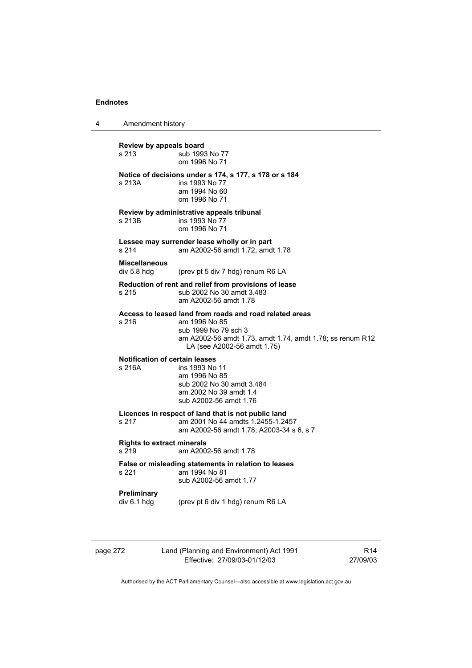4 Amendment history

**Review by appeals board**  s 213 **Sub 1993** No 77 om 1996 No 71 **Notice of decisions under s 174, s 177, s 178 or s 184**  s 213A ins 1993 No 77 am 1994 No 60 om 1996 No 71 **Review by administrative appeals tribunal**  s 213B ins 1993 No 77 om 1996 No 71 **Lessee may surrender lease wholly or in part**  s 214 am A2002-56 amdt 1.72, amdt 1.78 **Miscellaneous**  div 5.8 hdg (prev pt 5 div 7 hdg) renum R6 LA **Reduction of rent and relief from provisions of lease**  s 215 sub 2002 No 30 amdt 3.483 am A2002-56 amdt 1.78 **Access to leased land from roads and road related areas**  s 216 am 1996 No 85 sub 1999 No 79 sch 3 am A2002-56 amdt 1.73, amdt 1.74, amdt 1.78; ss renum R12 LA (see A2002-56 amdt 1.75) **Notification of certain leases**  s 216A ins 1993 No 11 am 1996 No 85 sub 2002 No 30 amdt 3.484 am 2002 No 39 amdt 1.4 sub A2002-56 amdt 1.76 **Licences in respect of land that is not public land**  am 2001 No 44 amdts 1.2455-1.2457 am A2002-56 amdt 1.78; A2003-34 s 6, s 7 **Rights to extract minerals**  s 219 am A2002-56 amdt 1.78 **False or misleading statements in relation to leases**  am 1994 No 81 sub A2002-56 amdt 1.77 **Preliminary**  div 6.1 hdg (prev pt 6 div 1 hdg) renum R6 LA

|--|

272 Land (Planning and Environment) Act 1991 Effective: 27/09/03-01/12/03

R14 27/09/03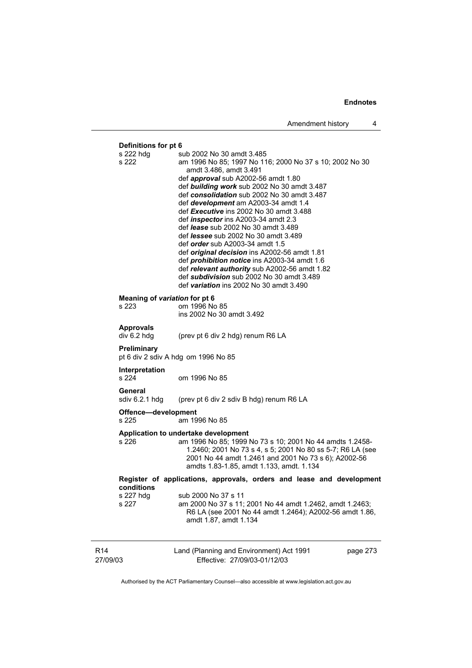27/09/03 Land (Planning and Environment) Act 1991 Effective: 27/09/03-01/12/03 page 273 **Definitions for pt 6** s 222 hdg s sub 2002 No 30 amdt 3.485 s 222 am 1996 No 85; 1997 No 116; 2000 No 37 s 10; 2002 No 30 amdt 3.486, amdt 3.491 def *approval* sub A2002-56 amdt 1.80 def *building work* sub 2002 No 30 amdt 3.487 def *consolidation* sub 2002 No 30 amdt 3.487 def *development* am A2003-34 amdt 1.4 def *Executive* ins 2002 No 30 amdt 3.488 def *inspector* ins A2003-34 amdt 2.3 def *lease* sub 2002 No 30 amdt 3.489 def *lessee* sub 2002 No 30 amdt 3.489 def *order* sub A2003-34 amdt 1.5 def *original decision* ins A2002-56 amdt 1.81 def *prohibition notice* ins A2003-34 amdt 1.6 def *relevant authority* sub A2002-56 amdt 1.82 def *subdivision* sub 2002 No 30 amdt 3.489 def *variation* ins 2002 No 30 amdt 3.490 **Meaning of** *variation* **for pt 6**  s 223 om 1996 No 85 ins 2002 No 30 amdt 3.492 **Approvals**  div 6.2 hdg (prev pt 6 div 2 hdg) renum R6 LA **Preliminary**  pt 6 div 2 sdiv A hdg om 1996 No 85 **Interpretation**  s 224 om 1996 No 85 **General**  sdiv 6.2.1 hdg (prev pt 6 div 2 sdiv B hdg) renum R6 LA **Offence—development**  s 225 am 1996 No 85 **Application to undertake development**  s 226 am 1996 No 85; 1999 No 73 s 10; 2001 No 44 amdts 1.2458- 1.2460; 2001 No 73 s 4, s 5; 2001 No 80 ss 5-7; R6 LA (see 2001 No 44 amdt 1.2461 and 2001 No 73 s 6); A2002-56 amdts 1.83-1.85, amdt 1.133, amdt. 1.134 **Register of applications, approvals, orders and lease and development conditions**  s 227 hdg sub 2000 No 37 s 11<br>s 227 am 2000 No 37 s 11: am 2000 No 37 s 11; 2001 No 44 amdt 1.2462, amdt 1.2463: R6 LA (see 2001 No 44 amdt 1.2464); A2002-56 amdt 1.86, amdt 1.87, amdt 1.134

Authorised by the ACT Parliamentary Counsel—also accessible at www.legislation.act.gov.au

R14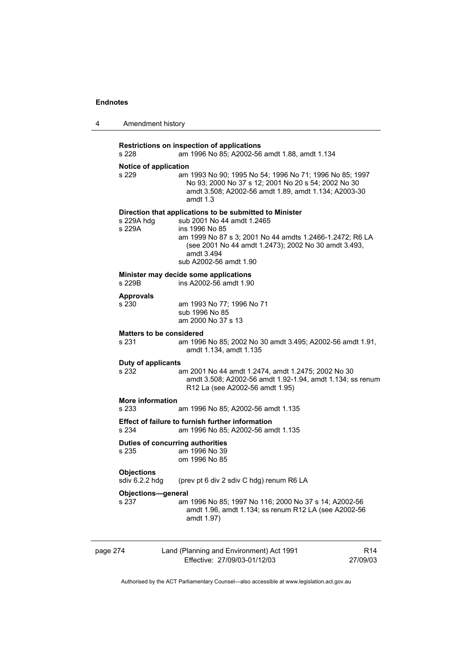| 4        | Amendment history                     |                                                                                                                                                                                                                                                                     |                             |
|----------|---------------------------------------|---------------------------------------------------------------------------------------------------------------------------------------------------------------------------------------------------------------------------------------------------------------------|-----------------------------|
|          | s 228                                 | Restrictions on inspection of applications<br>am 1996 No 85; A2002-56 amdt 1.88, amdt 1.134                                                                                                                                                                         |                             |
|          | <b>Notice of application</b><br>s 229 | am 1993 No 90; 1995 No 54; 1996 No 71; 1996 No 85; 1997<br>No 93; 2000 No 37 s 12; 2001 No 20 s 54; 2002 No 30<br>amdt 3.508; A2002-56 amdt 1.89, amdt 1.134; A2003-30<br>amdt 1.3                                                                                  |                             |
|          | s 229A hda<br>s 229A                  | Direction that applications to be submitted to Minister<br>sub 2001 No 44 amdt 1.2465<br>ins 1996 No 85<br>am 1999 No 87 s 3; 2001 No 44 amdts 1.2466-1.2472; R6 LA<br>(see 2001 No 44 amdt 1.2473); 2002 No 30 amdt 3.493,<br>amdt 3.494<br>sub A2002-56 amdt 1.90 |                             |
|          | s 229B                                | Minister may decide some applications<br>ins A2002-56 amdt 1.90                                                                                                                                                                                                     |                             |
|          | <b>Approvals</b><br>s 230             | am 1993 No 77; 1996 No 71<br>sub 1996 No 85<br>am 2000 No 37 s 13                                                                                                                                                                                                   |                             |
|          | s 231                                 | <b>Matters to be considered</b><br>am 1996 No 85; 2002 No 30 amdt 3.495; A2002-56 amdt 1.91,<br>amdt 1.134, amdt 1.135                                                                                                                                              |                             |
|          | <b>Duty of applicants</b><br>s 232    | am 2001 No 44 amdt 1.2474, amdt 1.2475; 2002 No 30<br>amdt 3.508; A2002-56 amdt 1.92-1.94, amdt 1.134; ss renum<br>R12 La (see A2002-56 amdt 1.95)                                                                                                                  |                             |
|          | <b>More information</b><br>s 233      | am 1996 No 85; A2002-56 amdt 1.135                                                                                                                                                                                                                                  |                             |
|          | s 234                                 | <b>Effect of failure to furnish further information</b><br>am 1996 No 85; A2002-56 amdt 1.135                                                                                                                                                                       |                             |
|          | s 235                                 | Duties of concurring authorities<br>am 1996 No 39<br>om 1996 No 85                                                                                                                                                                                                  |                             |
|          | <b>Objections</b><br>sdiv 6.2.2 hdg   | (prev pt 6 div 2 sdiv C hdg) renum R6 LA                                                                                                                                                                                                                            |                             |
|          | Objections-general<br>s 237           | am 1996 No 85; 1997 No 116; 2000 No 37 s 14; A2002-56<br>amdt 1.96, amdt 1.134; ss renum R12 LA (see A2002-56<br>amdt 1.97)                                                                                                                                         |                             |
| page 274 |                                       | Land (Planning and Environment) Act 1991<br>Effective: 27/09/03-01/12/03                                                                                                                                                                                            | R <sub>14</sub><br>27/09/03 |
|          |                                       | Authorised by the ACT Parliamentary Counsel—also accessible at www.legislation.act.gov.au                                                                                                                                                                           |                             |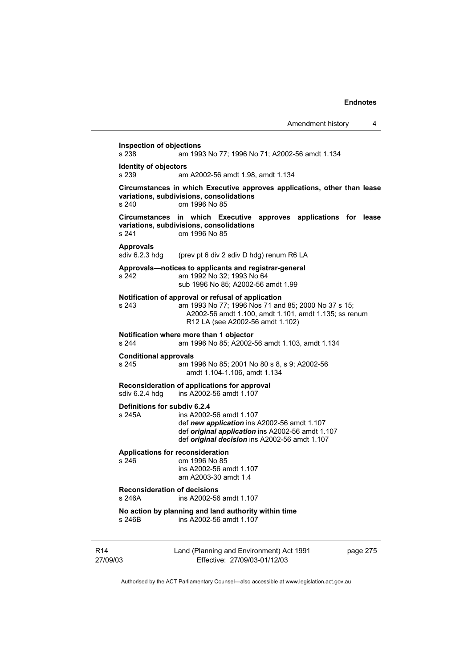| Amendment history |  |
|-------------------|--|
|-------------------|--|

R14 27/09/03 Land (Planning and Environment) Act 1991 Effective: 27/09/03-01/12/03 page 275 **Inspection of objections**  s 238 am 1993 No 77; 1996 No 71; A2002-56 amdt 1.134 **Identity of objectors**<br>s 239 am am A2002-56 amdt 1.98, amdt 1.134 **Circumstances in which Executive approves applications, other than lease variations, subdivisions, consolidations**  s 240 om 1996 No 85 **Circumstances in which Executive approves applications for lease variations, subdivisions, consolidations**  s 241 om 1996 No 85 Approvals<br>sdiv 6.2.3 hdg (prev pt 6 div 2 sdiv D hdg) renum R6 LA **Approvals—notices to applicants and registrar-general**  s 242 am 1992 No 32; 1993 No 64 sub 1996 No 85; A2002-56 amdt 1.99 **Notification of approval or refusal of application**  s 243 am 1993 No 77; 1996 Nos 71 and 85; 2000 No 37 s 15; A2002-56 amdt 1.100, amdt 1.101, amdt 1.135; ss renum R12 LA (see A2002-56 amdt 1.102) **Notification where more than 1 objector**  am 1996 No 85; A2002-56 amdt 1.103, amdt 1.134 **Conditional approvals**  s 245 am 1996 No 85; 2001 No 80 s 8, s 9; A2002-56 amdt 1.104-1.106, amdt 1.134 **Reconsideration of applications for approval**  sdiv 6.2.4 hdg ins A2002-56 amdt 1.107 **Definitions for subdiv 6.2.4**  ins A2002-56 amdt 1.107 def *new application* ins A2002-56 amdt 1.107 def *original application* ins A2002-56 amdt 1.107 def *original decision* ins A2002-56 amdt 1.107 **Applications for reconsideration**  s 246 om 1996 No 85 ins A2002-56 amdt 1.107 am A2003-30 amdt 1.4 **Reconsideration of decisions**  s 246A ins A2002-56 amdt 1.107 **No action by planning and land authority within time**  s 246B ins A2002-56 amdt 1.107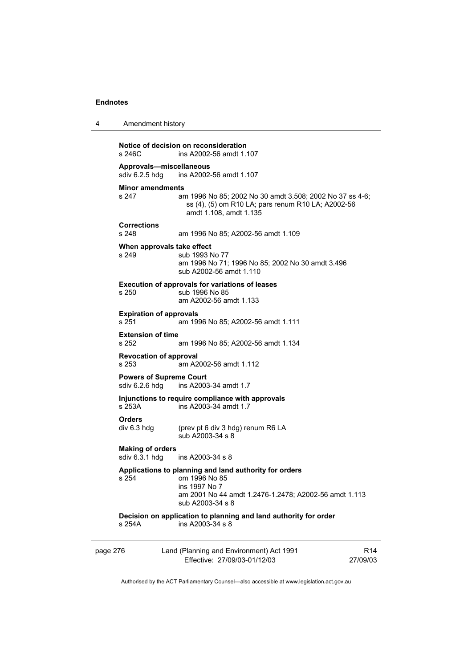|        | Notice of decision on reconsideration |
|--------|---------------------------------------|
| s 246C | ins A2002-56 amdt 1.107               |

4 Amendment history

**Approvals—miscellaneous**  ins A2002-56 amdt 1.107

# **Minor amendments**<br>s 247 am

am 1996 No 85; 2002 No 30 amdt 3.508; 2002 No 37 ss 4-6; ss (4), (5) om R10 LA; pars renum R10 LA; A2002-56 amdt 1.108, amdt 1.135

# **Corrections**

s 248 am 1996 No 85; A2002-56 amdt 1.109

## **When approvals take effect**

s 249 sub 1993 No 77 am 1996 No 71; 1996 No 85; 2002 No 30 amdt 3.496 sub A2002-56 amdt 1.110

#### **Execution of approvals for variations of leases**  s 250 sub 1996 No 85

am A2002-56 amdt 1.133

# **Expiration of approvals**

s 251 am 1996 No 85; A2002-56 amdt 1.111

# **Extension of time**<br>s 252

am 1996 No 85; A2002-56 amdt 1.134

## **Revocation of approval**

s 253 am A2002-56 amdt 1.112

# **Powers of Supreme Court**<br>sdiv 6.2.6 hdg ins A2003

ins A2003-34 amdt 1.7

# **Injunctions to require compliance with approvals**

s 253A ins A2003-34 amdt 1.7

#### **Orders**

div 6.3 hdg (prev pt 6 div 3 hdg) renum R6 LA sub A2003-34 s 8

# **Making of orders**

 $ins A2003-34 s 8$ 

## **Applications to planning and land authority for orders**

s 254 om 1996 No 85 ins 1997 No 7 am 2001 No 44 amdt 1.2476-1.2478; A2002-56 amdt 1.113 sub A2003-34 s 8

## **Decision on application to planning and land authority for order**  s 254A ins A2003-34 s 8

page 276 Land (Planning and Environment) Act 1991 Effective: 27/09/03-01/12/03 R14 27/09/03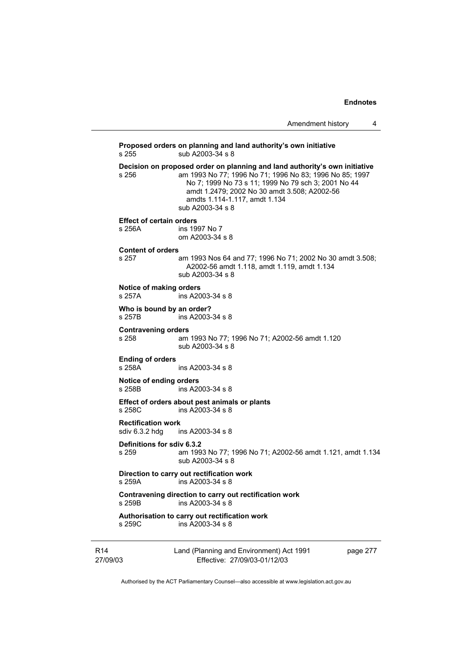Amendment history 4

Land (Planning and Environment) Act 1991 page 277 **Proposed orders on planning and land authority's own initiative**  s 255 sub A2003-34 s 8 **Decision on proposed order on planning and land authority's own initiative**<br>s 256 am 1993 No 77: 1996 No 71: 1996 No 83: 1996 No 85: 1997 am 1993 No 77; 1996 No 71; 1996 No 83; 1996 No 85; 1997 No 7; 1999 No 73 s 11; 1999 No 79 sch 3; 2001 No 44 amdt 1.2479; 2002 No 30 amdt 3.508; A2002-56 amdts 1.114-1.117, amdt 1.134 sub A2003-34 s 8 **Effect of certain orders**  s 256A ins 1997 No 7 om A2003-34 s 8 **Content of orders**  s 257 am 1993 Nos 64 and 77; 1996 No 71; 2002 No 30 amdt 3.508; A2002-56 amdt 1.118, amdt 1.119, amdt 1.134 sub A2003-34 s 8 **Notice of making orders**  s 257A ins A2003-34 s 8 **Who is bound by an order?**<br>s 257B ins A2003ins A2003-34 s 8 **Contravening orders**  s 258 am 1993 No 77; 1996 No 71; A2002-56 amdt 1.120 sub A2003-34 s 8 **Ending of orders**  s 258A ins A2003-34 s 8 **Notice of ending orders**  ins A2003-34 s 8 **Effect of orders about pest animals or plants**  s 258C ins A2003-34 s 8 **Rectification work**  sdiv 6.3.2 hdg ins A2003-34 s 8 **Definitions for sdiv 6.3.2**  s 259 am 1993 No 77; 1996 No 71; A2002-56 amdt 1.121, amdt 1.134 sub A2003-34 s 8 **Direction to carry out rectification work**  ins A2003-34 s 8 **Contravening direction to carry out rectification work**  s 259B ins A2003-34 s 8 **Authorisation to carry out rectification work**  s 259C ins A2003-34 s 8

Authorised by the ACT Parliamentary Counsel—also accessible at www.legislation.act.gov.au

Effective: 27/09/03-01/12/03

R14 27/09/03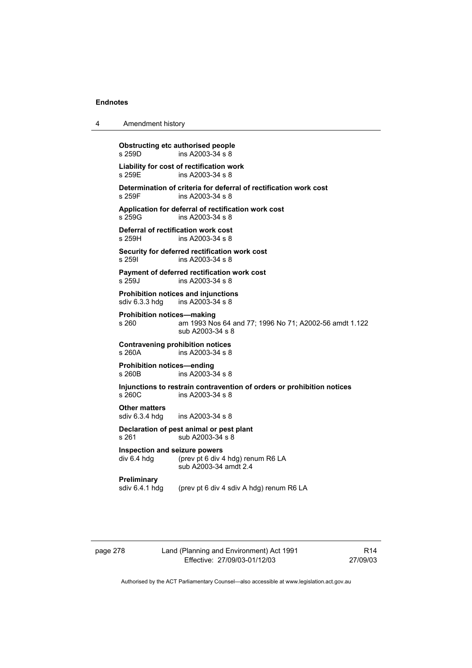| 4 | Amendment history |
|---|-------------------|
|---|-------------------|

**Obstructing etc authorised people**<br>s 259D ins A2003-34 s 8  $ins A2003-34 s 8$ **Liability for cost of rectification work**  ins A2003-34 s 8 **Determination of criteria for deferral of rectification work cost**  ins A2003-34 s 8 **Application for deferral of rectification work cost**  s 259G ins A2003-34 s 8 **Deferral of rectification work cost**  ins A2003-34 s 8 **Security for deferred rectification work cost**  s 259I ins A2003-34 s 8 **Payment of deferred rectification work cost**  s 259J ins A2003-34 s 8 **Prohibition notices and injunctions**  sdiv 6.3.3 hdg ins A2003-34 s 8 **Prohibition notices—making**  s 260 am 1993 Nos 64 and 77; 1996 No 71; A2002-56 amdt 1.122 sub A2003-34 s 8 **Contravening prohibition notices**  ins A2003-34 s 8 **Prohibition notices—ending**  s 260B ins A2003-34 s 8 **Injunctions to restrain contravention of orders or prohibition notices**  ins A2003-34 s 8 **Other matters**  sdiv 6.3.4 hdg ins A2003-34 s 8 **Declaration of pest animal or pest plant**  s 261 sub A2003-34 s 8 **Inspection and seizure powers**  div 6.4 hdg (prev pt 6 div 4 hdg) renum R6 LA sub A2003-34 amdt 2.4 **Preliminary**  sdiv 6.4.1 hdg (prev pt 6 div 4 sdiv A hdg) renum R6 LA

page 278 Land (Planning and Environment) Act 1991 Effective: 27/09/03-01/12/03

R14 27/09/03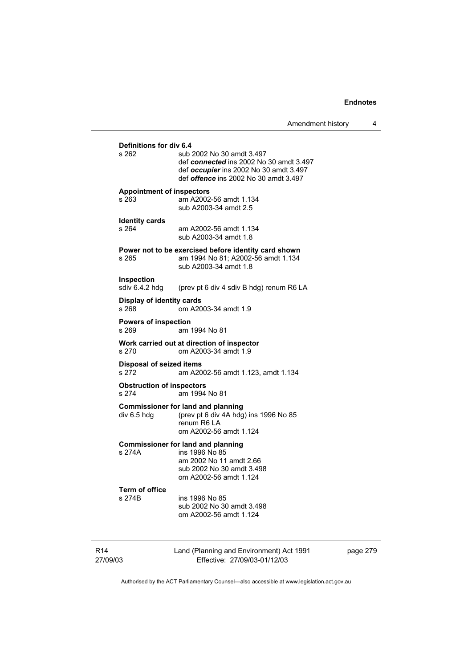Amendment history 4

| Definitions for div 6.4                   |                                                                                                                                                                       |
|-------------------------------------------|-----------------------------------------------------------------------------------------------------------------------------------------------------------------------|
| s 262                                     | sub 2002 No 30 amdt 3.497<br>def connected ins 2002 No 30 amdt 3.497<br>def <i>occupier</i> ins 2002 No 30 amdt 3.497<br>def <i>offence</i> ins 2002 No 30 amdt 3.497 |
| <b>Appointment of inspectors</b><br>s 263 | am A2002-56 amdt 1.134<br>sub A2003-34 amdt 2.5                                                                                                                       |
| <b>Identity cards</b><br>s 264            | am A2002-56 amdt 1.134<br>sub A2003-34 amdt 1.8                                                                                                                       |
| s 265                                     | Power not to be exercised before identity card shown<br>am 1994 No 81; A2002-56 amdt 1.134<br>sub A2003-34 amdt 1.8                                                   |
| <b>Inspection</b><br>sdiv 6.4.2 hdg       | (prev pt 6 div 4 sdiv B hdg) renum R6 LA                                                                                                                              |
| Display of identity cards<br>s 268        | om A2003-34 amdt 1.9                                                                                                                                                  |
| <b>Powers of inspection</b><br>s 269      | am 1994 No 81                                                                                                                                                         |
| s 270                                     | Work carried out at direction of inspector<br>om A2003-34 amdt 1.9                                                                                                    |
| <b>Disposal of seized items</b><br>s 272  | am A2002-56 amdt 1.123, amdt 1.134                                                                                                                                    |
| <b>Obstruction of inspectors</b><br>s 274 | am 1994 No 81                                                                                                                                                         |
| div 6.5 hdg                               | <b>Commissioner for land and planning</b><br>(prev pt 6 div 4A hdg) ins 1996 No 85<br>renum R6 LA<br>om A2002-56 amdt 1.124                                           |
| s 274A                                    | <b>Commissioner for land and planning</b><br>ins 1996 No 85<br>am 2002 No 11 amdt 2.66<br>sub 2002 No 30 amdt 3.498<br>om A2002-56 amdt 1.124                         |
| <b>Term of office</b><br>s 274B           | ins 1996 No 85<br>sub 2002 No 30 amdt 3.498<br>om A2002-56 amdt 1.124                                                                                                 |
|                                           | Land (Planning and Environment) Act 1991                                                                                                                              |

page 279

27/09/03

Effective: 27/09/03-01/12/03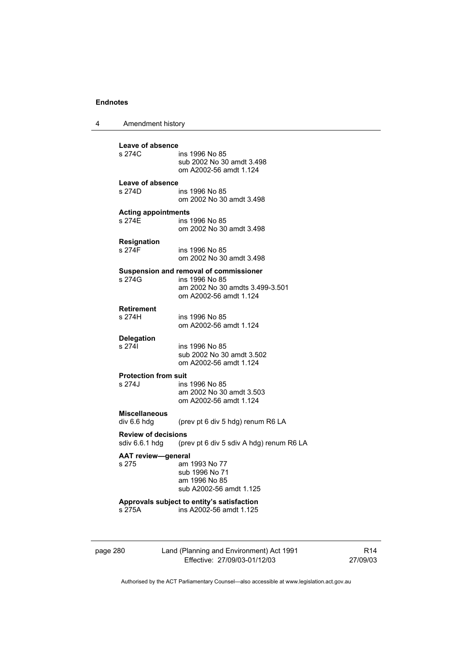| 4 | Amendment history |  |
|---|-------------------|--|
|---|-------------------|--|

| Leave of absence<br>s 274C          | ins 1996 No 85                                            |
|-------------------------------------|-----------------------------------------------------------|
|                                     | sub 2002 No 30 amdt 3.498<br>om A2002-56 amdt 1.124       |
| Leave of absence                    |                                                           |
| s 274D.                             | ins 1996 No 85<br>om 2002 No 30 amdt 3.498                |
| <b>Acting appointments</b>          |                                                           |
| s 274E                              | ins 1996 No 85<br>om 2002 No 30 amdt 3.498                |
|                                     |                                                           |
| <b>Resignation</b><br>s 274F        | ins 1996 No 85                                            |
|                                     | om 2002 No 30 amdt 3.498                                  |
|                                     | Suspension and removal of commissioner                    |
| s 274G                              | ins 1996 No 85                                            |
|                                     | am 2002 No 30 amdts 3.499-3.501<br>om A2002-56 amdt 1.124 |
| <b>Retirement</b>                   |                                                           |
| s 274H                              | ins 1996 No 85                                            |
|                                     | om A2002-56 amdt 1.124                                    |
| <b>Delegation</b>                   |                                                           |
| s 2741                              | ins 1996 No 85<br>sub 2002 No 30 amdt 3.502               |
|                                     | om A2002-56 amdt 1.124                                    |
| <b>Protection from suit</b>         |                                                           |
| s 274J                              | ins 1996 No 85                                            |
|                                     | am 2002 No 30 amdt 3.503<br>om A2002-56 amdt 1.124        |
|                                     |                                                           |
| <b>Miscellaneous</b><br>div 6.6 hdg | (prev pt 6 div 5 hdg) renum R6 LA                         |
| <b>Review of decisions</b>          |                                                           |
| sdiv 6.6.1 hdg                      | (prev pt 6 div 5 sdiv A hdg) renum R6 LA                  |
| <b>AAT review-general</b>           |                                                           |
| s 275                               | am 1993 No 77<br>sub 1996 No 71                           |
|                                     | am 1996 No 85                                             |
|                                     | sub A2002-56 amdt 1.125                                   |
|                                     | Approvals subject to entity's satisfaction                |
| s 275A                              | ins A2002-56 amdt 1.125                                   |
|                                     |                                                           |
|                                     |                                                           |

page 280 Land (Planning and Environment) Act 1991 Effective: 27/09/03-01/12/03

R14 27/09/03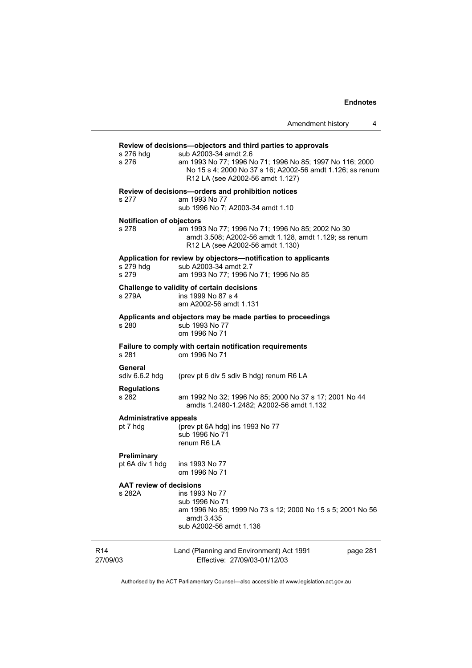|                                           | Amendment history<br>4                                                                                                                                                                                                                             |
|-------------------------------------------|----------------------------------------------------------------------------------------------------------------------------------------------------------------------------------------------------------------------------------------------------|
| s 276 hdg<br>s 276                        | Review of decisions-objectors and third parties to approvals<br>sub A2003-34 amdt 2.6<br>am 1993 No 77; 1996 No 71; 1996 No 85; 1997 No 116; 2000<br>No 15 s 4; 2000 No 37 s 16; A2002-56 amdt 1.126; ss renum<br>R12 LA (see A2002-56 amdt 1.127) |
| s 277                                     | Review of decisions-orders and prohibition notices<br>am 1993 No 77<br>sub 1996 No 7; A2003-34 amdt 1.10                                                                                                                                           |
| <b>Notification of objectors</b><br>s 278 | am 1993 No 77; 1996 No 71; 1996 No 85; 2002 No 30<br>amdt 3.508; A2002-56 amdt 1.128, amdt 1.129; ss renum<br>R12 LA (see A2002-56 amdt 1.130)                                                                                                     |
| s 279 hdg<br>s 279                        | Application for review by objectors-notification to applicants<br>sub A2003-34 amdt 2.7<br>am 1993 No 77; 1996 No 71; 1996 No 85                                                                                                                   |
| s 279A                                    | Challenge to validity of certain decisions<br>ins 1999 No 87 s 4<br>am A2002-56 amdt 1.131                                                                                                                                                         |
| s 280                                     | Applicants and objectors may be made parties to proceedings<br>sub 1993 No 77<br>om 1996 No 71                                                                                                                                                     |
| s 281                                     | Failure to comply with certain notification requirements<br>om 1996 No 71                                                                                                                                                                          |
| General<br>sdiv 6.6.2 hdg                 | (prev pt 6 div 5 sdiv B hdg) renum R6 LA                                                                                                                                                                                                           |
| <b>Regulations</b><br>s 282               | am 1992 No 32; 1996 No 85; 2000 No 37 s 17; 2001 No 44<br>amdts 1.2480-1.2482; A2002-56 amdt 1.132                                                                                                                                                 |
| <b>Administrative appeals</b><br>pt 7 hdg | (prev pt 6A hdg) ins 1993 No 77<br>sub 1996 No 71<br>renum R6 LA                                                                                                                                                                                   |
| <b>Preliminary</b><br>pt 6A div 1 hdg     | ins 1993 No 77<br>om 1996 No 71                                                                                                                                                                                                                    |
| <b>AAT review of decisions</b><br>s 282A  | ins 1993 No 77<br>sub 1996 No 71<br>am 1996 No 85; 1999 No 73 s 12; 2000 No 15 s 5; 2001 No 56<br>amdt 3.435<br>sub A2002-56 amdt 1.136                                                                                                            |
| R <sub>14</sub><br>27/09/03               | Land (Planning and Environment) Act 1991<br>page 281<br>Effective: 27/09/03-01/12/03                                                                                                                                                               |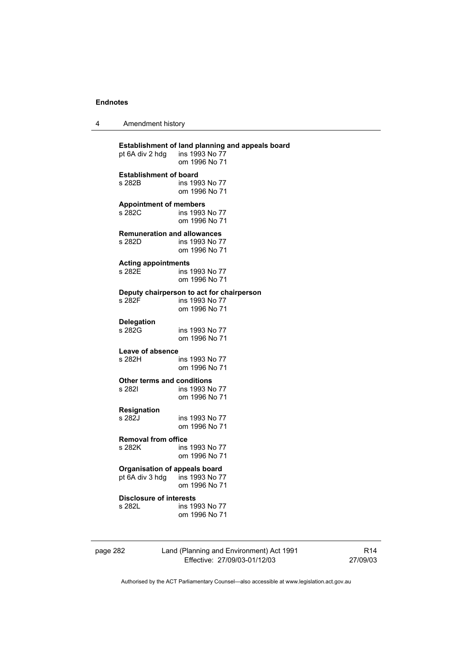| 4 | Amendment history |
|---|-------------------|
|---|-------------------|

| pt 6A div 2 hdg                      | Establishment of land planning and appeals board<br>ins 1993 No 77<br>om 1996 No 71 |
|--------------------------------------|-------------------------------------------------------------------------------------|
| <b>Establishment of board</b>        | ins 1993 No 77                                                                      |
| s 282B                               | om 1996 No 71                                                                       |
| <b>Appointment of members</b>        | ins 1993 No 77                                                                      |
| s 282C                               | om 1996 No 71                                                                       |
| <b>Remuneration and allowances</b>   | ins 1993 No 77                                                                      |
| s 282D                               | om 1996 No 71                                                                       |
| <b>Acting appointments</b>           | ins 1993 No 77                                                                      |
| s 282E                               | om 1996 No 71                                                                       |
| s 282F                               | Deputy chairperson to act for chairperson<br>ins 1993 No 77<br>om 1996 No 71        |
| <b>Delegation</b>                    | ins 1993 No 77                                                                      |
| s 282G                               | om 1996 No 71                                                                       |
| Leave of absence                     | ins 1993 No 77                                                                      |
| s 282H                               | om 1996 No 71                                                                       |
| Other terms and conditions           | ins 1993 No 77                                                                      |
| s 282I                               | om 1996 No 71                                                                       |
| Resignation                          | ins 1993 No 77                                                                      |
| s 282J                               | om 1996 No 71                                                                       |
| <b>Removal from office</b>           | ins 1993 No 77                                                                      |
| s 282K                               | om 1996 No 71                                                                       |
| <b>Organisation of appeals board</b> | ins 1993 No 77                                                                      |
| pt 6A div 3 hdg                      | om 1996 No 71                                                                       |
| <b>Disclosure of interests</b>       | ins 1993 No 77                                                                      |
| s 282L                               | om 1996 No 71                                                                       |

| page 282 |
|----------|
|----------|

# page 282 Land (Planning and Environment) Act 1991 Effective: 27/09/03-01/12/03

R14 27/09/03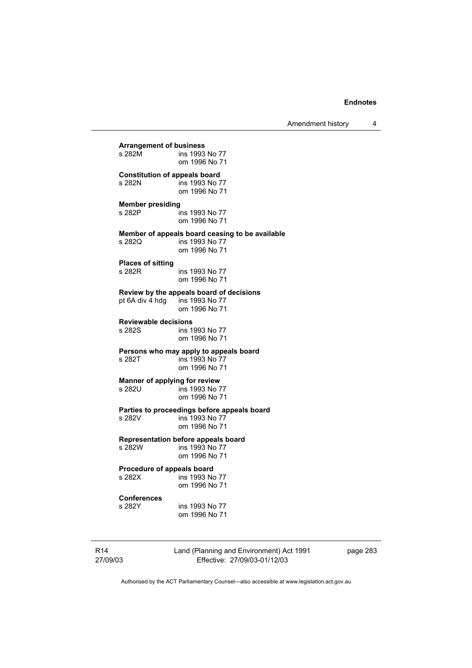Amendment history 4

**Arrangement of business**  ins 1993 No 77 om 1996 No 71 **Constitution of appeals board**<br>**5 282N ins 1993 No 7** ins 1993 No 77 om 1996 No 71 **Member presiding**  s 282P ins 1993 No 77 om 1996 No 71 **Member of appeals board ceasing to be available**  s 282Q ins 1993 No 77 om 1996 No 71 **Places of sitting**  s 282R ins 1993 No 77 om 1996 No 71 **Review by the appeals board of decisions**  pt 6A div  $\frac{1}{4}$  hdg om 1996 No 71 **Reviewable decisions**  ins 1993 No 77 om 1996 No 71 **Persons who may apply to appeals board**  ins 1993 No 77 om 1996 No 71 **Manner of applying for review**<br>**s** 282U **ins 1993 No** 7 ins 1993 No 77 om 1996 No 71 **Parties to proceedings before appeals board**  s 282V ins 1993 No 77 om 1996 No 71 **Representation before appeals board**  ins 1993 No 77 om 1996 No 71 **Procedure of appeals board**<br>s 282X **ins 1993** No ins 1993 No 77 om 1996 No 71 **Conferences**  ins 1993 No 77

om 1996 No 71

R14 27/09/03 Land (Planning and Environment) Act 1991 Effective: 27/09/03-01/12/03

page 283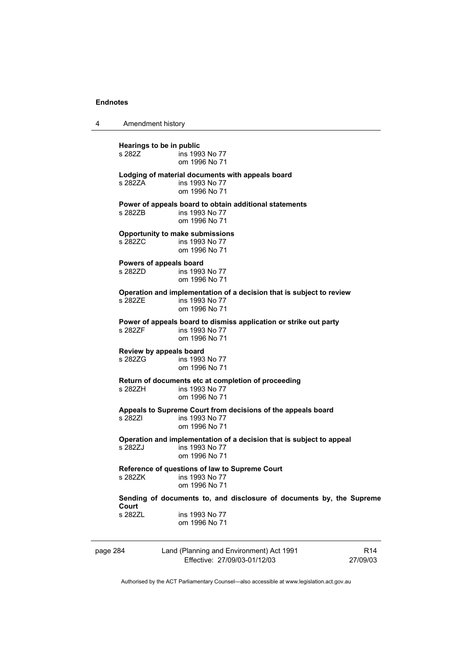4 Amendment history

page 284 Land (Planning and Environment) Act 1991 Effective: 27/09/03-01/12/03 R14 27/09/03 **Hearings to be in public**  ins 1993 No 77 om 1996 No 71 **Lodging of material documents with appeals board**  s 282ZA ins 1993 No 77 om 1996 No 71 **Power of appeals board to obtain additional statements**  s 282ZB ins 1993 No 77 om 1996 No 71 **Opportunity to make submissions**  s 282ZC ins 1993 No 77 om 1996 No 71 **Powers of appeals board**  s 282ZD ins 1993 No 77 om 1996 No 71 **Operation and implementation of a decision that is subject to review**   $ins$  1993 No 77 om 1996 No 71 **Power of appeals board to dismiss application or strike out party**  s 282ZF ins 1993 No 77 om 1996 No 71 **Review by appeals board**  ins 1993 No 77 om 1996 No 71 **Return of documents etc at completion of proceeding**  s 282ZH ins 1993 No 77 om 1996 No 71 **Appeals to Supreme Court from decisions of the appeals board**  s 282ZI ins 1993 No 77 om 1996 No 71 **Operation and implementation of a decision that is subject to appeal**  ins 1993 No 77 om 1996 No 71 **Reference of questions of law to Supreme Court**  ins 1993 No 77 om 1996 No 71 **Sending of documents to, and disclosure of documents by, the Supreme Court**  s 282ZL ins 1993 No 77 om 1996 No 71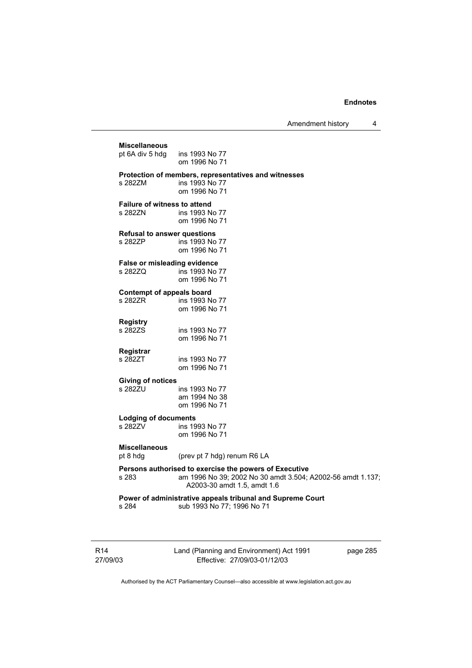Amendment history 4

**Miscellaneous**  pt 6A div 5 hdg ins 1993 No 77 om 1996 No 71 **Protection of members, representatives and witnesses**  ins 1993 No 77 om 1996 No 71 **Failure of witness to attend**  s 282ZN ins 1993 No 77 om 1996 No 71 **Refusal to answer questions**  s 282ZP ins 1993 No 77 om 1996 No 71 **False or misleading evidence**  s 282ZQ ins 1993 No 77 om 1996 No 71 **Contempt of appeals board**<br>s 282ZR ins 1993 N ins 1993 No 77 om 1996 No 71 **Registry**  ins 1993 No 77 om 1996 No 71 **Registrar**  ins 1993 No 77 om 1996 No 71 **Giving of notices**  ins 1993 No 77 am 1994 No 38 om 1996 No 71 **Lodging of documents**  s 282ZV ins 1993 No 77 om 1996 No 71 **Miscellaneous**  pt 8 hdg (prev pt 7 hdg) renum R6 LA **Persons authorised to exercise the powers of Executive**  s 283 am 1996 No 39; 2002 No 30 amdt 3.504; A2002-56 amdt 1.137; A2003-30 amdt 1.5, amdt 1.6 **Power of administrative appeals tribunal and Supreme Court**  s 284 sub 1993 No 77; 1996 No 71

R14 27/09/03 Land (Planning and Environment) Act 1991 Effective: 27/09/03-01/12/03

page 285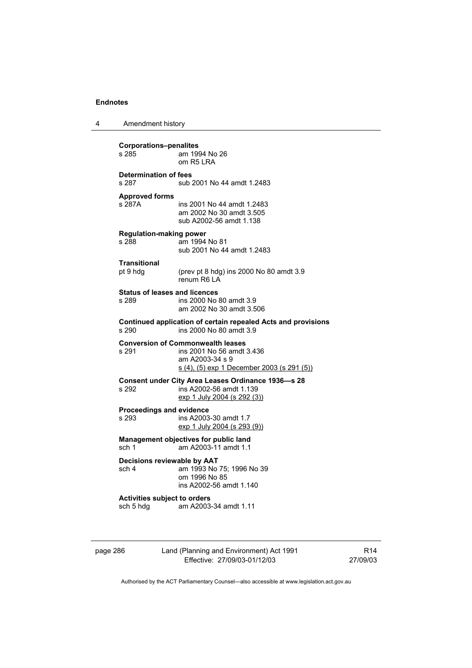| 4 | Amendment history |
|---|-------------------|
|---|-------------------|

| <b>Corporations-penalites</b><br>s 285<br>am 1994 No 26<br>$om$ R <sub>5</sub> $IRA$                                  |                                                                                                                                        |  |  |
|-----------------------------------------------------------------------------------------------------------------------|----------------------------------------------------------------------------------------------------------------------------------------|--|--|
| <b>Determination of fees</b><br>s 287                                                                                 | sub 2001 No 44 amdt 1.2483                                                                                                             |  |  |
| <b>Approved forms</b><br>s 287A                                                                                       | ins 2001 No 44 amdt 1.2483<br>am 2002 No 30 amdt 3.505<br>sub A2002-56 amdt 1.138                                                      |  |  |
| <b>Regulation-making power</b><br>s 288                                                                               | am 1994 No 81<br>sub 2001 No 44 amdt 1.2483                                                                                            |  |  |
| Transitional<br>pt 9 hdg                                                                                              | (prev pt 8 hdg) ins 2000 No 80 amdt 3.9<br>renum R6 LA                                                                                 |  |  |
| <b>Status of leases and licences</b><br>s 289                                                                         | ins 2000 No 80 amdt 3.9<br>am 2002 No 30 amdt 3.506                                                                                    |  |  |
| Continued application of certain repealed Acts and provisions<br>s 290<br>ins 2000 No 80 amdt 3.9                     |                                                                                                                                        |  |  |
| s 291                                                                                                                 | <b>Conversion of Commonwealth leases</b><br>ins 2001 No 56 amdt 3.436<br>am A2003-34 s 9<br>s (4), (5) exp 1 December 2003 (s 291 (5)) |  |  |
| Consent under City Area Leases Ordinance 1936-s 28<br>s 292<br>ins A2002-56 amdt 1.139<br>exp 1 July 2004 (s 292 (3)) |                                                                                                                                        |  |  |
| <b>Proceedings and evidence</b><br>s 293                                                                              | ins A2003-30 amdt 1.7<br>exp 1 July 2004 (s 293 (9))                                                                                   |  |  |
| sch 1                                                                                                                 | Management objectives for public land<br>am A2003-11 amdt 1.1                                                                          |  |  |
| Decisions reviewable by AAT<br>sch 4                                                                                  | am 1993 No 75; 1996 No 39<br>om 1996 No 85<br>ins A2002-56 amdt 1.140                                                                  |  |  |
| <b>Activities subject to orders</b><br>sch 5 hdg                                                                      | am A2003-34 amdt 1.11                                                                                                                  |  |  |

page 286 Land (Planning and Environment) Act 1991 Effective: 27/09/03-01/12/03

R14 27/09/03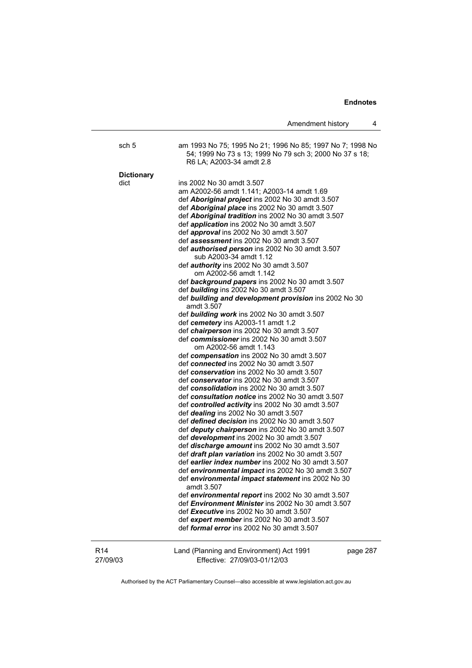|                             | Amendment history<br>4                                                                                                                                                                                                                                                                                                                                                                                                                                                                                                                                                                                                                                                                                                                                                                                                                                                                                                                                                                                                                                                                                                                                                                                                                                                                                                                                                                                                                                                                                                                                                                                                                                                                                                                                                                                                                                                                |
|-----------------------------|---------------------------------------------------------------------------------------------------------------------------------------------------------------------------------------------------------------------------------------------------------------------------------------------------------------------------------------------------------------------------------------------------------------------------------------------------------------------------------------------------------------------------------------------------------------------------------------------------------------------------------------------------------------------------------------------------------------------------------------------------------------------------------------------------------------------------------------------------------------------------------------------------------------------------------------------------------------------------------------------------------------------------------------------------------------------------------------------------------------------------------------------------------------------------------------------------------------------------------------------------------------------------------------------------------------------------------------------------------------------------------------------------------------------------------------------------------------------------------------------------------------------------------------------------------------------------------------------------------------------------------------------------------------------------------------------------------------------------------------------------------------------------------------------------------------------------------------------------------------------------------------|
| sch 5                       | am 1993 No 75; 1995 No 21; 1996 No 85; 1997 No 7; 1998 No<br>54; 1999 No 73 s 13; 1999 No 79 sch 3; 2000 No 37 s 18;<br>R6 LA; A2003-34 amdt 2.8                                                                                                                                                                                                                                                                                                                                                                                                                                                                                                                                                                                                                                                                                                                                                                                                                                                                                                                                                                                                                                                                                                                                                                                                                                                                                                                                                                                                                                                                                                                                                                                                                                                                                                                                      |
|                             |                                                                                                                                                                                                                                                                                                                                                                                                                                                                                                                                                                                                                                                                                                                                                                                                                                                                                                                                                                                                                                                                                                                                                                                                                                                                                                                                                                                                                                                                                                                                                                                                                                                                                                                                                                                                                                                                                       |
| <b>Dictionary</b><br>dict   | ins 2002 No 30 amdt 3.507<br>am A2002-56 amdt 1.141; A2003-14 amdt 1.69<br>def <b>Aboriginal project</b> ins 2002 No 30 amdt 3.507<br>def Aboriginal place ins 2002 No 30 amdt 3.507<br>def <b>Aboriginal tradition</b> ins 2002 No 30 amdt 3.507<br>def application ins 2002 No 30 amdt 3.507<br>def approval ins 2002 No 30 amdt 3.507<br>def assessment ins 2002 No 30 amdt 3.507<br>def <i>authorised person</i> ins 2002 No 30 amdt 3.507<br>sub A2003-34 amdt 1.12<br>def <i>authority</i> ins 2002 No 30 amdt 3.507<br>om A2002-56 amdt 1.142<br>def background papers ins 2002 No 30 amdt 3.507<br>def building ins 2002 No 30 amdt 3.507<br>def building and development provision ins 2002 No 30<br>amdt 3.507<br>def building work ins 2002 No 30 amdt 3.507<br>def cemetery ins A2003-11 amdt 1.2<br>def <i>chairperson</i> ins 2002 No 30 amdt 3.507<br>def commissioner ins 2002 No 30 amdt 3.507<br>om A2002-56 amdt 1.143<br>def compensation ins 2002 No 30 amdt 3.507<br>def connected ins 2002 No 30 amdt 3.507<br>def conservation ins 2002 No 30 amdt 3.507<br>def conservator ins 2002 No 30 amdt 3.507<br>def consolidation ins 2002 No 30 amdt 3.507<br>def consultation notice ins 2002 No 30 amdt 3.507<br>def controlled activity ins 2002 No 30 amdt 3.507<br>def dealing ins 2002 No 30 amdt 3.507<br>def defined decision ins 2002 No 30 amdt 3.507<br>def deputy chairperson ins 2002 No 30 amdt 3.507<br>def development ins 2002 No 30 amdt 3.507<br>def discharge amount ins 2002 No 30 amdt 3.507<br>def draft plan variation ins 2002 No 30 amdt 3.507<br>def earlier index number ins 2002 No 30 amdt 3.507<br>def environmental impact ins 2002 No 30 amdt 3.507<br>def environmental impact statement ins 2002 No 30<br>amdt 3.507<br>def environmental report ins 2002 No 30 amdt 3.507<br>def Environment Minister ins 2002 No 30 amdt 3.507 |
|                             | def Executive ins 2002 No 30 amdt 3.507<br>def expert member ins 2002 No 30 amdt 3.507                                                                                                                                                                                                                                                                                                                                                                                                                                                                                                                                                                                                                                                                                                                                                                                                                                                                                                                                                                                                                                                                                                                                                                                                                                                                                                                                                                                                                                                                                                                                                                                                                                                                                                                                                                                                |
|                             | def <i>formal error</i> ins 2002 No 30 amdt 3.507                                                                                                                                                                                                                                                                                                                                                                                                                                                                                                                                                                                                                                                                                                                                                                                                                                                                                                                                                                                                                                                                                                                                                                                                                                                                                                                                                                                                                                                                                                                                                                                                                                                                                                                                                                                                                                     |
| R <sub>14</sub><br>27/09/03 | Land (Planning and Environment) Act 1991<br>page 287<br>Effective: 27/09/03-01/12/03                                                                                                                                                                                                                                                                                                                                                                                                                                                                                                                                                                                                                                                                                                                                                                                                                                                                                                                                                                                                                                                                                                                                                                                                                                                                                                                                                                                                                                                                                                                                                                                                                                                                                                                                                                                                  |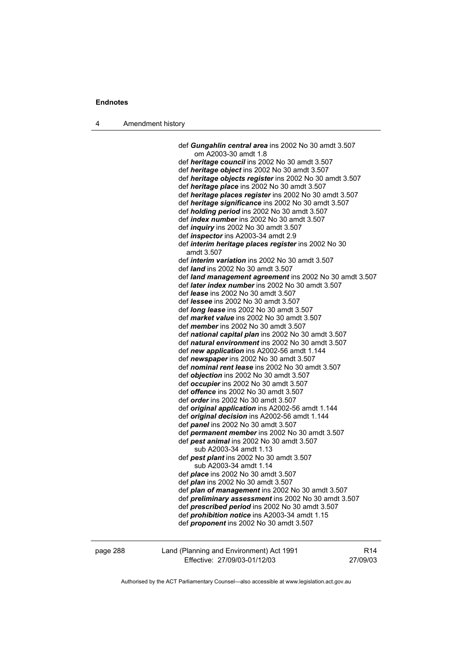4 Amendment history

 def *Gungahlin central area* ins 2002 No 30 amdt 3.507 om A2003-30 amdt 1.8 def *heritage council* ins 2002 No 30 amdt 3.507 def *heritage object* ins 2002 No 30 amdt 3.507 def *heritage objects register* ins 2002 No 30 amdt 3.507 def *heritage place* ins 2002 No 30 amdt 3.507 def *heritage places register* ins 2002 No 30 amdt 3.507 def *heritage significance* ins 2002 No 30 amdt 3.507 def *holding period* ins 2002 No 30 amdt 3.507 def *index number* ins 2002 No 30 amdt 3.507 def *inquiry* ins 2002 No 30 amdt 3.507 def *inspector* ins A2003-34 amdt 2.9 def *interim heritage places register* ins 2002 No 30 amdt 3.507 def *interim variation* ins 2002 No 30 amdt 3.507 def *land* ins 2002 No 30 amdt 3.507 def *land management agreement* ins 2002 No 30 amdt 3.507 def *later index number* ins 2002 No 30 amdt 3.507 def *lease* ins 2002 No 30 amdt 3.507 def *lessee* ins 2002 No 30 amdt 3.507 def *long lease* ins 2002 No 30 amdt 3.507 def *market value* ins 2002 No 30 amdt 3.507 def *member* ins 2002 No 30 amdt 3.507 def *national capital plan* ins 2002 No 30 amdt 3.507 def *natural environment* ins 2002 No 30 amdt 3.507 def *new application* ins A2002-56 amdt 1.144 def *newspaper* ins 2002 No 30 amdt 3.507 def *nominal rent lease* ins 2002 No 30 amdt 3.507 def *objection* ins 2002 No 30 amdt 3.507 def *occupier* ins 2002 No 30 amdt 3.507 def *offence* ins 2002 No 30 amdt 3.507 def *order* ins 2002 No 30 amdt 3.507 def *original application* ins A2002-56 amdt 1.144 def *original decision* ins A2002-56 amdt 1.144 def *panel* ins 2002 No 30 amdt 3.507 def *permanent member* ins 2002 No 30 amdt 3.507 def *pest animal* ins 2002 No 30 amdt 3.507 sub A2003-34 amdt 1.13 def *pest plant* ins 2002 No 30 amdt 3.507 sub A2003-34 amdt 1.14 def *place* ins 2002 No 30 amdt 3.507 def *plan* ins 2002 No 30 amdt 3.507 def *plan of management* ins 2002 No 30 amdt 3.507 def *preliminary assessment* ins 2002 No 30 amdt 3.507 def *prescribed period* ins 2002 No 30 amdt 3.507 def *prohibition notice* ins A2003-34 amdt 1.15 def *proponent* ins 2002 No 30 amdt 3.507

page 288 Land (Planning and Environment) Act 1991 Effective: 27/09/03-01/12/03

R14 27/09/03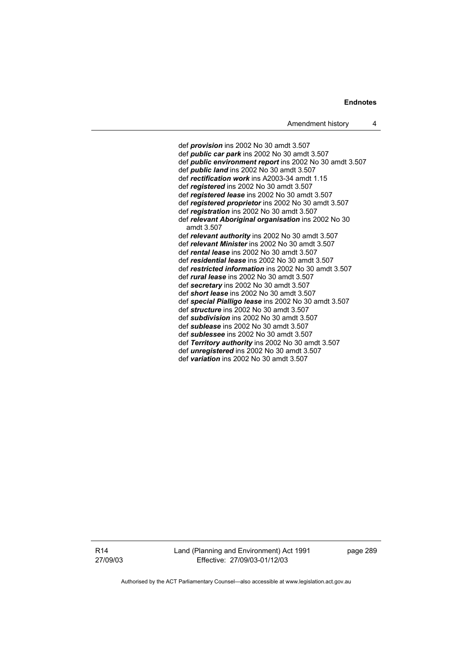def *provision* ins 2002 No 30 amdt 3.507 def *public car park* ins 2002 No 30 amdt 3.507 def *public environment report* ins 2002 No 30 amdt 3.507 def *public land* ins 2002 No 30 amdt 3.507 def *rectification work* ins A2003-34 amdt 1.15 def *registered* ins 2002 No 30 amdt 3.507 def *registered lease* ins 2002 No 30 amdt 3.507 def *registered proprietor* ins 2002 No 30 amdt 3.507 def *registration* ins 2002 No 30 amdt 3.507 def *relevant Aboriginal organisation* ins 2002 No 30 amdt 3.507 def *relevant authority* ins 2002 No 30 amdt 3.507 def *relevant Minister* ins 2002 No 30 amdt 3.507 def *rental lease* ins 2002 No 30 amdt 3.507 def *residential lease* ins 2002 No 30 amdt 3.507 def *restricted information* ins 2002 No 30 amdt 3.507 def *rural lease* ins 2002 No 30 amdt 3.507 def *secretary* ins 2002 No 30 amdt 3.507 def *short lease* ins 2002 No 30 amdt 3.507 def *special Pialligo lease* ins 2002 No 30 amdt 3.507 def *structure* ins 2002 No 30 amdt 3.507 def *subdivision* ins 2002 No 30 amdt 3.507 def *sublease* ins 2002 No 30 amdt 3.507 def *sublessee* ins 2002 No 30 amdt 3.507 def *Territory authority* ins 2002 No 30 amdt 3.507 def *unregistered* ins 2002 No 30 amdt 3.507 def *variation* ins 2002 No 30 amdt 3.507

R14 27/09/03 Land (Planning and Environment) Act 1991 Effective: 27/09/03-01/12/03

page 289